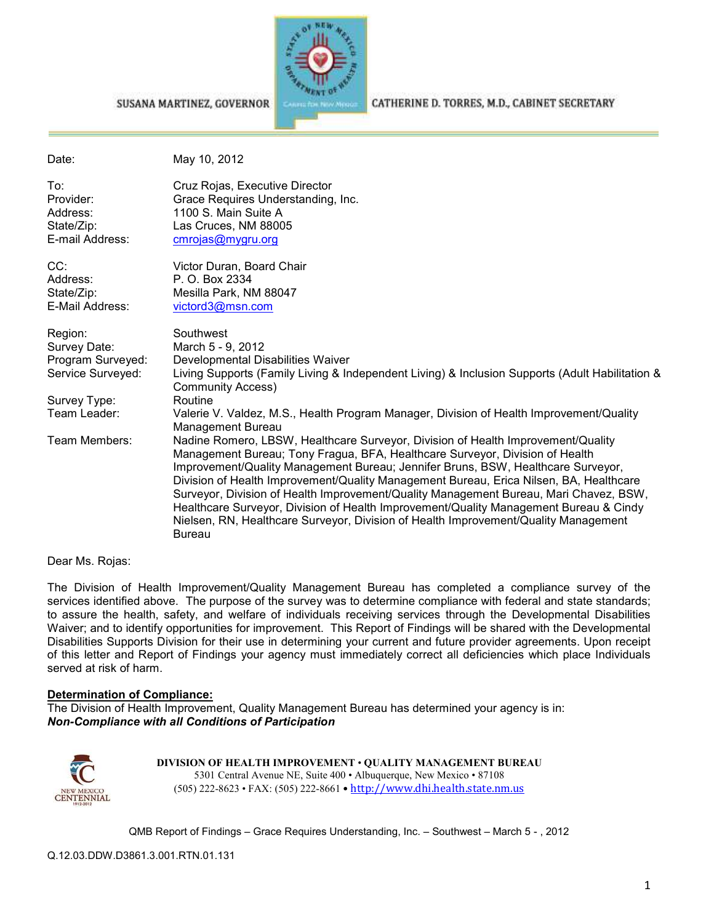

SUSANA MARTINEZ, GOVERNOR

#### CATHERINE D. TORRES, M.D., CABINET SECRETARY

| Date:                                                         | May 10, 2012                                                                                                                                                                                                                                                                                                                                                                                                                                                                                                                                                                                                                             |
|---------------------------------------------------------------|------------------------------------------------------------------------------------------------------------------------------------------------------------------------------------------------------------------------------------------------------------------------------------------------------------------------------------------------------------------------------------------------------------------------------------------------------------------------------------------------------------------------------------------------------------------------------------------------------------------------------------------|
| To:<br>Provider:<br>Address:<br>State/Zip:<br>E-mail Address: | Cruz Rojas, Executive Director<br>Grace Requires Understanding, Inc.<br>1100 S. Main Suite A<br>Las Cruces, NM 88005<br>cmrojas@mygru.org                                                                                                                                                                                                                                                                                                                                                                                                                                                                                                |
| CC:<br>Address:<br>State/Zip:<br>E-Mail Address:              | Victor Duran, Board Chair<br>P. O. Box 2334<br>Mesilla Park, NM 88047<br>victord3@msn.com                                                                                                                                                                                                                                                                                                                                                                                                                                                                                                                                                |
| Region:<br>Survey Date:<br>Program Surveyed:                  | Southwest<br>March 5 - 9, 2012<br>Developmental Disabilities Waiver                                                                                                                                                                                                                                                                                                                                                                                                                                                                                                                                                                      |
| Service Surveyed:                                             | Living Supports (Family Living & Independent Living) & Inclusion Supports (Adult Habilitation &<br><b>Community Access)</b>                                                                                                                                                                                                                                                                                                                                                                                                                                                                                                              |
| Survey Type:                                                  | Routine                                                                                                                                                                                                                                                                                                                                                                                                                                                                                                                                                                                                                                  |
| Team Leader:                                                  | Valerie V. Valdez, M.S., Health Program Manager, Division of Health Improvement/Quality<br>Management Bureau                                                                                                                                                                                                                                                                                                                                                                                                                                                                                                                             |
| Team Members:                                                 | Nadine Romero, LBSW, Healthcare Surveyor, Division of Health Improvement/Quality<br>Management Bureau; Tony Fragua, BFA, Healthcare Surveyor, Division of Health<br>Improvement/Quality Management Bureau; Jennifer Bruns, BSW, Healthcare Surveyor,<br>Division of Health Improvement/Quality Management Bureau, Erica Nilsen, BA, Healthcare<br>Surveyor, Division of Health Improvement/Quality Management Bureau, Mari Chavez, BSW,<br>Healthcare Surveyor, Division of Health Improvement/Quality Management Bureau & Cindy<br>Nielsen, RN, Healthcare Surveyor, Division of Health Improvement/Quality Management<br><b>Bureau</b> |

Dear Ms. Rojas:

The Division of Health Improvement/Quality Management Bureau has completed a compliance survey of the services identified above. The purpose of the survey was to determine compliance with federal and state standards; to assure the health, safety, and welfare of individuals receiving services through the Developmental Disabilities Waiver; and to identify opportunities for improvement. This Report of Findings will be shared with the Developmental Disabilities Supports Division for their use in determining your current and future provider agreements. Upon receipt of this letter and Report of Findings your agency must immediately correct all deficiencies which place Individuals served at risk of harm.

#### **Determination of Compliance:**

The Division of Health Improvement, Quality Management Bureau has determined your agency is in: *Non-Compliance with all Conditions of Participation*



**DIVISION OF HEALTH IMPROVEMENT** • **QUALITY MANAGEMENT BUREAU** 5301 Central Avenue NE, Suite 400 • Albuquerque, New Mexico • 87108 (505) 222-8623 • FAX: (505) 222-8661 • http://www.dhi.health.state.nm.us

QMB Report of Findings – Grace Requires Understanding, Inc. – Southwest – March 5 - , 2012

Q.12.03.DDW.D3861.3.001.RTN.01.131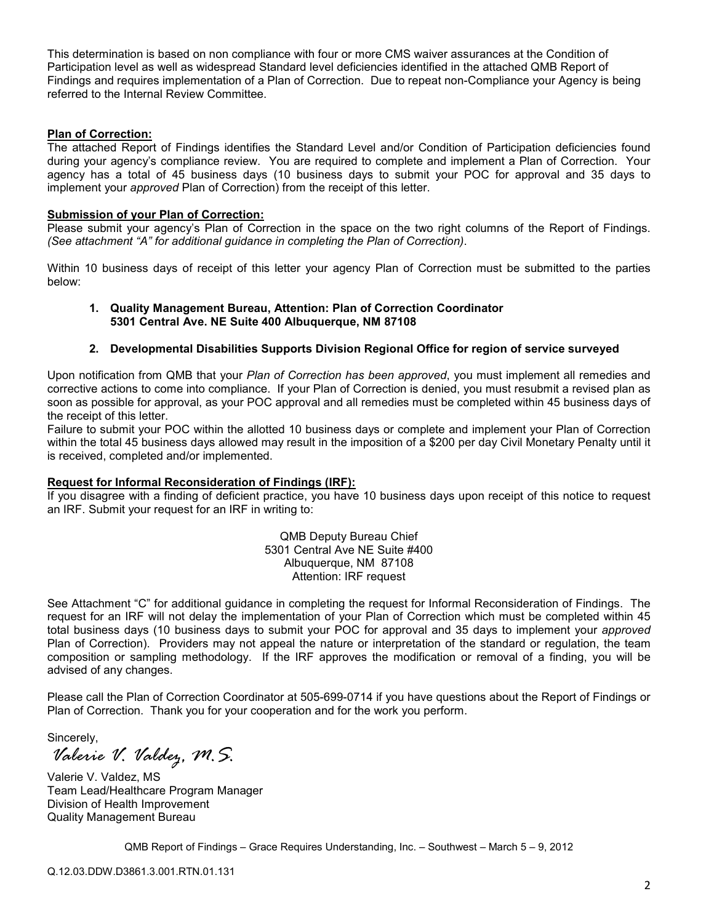This determination is based on non compliance with four or more CMS waiver assurances at the Condition of Participation level as well as widespread Standard level deficiencies identified in the attached QMB Report of Findings and requires implementation of a Plan of Correction. Due to repeat non-Compliance your Agency is being referred to the Internal Review Committee.

### **Plan of Correction:**

The attached Report of Findings identifies the Standard Level and/or Condition of Participation deficiencies found during your agency's compliance review. You are required to complete and implement a Plan of Correction. Your agency has a total of 45 business days (10 business days to submit your POC for approval and 35 days to implement your *approved* Plan of Correction) from the receipt of this letter.

### **Submission of your Plan of Correction:**

Please submit your agency's Plan of Correction in the space on the two right columns of the Report of Findings. *(See attachment "A" for additional guidance in completing the Plan of Correction)*.

Within 10 business days of receipt of this letter your agency Plan of Correction must be submitted to the parties below:

#### **1. Quality Management Bureau, Attention: Plan of Correction Coordinator 5301 Central Ave. NE Suite 400 Albuquerque, NM 87108**

### **2. Developmental Disabilities Supports Division Regional Office for region of service surveyed**

Upon notification from QMB that your *Plan of Correction has been approved*, you must implement all remedies and corrective actions to come into compliance. If your Plan of Correction is denied, you must resubmit a revised plan as soon as possible for approval, as your POC approval and all remedies must be completed within 45 business days of the receipt of this letter.

Failure to submit your POC within the allotted 10 business days or complete and implement your Plan of Correction within the total 45 business days allowed may result in the imposition of a \$200 per day Civil Monetary Penalty until it is received, completed and/or implemented.

### **Request for Informal Reconsideration of Findings (IRF):**

If you disagree with a finding of deficient practice, you have 10 business days upon receipt of this notice to request an IRF. Submit your request for an IRF in writing to:

> QMB Deputy Bureau Chief 5301 Central Ave NE Suite #400 Albuquerque, NM 87108 Attention: IRF request

See Attachment "C" for additional guidance in completing the request for Informal Reconsideration of Findings. The request for an IRF will not delay the implementation of your Plan of Correction which must be completed within 45 total business days (10 business days to submit your POC for approval and 35 days to implement your *approved* Plan of Correction). Providers may not appeal the nature or interpretation of the standard or regulation, the team composition or sampling methodology. If the IRF approves the modification or removal of a finding, you will be advised of any changes.

Please call the Plan of Correction Coordinator at 505-699-0714 if you have questions about the Report of Findings or Plan of Correction. Thank you for your cooperation and for the work you perform.

Sincerely,

*Valerie V. Valdez, M.S.* 

Valerie V. Valdez, MS Team Lead/Healthcare Program Manager Division of Health Improvement Quality Management Bureau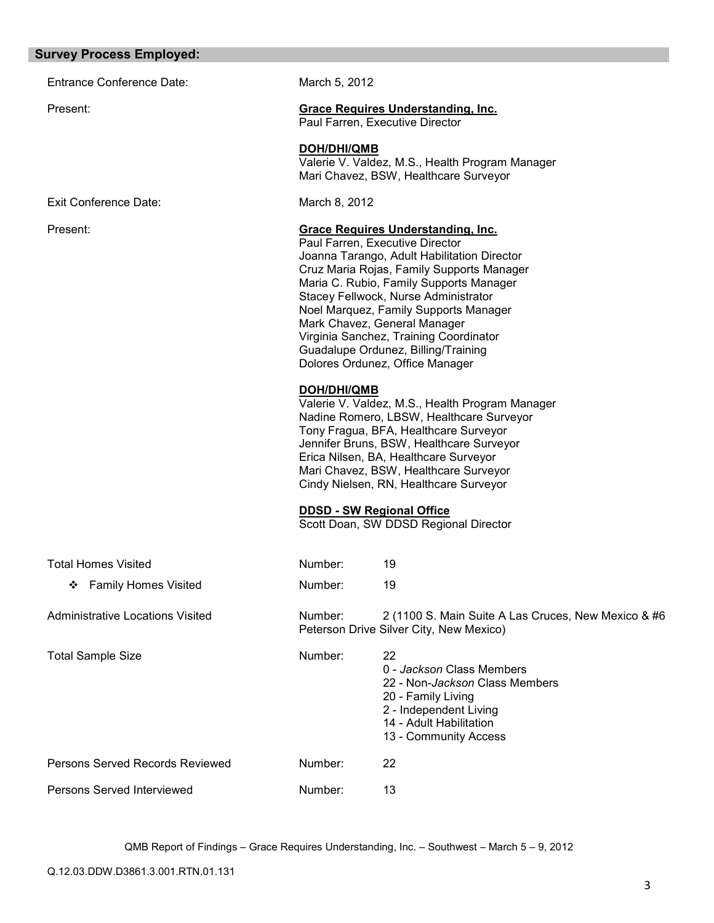#### **Survey Process Employed:**

Entrance Conference Date: March 5, 2012

Exit Conference Date: March 8, 2012

Present: **Grace Requires Understanding, Inc.**

Paul Farren, Executive Director

**DOH/DHI/QMB**

Valerie V. Valdez, M.S., Health Program Manager Mari Chavez, BSW, Healthcare Surveyor

#### Present: **Grace Requires Understanding, Inc.**

Paul Farren, Executive Director Joanna Tarango, Adult Habilitation Director Cruz Maria Rojas, Family Supports Manager Maria C. Rubio, Family Supports Manager Stacey Fellwock, Nurse Administrator Noel Marquez, Family Supports Manager Mark Chavez, General Manager Virginia Sanchez, Training Coordinator Guadalupe Ordunez, Billing/Training Dolores Ordunez, Office Manager

#### **DOH/DHI/QMB**

Valerie V. Valdez, M.S., Health Program Manager Nadine Romero, LBSW, Healthcare Surveyor Tony Fragua, BFA, Healthcare Surveyor Jennifer Bruns, BSW, Healthcare Surveyor Erica Nilsen, BA, Healthcare Surveyor Mari Chavez, BSW, Healthcare Surveyor Cindy Nielsen, RN, Healthcare Surveyor

#### **DDSD - SW Regional Office**

Scott Doan, SW DDSD Regional Director

| <b>Total Homes Visited</b>       | Number: | 19                                                                                                                                                                    |
|----------------------------------|---------|-----------------------------------------------------------------------------------------------------------------------------------------------------------------------|
| <b>Family Homes Visited</b><br>❖ | Number: | 19                                                                                                                                                                    |
| Administrative Locations Visited | Number: | 2 (1100 S. Main Suite A Las Cruces, New Mexico & #6<br>Peterson Drive Silver City, New Mexico)                                                                        |
| <b>Total Sample Size</b>         | Number: | 22<br>0 - Jackson Class Members<br>22 - Non-Jackson Class Members<br>20 - Family Living<br>2 - Independent Living<br>14 - Adult Habilitation<br>13 - Community Access |
| Persons Served Records Reviewed  | Number: | 22                                                                                                                                                                    |
| Persons Served Interviewed       | Number: | 13                                                                                                                                                                    |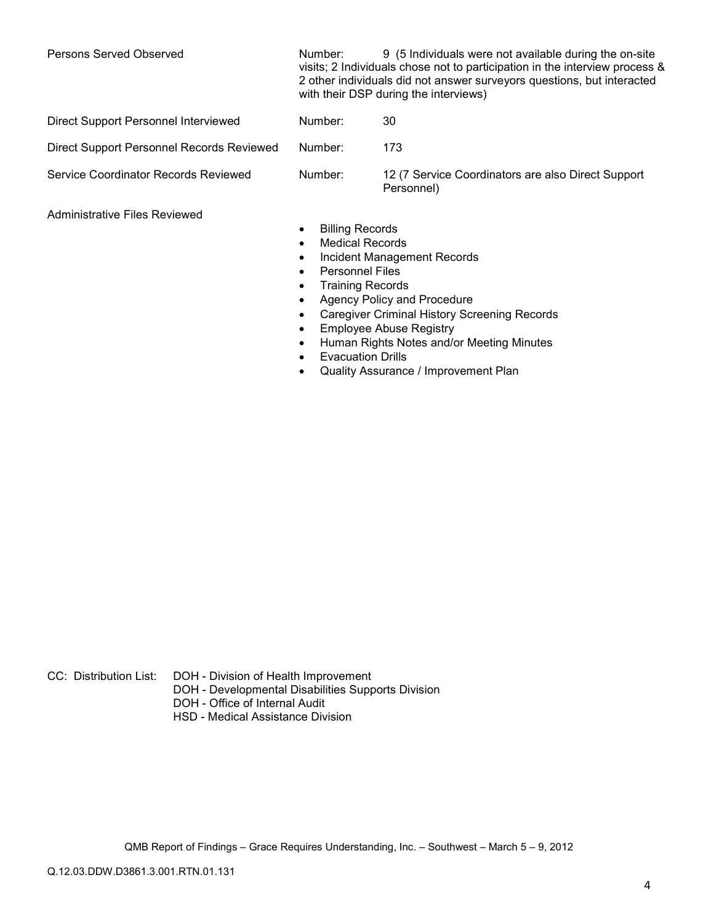Persons Served Observed Number: 9 (5 Individuals were not available during the on-site visits; 2 Individuals chose not to participation in the interview process & 2 other individuals did not answer surveyors questions, but interacted with their DSP during the interviews)

| Direct Support Personnel Interviewed      | Number: | 30                                                               |
|-------------------------------------------|---------|------------------------------------------------------------------|
| Direct Support Personnel Records Reviewed | Number: | 173                                                              |
| Service Coordinator Records Reviewed      | Number: | 12 (7 Service Coordinators are also Direct Support<br>Personnel) |

Administrative Files Reviewed

- Billing Records
- Medical Records
- Incident Management Records
- Personnel Files
- Training Records
- Agency Policy and Procedure
- Caregiver Criminal History Screening Records
- Employee Abuse Registry
- Human Rights Notes and/or Meeting Minutes
- Evacuation Drills
- Quality Assurance / Improvement Plan

CC: Distribution List: DOH - Division of Health Improvement

- DOH Developmental Disabilities Supports Division
- DOH Office of Internal Audit
- HSD Medical Assistance Division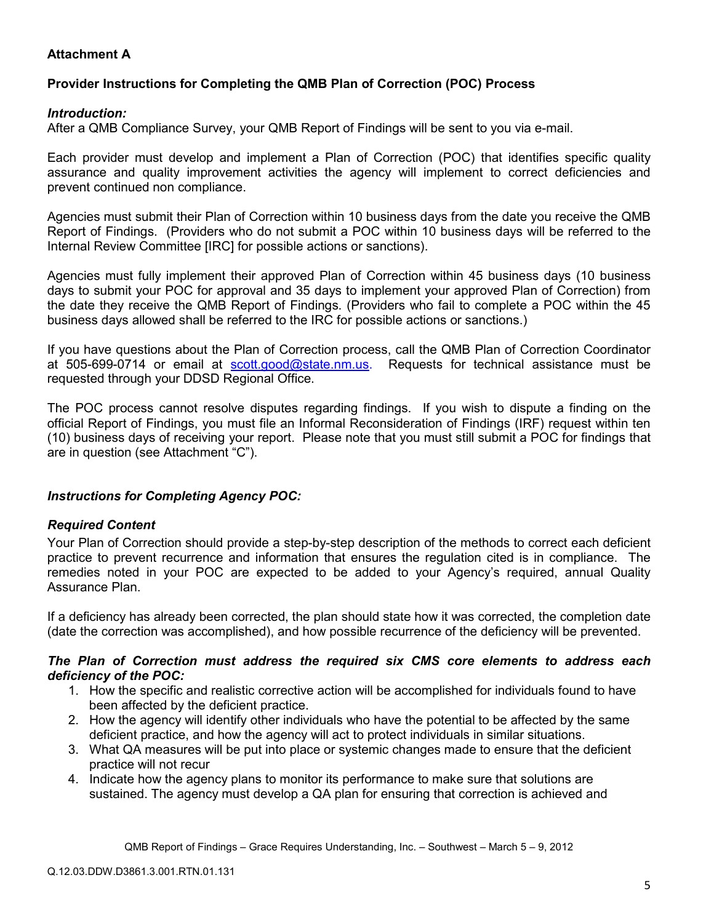# **Attachment A**

# **Provider Instructions for Completing the QMB Plan of Correction (POC) Process**

## *Introduction:*

After a QMB Compliance Survey, your QMB Report of Findings will be sent to you via e-mail.

Each provider must develop and implement a Plan of Correction (POC) that identifies specific quality assurance and quality improvement activities the agency will implement to correct deficiencies and prevent continued non compliance.

Agencies must submit their Plan of Correction within 10 business days from the date you receive the QMB Report of Findings. (Providers who do not submit a POC within 10 business days will be referred to the Internal Review Committee [IRC] for possible actions or sanctions).

Agencies must fully implement their approved Plan of Correction within 45 business days (10 business days to submit your POC for approval and 35 days to implement your approved Plan of Correction) from the date they receive the QMB Report of Findings. (Providers who fail to complete a POC within the 45 business days allowed shall be referred to the IRC for possible actions or sanctions.)

If you have questions about the Plan of Correction process, call the QMB Plan of Correction Coordinator at 505-699-0714 or email at scott.good@state.nm.us. Requests for technical assistance must be requested through your DDSD Regional Office.

The POC process cannot resolve disputes regarding findings. If you wish to dispute a finding on the official Report of Findings, you must file an Informal Reconsideration of Findings (IRF) request within ten (10) business days of receiving your report. Please note that you must still submit a POC for findings that are in question (see Attachment "C").

## *Instructions for Completing Agency POC:*

## *Required Content*

Your Plan of Correction should provide a step-by-step description of the methods to correct each deficient practice to prevent recurrence and information that ensures the regulation cited is in compliance. The remedies noted in your POC are expected to be added to your Agency's required, annual Quality Assurance Plan.

If a deficiency has already been corrected, the plan should state how it was corrected, the completion date (date the correction was accomplished), and how possible recurrence of the deficiency will be prevented.

### *The Plan of Correction must address the required six CMS core elements to address each deficiency of the POC:*

- 1. How the specific and realistic corrective action will be accomplished for individuals found to have been affected by the deficient practice.
- 2. How the agency will identify other individuals who have the potential to be affected by the same deficient practice, and how the agency will act to protect individuals in similar situations.
- 3. What QA measures will be put into place or systemic changes made to ensure that the deficient practice will not recur
- 4. Indicate how the agency plans to monitor its performance to make sure that solutions are sustained. The agency must develop a QA plan for ensuring that correction is achieved and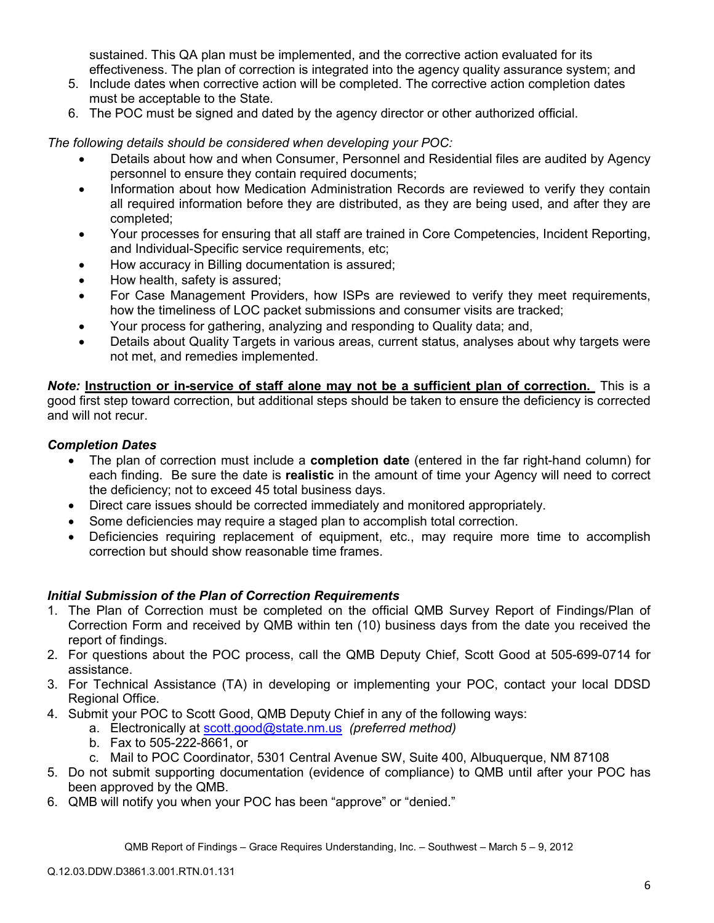sustained. This QA plan must be implemented, and the corrective action evaluated for its effectiveness. The plan of correction is integrated into the agency quality assurance system; and

- 5. Include dates when corrective action will be completed. The corrective action completion dates must be acceptable to the State.
- 6. The POC must be signed and dated by the agency director or other authorized official.

*The following details should be considered when developing your POC:* 

- Details about how and when Consumer, Personnel and Residential files are audited by Agency personnel to ensure they contain required documents;
- Information about how Medication Administration Records are reviewed to verify they contain all required information before they are distributed, as they are being used, and after they are completed;
- Your processes for ensuring that all staff are trained in Core Competencies, Incident Reporting, and Individual-Specific service requirements, etc;
- How accuracy in Billing documentation is assured;
- How health, safety is assured;
- For Case Management Providers, how ISPs are reviewed to verify they meet requirements, how the timeliness of LOC packet submissions and consumer visits are tracked;
- Your process for gathering, analyzing and responding to Quality data; and,
- Details about Quality Targets in various areas, current status, analyses about why targets were not met, and remedies implemented.

*Note:* **Instruction or in-service of staff alone may not be a sufficient plan of correction.** This is a good first step toward correction, but additional steps should be taken to ensure the deficiency is corrected and will not recur.

## *Completion Dates*

- The plan of correction must include a **completion date** (entered in the far right-hand column) for each finding. Be sure the date is **realistic** in the amount of time your Agency will need to correct the deficiency; not to exceed 45 total business days.
- Direct care issues should be corrected immediately and monitored appropriately.
- Some deficiencies may require a staged plan to accomplish total correction.
- Deficiencies requiring replacement of equipment, etc., may require more time to accomplish correction but should show reasonable time frames.

## *Initial Submission of the Plan of Correction Requirements*

- 1. The Plan of Correction must be completed on the official QMB Survey Report of Findings/Plan of Correction Form and received by QMB within ten (10) business days from the date you received the report of findings.
- 2. For questions about the POC process, call the QMB Deputy Chief, Scott Good at 505-699-0714 for assistance.
- 3. For Technical Assistance (TA) in developing or implementing your POC, contact your local DDSD Regional Office.
- 4. Submit your POC to Scott Good, QMB Deputy Chief in any of the following ways:
	- a. Electronically at scott.good@state.nm.us *(preferred method)*
	- b. Fax to 505-222-8661, or
	- c. Mail to POC Coordinator, 5301 Central Avenue SW, Suite 400, Albuquerque, NM 87108
- 5. Do not submit supporting documentation (evidence of compliance) to QMB until after your POC has been approved by the QMB.
- 6. QMB will notify you when your POC has been "approve" or "denied."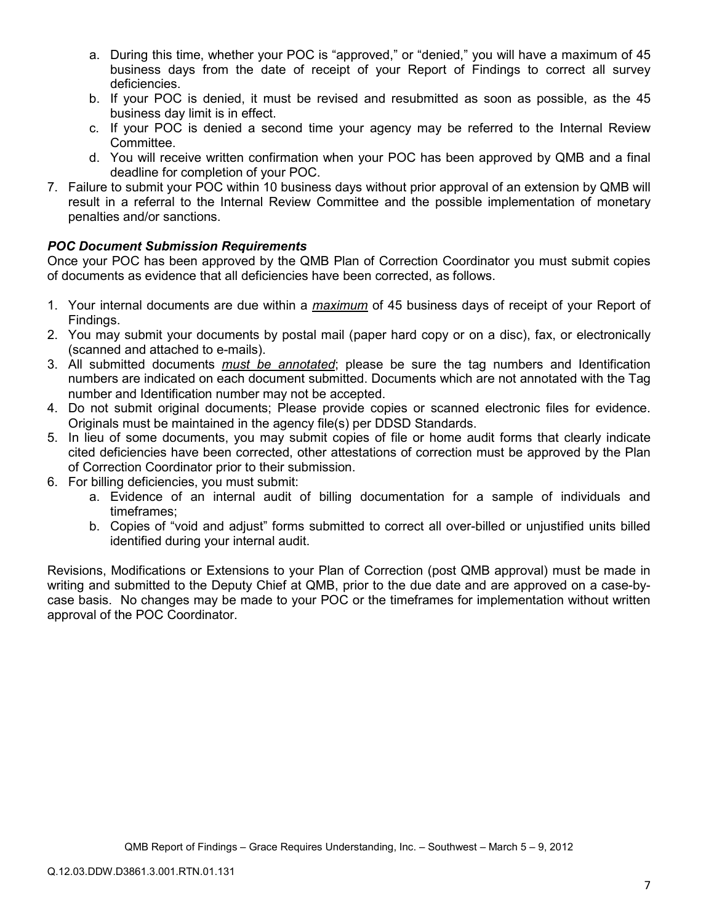- a. During this time, whether your POC is "approved," or "denied," you will have a maximum of 45 business days from the date of receipt of your Report of Findings to correct all survey deficiencies.
- b. If your POC is denied, it must be revised and resubmitted as soon as possible, as the 45 business day limit is in effect.
- c. If your POC is denied a second time your agency may be referred to the Internal Review Committee.
- d. You will receive written confirmation when your POC has been approved by QMB and a final deadline for completion of your POC.
- 7. Failure to submit your POC within 10 business days without prior approval of an extension by QMB will result in a referral to the Internal Review Committee and the possible implementation of monetary penalties and/or sanctions.

# *POC Document Submission Requirements*

Once your POC has been approved by the QMB Plan of Correction Coordinator you must submit copies of documents as evidence that all deficiencies have been corrected, as follows.

- 1. Your internal documents are due within a *maximum* of 45 business days of receipt of your Report of Findings.
- 2. You may submit your documents by postal mail (paper hard copy or on a disc), fax, or electronically (scanned and attached to e-mails).
- 3. All submitted documents *must be annotated*; please be sure the tag numbers and Identification numbers are indicated on each document submitted. Documents which are not annotated with the Tag number and Identification number may not be accepted.
- 4. Do not submit original documents; Please provide copies or scanned electronic files for evidence. Originals must be maintained in the agency file(s) per DDSD Standards.
- 5. In lieu of some documents, you may submit copies of file or home audit forms that clearly indicate cited deficiencies have been corrected, other attestations of correction must be approved by the Plan of Correction Coordinator prior to their submission.
- 6. For billing deficiencies, you must submit:
	- a. Evidence of an internal audit of billing documentation for a sample of individuals and timeframes;
	- b. Copies of "void and adjust" forms submitted to correct all over-billed or unjustified units billed identified during your internal audit.

Revisions, Modifications or Extensions to your Plan of Correction (post QMB approval) must be made in writing and submitted to the Deputy Chief at QMB, prior to the due date and are approved on a case-bycase basis. No changes may be made to your POC or the timeframes for implementation without written approval of the POC Coordinator.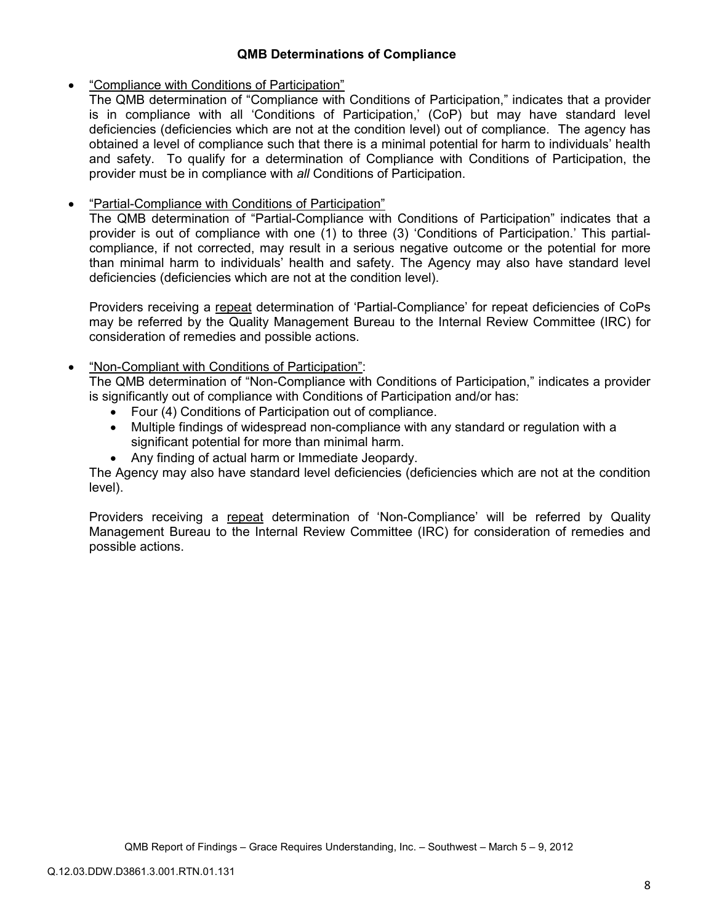## **QMB Determinations of Compliance**

## • "Compliance with Conditions of Participation"

The QMB determination of "Compliance with Conditions of Participation," indicates that a provider is in compliance with all 'Conditions of Participation,' (CoP) but may have standard level deficiencies (deficiencies which are not at the condition level) out of compliance. The agency has obtained a level of compliance such that there is a minimal potential for harm to individuals' health and safety. To qualify for a determination of Compliance with Conditions of Participation, the provider must be in compliance with *all* Conditions of Participation.

# • "Partial-Compliance with Conditions of Participation"

The QMB determination of "Partial-Compliance with Conditions of Participation" indicates that a provider is out of compliance with one (1) to three (3) 'Conditions of Participation.' This partialcompliance, if not corrected, may result in a serious negative outcome or the potential for more than minimal harm to individuals' health and safety. The Agency may also have standard level deficiencies (deficiencies which are not at the condition level).

Providers receiving a repeat determination of 'Partial-Compliance' for repeat deficiencies of CoPs may be referred by the Quality Management Bureau to the Internal Review Committee (IRC) for consideration of remedies and possible actions.

# • "Non-Compliant with Conditions of Participation":

The QMB determination of "Non-Compliance with Conditions of Participation," indicates a provider is significantly out of compliance with Conditions of Participation and/or has:

- Four (4) Conditions of Participation out of compliance.
- Multiple findings of widespread non-compliance with any standard or regulation with a significant potential for more than minimal harm.
- Any finding of actual harm or Immediate Jeopardy.

The Agency may also have standard level deficiencies (deficiencies which are not at the condition level).

Providers receiving a repeat determination of 'Non-Compliance' will be referred by Quality Management Bureau to the Internal Review Committee (IRC) for consideration of remedies and possible actions.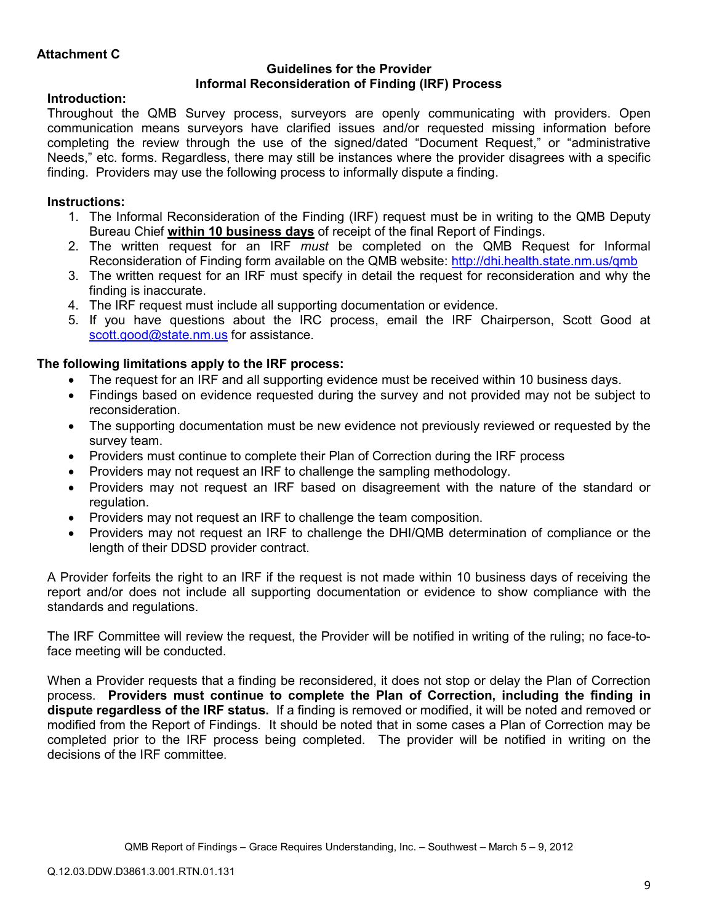### **Guidelines for the Provider Informal Reconsideration of Finding (IRF) Process**

# **Introduction:**

Throughout the QMB Survey process, surveyors are openly communicating with providers. Open communication means surveyors have clarified issues and/or requested missing information before completing the review through the use of the signed/dated "Document Request," or "administrative Needs," etc. forms. Regardless, there may still be instances where the provider disagrees with a specific finding. Providers may use the following process to informally dispute a finding.

# **Instructions:**

- 1. The Informal Reconsideration of the Finding (IRF) request must be in writing to the QMB Deputy Bureau Chief **within 10 business days** of receipt of the final Report of Findings.
- 2. The written request for an IRF *must* be completed on the QMB Request for Informal Reconsideration of Finding form available on the QMB website: http://dhi.health.state.nm.us/qmb
- 3. The written request for an IRF must specify in detail the request for reconsideration and why the finding is inaccurate.
- 4. The IRF request must include all supporting documentation or evidence.
- 5. If you have questions about the IRC process, email the IRF Chairperson, Scott Good at scott.good@state.nm.us for assistance.

# **The following limitations apply to the IRF process:**

- The request for an IRF and all supporting evidence must be received within 10 business days.
- Findings based on evidence requested during the survey and not provided may not be subject to reconsideration.
- The supporting documentation must be new evidence not previously reviewed or requested by the survey team.
- Providers must continue to complete their Plan of Correction during the IRF process
- Providers may not request an IRF to challenge the sampling methodology.
- Providers may not request an IRF based on disagreement with the nature of the standard or regulation.
- Providers may not request an IRF to challenge the team composition.
- Providers may not request an IRF to challenge the DHI/QMB determination of compliance or the length of their DDSD provider contract.

A Provider forfeits the right to an IRF if the request is not made within 10 business days of receiving the report and/or does not include all supporting documentation or evidence to show compliance with the standards and regulations.

The IRF Committee will review the request, the Provider will be notified in writing of the ruling; no face-toface meeting will be conducted.

When a Provider requests that a finding be reconsidered, it does not stop or delay the Plan of Correction process. **Providers must continue to complete the Plan of Correction, including the finding in dispute regardless of the IRF status.** If a finding is removed or modified, it will be noted and removed or modified from the Report of Findings. It should be noted that in some cases a Plan of Correction may be completed prior to the IRF process being completed. The provider will be notified in writing on the decisions of the IRF committee.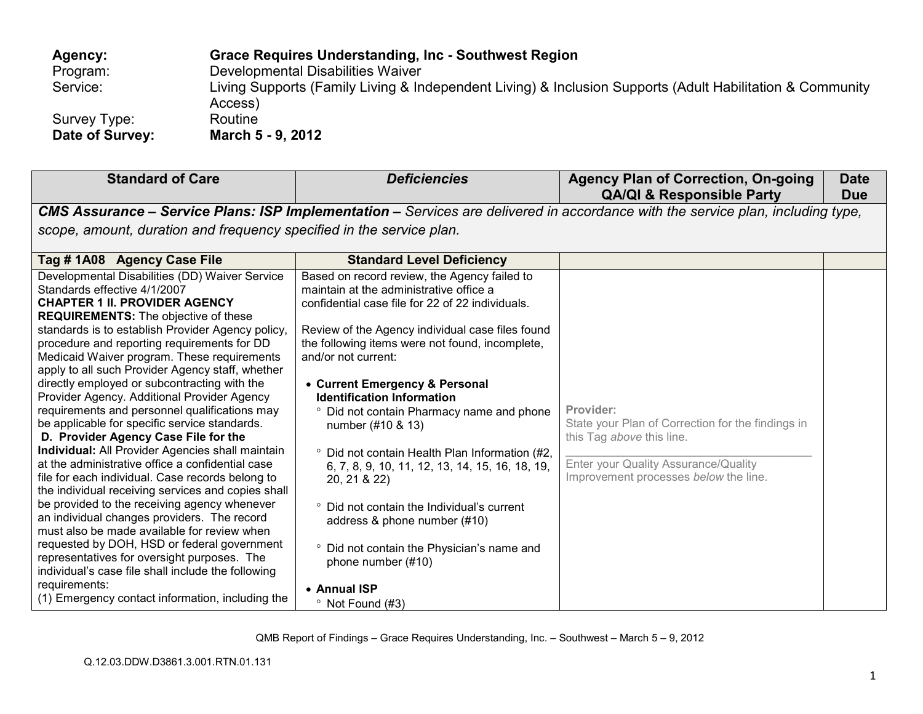| Agency:         | Grace Requires Understanding, Inc - Southwest Region                                                                 |
|-----------------|----------------------------------------------------------------------------------------------------------------------|
| Program:        | Developmental Disabilities Waiver                                                                                    |
| Service:        | Living Supports (Family Living & Independent Living) & Inclusion Supports (Adult Habilitation & Community<br>Access) |
| Survey Type:    | Routine                                                                                                              |
| Date of Survey: | March 5 - 9, 2012                                                                                                    |

| <b>Standard of Care</b>                                                                                                                                                                                                                                                                                                                                                                                                                                                                                                                                                                                                                                                                                                                                                                                                                                                                                                                                                                                                                                                                                                                                                                                        | <b>Deficiencies</b>                                                                                                                                                                                                                                                                                                                                                                                                                                                                                                                                                                                                                                                                                                                   | <b>Agency Plan of Correction, On-going</b><br><b>QA/QI &amp; Responsible Party</b>                                                                                           | <b>Date</b><br><b>Due</b> |
|----------------------------------------------------------------------------------------------------------------------------------------------------------------------------------------------------------------------------------------------------------------------------------------------------------------------------------------------------------------------------------------------------------------------------------------------------------------------------------------------------------------------------------------------------------------------------------------------------------------------------------------------------------------------------------------------------------------------------------------------------------------------------------------------------------------------------------------------------------------------------------------------------------------------------------------------------------------------------------------------------------------------------------------------------------------------------------------------------------------------------------------------------------------------------------------------------------------|---------------------------------------------------------------------------------------------------------------------------------------------------------------------------------------------------------------------------------------------------------------------------------------------------------------------------------------------------------------------------------------------------------------------------------------------------------------------------------------------------------------------------------------------------------------------------------------------------------------------------------------------------------------------------------------------------------------------------------------|------------------------------------------------------------------------------------------------------------------------------------------------------------------------------|---------------------------|
|                                                                                                                                                                                                                                                                                                                                                                                                                                                                                                                                                                                                                                                                                                                                                                                                                                                                                                                                                                                                                                                                                                                                                                                                                | CMS Assurance - Service Plans: ISP Implementation - Services are delivered in accordance with the service plan, including type,                                                                                                                                                                                                                                                                                                                                                                                                                                                                                                                                                                                                       |                                                                                                                                                                              |                           |
| scope, amount, duration and frequency specified in the service plan.                                                                                                                                                                                                                                                                                                                                                                                                                                                                                                                                                                                                                                                                                                                                                                                                                                                                                                                                                                                                                                                                                                                                           |                                                                                                                                                                                                                                                                                                                                                                                                                                                                                                                                                                                                                                                                                                                                       |                                                                                                                                                                              |                           |
| Tag #1A08 Agency Case File                                                                                                                                                                                                                                                                                                                                                                                                                                                                                                                                                                                                                                                                                                                                                                                                                                                                                                                                                                                                                                                                                                                                                                                     | <b>Standard Level Deficiency</b>                                                                                                                                                                                                                                                                                                                                                                                                                                                                                                                                                                                                                                                                                                      |                                                                                                                                                                              |                           |
| Developmental Disabilities (DD) Waiver Service<br>Standards effective 4/1/2007<br><b>CHAPTER 1 II. PROVIDER AGENCY</b><br><b>REQUIREMENTS:</b> The objective of these<br>standards is to establish Provider Agency policy,<br>procedure and reporting requirements for DD<br>Medicaid Waiver program. These requirements<br>apply to all such Provider Agency staff, whether<br>directly employed or subcontracting with the<br>Provider Agency. Additional Provider Agency<br>requirements and personnel qualifications may<br>be applicable for specific service standards.<br>D. Provider Agency Case File for the<br>Individual: All Provider Agencies shall maintain<br>at the administrative office a confidential case<br>file for each individual. Case records belong to<br>the individual receiving services and copies shall<br>be provided to the receiving agency whenever<br>an individual changes providers. The record<br>must also be made available for review when<br>requested by DOH, HSD or federal government<br>representatives for oversight purposes. The<br>individual's case file shall include the following<br>requirements:<br>(1) Emergency contact information, including the | Based on record review, the Agency failed to<br>maintain at the administrative office a<br>confidential case file for 22 of 22 individuals.<br>Review of the Agency individual case files found<br>the following items were not found, incomplete,<br>and/or not current:<br>• Current Emergency & Personal<br><b>Identification Information</b><br>• Did not contain Pharmacy name and phone<br>number (#10 & 13)<br>° Did not contain Health Plan Information (#2,<br>6, 7, 8, 9, 10, 11, 12, 13, 14, 15, 16, 18, 19,<br>20, 21 & 22)<br>• Did not contain the Individual's current<br>address & phone number (#10)<br>° Did not contain the Physician's name and<br>phone number (#10)<br>• Annual ISP<br>$\degree$ Not Found (#3) | Provider:<br>State your Plan of Correction for the findings in<br>this Tag above this line.<br>Enter your Quality Assurance/Quality<br>Improvement processes below the line. |                           |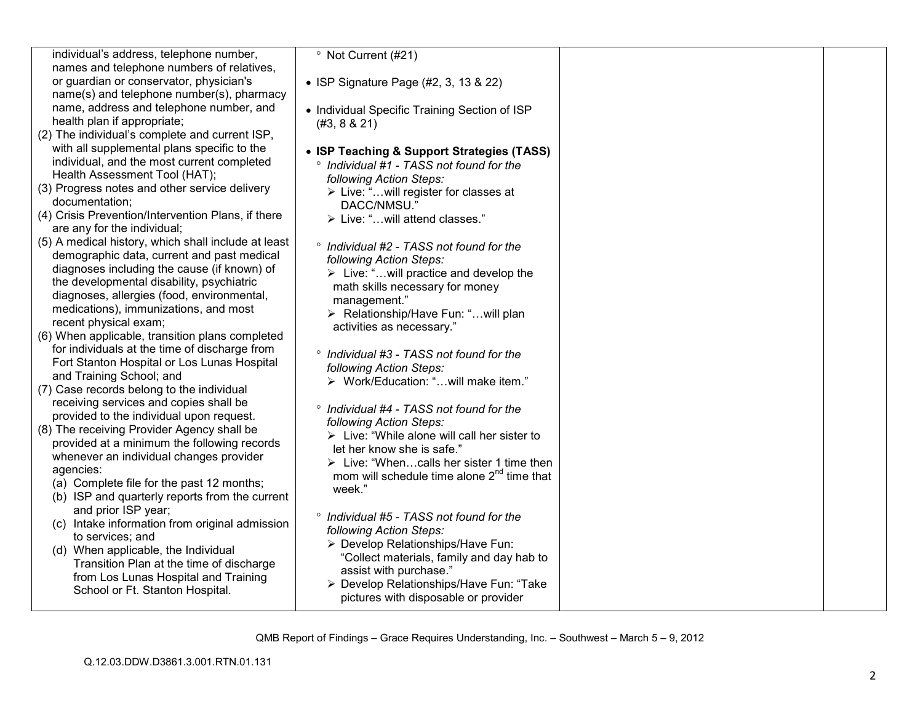| individual's address, telephone number,                                              | <sup>o</sup> Not Current (#21)                                      |  |
|--------------------------------------------------------------------------------------|---------------------------------------------------------------------|--|
| names and telephone numbers of relatives,<br>or guardian or conservator, physician's |                                                                     |  |
| name(s) and telephone number(s), pharmacy                                            | • ISP Signature Page (#2, 3, 13 & 22)                               |  |
| name, address and telephone number, and                                              | • Individual Specific Training Section of ISP                       |  |
| health plan if appropriate;                                                          | (#3, 8 & 21)                                                        |  |
| (2) The individual's complete and current ISP,                                       |                                                                     |  |
| with all supplemental plans specific to the                                          | • ISP Teaching & Support Strategies (TASS)                          |  |
| individual, and the most current completed                                           | ° Individual #1 - TASS not found for the                            |  |
| Health Assessment Tool (HAT);                                                        | following Action Steps:                                             |  |
| (3) Progress notes and other service delivery                                        | > Live: " will register for classes at                              |  |
| documentation;<br>(4) Crisis Prevention/Intervention Plans, if there                 | DACC/NMSU."                                                         |  |
| are any for the individual;                                                          | > Live: "will attend classes."                                      |  |
| (5) A medical history, which shall include at least                                  | ° Individual #2 - TASS not found for the                            |  |
| demographic data, current and past medical                                           | following Action Steps:                                             |  |
| diagnoses including the cause (if known) of                                          | $\triangleright$ Live: "will practice and develop the               |  |
| the developmental disability, psychiatric                                            | math skills necessary for money                                     |  |
| diagnoses, allergies (food, environmental,                                           | management."                                                        |  |
| medications), immunizations, and most                                                | > Relationship/Have Fun: "will plan                                 |  |
| recent physical exam;<br>(6) When applicable, transition plans completed             | activities as necessary."                                           |  |
| for individuals at the time of discharge from                                        |                                                                     |  |
| Fort Stanton Hospital or Los Lunas Hospital                                          | ° Individual #3 - TASS not found for the                            |  |
| and Training School; and                                                             | following Action Steps:                                             |  |
| (7) Case records belong to the individual                                            | > Work/Education: "will make item."                                 |  |
| receiving services and copies shall be                                               | ° Individual #4 - TASS not found for the                            |  |
| provided to the individual upon request.                                             | following Action Steps:                                             |  |
| (8) The receiving Provider Agency shall be                                           | $\triangleright$ Live: "While alone will call her sister to         |  |
| provided at a minimum the following records                                          | let her know she is safe."                                          |  |
| whenever an individual changes provider<br>agencies:                                 | $\triangleright$ Live: "Whencalls her sister 1 time then            |  |
| (a) Complete file for the past 12 months;                                            | mom will schedule time alone 2 <sup>nd</sup> time that              |  |
| (b) ISP and quarterly reports from the current                                       | week."                                                              |  |
| and prior ISP year;                                                                  |                                                                     |  |
| (c) Intake information from original admission                                       | ° Individual #5 - TASS not found for the<br>following Action Steps: |  |
| to services; and                                                                     | > Develop Relationships/Have Fun:                                   |  |
| (d) When applicable, the Individual                                                  | "Collect materials, family and day hab to                           |  |
| Transition Plan at the time of discharge                                             | assist with purchase."                                              |  |
| from Los Lunas Hospital and Training<br>School or Ft. Stanton Hospital.              | > Develop Relationships/Have Fun: "Take                             |  |
|                                                                                      | pictures with disposable or provider                                |  |
|                                                                                      |                                                                     |  |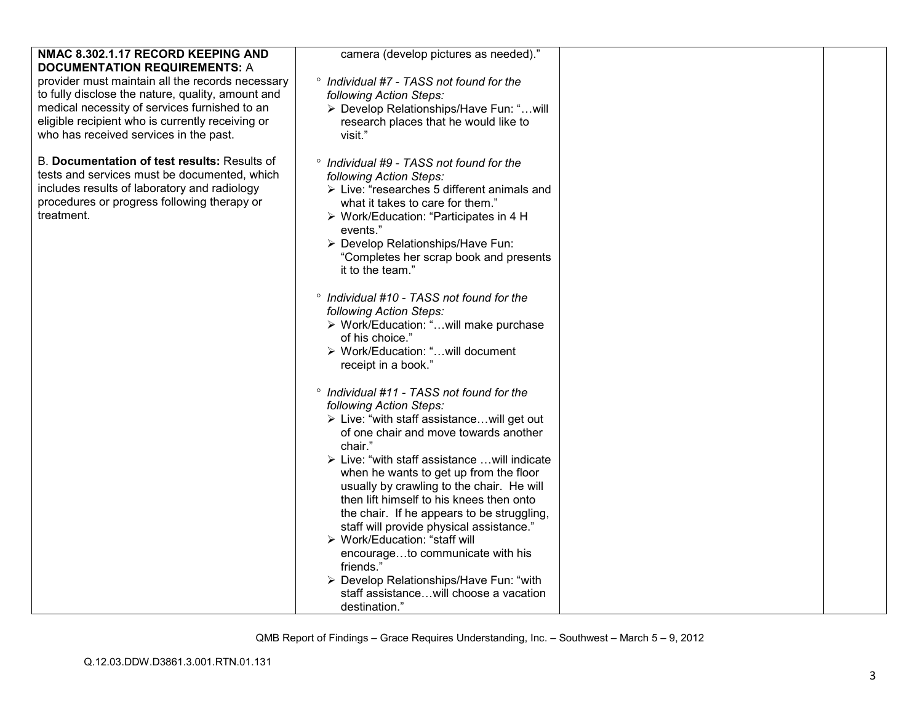| NMAC 8.302.1.17 RECORD KEEPING AND<br><b>DOCUMENTATION REQUIREMENTS: A</b>                                                                                                                                 | camera (develop pictures as needed)."                                                                                                                                                                                                                                                                      |  |
|------------------------------------------------------------------------------------------------------------------------------------------------------------------------------------------------------------|------------------------------------------------------------------------------------------------------------------------------------------------------------------------------------------------------------------------------------------------------------------------------------------------------------|--|
| provider must maintain all the records necessary<br>to fully disclose the nature, quality, amount and<br>medical necessity of services furnished to an<br>eligible recipient who is currently receiving or | ° Individual #7 - TASS not found for the<br>following Action Steps:<br>> Develop Relationships/Have Fun: "will<br>research places that he would like to                                                                                                                                                    |  |
| who has received services in the past.                                                                                                                                                                     | visit."                                                                                                                                                                                                                                                                                                    |  |
| B. Documentation of test results: Results of<br>tests and services must be documented, which<br>includes results of laboratory and radiology<br>procedures or progress following therapy or<br>treatment.  | ° Individual #9 - TASS not found for the<br>following Action Steps:<br>$\triangleright$ Live: "researches 5 different animals and<br>what it takes to care for them."<br>> Work/Education: "Participates in 4 H<br>events."<br>> Develop Relationships/Have Fun:<br>"Completes her scrap book and presents |  |
|                                                                                                                                                                                                            | it to the team."                                                                                                                                                                                                                                                                                           |  |
|                                                                                                                                                                                                            | ° Individual #10 - TASS not found for the<br>following Action Steps:<br>> Work/Education: "will make purchase<br>of his choice."                                                                                                                                                                           |  |
|                                                                                                                                                                                                            | > Work/Education: "will document<br>receipt in a book."                                                                                                                                                                                                                                                    |  |
|                                                                                                                                                                                                            | <sup>o</sup> Individual #11 - TASS not found for the<br>following Action Steps:<br>> Live: "with staff assistancewill get out<br>of one chair and move towards another<br>chair."                                                                                                                          |  |
|                                                                                                                                                                                                            | > Live: "with staff assistance  will indicate<br>when he wants to get up from the floor<br>usually by crawling to the chair. He will<br>then lift himself to his knees then onto<br>the chair. If he appears to be struggling,                                                                             |  |
|                                                                                                                                                                                                            | staff will provide physical assistance."<br>▶ Work/Education: "staff will<br>encourageto communicate with his                                                                                                                                                                                              |  |
|                                                                                                                                                                                                            | friends."<br>> Develop Relationships/Have Fun: "with<br>staff assistancewill choose a vacation<br>destination."                                                                                                                                                                                            |  |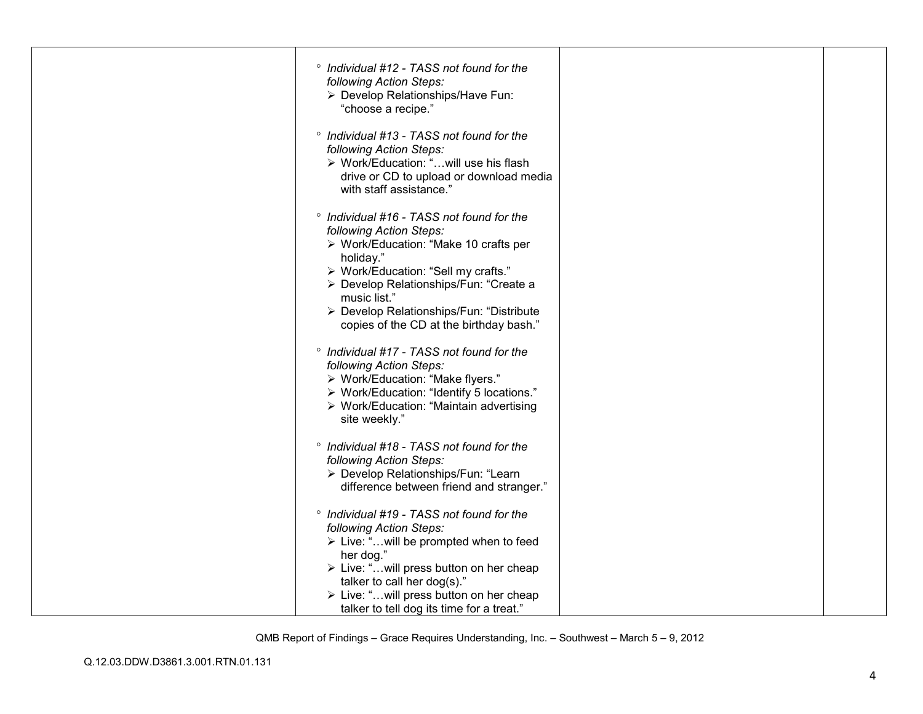| ° Individual #12 - TASS not found for the<br>following Action Steps:<br>> Develop Relationships/Have Fun:<br>"choose a recipe."                                                                                                                                                                                    |  |
|--------------------------------------------------------------------------------------------------------------------------------------------------------------------------------------------------------------------------------------------------------------------------------------------------------------------|--|
| <sup>o</sup> Individual #13 - TASS not found for the<br>following Action Steps:<br>> Work/Education: "will use his flash<br>drive or CD to upload or download media<br>with staff assistance."                                                                                                                     |  |
| ° Individual #16 - TASS not found for the<br>following Action Steps:<br>▶ Work/Education: "Make 10 crafts per<br>holiday."<br>> Work/Education: "Sell my crafts."<br>> Develop Relationships/Fun: "Create a<br>music list."<br>> Develop Relationships/Fun: "Distribute<br>copies of the CD at the birthday bash." |  |
| ° Individual #17 - TASS not found for the<br>following Action Steps:<br>> Work/Education: "Make flyers."<br>> Work/Education: "Identify 5 locations."<br>▶ Work/Education: "Maintain advertising<br>site weekly."                                                                                                  |  |
| ° Individual #18 - TASS not found for the<br>following Action Steps:<br>> Develop Relationships/Fun: "Learn<br>difference between friend and stranger."                                                                                                                                                            |  |
| ° Individual #19 - TASS not found for the<br>following Action Steps:<br>> Live: "will be prompted when to feed<br>her dog."<br>> Live: "will press button on her cheap<br>talker to call her dog(s)."<br>> Live: "will press button on her cheap                                                                   |  |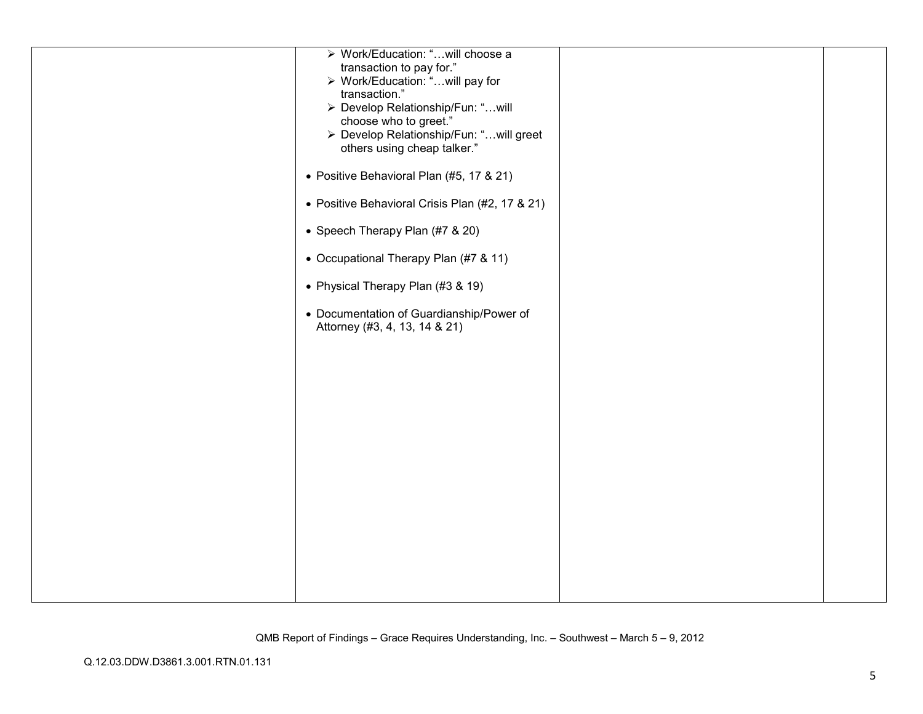| > Work/Education: "will choose a<br>transaction to pay for."<br>> Work/Education: "will pay for<br>transaction."<br>> Develop Relationship/Fun: "will<br>choose who to greet."<br>> Develop Relationship/Fun: " will greet<br>others using cheap talker."<br>• Positive Behavioral Plan (#5, 17 & 21)<br>• Positive Behavioral Crisis Plan (#2, 17 & 21)<br>• Speech Therapy Plan (#7 & 20)<br>• Occupational Therapy Plan (#7 & 11)<br>• Physical Therapy Plan (#3 & 19) |  |
|---------------------------------------------------------------------------------------------------------------------------------------------------------------------------------------------------------------------------------------------------------------------------------------------------------------------------------------------------------------------------------------------------------------------------------------------------------------------------|--|
| • Documentation of Guardianship/Power of<br>Attorney (#3, 4, 13, 14 & 21)                                                                                                                                                                                                                                                                                                                                                                                                 |  |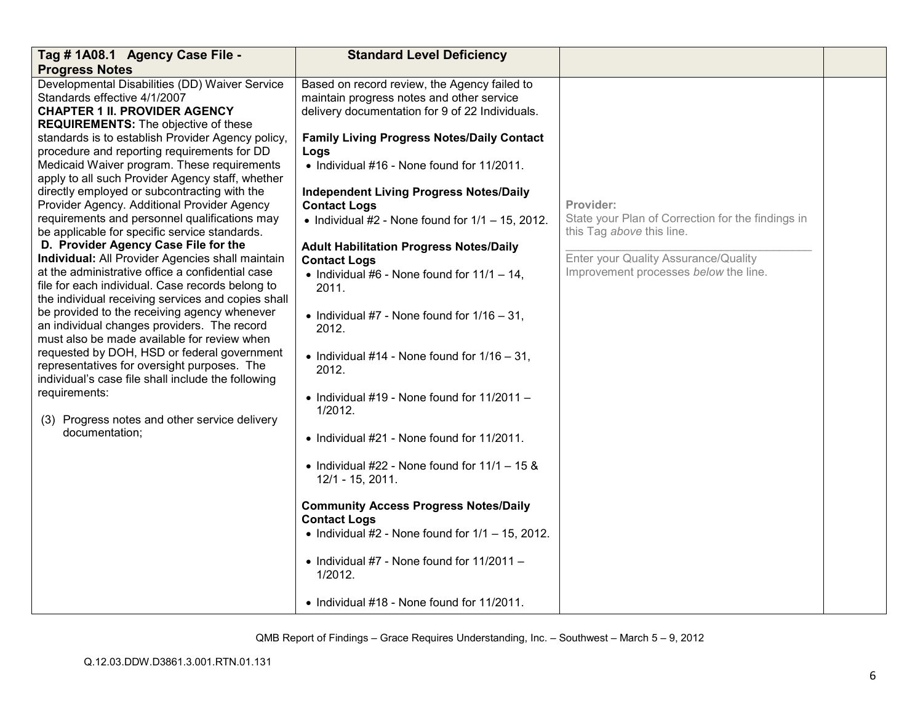| Tag # 1A08.1 Agency Case File -                                                                                                                                                                                                                                                                                                                                                                                                                                                                                                                                                                                                                                                                                                                                                                                                                                                                                                                                                                                                                                                                     | <b>Standard Level Deficiency</b>                                                                                                                                                                                                                                                                                                                                                                                                                                                                                                                                                                                                                                                    |                                                                                                                                                                              |  |
|-----------------------------------------------------------------------------------------------------------------------------------------------------------------------------------------------------------------------------------------------------------------------------------------------------------------------------------------------------------------------------------------------------------------------------------------------------------------------------------------------------------------------------------------------------------------------------------------------------------------------------------------------------------------------------------------------------------------------------------------------------------------------------------------------------------------------------------------------------------------------------------------------------------------------------------------------------------------------------------------------------------------------------------------------------------------------------------------------------|-------------------------------------------------------------------------------------------------------------------------------------------------------------------------------------------------------------------------------------------------------------------------------------------------------------------------------------------------------------------------------------------------------------------------------------------------------------------------------------------------------------------------------------------------------------------------------------------------------------------------------------------------------------------------------------|------------------------------------------------------------------------------------------------------------------------------------------------------------------------------|--|
| <b>Progress Notes</b>                                                                                                                                                                                                                                                                                                                                                                                                                                                                                                                                                                                                                                                                                                                                                                                                                                                                                                                                                                                                                                                                               |                                                                                                                                                                                                                                                                                                                                                                                                                                                                                                                                                                                                                                                                                     |                                                                                                                                                                              |  |
| Developmental Disabilities (DD) Waiver Service<br>Standards effective 4/1/2007<br><b>CHAPTER 1 II. PROVIDER AGENCY</b>                                                                                                                                                                                                                                                                                                                                                                                                                                                                                                                                                                                                                                                                                                                                                                                                                                                                                                                                                                              | Based on record review, the Agency failed to<br>maintain progress notes and other service<br>delivery documentation for 9 of 22 Individuals.                                                                                                                                                                                                                                                                                                                                                                                                                                                                                                                                        |                                                                                                                                                                              |  |
| <b>REQUIREMENTS:</b> The objective of these<br>standards is to establish Provider Agency policy,<br>procedure and reporting requirements for DD<br>Medicaid Waiver program. These requirements<br>apply to all such Provider Agency staff, whether<br>directly employed or subcontracting with the<br>Provider Agency. Additional Provider Agency<br>requirements and personnel qualifications may<br>be applicable for specific service standards.<br>D. Provider Agency Case File for the<br>Individual: All Provider Agencies shall maintain<br>at the administrative office a confidential case<br>file for each individual. Case records belong to<br>the individual receiving services and copies shall<br>be provided to the receiving agency whenever<br>an individual changes providers. The record<br>must also be made available for review when<br>requested by DOH, HSD or federal government<br>representatives for oversight purposes. The<br>individual's case file shall include the following<br>requirements:<br>(3) Progress notes and other service delivery<br>documentation: | <b>Family Living Progress Notes/Daily Contact</b><br>Logs<br>• Individual #16 - None found for 11/2011.<br><b>Independent Living Progress Notes/Daily</b><br><b>Contact Logs</b><br>• Individual #2 - None found for $1/1 - 15$ , 2012.<br><b>Adult Habilitation Progress Notes/Daily</b><br><b>Contact Logs</b><br>• Individual #6 - None found for $11/1 - 14$ ,<br>2011.<br>• Individual #7 - None found for $1/16 - 31$ ,<br>2012.<br>• Individual #14 - None found for $1/16 - 31$ ,<br>2012.<br>• Individual #19 - None found for $11/2011 -$<br>1/2012.<br>• Individual #21 - None found for 11/2011.<br>• Individual #22 - None found for $11/1 - 15$ &<br>12/1 - 15, 2011. | Provider:<br>State your Plan of Correction for the findings in<br>this Tag above this line.<br>Enter your Quality Assurance/Quality<br>Improvement processes below the line. |  |
|                                                                                                                                                                                                                                                                                                                                                                                                                                                                                                                                                                                                                                                                                                                                                                                                                                                                                                                                                                                                                                                                                                     | <b>Community Access Progress Notes/Daily</b><br><b>Contact Logs</b><br>• Individual #2 - None found for $1/1 - 15$ , 2012.                                                                                                                                                                                                                                                                                                                                                                                                                                                                                                                                                          |                                                                                                                                                                              |  |
|                                                                                                                                                                                                                                                                                                                                                                                                                                                                                                                                                                                                                                                                                                                                                                                                                                                                                                                                                                                                                                                                                                     | • Individual #7 - None found for $11/2011 -$<br>1/2012.                                                                                                                                                                                                                                                                                                                                                                                                                                                                                                                                                                                                                             |                                                                                                                                                                              |  |
|                                                                                                                                                                                                                                                                                                                                                                                                                                                                                                                                                                                                                                                                                                                                                                                                                                                                                                                                                                                                                                                                                                     | • Individual #18 - None found for 11/2011.                                                                                                                                                                                                                                                                                                                                                                                                                                                                                                                                                                                                                                          |                                                                                                                                                                              |  |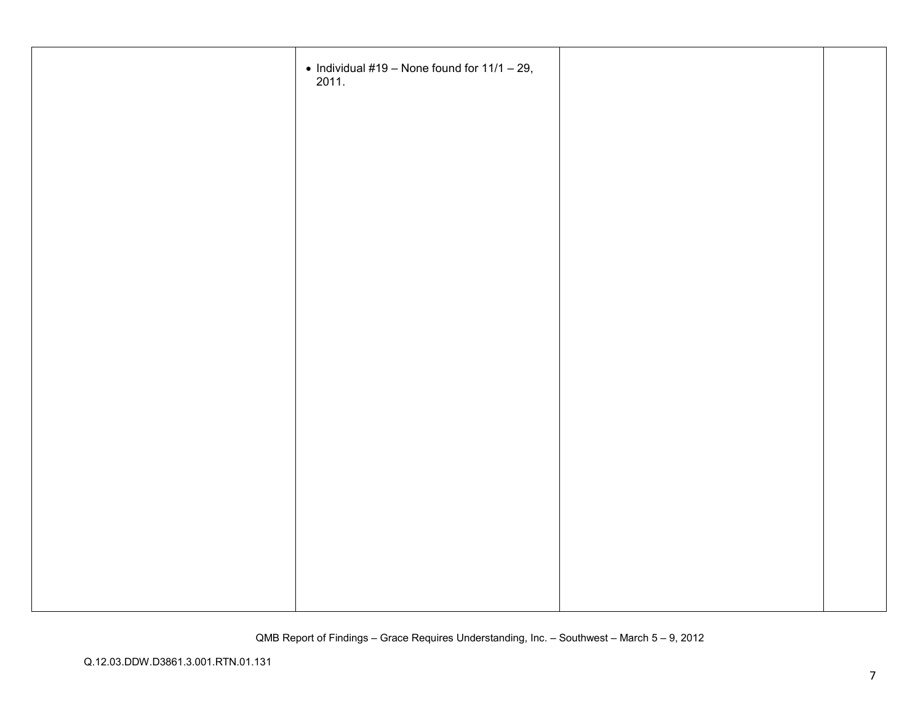| • Individual #19 – None found for $11/1 - 29$ , 2011. |  |
|-------------------------------------------------------|--|
|                                                       |  |
|                                                       |  |
|                                                       |  |
|                                                       |  |
|                                                       |  |
|                                                       |  |
|                                                       |  |
|                                                       |  |
|                                                       |  |
|                                                       |  |
|                                                       |  |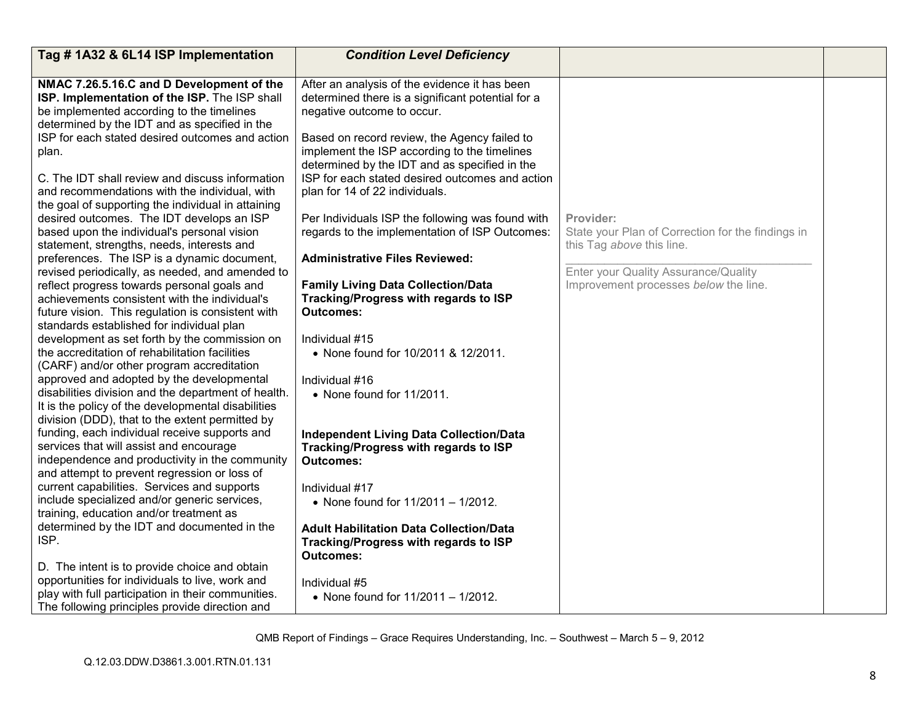| Tag #1A32 & 6L14 ISP Implementation                                                                                                                                                                                                                                                                                                                                                                                                                                                                                                                                                                                                                                                                                                                                                                                                                                                                                                                                                                               | <b>Condition Level Deficiency</b>                                                                                                                                                                                                                                                                                                                                                                                                                                                                                                                                                                                               |                                                                                                                                                                              |  |
|-------------------------------------------------------------------------------------------------------------------------------------------------------------------------------------------------------------------------------------------------------------------------------------------------------------------------------------------------------------------------------------------------------------------------------------------------------------------------------------------------------------------------------------------------------------------------------------------------------------------------------------------------------------------------------------------------------------------------------------------------------------------------------------------------------------------------------------------------------------------------------------------------------------------------------------------------------------------------------------------------------------------|---------------------------------------------------------------------------------------------------------------------------------------------------------------------------------------------------------------------------------------------------------------------------------------------------------------------------------------------------------------------------------------------------------------------------------------------------------------------------------------------------------------------------------------------------------------------------------------------------------------------------------|------------------------------------------------------------------------------------------------------------------------------------------------------------------------------|--|
| NMAC 7.26.5.16.C and D Development of the<br>ISP. Implementation of the ISP. The ISP shall<br>be implemented according to the timelines<br>determined by the IDT and as specified in the<br>ISP for each stated desired outcomes and action<br>plan.<br>C. The IDT shall review and discuss information<br>and recommendations with the individual, with<br>the goal of supporting the individual in attaining<br>desired outcomes. The IDT develops an ISP<br>based upon the individual's personal vision<br>statement, strengths, needs, interests and<br>preferences. The ISP is a dynamic document,<br>revised periodically, as needed, and amended to<br>reflect progress towards personal goals and<br>achievements consistent with the individual's<br>future vision. This regulation is consistent with                                                                                                                                                                                                   | After an analysis of the evidence it has been<br>determined there is a significant potential for a<br>negative outcome to occur.<br>Based on record review, the Agency failed to<br>implement the ISP according to the timelines<br>determined by the IDT and as specified in the<br>ISP for each stated desired outcomes and action<br>plan for 14 of 22 individuals.<br>Per Individuals ISP the following was found with<br>regards to the implementation of ISP Outcomes:<br><b>Administrative Files Reviewed:</b><br><b>Family Living Data Collection/Data</b><br>Tracking/Progress with regards to ISP<br><b>Outcomes:</b> | Provider:<br>State your Plan of Correction for the findings in<br>this Tag above this line.<br>Enter your Quality Assurance/Quality<br>Improvement processes below the line. |  |
| standards established for individual plan<br>development as set forth by the commission on<br>the accreditation of rehabilitation facilities<br>(CARF) and/or other program accreditation<br>approved and adopted by the developmental<br>disabilities division and the department of health.<br>It is the policy of the developmental disabilities<br>division (DDD), that to the extent permitted by<br>funding, each individual receive supports and<br>services that will assist and encourage<br>independence and productivity in the community<br>and attempt to prevent regression or loss of<br>current capabilities. Services and supports<br>include specialized and/or generic services,<br>training, education and/or treatment as<br>determined by the IDT and documented in the<br>ISP.<br>D. The intent is to provide choice and obtain<br>opportunities for individuals to live, work and<br>play with full participation in their communities.<br>The following principles provide direction and | Individual #15<br>• None found for 10/2011 & 12/2011.<br>Individual #16<br>• None found for 11/2011.<br><b>Independent Living Data Collection/Data</b><br>Tracking/Progress with regards to ISP<br><b>Outcomes:</b><br>Individual #17<br>• None found for 11/2011 - 1/2012.<br><b>Adult Habilitation Data Collection/Data</b><br>Tracking/Progress with regards to ISP<br><b>Outcomes:</b><br>Individual #5<br>• None found for 11/2011 - 1/2012.                                                                                                                                                                               |                                                                                                                                                                              |  |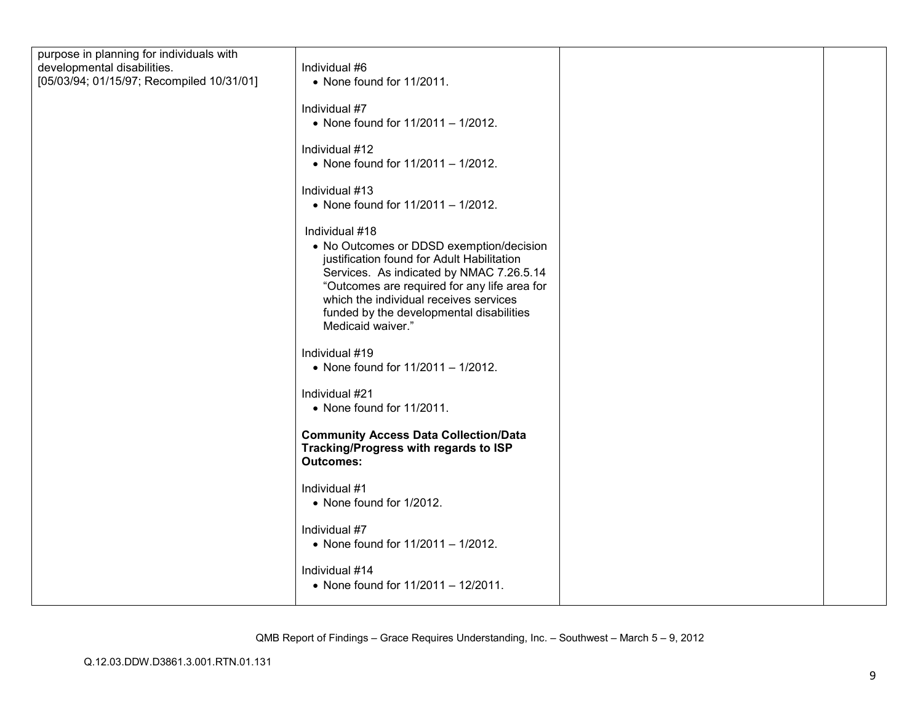| purpose in planning for individuals with  |                                                               |  |
|-------------------------------------------|---------------------------------------------------------------|--|
| developmental disabilities.               | Individual #6                                                 |  |
| [05/03/94; 01/15/97; Recompiled 10/31/01] | • None found for 11/2011.                                     |  |
|                                           |                                                               |  |
|                                           | Individual #7                                                 |  |
|                                           | • None found for 11/2011 - 1/2012.                            |  |
|                                           |                                                               |  |
|                                           | Individual #12                                                |  |
|                                           | • None found for 11/2011 - 1/2012.                            |  |
|                                           |                                                               |  |
|                                           | Individual #13                                                |  |
|                                           | • None found for 11/2011 - 1/2012.                            |  |
|                                           |                                                               |  |
|                                           | Individual #18                                                |  |
|                                           | • No Outcomes or DDSD exemption/decision                      |  |
|                                           | justification found for Adult Habilitation                    |  |
|                                           | Services. As indicated by NMAC 7.26.5.14                      |  |
|                                           | "Outcomes are required for any life area for                  |  |
|                                           | which the individual receives services                        |  |
|                                           | funded by the developmental disabilities<br>Medicaid waiver." |  |
|                                           |                                                               |  |
|                                           | Individual #19                                                |  |
|                                           | • None found for 11/2011 - 1/2012.                            |  |
|                                           |                                                               |  |
|                                           | Individual #21                                                |  |
|                                           | • None found for 11/2011.                                     |  |
|                                           |                                                               |  |
|                                           | <b>Community Access Data Collection/Data</b>                  |  |
|                                           | Tracking/Progress with regards to ISP                         |  |
|                                           | <b>Outcomes:</b>                                              |  |
|                                           |                                                               |  |
|                                           | Individual #1                                                 |  |
|                                           | • None found for 1/2012.                                      |  |
|                                           | Individual #7                                                 |  |
|                                           | • None found for 11/2011 - 1/2012.                            |  |
|                                           |                                                               |  |
|                                           | Individual #14                                                |  |
|                                           | • None found for 11/2011 - 12/2011.                           |  |
|                                           |                                                               |  |
|                                           |                                                               |  |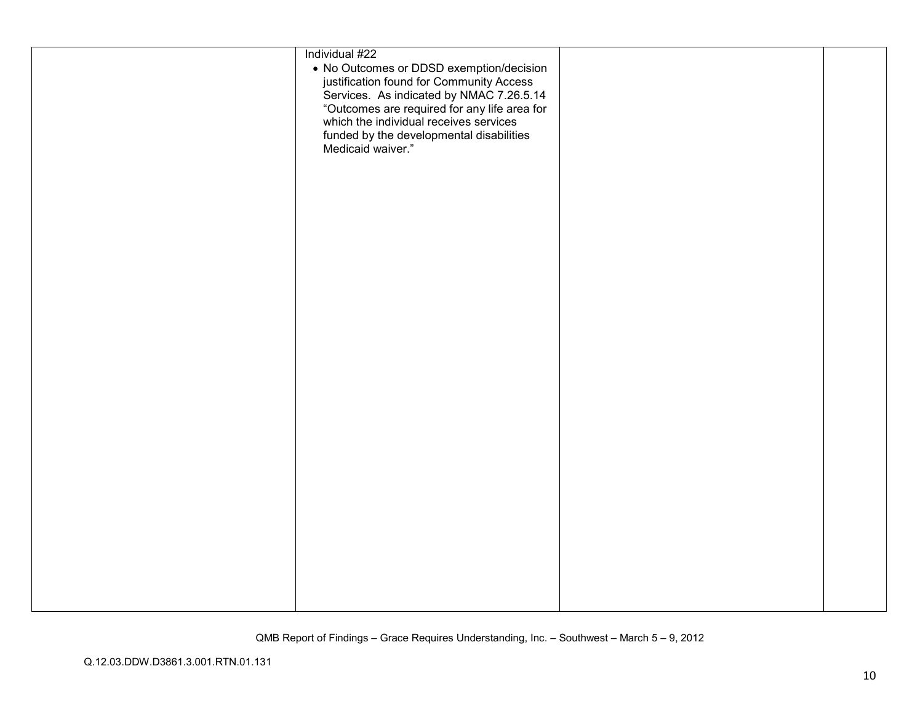| Individual #22                               |  |
|----------------------------------------------|--|
|                                              |  |
| • No Outcomes or DDSD exemption/decision     |  |
| justification found for Community Access     |  |
| Services. As indicated by NMAC 7.26.5.14     |  |
| "Outcomes are required for any life area for |  |
| which the individual receives services       |  |
| funded by the developmental disabilities     |  |
| Medicaid waiver."                            |  |
|                                              |  |
|                                              |  |
|                                              |  |
|                                              |  |
|                                              |  |
|                                              |  |
|                                              |  |
|                                              |  |
|                                              |  |
|                                              |  |
|                                              |  |
|                                              |  |
|                                              |  |
|                                              |  |
|                                              |  |
|                                              |  |
|                                              |  |
|                                              |  |
|                                              |  |
|                                              |  |
|                                              |  |
|                                              |  |
|                                              |  |
|                                              |  |
|                                              |  |
|                                              |  |
|                                              |  |
|                                              |  |
|                                              |  |
|                                              |  |
|                                              |  |
|                                              |  |
|                                              |  |
|                                              |  |
|                                              |  |
|                                              |  |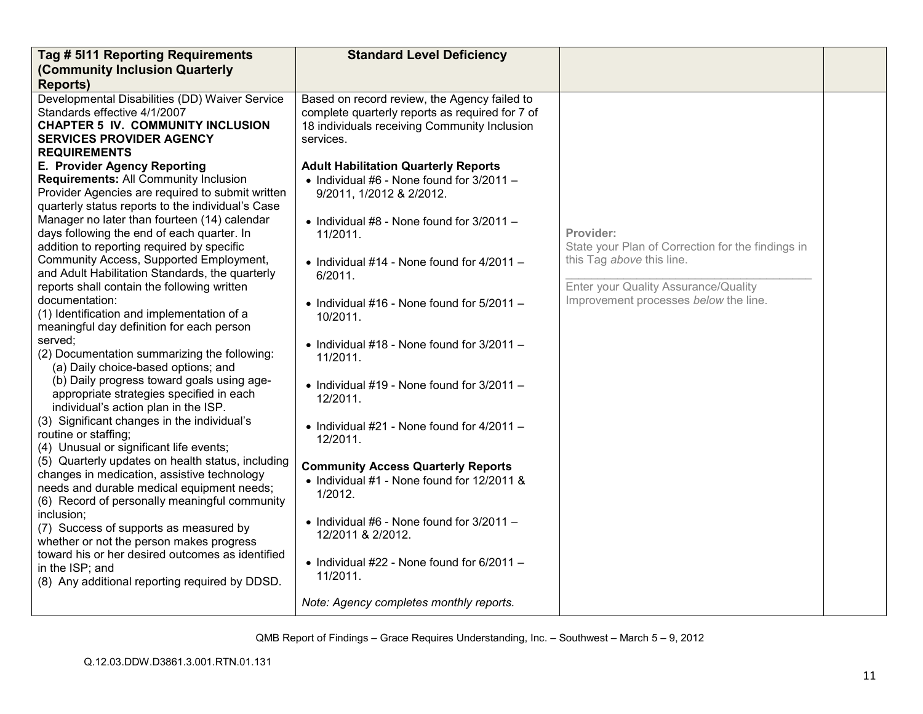| Tag # 5111 Reporting Requirements                                                                                                                                                                                                                                                                                                                                                                                                                                                                                                                                                                                                                                                                                                                                                                                                                                                                                                                                                                                                                                                                                                                                                                                                                                                                                                                                                                                                                                                              | <b>Standard Level Deficiency</b>                                                                                                                                                                                                                                                                                                                                                                                                                                                                                                                                                                                                                                                                                                                                                                                                                                       |                                                                                                                                                                              |  |
|------------------------------------------------------------------------------------------------------------------------------------------------------------------------------------------------------------------------------------------------------------------------------------------------------------------------------------------------------------------------------------------------------------------------------------------------------------------------------------------------------------------------------------------------------------------------------------------------------------------------------------------------------------------------------------------------------------------------------------------------------------------------------------------------------------------------------------------------------------------------------------------------------------------------------------------------------------------------------------------------------------------------------------------------------------------------------------------------------------------------------------------------------------------------------------------------------------------------------------------------------------------------------------------------------------------------------------------------------------------------------------------------------------------------------------------------------------------------------------------------|------------------------------------------------------------------------------------------------------------------------------------------------------------------------------------------------------------------------------------------------------------------------------------------------------------------------------------------------------------------------------------------------------------------------------------------------------------------------------------------------------------------------------------------------------------------------------------------------------------------------------------------------------------------------------------------------------------------------------------------------------------------------------------------------------------------------------------------------------------------------|------------------------------------------------------------------------------------------------------------------------------------------------------------------------------|--|
|                                                                                                                                                                                                                                                                                                                                                                                                                                                                                                                                                                                                                                                                                                                                                                                                                                                                                                                                                                                                                                                                                                                                                                                                                                                                                                                                                                                                                                                                                                |                                                                                                                                                                                                                                                                                                                                                                                                                                                                                                                                                                                                                                                                                                                                                                                                                                                                        |                                                                                                                                                                              |  |
| (Community Inclusion Quarterly<br><b>Reports)</b><br>Developmental Disabilities (DD) Waiver Service<br>Standards effective 4/1/2007<br><b>CHAPTER 5 IV. COMMUNITY INCLUSION</b><br><b>SERVICES PROVIDER AGENCY</b><br><b>REQUIREMENTS</b><br>E. Provider Agency Reporting<br>Requirements: All Community Inclusion<br>Provider Agencies are required to submit written<br>quarterly status reports to the individual's Case<br>Manager no later than fourteen (14) calendar<br>days following the end of each quarter. In<br>addition to reporting required by specific<br>Community Access, Supported Employment,<br>and Adult Habilitation Standards, the quarterly<br>reports shall contain the following written<br>documentation:<br>(1) Identification and implementation of a<br>meaningful day definition for each person<br>served;<br>(2) Documentation summarizing the following:<br>(a) Daily choice-based options; and<br>(b) Daily progress toward goals using age-<br>appropriate strategies specified in each<br>individual's action plan in the ISP.<br>(3) Significant changes in the individual's<br>routine or staffing;<br>(4) Unusual or significant life events;<br>(5) Quarterly updates on health status, including<br>changes in medication, assistive technology<br>needs and durable medical equipment needs;<br>(6) Record of personally meaningful community<br>inclusion;<br>(7) Success of supports as measured by<br>whether or not the person makes progress | Based on record review, the Agency failed to<br>complete quarterly reports as required for 7 of<br>18 individuals receiving Community Inclusion<br>services.<br><b>Adult Habilitation Quarterly Reports</b><br>$\bullet$ Individual #6 - None found for 3/2011 -<br>9/2011, 1/2012 & 2/2012.<br>• Individual $#8$ - None found for $3/2011 -$<br>11/2011.<br>$\bullet$ Individual #14 - None found for 4/2011 -<br>6/2011.<br>$\bullet$ Individual #16 - None found for 5/2011 -<br>10/2011.<br>$\bullet$ Individual #18 - None found for 3/2011 -<br>11/2011.<br>• Individual #19 - None found for $3/2011 -$<br>12/2011.<br>• Individual #21 - None found for $4/2011 -$<br>12/2011.<br><b>Community Access Quarterly Reports</b><br>• Individual #1 - None found for 12/2011 &<br>1/2012.<br>$\bullet$ Individual #6 - None found for 3/2011 -<br>12/2011 & 2/2012. | Provider:<br>State your Plan of Correction for the findings in<br>this Tag above this line.<br>Enter your Quality Assurance/Quality<br>Improvement processes below the line. |  |
| toward his or her desired outcomes as identified<br>in the ISP; and<br>(8) Any additional reporting required by DDSD.                                                                                                                                                                                                                                                                                                                                                                                                                                                                                                                                                                                                                                                                                                                                                                                                                                                                                                                                                                                                                                                                                                                                                                                                                                                                                                                                                                          | • Individual #22 - None found for $6/2011 -$<br>11/2011.                                                                                                                                                                                                                                                                                                                                                                                                                                                                                                                                                                                                                                                                                                                                                                                                               |                                                                                                                                                                              |  |
|                                                                                                                                                                                                                                                                                                                                                                                                                                                                                                                                                                                                                                                                                                                                                                                                                                                                                                                                                                                                                                                                                                                                                                                                                                                                                                                                                                                                                                                                                                | Note: Agency completes monthly reports.                                                                                                                                                                                                                                                                                                                                                                                                                                                                                                                                                                                                                                                                                                                                                                                                                                |                                                                                                                                                                              |  |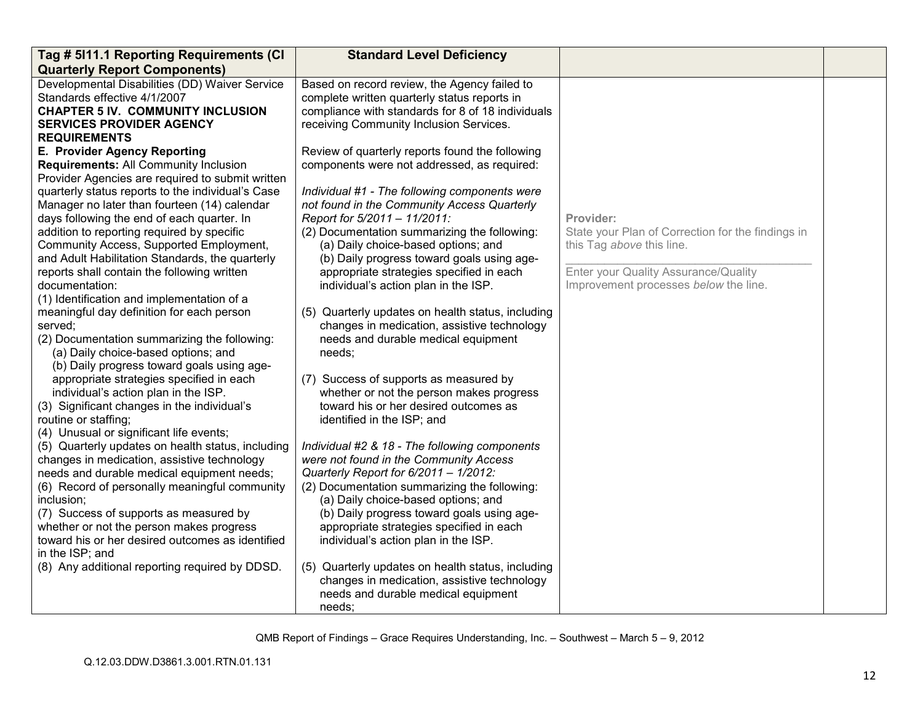| Tag # 5111.1 Reporting Requirements (CI                             | <b>Standard Level Deficiency</b>                  |                                                   |  |
|---------------------------------------------------------------------|---------------------------------------------------|---------------------------------------------------|--|
| <b>Quarterly Report Components)</b>                                 |                                                   |                                                   |  |
| Developmental Disabilities (DD) Waiver Service                      | Based on record review, the Agency failed to      |                                                   |  |
| Standards effective 4/1/2007                                        | complete written quarterly status reports in      |                                                   |  |
| <b>CHAPTER 5 IV. COMMUNITY INCLUSION</b>                            | compliance with standards for 8 of 18 individuals |                                                   |  |
| <b>SERVICES PROVIDER AGENCY</b>                                     | receiving Community Inclusion Services.           |                                                   |  |
| <b>REQUIREMENTS</b>                                                 |                                                   |                                                   |  |
| E. Provider Agency Reporting                                        | Review of quarterly reports found the following   |                                                   |  |
| Requirements: All Community Inclusion                               | components were not addressed, as required:       |                                                   |  |
| Provider Agencies are required to submit written                    |                                                   |                                                   |  |
| quarterly status reports to the individual's Case                   | Individual #1 - The following components were     |                                                   |  |
| Manager no later than fourteen (14) calendar                        | not found in the Community Access Quarterly       |                                                   |  |
| days following the end of each quarter. In                          | Report for 5/2011 - 11/2011:                      | Provider:                                         |  |
| addition to reporting required by specific                          | (2) Documentation summarizing the following:      | State your Plan of Correction for the findings in |  |
| Community Access, Supported Employment,                             | (a) Daily choice-based options; and               | this Tag above this line.                         |  |
| and Adult Habilitation Standards, the quarterly                     | (b) Daily progress toward goals using age-        |                                                   |  |
| reports shall contain the following written                         | appropriate strategies specified in each          | Enter your Quality Assurance/Quality              |  |
| documentation:                                                      | individual's action plan in the ISP.              | Improvement processes below the line.             |  |
| (1) Identification and implementation of a                          |                                                   |                                                   |  |
| meaningful day definition for each person                           | (5) Quarterly updates on health status, including |                                                   |  |
| served;                                                             | changes in medication, assistive technology       |                                                   |  |
| (2) Documentation summarizing the following:                        | needs and durable medical equipment               |                                                   |  |
| (a) Daily choice-based options; and                                 | needs;                                            |                                                   |  |
| (b) Daily progress toward goals using age-                          |                                                   |                                                   |  |
| appropriate strategies specified in each                            | (7) Success of supports as measured by            |                                                   |  |
| individual's action plan in the ISP.                                | whether or not the person makes progress          |                                                   |  |
| (3) Significant changes in the individual's                         | toward his or her desired outcomes as             |                                                   |  |
| routine or staffing;                                                | identified in the ISP; and                        |                                                   |  |
| (4) Unusual or significant life events;                             |                                                   |                                                   |  |
| (5) Quarterly updates on health status, including                   | Individual #2 & 18 - The following components     |                                                   |  |
| changes in medication, assistive technology                         | were not found in the Community Access            |                                                   |  |
| needs and durable medical equipment needs;                          | Quarterly Report for 6/2011 - 1/2012:             |                                                   |  |
| (6) Record of personally meaningful community                       | (2) Documentation summarizing the following:      |                                                   |  |
| inclusion;                                                          | (a) Daily choice-based options; and               |                                                   |  |
| (7) Success of supports as measured by                              | (b) Daily progress toward goals using age-        |                                                   |  |
| whether or not the person makes progress                            | appropriate strategies specified in each          |                                                   |  |
| toward his or her desired outcomes as identified<br>in the ISP; and | individual's action plan in the ISP.              |                                                   |  |
|                                                                     |                                                   |                                                   |  |
| (8) Any additional reporting required by DDSD.                      | (5) Quarterly updates on health status, including |                                                   |  |
|                                                                     | changes in medication, assistive technology       |                                                   |  |
|                                                                     | needs and durable medical equipment               |                                                   |  |
|                                                                     | needs:                                            |                                                   |  |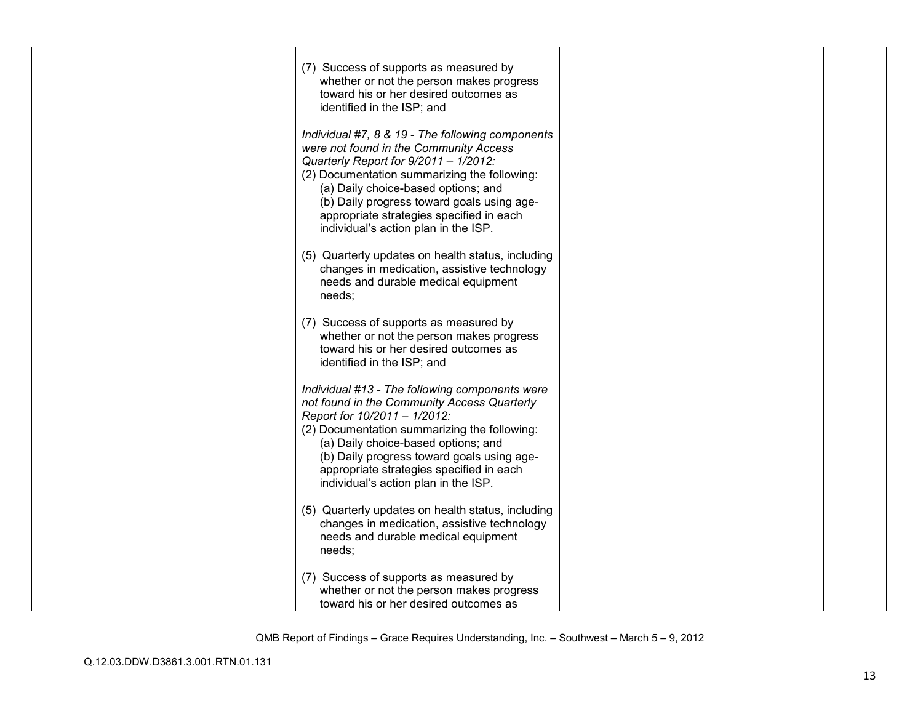| (7) Success of supports as measured by<br>whether or not the person makes progress<br>toward his or her desired outcomes as<br>identified in the ISP; and                                                                                                                                                                                                    |  |
|--------------------------------------------------------------------------------------------------------------------------------------------------------------------------------------------------------------------------------------------------------------------------------------------------------------------------------------------------------------|--|
| Individual #7, 8 & 19 - The following components<br>were not found in the Community Access<br>Quarterly Report for 9/2011 - 1/2012:<br>(2) Documentation summarizing the following:<br>(a) Daily choice-based options; and<br>(b) Daily progress toward goals using age-<br>appropriate strategies specified in each<br>individual's action plan in the ISP. |  |
| (5) Quarterly updates on health status, including<br>changes in medication, assistive technology<br>needs and durable medical equipment<br>needs;                                                                                                                                                                                                            |  |
| (7) Success of supports as measured by<br>whether or not the person makes progress<br>toward his or her desired outcomes as<br>identified in the ISP; and                                                                                                                                                                                                    |  |
| Individual #13 - The following components were<br>not found in the Community Access Quarterly<br>Report for 10/2011 - 1/2012:<br>(2) Documentation summarizing the following:<br>(a) Daily choice-based options; and<br>(b) Daily progress toward goals using age-<br>appropriate strategies specified in each<br>individual's action plan in the ISP.       |  |
| (5) Quarterly updates on health status, including<br>changes in medication, assistive technology<br>needs and durable medical equipment<br>needs;                                                                                                                                                                                                            |  |
| (7) Success of supports as measured by<br>whether or not the person makes progress<br>toward his or her desired outcomes as                                                                                                                                                                                                                                  |  |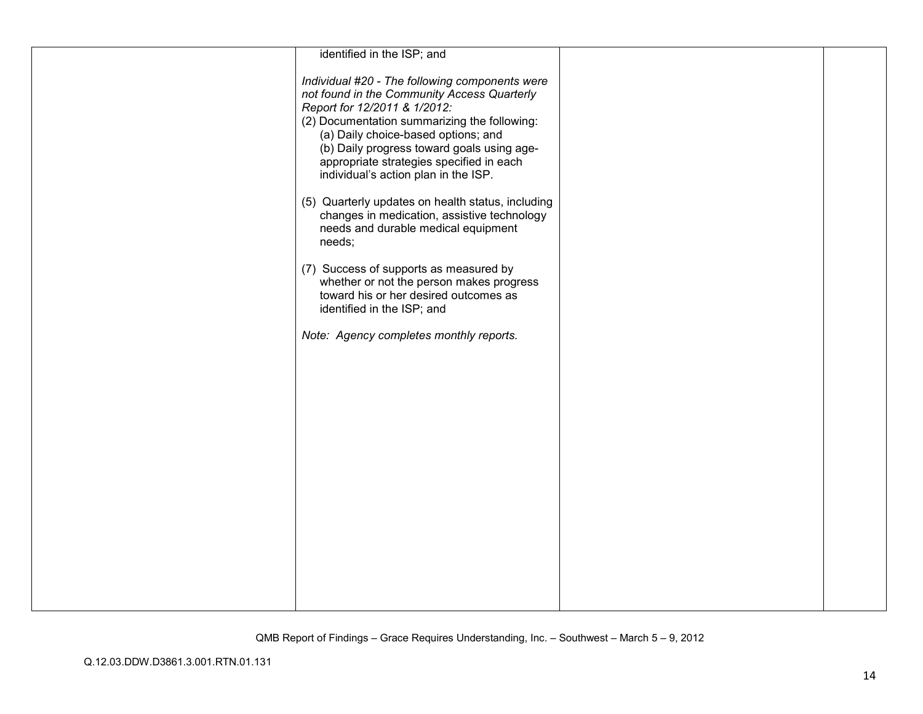| identified in the ISP; and                                                                                                                                                                                                                                                                                                                             |  |
|--------------------------------------------------------------------------------------------------------------------------------------------------------------------------------------------------------------------------------------------------------------------------------------------------------------------------------------------------------|--|
|                                                                                                                                                                                                                                                                                                                                                        |  |
| Individual #20 - The following components were<br>not found in the Community Access Quarterly<br>Report for 12/2011 & 1/2012:<br>(2) Documentation summarizing the following:<br>(a) Daily choice-based options; and<br>(b) Daily progress toward goals using age-<br>appropriate strategies specified in each<br>individual's action plan in the ISP. |  |
| (5) Quarterly updates on health status, including<br>changes in medication, assistive technology<br>needs and durable medical equipment<br>needs;                                                                                                                                                                                                      |  |
| (7) Success of supports as measured by<br>whether or not the person makes progress<br>toward his or her desired outcomes as<br>identified in the ISP; and                                                                                                                                                                                              |  |
| Note: Agency completes monthly reports.                                                                                                                                                                                                                                                                                                                |  |
|                                                                                                                                                                                                                                                                                                                                                        |  |
|                                                                                                                                                                                                                                                                                                                                                        |  |
|                                                                                                                                                                                                                                                                                                                                                        |  |
|                                                                                                                                                                                                                                                                                                                                                        |  |
|                                                                                                                                                                                                                                                                                                                                                        |  |
|                                                                                                                                                                                                                                                                                                                                                        |  |
|                                                                                                                                                                                                                                                                                                                                                        |  |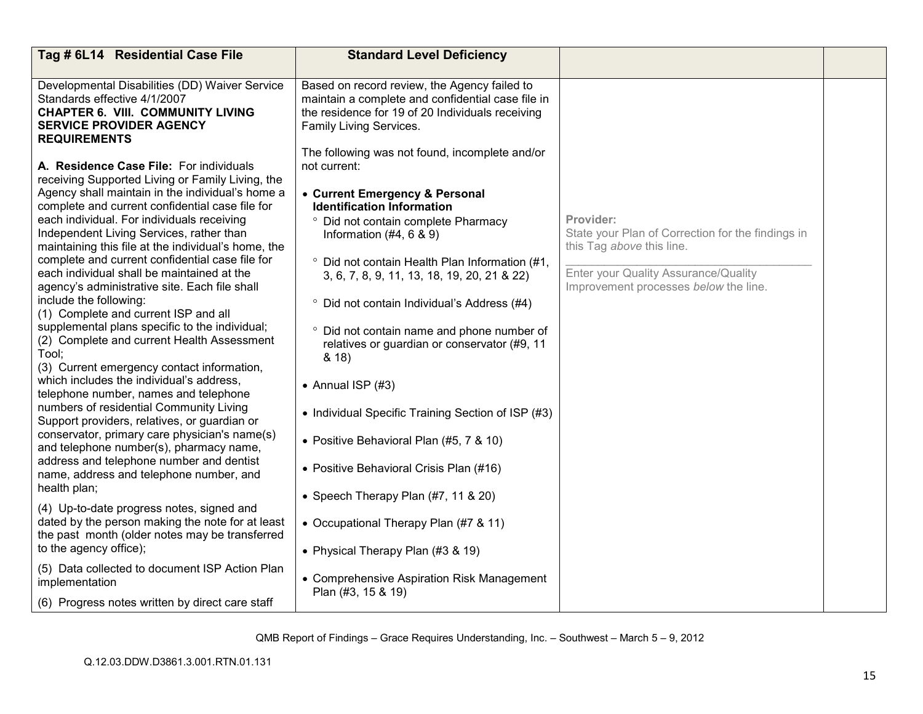| Tag # 6L14 Residential Case File                                                                                                                                                                                                                                                                                                                                                                                                                                                                                                                                                                                                                                                                                                                                                                                                                                                                                                                                                                                                                                                                                                                                                                                                                                                                                                                                   | <b>Standard Level Deficiency</b>                                                                                                                                                                                                                                                                                                                                                                                                                                                                                                                                                                                                                                                                                                                                                                                              |                                                                                                                                                                              |  |
|--------------------------------------------------------------------------------------------------------------------------------------------------------------------------------------------------------------------------------------------------------------------------------------------------------------------------------------------------------------------------------------------------------------------------------------------------------------------------------------------------------------------------------------------------------------------------------------------------------------------------------------------------------------------------------------------------------------------------------------------------------------------------------------------------------------------------------------------------------------------------------------------------------------------------------------------------------------------------------------------------------------------------------------------------------------------------------------------------------------------------------------------------------------------------------------------------------------------------------------------------------------------------------------------------------------------------------------------------------------------|-------------------------------------------------------------------------------------------------------------------------------------------------------------------------------------------------------------------------------------------------------------------------------------------------------------------------------------------------------------------------------------------------------------------------------------------------------------------------------------------------------------------------------------------------------------------------------------------------------------------------------------------------------------------------------------------------------------------------------------------------------------------------------------------------------------------------------|------------------------------------------------------------------------------------------------------------------------------------------------------------------------------|--|
| Developmental Disabilities (DD) Waiver Service<br>Standards effective 4/1/2007<br><b>CHAPTER 6. VIII. COMMUNITY LIVING</b><br><b>SERVICE PROVIDER AGENCY</b><br><b>REQUIREMENTS</b>                                                                                                                                                                                                                                                                                                                                                                                                                                                                                                                                                                                                                                                                                                                                                                                                                                                                                                                                                                                                                                                                                                                                                                                | Based on record review, the Agency failed to<br>maintain a complete and confidential case file in<br>the residence for 19 of 20 Individuals receiving<br>Family Living Services.                                                                                                                                                                                                                                                                                                                                                                                                                                                                                                                                                                                                                                              |                                                                                                                                                                              |  |
| A. Residence Case File: For individuals<br>receiving Supported Living or Family Living, the<br>Agency shall maintain in the individual's home a<br>complete and current confidential case file for<br>each individual. For individuals receiving<br>Independent Living Services, rather than<br>maintaining this file at the individual's home, the<br>complete and current confidential case file for<br>each individual shall be maintained at the<br>agency's administrative site. Each file shall<br>include the following:<br>(1) Complete and current ISP and all<br>supplemental plans specific to the individual;<br>(2) Complete and current Health Assessment<br>Tool:<br>(3) Current emergency contact information,<br>which includes the individual's address.<br>telephone number, names and telephone<br>numbers of residential Community Living<br>Support providers, relatives, or guardian or<br>conservator, primary care physician's name(s)<br>and telephone number(s), pharmacy name,<br>address and telephone number and dentist<br>name, address and telephone number, and<br>health plan;<br>(4) Up-to-date progress notes, signed and<br>dated by the person making the note for at least<br>the past month (older notes may be transferred<br>to the agency office);<br>(5) Data collected to document ISP Action Plan<br>implementation | The following was not found, incomplete and/or<br>not current:<br>• Current Emergency & Personal<br><b>Identification Information</b><br>° Did not contain complete Pharmacy<br>Information $(\#4, 6 \& 9)$<br>° Did not contain Health Plan Information (#1,<br>3, 6, 7, 8, 9, 11, 13, 18, 19, 20, 21 & 22)<br>° Did not contain Individual's Address (#4)<br>° Did not contain name and phone number of<br>relatives or guardian or conservator (#9, 11<br>8.18<br>• Annual ISP $(#3)$<br>• Individual Specific Training Section of ISP (#3)<br>• Positive Behavioral Plan (#5, 7 & 10)<br>• Positive Behavioral Crisis Plan (#16)<br>• Speech Therapy Plan (#7, 11 & 20)<br>• Occupational Therapy Plan (#7 & 11)<br>• Physical Therapy Plan (#3 & 19)<br>• Comprehensive Aspiration Risk Management<br>Plan (#3, 15 & 19) | Provider:<br>State your Plan of Correction for the findings in<br>this Tag above this line.<br>Enter your Quality Assurance/Quality<br>Improvement processes below the line. |  |
| (6) Progress notes written by direct care staff                                                                                                                                                                                                                                                                                                                                                                                                                                                                                                                                                                                                                                                                                                                                                                                                                                                                                                                                                                                                                                                                                                                                                                                                                                                                                                                    |                                                                                                                                                                                                                                                                                                                                                                                                                                                                                                                                                                                                                                                                                                                                                                                                                               |                                                                                                                                                                              |  |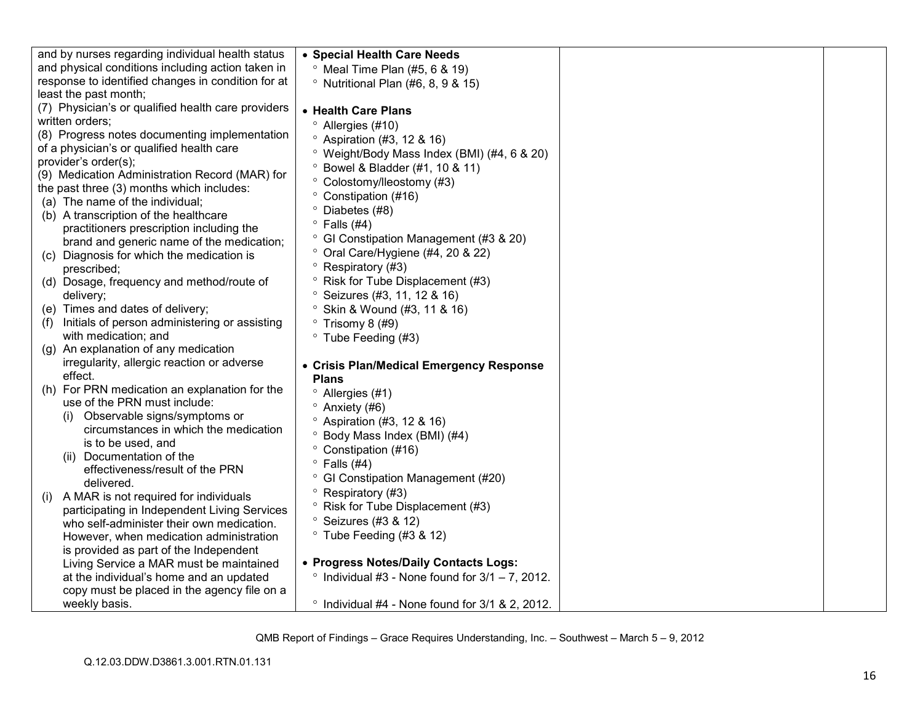| and by nurses regarding individual health status                             | • Special Health Care Needs                                      |  |
|------------------------------------------------------------------------------|------------------------------------------------------------------|--|
| and physical conditions including action taken in                            | $\degree$ Meal Time Plan (#5, 6 & 19)                            |  |
| response to identified changes in condition for at                           | $\degree$ Nutritional Plan (#6, 8, 9 & 15)                       |  |
| least the past month;                                                        |                                                                  |  |
| (7) Physician's or qualified health care providers                           | • Health Care Plans                                              |  |
| written orders;                                                              | <sup>o</sup> Allergies (#10)                                     |  |
| (8) Progress notes documenting implementation                                | $\degree$ Aspiration (#3, 12 & 16)                               |  |
| of a physician's or qualified health care                                    | <sup>o</sup> Weight/Body Mass Index (BMI) (#4, 6 & 20)           |  |
| provider's order(s);                                                         | Bowel & Bladder (#1, 10 & 11)                                    |  |
| (9) Medication Administration Record (MAR) for                               | ° Colostomy/lleostomy (#3)                                       |  |
| the past three (3) months which includes:                                    | ° Constipation (#16)                                             |  |
| (a) The name of the individual;                                              | ° Diabetes (#8)                                                  |  |
| (b) A transcription of the healthcare                                        | $\degree$ Falls (#4)                                             |  |
| practitioners prescription including the                                     | <sup>o</sup> GI Constipation Management (#3 & 20)                |  |
| brand and generic name of the medication;                                    | ° Oral Care/Hygiene (#4, 20 & 22)                                |  |
| Diagnosis for which the medication is<br>(C)                                 | $\circ$                                                          |  |
| prescribed;                                                                  | Respiratory (#3)<br><sup>o</sup> Risk for Tube Displacement (#3) |  |
| (d) Dosage, frequency and method/route of                                    |                                                                  |  |
| delivery;                                                                    | Seizures (#3, 11, 12 & 16)                                       |  |
| (e) Times and dates of delivery;                                             | <sup>o</sup> Skin & Wound (#3, 11 & 16)                          |  |
| Initials of person administering or assisting<br>(f)<br>with medication; and | $\degree$ Trisomy 8 (#9)                                         |  |
| (g) An explanation of any medication                                         | ° Tube Feeding (#3)                                              |  |
| irregularity, allergic reaction or adverse                                   |                                                                  |  |
| effect.                                                                      | • Crisis Plan/Medical Emergency Response                         |  |
| (h) For PRN medication an explanation for the                                | <b>Plans</b>                                                     |  |
| use of the PRN must include:                                                 | $^{\circ}$ Allergies (#1)                                        |  |
| (i) Observable signs/symptoms or                                             | $^{\circ}$ Anxiety (#6)                                          |  |
| circumstances in which the medication                                        | <sup>o</sup> Aspiration (#3, 12 & 16)                            |  |
| is to be used, and                                                           | Body Mass Index (BMI) (#4)                                       |  |
| (ii) Documentation of the                                                    | ° Constipation (#16)                                             |  |
| effectiveness/result of the PRN                                              | $\degree$ Falls (#4)                                             |  |
| delivered.                                                                   | <sup>o</sup> GI Constipation Management (#20)                    |  |
| (i) A MAR is not required for individuals                                    | $^{\circ}$ Respiratory (#3)                                      |  |
| participating in Independent Living Services                                 | <sup>o</sup> Risk for Tube Displacement (#3)                     |  |
| who self-administer their own medication.                                    | <sup>o</sup> Seizures (#3 & 12)                                  |  |
| However, when medication administration                                      | $\degree$ Tube Feeding (#3 & 12)                                 |  |
| is provided as part of the Independent                                       |                                                                  |  |
| Living Service a MAR must be maintained                                      | • Progress Notes/Daily Contacts Logs:                            |  |
| at the individual's home and an updated                                      | $\degree$ Individual #3 - None found for 3/1 - 7, 2012.          |  |
| copy must be placed in the agency file on a                                  |                                                                  |  |
| weekly basis.                                                                | $\degree$ Individual #4 - None found for 3/1 & 2, 2012.          |  |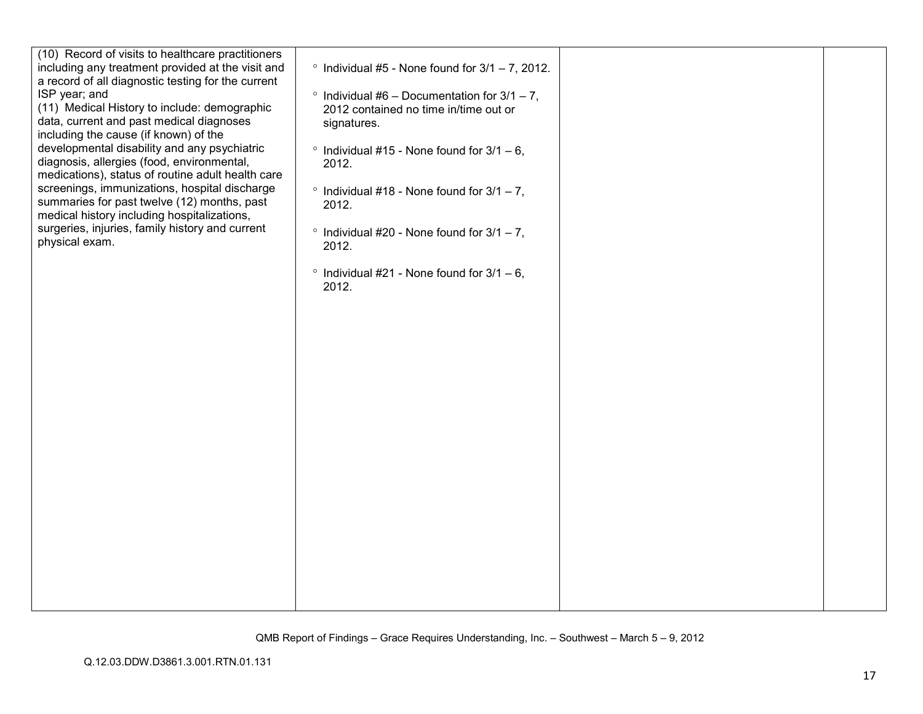| (10) Record of visits to healthcare practitioners<br>including any treatment provided at the visit and<br>a record of all diagnostic testing for the current                             | $\degree$ Individual #5 - None found for 3/1 - 7, 2012.                                                      |  |
|------------------------------------------------------------------------------------------------------------------------------------------------------------------------------------------|--------------------------------------------------------------------------------------------------------------|--|
| ISP year; and<br>(11) Medical History to include: demographic<br>data, current and past medical diagnoses                                                                                | $\degree$ Individual #6 - Documentation for 3/1 - 7,<br>2012 contained no time in/time out or<br>signatures. |  |
| including the cause (if known) of the<br>developmental disability and any psychiatric<br>diagnosis, allergies (food, environmental,<br>medications), status of routine adult health care | $\degree$ Individual #15 - None found for 3/1 - 6,<br>2012.                                                  |  |
| screenings, immunizations, hospital discharge<br>summaries for past twelve (12) months, past<br>medical history including hospitalizations,                                              | $\degree$ Individual #18 - None found for 3/1 - 7,<br>2012.                                                  |  |
| surgeries, injuries, family history and current<br>physical exam.                                                                                                                        | $\degree$ Individual #20 - None found for 3/1 - 7,<br>2012.                                                  |  |
|                                                                                                                                                                                          | $\degree$ Individual #21 - None found for 3/1 - 6,<br>2012.                                                  |  |
|                                                                                                                                                                                          |                                                                                                              |  |
|                                                                                                                                                                                          |                                                                                                              |  |
|                                                                                                                                                                                          |                                                                                                              |  |
|                                                                                                                                                                                          |                                                                                                              |  |
|                                                                                                                                                                                          |                                                                                                              |  |
|                                                                                                                                                                                          |                                                                                                              |  |
|                                                                                                                                                                                          |                                                                                                              |  |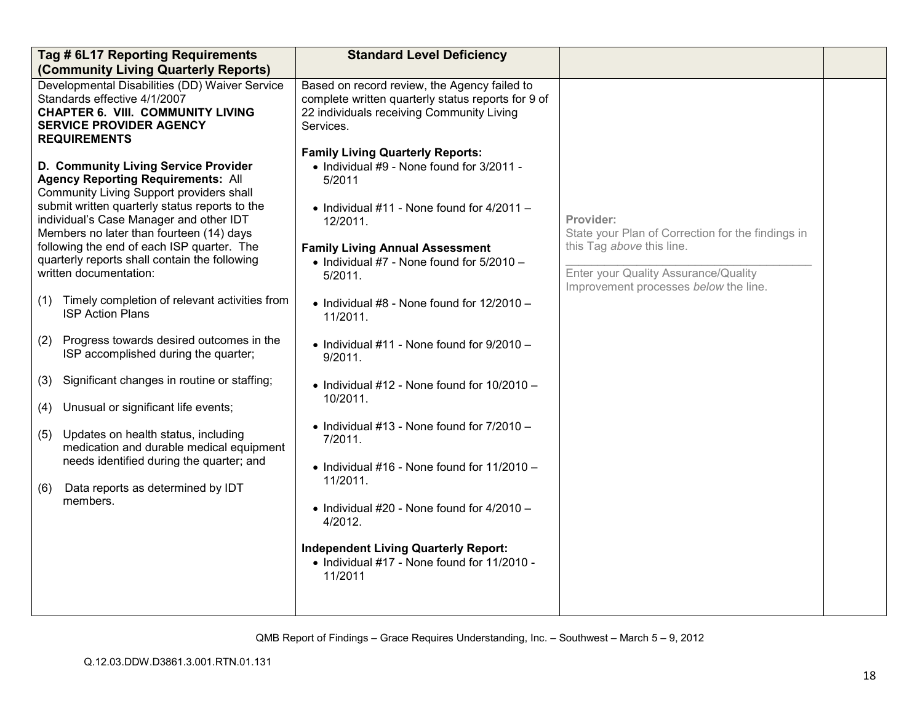| Tag # 6L17 Reporting Requirements<br>(Community Living Quarterly Reports)                                                                                                                                                                                                                                                                                                                                                                                                                                                                                                                                                                                                                                                                                                                                                                                                                              | <b>Standard Level Deficiency</b>                                                                                                                                                                                                                                                                                                                                                                                                                                                                                                                                                                                                                                                                                                                                                           |                                                                                                                                                                              |  |
|--------------------------------------------------------------------------------------------------------------------------------------------------------------------------------------------------------------------------------------------------------------------------------------------------------------------------------------------------------------------------------------------------------------------------------------------------------------------------------------------------------------------------------------------------------------------------------------------------------------------------------------------------------------------------------------------------------------------------------------------------------------------------------------------------------------------------------------------------------------------------------------------------------|--------------------------------------------------------------------------------------------------------------------------------------------------------------------------------------------------------------------------------------------------------------------------------------------------------------------------------------------------------------------------------------------------------------------------------------------------------------------------------------------------------------------------------------------------------------------------------------------------------------------------------------------------------------------------------------------------------------------------------------------------------------------------------------------|------------------------------------------------------------------------------------------------------------------------------------------------------------------------------|--|
| Developmental Disabilities (DD) Waiver Service<br>Standards effective 4/1/2007<br><b>CHAPTER 6. VIII. COMMUNITY LIVING</b><br><b>SERVICE PROVIDER AGENCY</b>                                                                                                                                                                                                                                                                                                                                                                                                                                                                                                                                                                                                                                                                                                                                           | Based on record review, the Agency failed to<br>complete written quarterly status reports for 9 of<br>22 individuals receiving Community Living<br>Services.                                                                                                                                                                                                                                                                                                                                                                                                                                                                                                                                                                                                                               |                                                                                                                                                                              |  |
| <b>REQUIREMENTS</b><br>D. Community Living Service Provider<br><b>Agency Reporting Requirements: All</b><br>Community Living Support providers shall<br>submit written quarterly status reports to the<br>individual's Case Manager and other IDT<br>Members no later than fourteen (14) days<br>following the end of each ISP quarter. The<br>quarterly reports shall contain the following<br>written documentation:<br>Timely completion of relevant activities from<br>(1)<br><b>ISP Action Plans</b><br>Progress towards desired outcomes in the<br>(2)<br>ISP accomplished during the quarter;<br>Significant changes in routine or staffing;<br>(3)<br>Unusual or significant life events;<br>(4)<br>Updates on health status, including<br>(5)<br>medication and durable medical equipment<br>needs identified during the quarter; and<br>Data reports as determined by IDT<br>(6)<br>members. | <b>Family Living Quarterly Reports:</b><br>• Individual #9 - None found for 3/2011 -<br>5/2011<br>$\bullet$ Individual #11 - None found for 4/2011 -<br>12/2011.<br><b>Family Living Annual Assessment</b><br>• Individual $#7$ - None found for $5/2010 -$<br>5/2011.<br>$\bullet$ Individual #8 - None found for 12/2010 -<br>11/2011.<br>$\bullet$ Individual #11 - None found for 9/2010 -<br>9/2011.<br>$\bullet$ Individual #12 - None found for 10/2010 -<br>10/2011.<br>$\bullet$ Individual #13 - None found for 7/2010 -<br>7/2011.<br>$\bullet$ Individual #16 - None found for 11/2010 -<br>11/2011.<br>$\bullet$ Individual #20 - None found for 4/2010 -<br>4/2012.<br><b>Independent Living Quarterly Report:</b><br>• Individual #17 - None found for 11/2010 -<br>11/2011 | Provider:<br>State your Plan of Correction for the findings in<br>this Tag above this line.<br>Enter your Quality Assurance/Quality<br>Improvement processes below the line. |  |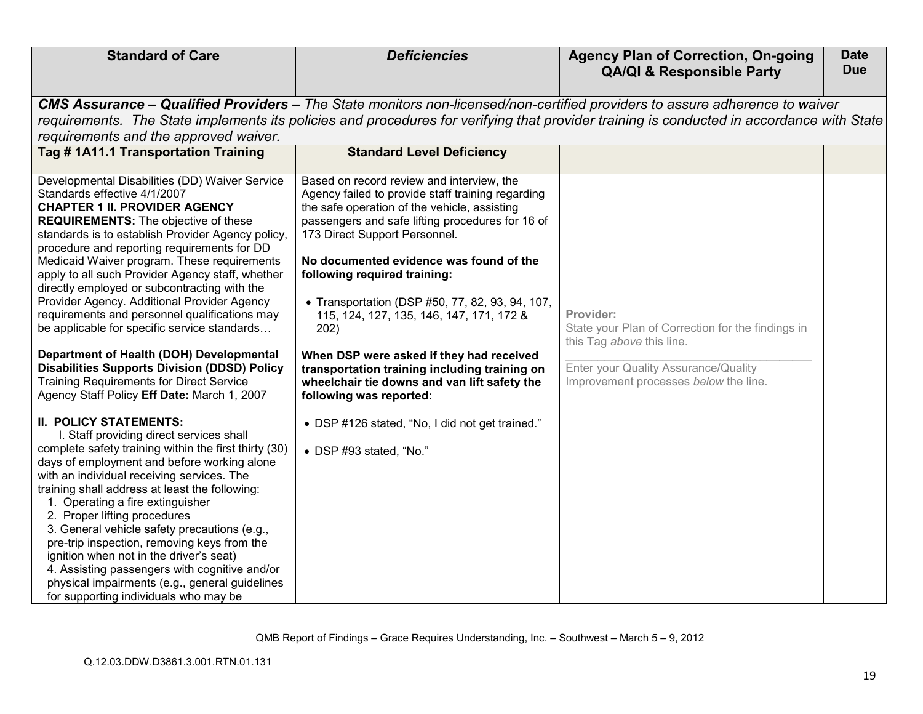| <b>Standard of Care</b>                                                                                                                                                                                                                                                                                                                                                                                                                                                                                                                                                                                                                                                                                                                                                           | <b>Deficiencies</b>                                                                                                                                                                                                                                                                                                                                                                                                                                                                                                                                                                           | <b>Agency Plan of Correction, On-going</b>                                                                                                                                   | <b>Date</b> |
|-----------------------------------------------------------------------------------------------------------------------------------------------------------------------------------------------------------------------------------------------------------------------------------------------------------------------------------------------------------------------------------------------------------------------------------------------------------------------------------------------------------------------------------------------------------------------------------------------------------------------------------------------------------------------------------------------------------------------------------------------------------------------------------|-----------------------------------------------------------------------------------------------------------------------------------------------------------------------------------------------------------------------------------------------------------------------------------------------------------------------------------------------------------------------------------------------------------------------------------------------------------------------------------------------------------------------------------------------------------------------------------------------|------------------------------------------------------------------------------------------------------------------------------------------------------------------------------|-------------|
|                                                                                                                                                                                                                                                                                                                                                                                                                                                                                                                                                                                                                                                                                                                                                                                   |                                                                                                                                                                                                                                                                                                                                                                                                                                                                                                                                                                                               | <b>QA/QI &amp; Responsible Party</b>                                                                                                                                         | <b>Due</b>  |
|                                                                                                                                                                                                                                                                                                                                                                                                                                                                                                                                                                                                                                                                                                                                                                                   |                                                                                                                                                                                                                                                                                                                                                                                                                                                                                                                                                                                               |                                                                                                                                                                              |             |
|                                                                                                                                                                                                                                                                                                                                                                                                                                                                                                                                                                                                                                                                                                                                                                                   | <b>CMS Assurance – Qualified Providers –</b> The State monitors non-licensed/non-certified providers to assure adherence to waiver                                                                                                                                                                                                                                                                                                                                                                                                                                                            |                                                                                                                                                                              |             |
|                                                                                                                                                                                                                                                                                                                                                                                                                                                                                                                                                                                                                                                                                                                                                                                   | requirements. The State implements its policies and procedures for verifying that provider training is conducted in accordance with State                                                                                                                                                                                                                                                                                                                                                                                                                                                     |                                                                                                                                                                              |             |
| requirements and the approved waiver.                                                                                                                                                                                                                                                                                                                                                                                                                                                                                                                                                                                                                                                                                                                                             |                                                                                                                                                                                                                                                                                                                                                                                                                                                                                                                                                                                               |                                                                                                                                                                              |             |
| Tag #1A11.1 Transportation Training                                                                                                                                                                                                                                                                                                                                                                                                                                                                                                                                                                                                                                                                                                                                               | <b>Standard Level Deficiency</b>                                                                                                                                                                                                                                                                                                                                                                                                                                                                                                                                                              |                                                                                                                                                                              |             |
| Developmental Disabilities (DD) Waiver Service<br>Standards effective 4/1/2007<br><b>CHAPTER 1 II. PROVIDER AGENCY</b><br><b>REQUIREMENTS:</b> The objective of these<br>standards is to establish Provider Agency policy,<br>procedure and reporting requirements for DD<br>Medicaid Waiver program. These requirements<br>apply to all such Provider Agency staff, whether<br>directly employed or subcontracting with the<br>Provider Agency. Additional Provider Agency<br>requirements and personnel qualifications may<br>be applicable for specific service standards<br>Department of Health (DOH) Developmental<br><b>Disabilities Supports Division (DDSD) Policy</b><br><b>Training Requirements for Direct Service</b><br>Agency Staff Policy Eff Date: March 1, 2007 | Based on record review and interview, the<br>Agency failed to provide staff training regarding<br>the safe operation of the vehicle, assisting<br>passengers and safe lifting procedures for 16 of<br>173 Direct Support Personnel.<br>No documented evidence was found of the<br>following required training:<br>• Transportation (DSP #50, 77, 82, 93, 94, 107,<br>115, 124, 127, 135, 146, 147, 171, 172 &<br>202)<br>When DSP were asked if they had received<br>transportation training including training on<br>wheelchair tie downs and van lift safety the<br>following was reported: | Provider:<br>State your Plan of Correction for the findings in<br>this Tag above this line.<br>Enter your Quality Assurance/Quality<br>Improvement processes below the line. |             |
| <b>II. POLICY STATEMENTS:</b><br>I. Staff providing direct services shall<br>complete safety training within the first thirty (30)<br>days of employment and before working alone<br>with an individual receiving services. The<br>training shall address at least the following:<br>1. Operating a fire extinguisher<br>2. Proper lifting procedures<br>3. General vehicle safety precautions (e.g.,<br>pre-trip inspection, removing keys from the<br>ignition when not in the driver's seat)<br>4. Assisting passengers with cognitive and/or<br>physical impairments (e.g., general guidelines<br>for supporting individuals who may be                                                                                                                                       | • DSP #126 stated, "No, I did not get trained."<br>• DSP #93 stated, "No."                                                                                                                                                                                                                                                                                                                                                                                                                                                                                                                    |                                                                                                                                                                              |             |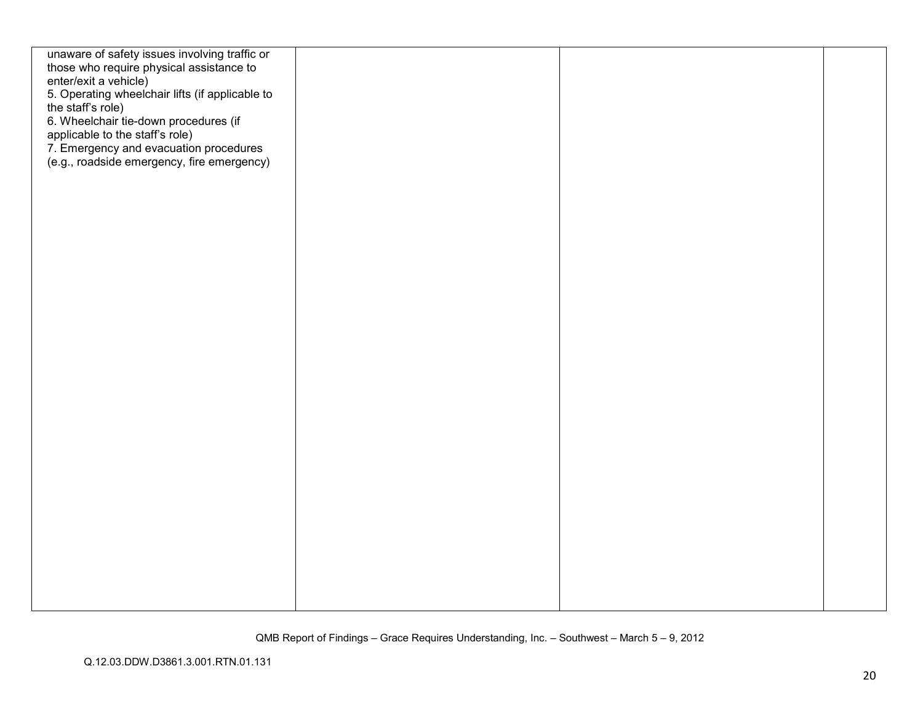| unaware of safety issues involving traffic or   |  |  |
|-------------------------------------------------|--|--|
| those who require physical assistance to        |  |  |
| enter/exit a vehicle)                           |  |  |
| 5. Operating wheelchair lifts (if applicable to |  |  |
|                                                 |  |  |
| the staff's role)                               |  |  |
| 6. Wheelchair tie-down procedures (if           |  |  |
| applicable to the staff's role)                 |  |  |
| 7. Emergency and evacuation procedures          |  |  |
| (e.g., roadside emergency, fire emergency)      |  |  |
|                                                 |  |  |
|                                                 |  |  |
|                                                 |  |  |
|                                                 |  |  |
|                                                 |  |  |
|                                                 |  |  |
|                                                 |  |  |
|                                                 |  |  |
|                                                 |  |  |
|                                                 |  |  |
|                                                 |  |  |
|                                                 |  |  |
|                                                 |  |  |
|                                                 |  |  |
|                                                 |  |  |
|                                                 |  |  |
|                                                 |  |  |
|                                                 |  |  |
|                                                 |  |  |
|                                                 |  |  |
|                                                 |  |  |
|                                                 |  |  |
|                                                 |  |  |
|                                                 |  |  |
|                                                 |  |  |
|                                                 |  |  |
|                                                 |  |  |
|                                                 |  |  |
|                                                 |  |  |
|                                                 |  |  |
|                                                 |  |  |
|                                                 |  |  |
|                                                 |  |  |
|                                                 |  |  |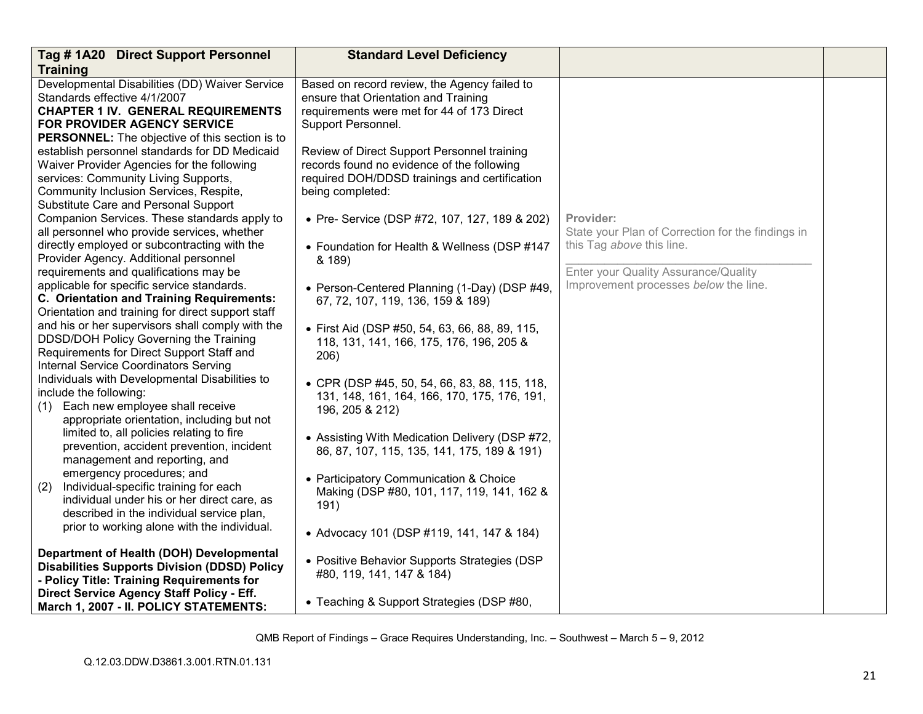| Tag #1A20 Direct Support Personnel<br><b>Training</b>                                                                                                                                                                                     | <b>Standard Level Deficiency</b>                                                                                                                               |                                                                                             |  |
|-------------------------------------------------------------------------------------------------------------------------------------------------------------------------------------------------------------------------------------------|----------------------------------------------------------------------------------------------------------------------------------------------------------------|---------------------------------------------------------------------------------------------|--|
| Developmental Disabilities (DD) Waiver Service<br>Standards effective 4/1/2007<br><b>CHAPTER 1 IV. GENERAL REQUIREMENTS</b><br><b>FOR PROVIDER AGENCY SERVICE</b><br><b>PERSONNEL:</b> The objective of this section is to                | Based on record review, the Agency failed to<br>ensure that Orientation and Training<br>requirements were met for 44 of 173 Direct<br>Support Personnel.       |                                                                                             |  |
| establish personnel standards for DD Medicaid<br>Waiver Provider Agencies for the following<br>services: Community Living Supports,<br>Community Inclusion Services, Respite,<br>Substitute Care and Personal Support                     | Review of Direct Support Personnel training<br>records found no evidence of the following<br>required DOH/DDSD trainings and certification<br>being completed: |                                                                                             |  |
| Companion Services. These standards apply to<br>all personnel who provide services, whether<br>directly employed or subcontracting with the                                                                                               | • Pre- Service (DSP #72, 107, 127, 189 & 202)<br>• Foundation for Health & Wellness (DSP #147                                                                  | Provider:<br>State your Plan of Correction for the findings in<br>this Tag above this line. |  |
| Provider Agency. Additional personnel<br>requirements and qualifications may be<br>applicable for specific service standards.                                                                                                             | & 189)<br>• Person-Centered Planning (1-Day) (DSP #49,                                                                                                         | Enter your Quality Assurance/Quality<br>Improvement processes below the line.               |  |
| C. Orientation and Training Requirements:<br>Orientation and training for direct support staff<br>and his or her supervisors shall comply with the<br>DDSD/DOH Policy Governing the Training<br>Requirements for Direct Support Staff and | 67, 72, 107, 119, 136, 159 & 189)<br>• First Aid (DSP #50, 54, 63, 66, 88, 89, 115,<br>118, 131, 141, 166, 175, 176, 196, 205 &<br>206)                        |                                                                                             |  |
| Internal Service Coordinators Serving<br>Individuals with Developmental Disabilities to<br>include the following:<br>Each new employee shall receive<br>(1)<br>appropriate orientation, including but not                                 | • CPR (DSP #45, 50, 54, 66, 83, 88, 115, 118,<br>131, 148, 161, 164, 166, 170, 175, 176, 191,<br>196, 205 & 212)                                               |                                                                                             |  |
| limited to, all policies relating to fire<br>prevention, accident prevention, incident<br>management and reporting, and                                                                                                                   | • Assisting With Medication Delivery (DSP #72,<br>86, 87, 107, 115, 135, 141, 175, 189 & 191)                                                                  |                                                                                             |  |
| emergency procedures; and<br>Individual-specific training for each<br>(2)<br>individual under his or her direct care, as<br>described in the individual service plan,                                                                     | • Participatory Communication & Choice<br>Making (DSP #80, 101, 117, 119, 141, 162 &<br>191)                                                                   |                                                                                             |  |
| prior to working alone with the individual.                                                                                                                                                                                               | • Advocacy 101 (DSP #119, 141, 147 & 184)                                                                                                                      |                                                                                             |  |
| Department of Health (DOH) Developmental<br><b>Disabilities Supports Division (DDSD) Policy</b><br>- Policy Title: Training Requirements for                                                                                              | • Positive Behavior Supports Strategies (DSP<br>#80, 119, 141, 147 & 184)                                                                                      |                                                                                             |  |
| Direct Service Agency Staff Policy - Eff.<br>March 1, 2007 - II. POLICY STATEMENTS:                                                                                                                                                       | • Teaching & Support Strategies (DSP #80,                                                                                                                      |                                                                                             |  |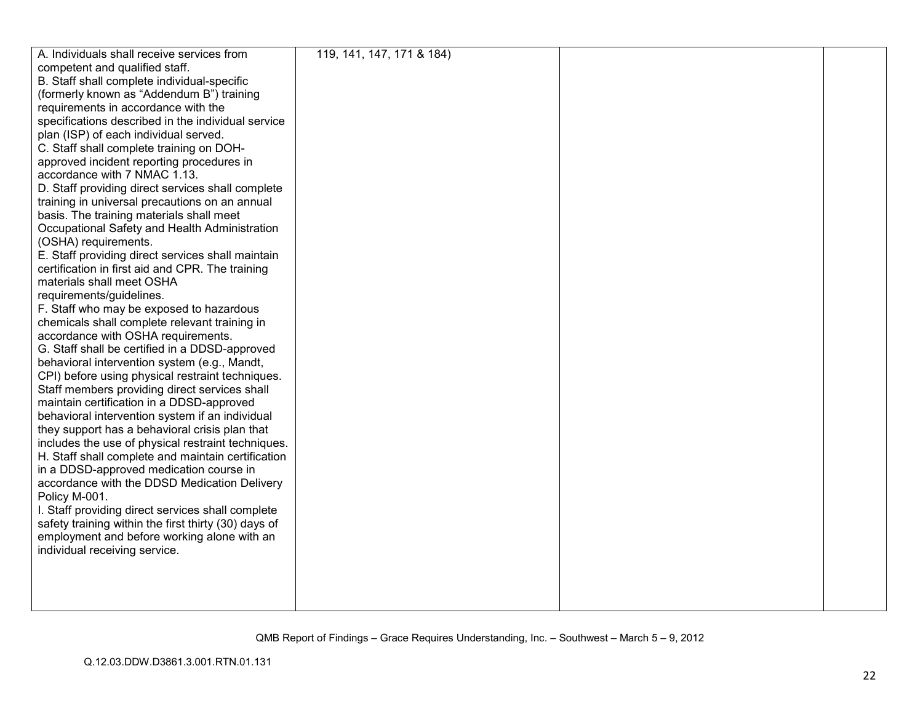| A. Individuals shall receive services from           | 119, 141, 147, 171 & 184) |  |
|------------------------------------------------------|---------------------------|--|
| competent and qualified staff.                       |                           |  |
| B. Staff shall complete individual-specific          |                           |  |
| (formerly known as "Addendum B") training            |                           |  |
| requirements in accordance with the                  |                           |  |
| specifications described in the individual service   |                           |  |
| plan (ISP) of each individual served.                |                           |  |
| C. Staff shall complete training on DOH-             |                           |  |
| approved incident reporting procedures in            |                           |  |
| accordance with 7 NMAC 1.13.                         |                           |  |
| D. Staff providing direct services shall complete    |                           |  |
| training in universal precautions on an annual       |                           |  |
| basis. The training materials shall meet             |                           |  |
| Occupational Safety and Health Administration        |                           |  |
| (OSHA) requirements.                                 |                           |  |
| E. Staff providing direct services shall maintain    |                           |  |
| certification in first aid and CPR. The training     |                           |  |
| materials shall meet OSHA                            |                           |  |
| requirements/guidelines.                             |                           |  |
| F. Staff who may be exposed to hazardous             |                           |  |
| chemicals shall complete relevant training in        |                           |  |
| accordance with OSHA requirements.                   |                           |  |
| G. Staff shall be certified in a DDSD-approved       |                           |  |
| behavioral intervention system (e.g., Mandt,         |                           |  |
| CPI) before using physical restraint techniques.     |                           |  |
| Staff members providing direct services shall        |                           |  |
| maintain certification in a DDSD-approved            |                           |  |
| behavioral intervention system if an individual      |                           |  |
| they support has a behavioral crisis plan that       |                           |  |
| includes the use of physical restraint techniques.   |                           |  |
| H. Staff shall complete and maintain certification   |                           |  |
| in a DDSD-approved medication course in              |                           |  |
| accordance with the DDSD Medication Delivery         |                           |  |
| Policy M-001.                                        |                           |  |
| I. Staff providing direct services shall complete    |                           |  |
| safety training within the first thirty (30) days of |                           |  |
| employment and before working alone with an          |                           |  |
| individual receiving service.                        |                           |  |
|                                                      |                           |  |
|                                                      |                           |  |
|                                                      |                           |  |
|                                                      |                           |  |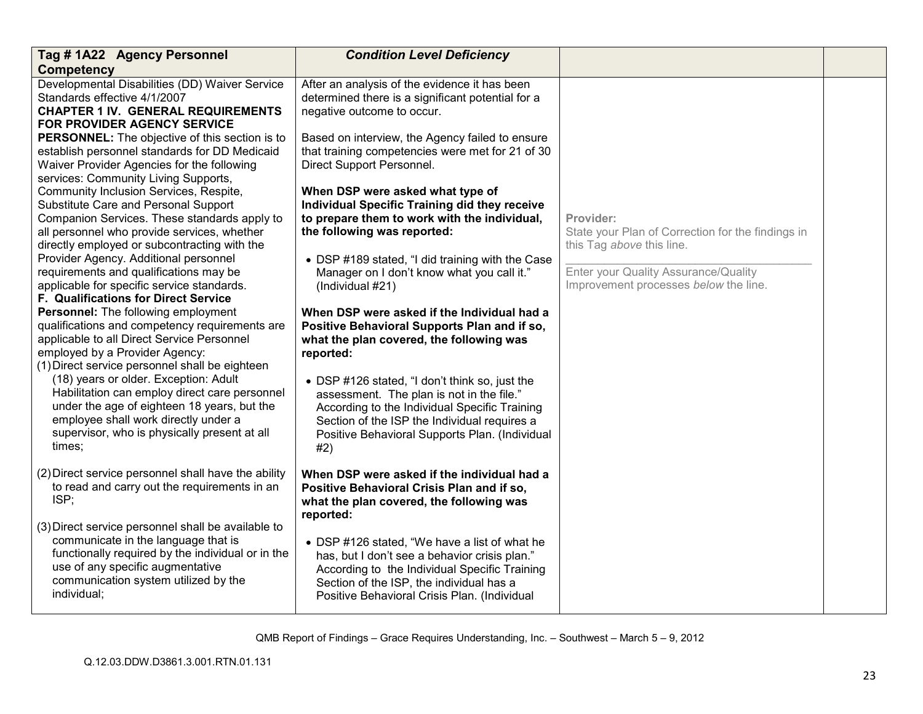| Tag #1A22 Agency Personnel                                                                | <b>Condition Level Deficiency</b>                                                              |                                                   |  |
|-------------------------------------------------------------------------------------------|------------------------------------------------------------------------------------------------|---------------------------------------------------|--|
| <b>Competency</b>                                                                         |                                                                                                |                                                   |  |
| Developmental Disabilities (DD) Waiver Service                                            | After an analysis of the evidence it has been                                                  |                                                   |  |
| Standards effective 4/1/2007<br><b>CHAPTER 1 IV. GENERAL REQUIREMENTS</b>                 | determined there is a significant potential for a                                              |                                                   |  |
| <b>FOR PROVIDER AGENCY SERVICE</b>                                                        | negative outcome to occur.                                                                     |                                                   |  |
| <b>PERSONNEL:</b> The objective of this section is to                                     | Based on interview, the Agency failed to ensure                                                |                                                   |  |
| establish personnel standards for DD Medicaid                                             | that training competencies were met for 21 of 30                                               |                                                   |  |
| Waiver Provider Agencies for the following                                                | Direct Support Personnel.                                                                      |                                                   |  |
| services: Community Living Supports,                                                      |                                                                                                |                                                   |  |
| Community Inclusion Services, Respite,                                                    | When DSP were asked what type of                                                               |                                                   |  |
| Substitute Care and Personal Support                                                      | <b>Individual Specific Training did they receive</b>                                           |                                                   |  |
| Companion Services. These standards apply to                                              | to prepare them to work with the individual,                                                   | Provider:                                         |  |
| all personnel who provide services, whether                                               | the following was reported:                                                                    | State your Plan of Correction for the findings in |  |
| directly employed or subcontracting with the                                              |                                                                                                | this Tag above this line.                         |  |
| Provider Agency. Additional personnel<br>requirements and qualifications may be           | • DSP #189 stated, "I did training with the Case                                               | Enter your Quality Assurance/Quality              |  |
| applicable for specific service standards.                                                | Manager on I don't know what you call it."<br>(Individual #21)                                 | Improvement processes below the line.             |  |
| <b>F. Qualifications for Direct Service</b>                                               |                                                                                                |                                                   |  |
| Personnel: The following employment                                                       | When DSP were asked if the Individual had a                                                    |                                                   |  |
| qualifications and competency requirements are                                            | Positive Behavioral Supports Plan and if so,                                                   |                                                   |  |
| applicable to all Direct Service Personnel                                                | what the plan covered, the following was                                                       |                                                   |  |
| employed by a Provider Agency:                                                            | reported:                                                                                      |                                                   |  |
| (1) Direct service personnel shall be eighteen                                            |                                                                                                |                                                   |  |
| (18) years or older. Exception: Adult                                                     | • DSP #126 stated, "I don't think so, just the                                                 |                                                   |  |
| Habilitation can employ direct care personnel                                             | assessment. The plan is not in the file."                                                      |                                                   |  |
| under the age of eighteen 18 years, but the<br>employee shall work directly under a       | According to the Individual Specific Training                                                  |                                                   |  |
| supervisor, who is physically present at all                                              | Section of the ISP the Individual requires a<br>Positive Behavioral Supports Plan. (Individual |                                                   |  |
| times;                                                                                    | #2)                                                                                            |                                                   |  |
|                                                                                           |                                                                                                |                                                   |  |
| (2) Direct service personnel shall have the ability                                       | When DSP were asked if the individual had a                                                    |                                                   |  |
| to read and carry out the requirements in an                                              | Positive Behavioral Crisis Plan and if so,                                                     |                                                   |  |
| ISP;                                                                                      | what the plan covered, the following was                                                       |                                                   |  |
|                                                                                           | reported:                                                                                      |                                                   |  |
| (3) Direct service personnel shall be available to<br>communicate in the language that is |                                                                                                |                                                   |  |
| functionally required by the individual or in the                                         | • DSP #126 stated, "We have a list of what he                                                  |                                                   |  |
| use of any specific augmentative                                                          | has, but I don't see a behavior crisis plan."<br>According to the Individual Specific Training |                                                   |  |
| communication system utilized by the                                                      | Section of the ISP, the individual has a                                                       |                                                   |  |
| individual;                                                                               | Positive Behavioral Crisis Plan. (Individual                                                   |                                                   |  |
|                                                                                           |                                                                                                |                                                   |  |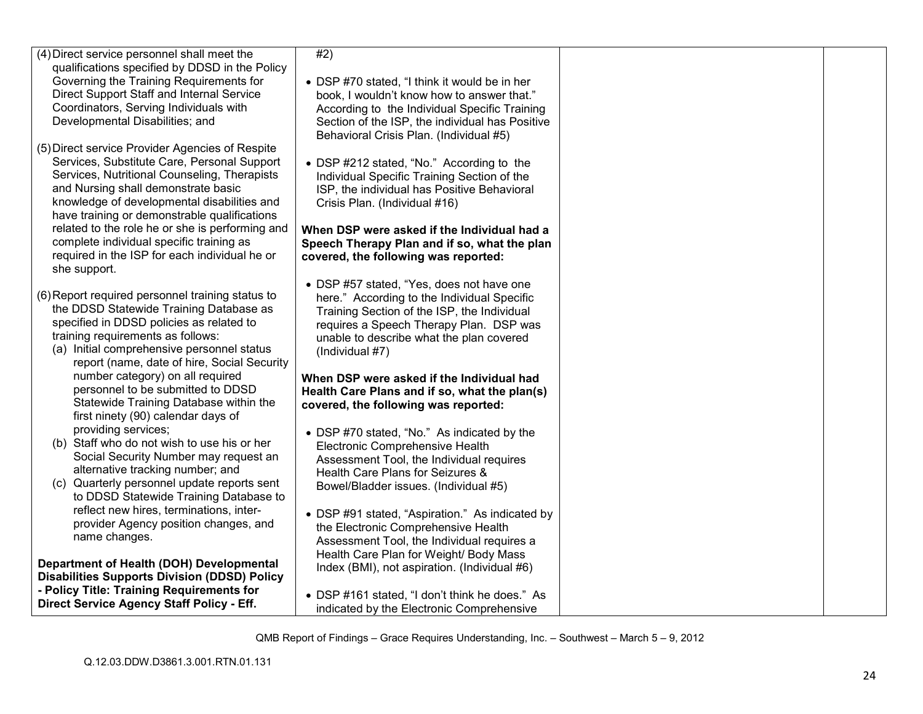| (4) Direct service personnel shall meet the<br>qualifications specified by DDSD in the Policy<br>Governing the Training Requirements for | #2)                                                                                         |  |
|------------------------------------------------------------------------------------------------------------------------------------------|---------------------------------------------------------------------------------------------|--|
| Direct Support Staff and Internal Service                                                                                                | • DSP #70 stated, "I think it would be in her<br>book, I wouldn't know how to answer that." |  |
| Coordinators, Serving Individuals with                                                                                                   | According to the Individual Specific Training                                               |  |
| Developmental Disabilities; and                                                                                                          | Section of the ISP, the individual has Positive                                             |  |
|                                                                                                                                          | Behavioral Crisis Plan. (Individual #5)                                                     |  |
| (5) Direct service Provider Agencies of Respite                                                                                          |                                                                                             |  |
| Services, Substitute Care, Personal Support<br>Services, Nutritional Counseling, Therapists                                              | • DSP #212 stated, "No." According to the                                                   |  |
| and Nursing shall demonstrate basic                                                                                                      | Individual Specific Training Section of the<br>ISP, the individual has Positive Behavioral  |  |
| knowledge of developmental disabilities and                                                                                              | Crisis Plan. (Individual #16)                                                               |  |
| have training or demonstrable qualifications                                                                                             |                                                                                             |  |
| related to the role he or she is performing and                                                                                          | When DSP were asked if the Individual had a                                                 |  |
| complete individual specific training as                                                                                                 | Speech Therapy Plan and if so, what the plan                                                |  |
| required in the ISP for each individual he or<br>she support.                                                                            | covered, the following was reported:                                                        |  |
|                                                                                                                                          | • DSP #57 stated, "Yes, does not have one                                                   |  |
| (6) Report required personnel training status to                                                                                         | here." According to the Individual Specific                                                 |  |
| the DDSD Statewide Training Database as                                                                                                  | Training Section of the ISP, the Individual                                                 |  |
| specified in DDSD policies as related to                                                                                                 | requires a Speech Therapy Plan. DSP was                                                     |  |
| training requirements as follows:<br>(a) Initial comprehensive personnel status                                                          | unable to describe what the plan covered                                                    |  |
| report (name, date of hire, Social Security                                                                                              | (Individual #7)                                                                             |  |
| number category) on all required                                                                                                         | When DSP were asked if the Individual had                                                   |  |
| personnel to be submitted to DDSD                                                                                                        | Health Care Plans and if so, what the plan(s)                                               |  |
| Statewide Training Database within the                                                                                                   | covered, the following was reported:                                                        |  |
| first ninety (90) calendar days of                                                                                                       |                                                                                             |  |
| providing services;<br>(b) Staff who do not wish to use his or her                                                                       | • DSP #70 stated, "No." As indicated by the                                                 |  |
| Social Security Number may request an                                                                                                    | Electronic Comprehensive Health<br>Assessment Tool, the Individual requires                 |  |
| alternative tracking number; and                                                                                                         | Health Care Plans for Seizures &                                                            |  |
| (c) Quarterly personnel update reports sent                                                                                              | Bowel/Bladder issues. (Individual #5)                                                       |  |
| to DDSD Statewide Training Database to                                                                                                   |                                                                                             |  |
| reflect new hires, terminations, inter-                                                                                                  | • DSP #91 stated, "Aspiration." As indicated by                                             |  |
| provider Agency position changes, and<br>name changes.                                                                                   | the Electronic Comprehensive Health                                                         |  |
|                                                                                                                                          | Assessment Tool, the Individual requires a                                                  |  |
| Department of Health (DOH) Developmental                                                                                                 | Health Care Plan for Weight/ Body Mass<br>Index (BMI), not aspiration. (Individual #6)      |  |
| <b>Disabilities Supports Division (DDSD) Policy</b>                                                                                      |                                                                                             |  |
| - Policy Title: Training Requirements for                                                                                                | • DSP #161 stated, "I don't think he does." As                                              |  |
| Direct Service Agency Staff Policy - Eff.                                                                                                | indicated by the Electronic Comprehensive                                                   |  |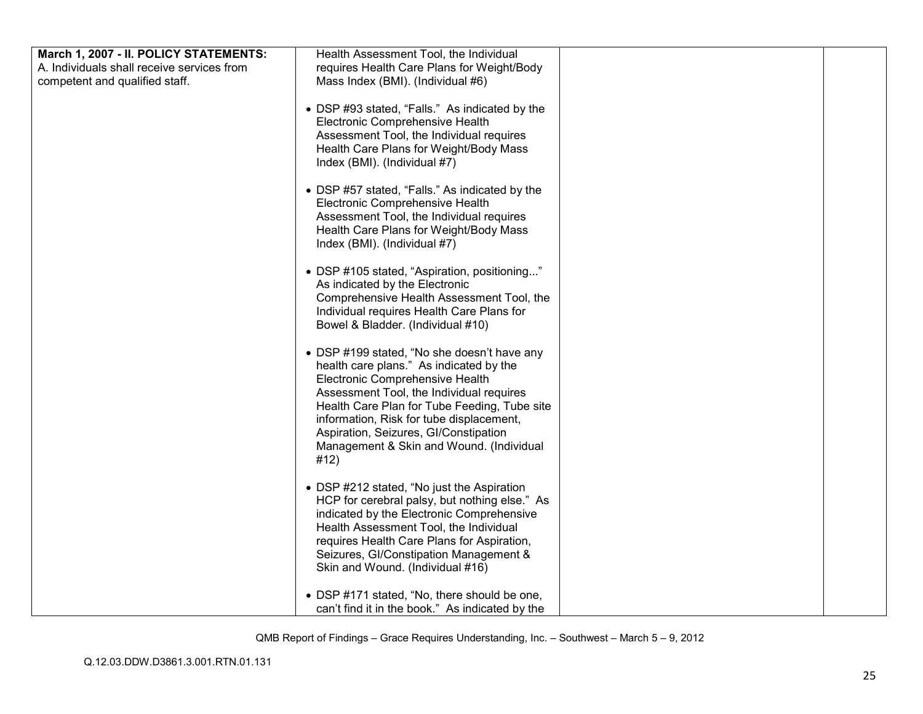| March 1, 2007 - II. POLICY STATEMENTS:     | Health Assessment Tool, the Individual                                                                                                                                                                                                                                                                                                                         |  |
|--------------------------------------------|----------------------------------------------------------------------------------------------------------------------------------------------------------------------------------------------------------------------------------------------------------------------------------------------------------------------------------------------------------------|--|
| A. Individuals shall receive services from | requires Health Care Plans for Weight/Body                                                                                                                                                                                                                                                                                                                     |  |
| competent and qualified staff.             | Mass Index (BMI). (Individual #6)                                                                                                                                                                                                                                                                                                                              |  |
|                                            | • DSP #93 stated, "Falls." As indicated by the<br>Electronic Comprehensive Health<br>Assessment Tool, the Individual requires<br>Health Care Plans for Weight/Body Mass<br>Index (BMI). (Individual #7)                                                                                                                                                        |  |
|                                            | • DSP #57 stated, "Falls." As indicated by the<br>Electronic Comprehensive Health<br>Assessment Tool, the Individual requires<br>Health Care Plans for Weight/Body Mass<br>Index (BMI). (Individual #7)                                                                                                                                                        |  |
|                                            | • DSP #105 stated, "Aspiration, positioning"<br>As indicated by the Electronic<br>Comprehensive Health Assessment Tool, the<br>Individual requires Health Care Plans for<br>Bowel & Bladder. (Individual #10)                                                                                                                                                  |  |
|                                            | • DSP #199 stated, "No she doesn't have any<br>health care plans." As indicated by the<br>Electronic Comprehensive Health<br>Assessment Tool, the Individual requires<br>Health Care Plan for Tube Feeding, Tube site<br>information, Risk for tube displacement,<br>Aspiration, Seizures, GI/Constipation<br>Management & Skin and Wound. (Individual<br>#12) |  |
|                                            | • DSP #212 stated, "No just the Aspiration<br>HCP for cerebral palsy, but nothing else." As<br>indicated by the Electronic Comprehensive<br>Health Assessment Tool, the Individual<br>requires Health Care Plans for Aspiration,<br>Seizures, GI/Constipation Management &<br>Skin and Wound. (Individual #16)                                                 |  |
|                                            | • DSP #171 stated, "No, there should be one,<br>can't find it in the book." As indicated by the                                                                                                                                                                                                                                                                |  |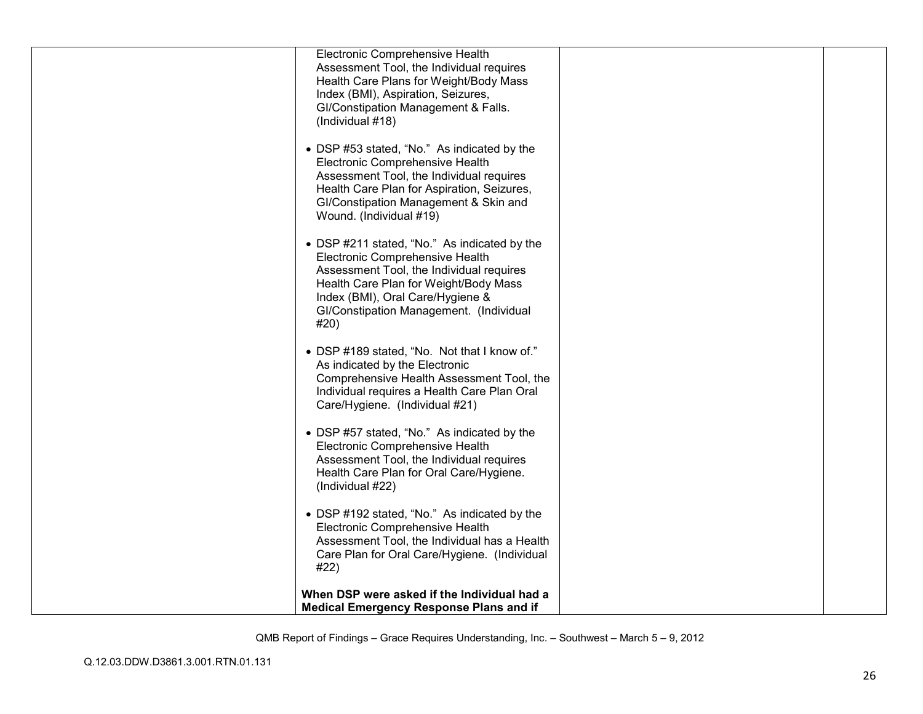| Electronic Comprehensive Health<br>Assessment Tool, the Individual requires<br>Health Care Plans for Weight/Body Mass<br>Index (BMI), Aspiration, Seizures,<br>GI/Constipation Management & Falls.                                                          |  |
|-------------------------------------------------------------------------------------------------------------------------------------------------------------------------------------------------------------------------------------------------------------|--|
| (Individual #18)<br>• DSP #53 stated, "No." As indicated by the<br>Electronic Comprehensive Health                                                                                                                                                          |  |
| Assessment Tool, the Individual requires<br>Health Care Plan for Aspiration, Seizures,<br>GI/Constipation Management & Skin and<br>Wound. (Individual #19)                                                                                                  |  |
| • DSP #211 stated, "No." As indicated by the<br>Electronic Comprehensive Health<br>Assessment Tool, the Individual requires<br>Health Care Plan for Weight/Body Mass<br>Index (BMI), Oral Care/Hygiene &<br>GI/Constipation Management. (Individual<br>#20) |  |
| • DSP #189 stated, "No. Not that I know of."<br>As indicated by the Electronic<br>Comprehensive Health Assessment Tool, the<br>Individual requires a Health Care Plan Oral<br>Care/Hygiene. (Individual #21)                                                |  |
| • DSP #57 stated, "No." As indicated by the<br>Electronic Comprehensive Health<br>Assessment Tool, the Individual requires<br>Health Care Plan for Oral Care/Hygiene.<br>(Individual #22)                                                                   |  |
| • DSP #192 stated, "No." As indicated by the<br>Electronic Comprehensive Health<br>Assessment Tool, the Individual has a Health<br>Care Plan for Oral Care/Hygiene. (Individual<br>#22)                                                                     |  |
| When DSP were asked if the Individual had a<br><b>Medical Emergency Response Plans and if</b>                                                                                                                                                               |  |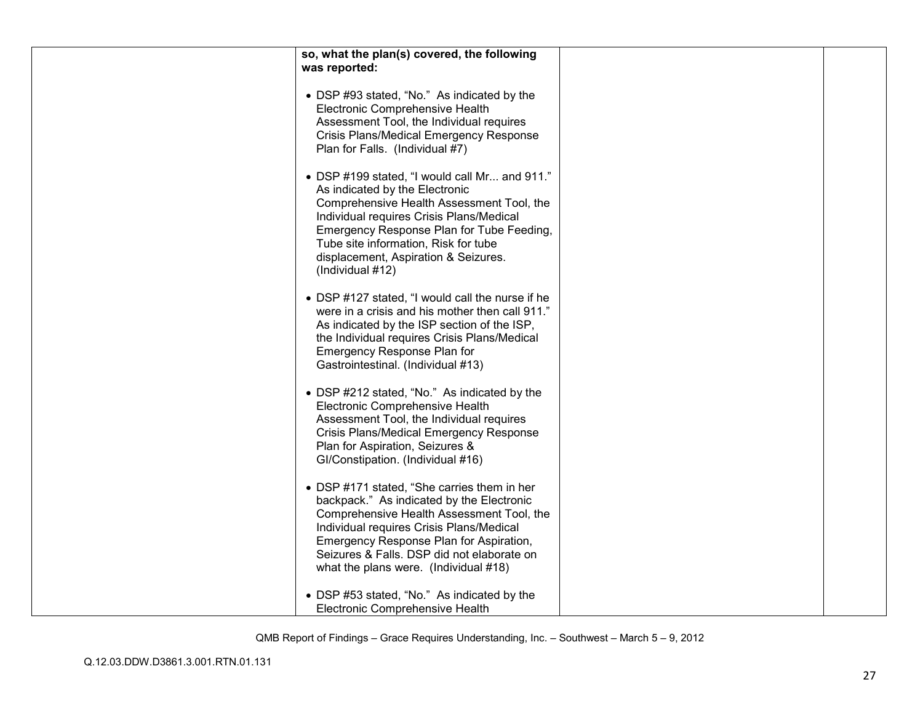| so, what the plan(s) covered, the following                                                                                                                                                                                                                                                                               |  |
|---------------------------------------------------------------------------------------------------------------------------------------------------------------------------------------------------------------------------------------------------------------------------------------------------------------------------|--|
| was reported:                                                                                                                                                                                                                                                                                                             |  |
|                                                                                                                                                                                                                                                                                                                           |  |
| • DSP #93 stated, "No." As indicated by the<br>Electronic Comprehensive Health<br>Assessment Tool, the Individual requires<br>Crisis Plans/Medical Emergency Response<br>Plan for Falls. (Individual #7)                                                                                                                  |  |
| • DSP #199 stated, "I would call Mr and 911."<br>As indicated by the Electronic<br>Comprehensive Health Assessment Tool, the<br>Individual requires Crisis Plans/Medical<br>Emergency Response Plan for Tube Feeding,<br>Tube site information, Risk for tube<br>displacement, Aspiration & Seizures.<br>(Individual #12) |  |
| • DSP #127 stated, "I would call the nurse if he<br>were in a crisis and his mother then call 911."<br>As indicated by the ISP section of the ISP,<br>the Individual requires Crisis Plans/Medical<br>Emergency Response Plan for<br>Gastrointestinal. (Individual #13)                                                   |  |
| • DSP #212 stated, "No." As indicated by the<br>Electronic Comprehensive Health<br>Assessment Tool, the Individual requires<br>Crisis Plans/Medical Emergency Response<br>Plan for Aspiration, Seizures &<br>GI/Constipation. (Individual #16)                                                                            |  |
| • DSP #171 stated, "She carries them in her<br>backpack." As indicated by the Electronic<br>Comprehensive Health Assessment Tool, the<br>Individual requires Crisis Plans/Medical<br>Emergency Response Plan for Aspiration,<br>Seizures & Falls. DSP did not elaborate on<br>what the plans were. (Individual #18)       |  |
| • DSP #53 stated, "No." As indicated by the<br>Electronic Comprehensive Health                                                                                                                                                                                                                                            |  |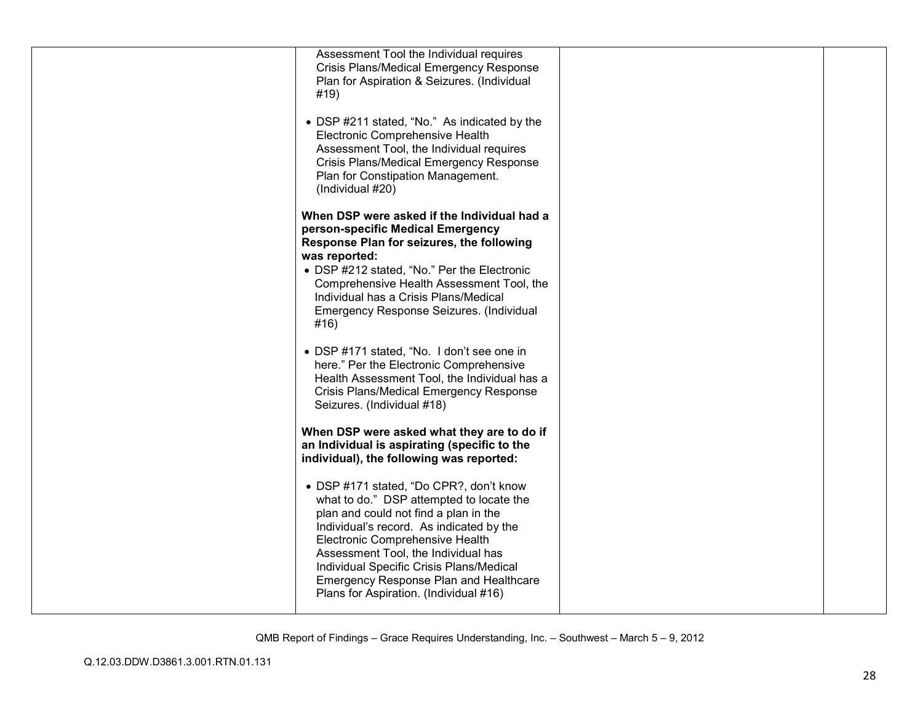| Assessment Tool the Individual requires<br>Crisis Plans/Medical Emergency Response<br>Plan for Aspiration & Seizures. (Individual<br>#19)                                                                                                                                                                                                                                                 |  |
|-------------------------------------------------------------------------------------------------------------------------------------------------------------------------------------------------------------------------------------------------------------------------------------------------------------------------------------------------------------------------------------------|--|
| • DSP #211 stated, "No." As indicated by the<br>Electronic Comprehensive Health<br>Assessment Tool, the Individual requires<br>Crisis Plans/Medical Emergency Response<br>Plan for Constipation Management.<br>(Individual #20)                                                                                                                                                           |  |
| When DSP were asked if the Individual had a<br>person-specific Medical Emergency<br>Response Plan for seizures, the following<br>was reported:<br>• DSP #212 stated, "No." Per the Electronic<br>Comprehensive Health Assessment Tool, the<br>Individual has a Crisis Plans/Medical<br>Emergency Response Seizures. (Individual<br>#16)                                                   |  |
| • DSP #171 stated, "No. I don't see one in<br>here." Per the Electronic Comprehensive<br>Health Assessment Tool, the Individual has a<br>Crisis Plans/Medical Emergency Response<br>Seizures. (Individual #18)                                                                                                                                                                            |  |
| When DSP were asked what they are to do if<br>an Individual is aspirating (specific to the<br>individual), the following was reported:                                                                                                                                                                                                                                                    |  |
| • DSP #171 stated, "Do CPR?, don't know<br>what to do." DSP attempted to locate the<br>plan and could not find a plan in the<br>Individual's record. As indicated by the<br>Electronic Comprehensive Health<br>Assessment Tool, the Individual has<br>Individual Specific Crisis Plans/Medical<br><b>Emergency Response Plan and Healthcare</b><br>Plans for Aspiration. (Individual #16) |  |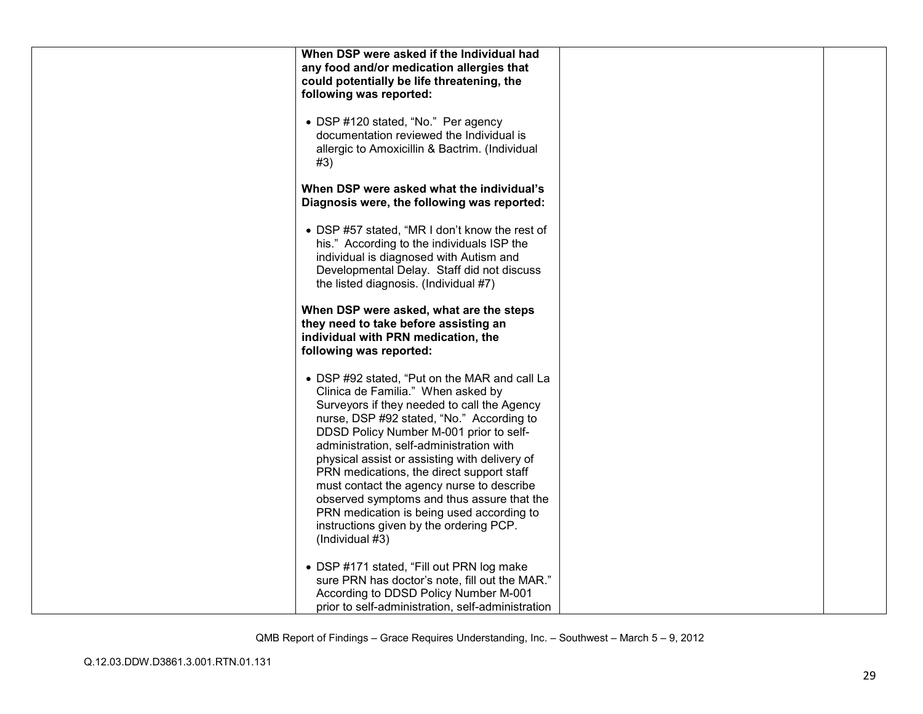| When DSP were asked if the Individual had<br>any food and/or medication allergies that                                                                                                                                                                                                                                                                                                                                                                                                                                                                                     |  |
|----------------------------------------------------------------------------------------------------------------------------------------------------------------------------------------------------------------------------------------------------------------------------------------------------------------------------------------------------------------------------------------------------------------------------------------------------------------------------------------------------------------------------------------------------------------------------|--|
| could potentially be life threatening, the<br>following was reported:                                                                                                                                                                                                                                                                                                                                                                                                                                                                                                      |  |
| • DSP #120 stated, "No." Per agency<br>documentation reviewed the Individual is<br>allergic to Amoxicillin & Bactrim. (Individual<br>#3)                                                                                                                                                                                                                                                                                                                                                                                                                                   |  |
| When DSP were asked what the individual's<br>Diagnosis were, the following was reported:                                                                                                                                                                                                                                                                                                                                                                                                                                                                                   |  |
| • DSP #57 stated, "MR I don't know the rest of<br>his." According to the individuals ISP the<br>individual is diagnosed with Autism and<br>Developmental Delay. Staff did not discuss<br>the listed diagnosis. (Individual #7)                                                                                                                                                                                                                                                                                                                                             |  |
| When DSP were asked, what are the steps<br>they need to take before assisting an<br>individual with PRN medication, the<br>following was reported:                                                                                                                                                                                                                                                                                                                                                                                                                         |  |
| • DSP #92 stated, "Put on the MAR and call La<br>Clinica de Familia." When asked by<br>Surveyors if they needed to call the Agency<br>nurse, DSP #92 stated, "No." According to<br>DDSD Policy Number M-001 prior to self-<br>administration, self-administration with<br>physical assist or assisting with delivery of<br>PRN medications, the direct support staff<br>must contact the agency nurse to describe<br>observed symptoms and thus assure that the<br>PRN medication is being used according to<br>instructions given by the ordering PCP.<br>(Individual #3) |  |
| • DSP #171 stated, "Fill out PRN log make<br>sure PRN has doctor's note, fill out the MAR."<br>According to DDSD Policy Number M-001<br>prior to self-administration, self-administration                                                                                                                                                                                                                                                                                                                                                                                  |  |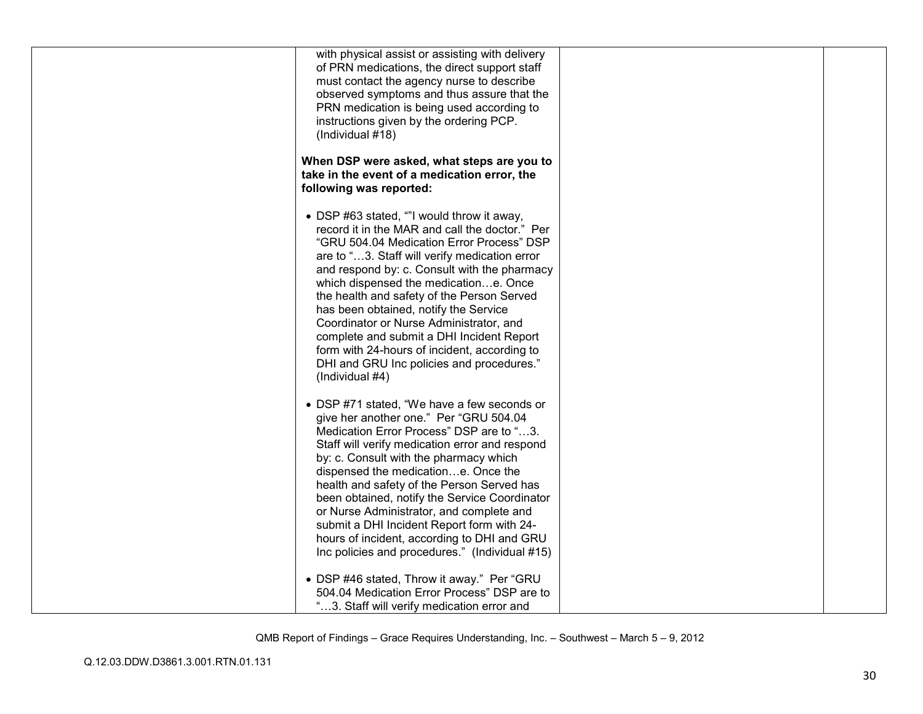| (Individual #18)        | with physical assist or assisting with delivery<br>of PRN medications, the direct support staff<br>must contact the agency nurse to describe<br>observed symptoms and thus assure that the<br>PRN medication is being used according to<br>instructions given by the ordering PCP.                                                                                                                                                                                                                                                                              |
|-------------------------|-----------------------------------------------------------------------------------------------------------------------------------------------------------------------------------------------------------------------------------------------------------------------------------------------------------------------------------------------------------------------------------------------------------------------------------------------------------------------------------------------------------------------------------------------------------------|
| following was reported: | When DSP were asked, what steps are you to<br>take in the event of a medication error, the                                                                                                                                                                                                                                                                                                                                                                                                                                                                      |
| (Individual #4)         | • DSP #63 stated, ""I would throw it away,<br>record it in the MAR and call the doctor." Per<br>"GRU 504.04 Medication Error Process" DSP<br>are to "3. Staff will verify medication error<br>and respond by: c. Consult with the pharmacy<br>which dispensed the medicatione. Once<br>the health and safety of the Person Served<br>has been obtained, notify the Service<br>Coordinator or Nurse Administrator, and<br>complete and submit a DHI Incident Report<br>form with 24-hours of incident, according to<br>DHI and GRU Inc policies and procedures." |
|                         | • DSP #71 stated, "We have a few seconds or<br>give her another one." Per "GRU 504.04<br>Medication Error Process" DSP are to "3.<br>Staff will verify medication error and respond<br>by: c. Consult with the pharmacy which<br>dispensed the medicatione. Once the<br>health and safety of the Person Served has<br>been obtained, notify the Service Coordinator<br>or Nurse Administrator, and complete and<br>submit a DHI Incident Report form with 24-<br>hours of incident, according to DHI and GRU<br>Inc policies and procedures." (Individual #15)  |
|                         | • DSP #46 stated, Throw it away." Per "GRU<br>504.04 Medication Error Process" DSP are to<br>"3. Staff will verify medication error and                                                                                                                                                                                                                                                                                                                                                                                                                         |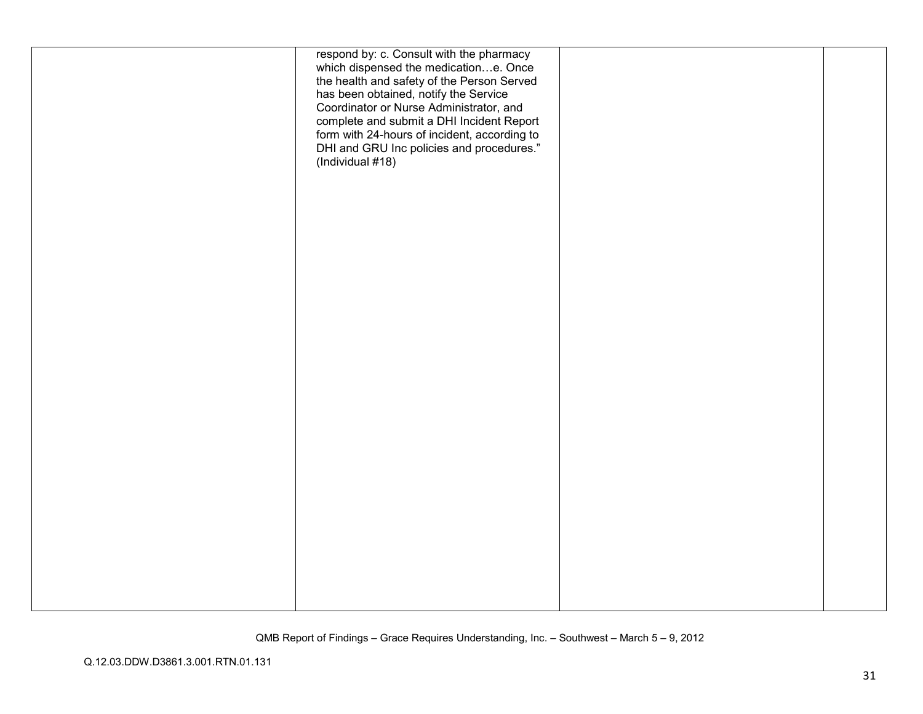| respond by: c. Consult with the pharmacy<br>which dispensed the medicatione. Once<br>the health and safety of the Person Served<br>has been obtained, notify the Service<br>Coordinator or Nurse Administrator, and<br>complete and submit a DHI Incident Report<br>form with 24-hours of incident, according to<br>DHI and GRU Inc policies and procedures."<br>(Individual #18) |  |
|-----------------------------------------------------------------------------------------------------------------------------------------------------------------------------------------------------------------------------------------------------------------------------------------------------------------------------------------------------------------------------------|--|
|                                                                                                                                                                                                                                                                                                                                                                                   |  |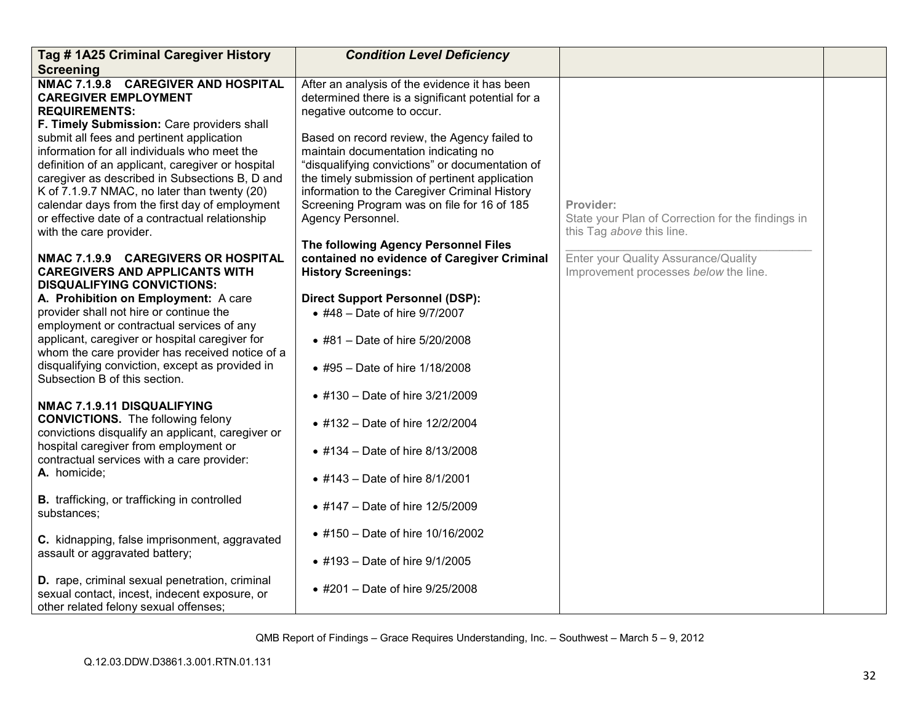| Tag #1A25 Criminal Caregiver History                                                                                                                                                                                                                                                                                                                                             | <b>Condition Level Deficiency</b>                                                                                                                                                                                                                                                                              |                                                                                             |  |
|----------------------------------------------------------------------------------------------------------------------------------------------------------------------------------------------------------------------------------------------------------------------------------------------------------------------------------------------------------------------------------|----------------------------------------------------------------------------------------------------------------------------------------------------------------------------------------------------------------------------------------------------------------------------------------------------------------|---------------------------------------------------------------------------------------------|--|
| <b>Screening</b>                                                                                                                                                                                                                                                                                                                                                                 |                                                                                                                                                                                                                                                                                                                |                                                                                             |  |
| NMAC 7.1.9.8 CAREGIVER AND HOSPITAL<br><b>CAREGIVER EMPLOYMENT</b><br><b>REQUIREMENTS:</b><br>F. Timely Submission: Care providers shall                                                                                                                                                                                                                                         | After an analysis of the evidence it has been<br>determined there is a significant potential for a<br>negative outcome to occur.                                                                                                                                                                               |                                                                                             |  |
| submit all fees and pertinent application<br>information for all individuals who meet the<br>definition of an applicant, caregiver or hospital<br>caregiver as described in Subsections B, D and<br>K of 7.1.9.7 NMAC, no later than twenty (20)<br>calendar days from the first day of employment<br>or effective date of a contractual relationship<br>with the care provider. | Based on record review, the Agency failed to<br>maintain documentation indicating no<br>"disqualifying convictions" or documentation of<br>the timely submission of pertinent application<br>information to the Caregiver Criminal History<br>Screening Program was on file for 16 of 185<br>Agency Personnel. | Provider:<br>State your Plan of Correction for the findings in<br>this Tag above this line. |  |
| NMAC 7.1.9.9 CAREGIVERS OR HOSPITAL<br><b>CAREGIVERS AND APPLICANTS WITH</b><br><b>DISQUALIFYING CONVICTIONS:</b>                                                                                                                                                                                                                                                                | The following Agency Personnel Files<br>contained no evidence of Caregiver Criminal<br><b>History Screenings:</b>                                                                                                                                                                                              | Enter your Quality Assurance/Quality<br>Improvement processes below the line.               |  |
| A. Prohibition on Employment: A care                                                                                                                                                                                                                                                                                                                                             | <b>Direct Support Personnel (DSP):</b>                                                                                                                                                                                                                                                                         |                                                                                             |  |
| provider shall not hire or continue the<br>employment or contractual services of any                                                                                                                                                                                                                                                                                             | • #48 - Date of hire 9/7/2007                                                                                                                                                                                                                                                                                  |                                                                                             |  |
| applicant, caregiver or hospital caregiver for<br>whom the care provider has received notice of a                                                                                                                                                                                                                                                                                | • #81 - Date of hire 5/20/2008                                                                                                                                                                                                                                                                                 |                                                                                             |  |
| disqualifying conviction, except as provided in<br>Subsection B of this section.                                                                                                                                                                                                                                                                                                 | • #95 - Date of hire 1/18/2008                                                                                                                                                                                                                                                                                 |                                                                                             |  |
| NMAC 7.1.9.11 DISQUALIFYING                                                                                                                                                                                                                                                                                                                                                      | • #130 - Date of hire 3/21/2009                                                                                                                                                                                                                                                                                |                                                                                             |  |
| <b>CONVICTIONS.</b> The following felony<br>convictions disqualify an applicant, caregiver or                                                                                                                                                                                                                                                                                    | • #132 – Date of hire 12/2/2004                                                                                                                                                                                                                                                                                |                                                                                             |  |
| hospital caregiver from employment or<br>contractual services with a care provider:                                                                                                                                                                                                                                                                                              | • #134 - Date of hire 8/13/2008                                                                                                                                                                                                                                                                                |                                                                                             |  |
| A. homicide;                                                                                                                                                                                                                                                                                                                                                                     | • #143 - Date of hire 8/1/2001                                                                                                                                                                                                                                                                                 |                                                                                             |  |
| <b>B.</b> trafficking, or trafficking in controlled<br>substances;                                                                                                                                                                                                                                                                                                               | • #147 - Date of hire 12/5/2009                                                                                                                                                                                                                                                                                |                                                                                             |  |
| C. kidnapping, false imprisonment, aggravated                                                                                                                                                                                                                                                                                                                                    | • #150 - Date of hire 10/16/2002                                                                                                                                                                                                                                                                               |                                                                                             |  |
| assault or aggravated battery;                                                                                                                                                                                                                                                                                                                                                   | • #193 - Date of hire 9/1/2005                                                                                                                                                                                                                                                                                 |                                                                                             |  |
| D. rape, criminal sexual penetration, criminal<br>sexual contact, incest, indecent exposure, or<br>other related felony sexual offenses;                                                                                                                                                                                                                                         | • #201 - Date of hire 9/25/2008                                                                                                                                                                                                                                                                                |                                                                                             |  |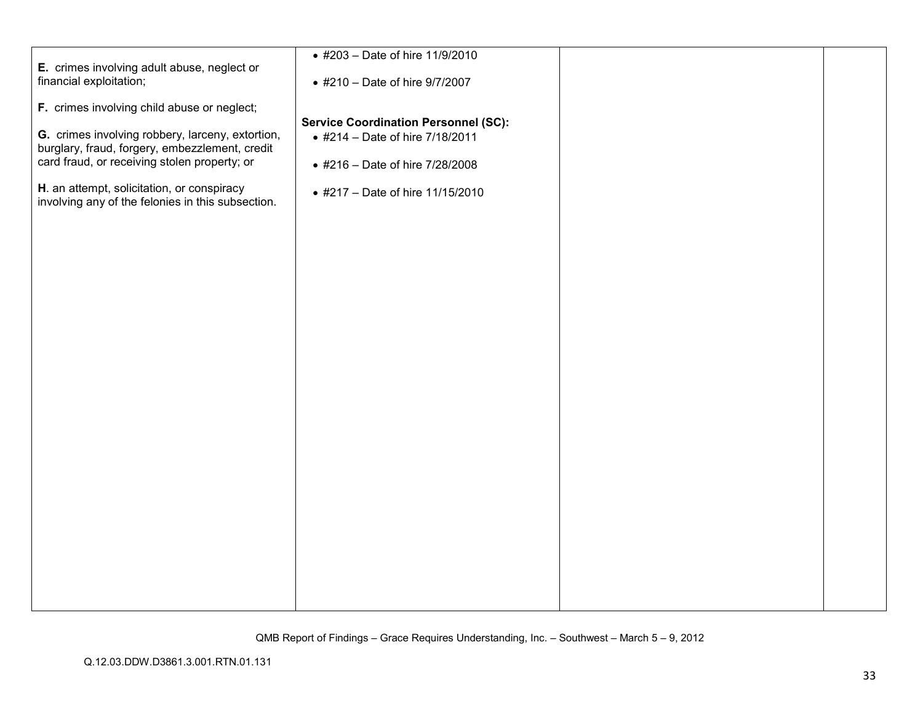|                                                                                                 | • #203 - Date of hire 11/9/2010             |  |
|-------------------------------------------------------------------------------------------------|---------------------------------------------|--|
| E. crimes involving adult abuse, neglect or                                                     |                                             |  |
| financial exploitation;                                                                         | • #210 - Date of hire 9/7/2007              |  |
|                                                                                                 |                                             |  |
| F. crimes involving child abuse or neglect;                                                     |                                             |  |
|                                                                                                 | <b>Service Coordination Personnel (SC):</b> |  |
| G. crimes involving robbery, larceny, extortion,                                                | • #214 - Date of hire 7/18/2011             |  |
| burglary, fraud, forgery, embezzlement, credit                                                  |                                             |  |
| card fraud, or receiving stolen property; or                                                    | • #216 - Date of hire 7/28/2008             |  |
|                                                                                                 |                                             |  |
| H. an attempt, solicitation, or conspiracy<br>involving any of the felonies in this subsection. | • #217 - Date of hire 11/15/2010            |  |
|                                                                                                 |                                             |  |
|                                                                                                 |                                             |  |
|                                                                                                 |                                             |  |
|                                                                                                 |                                             |  |
|                                                                                                 |                                             |  |
|                                                                                                 |                                             |  |
|                                                                                                 |                                             |  |
|                                                                                                 |                                             |  |
|                                                                                                 |                                             |  |
|                                                                                                 |                                             |  |
|                                                                                                 |                                             |  |
|                                                                                                 |                                             |  |
|                                                                                                 |                                             |  |
|                                                                                                 |                                             |  |
|                                                                                                 |                                             |  |
|                                                                                                 |                                             |  |
|                                                                                                 |                                             |  |
|                                                                                                 |                                             |  |
|                                                                                                 |                                             |  |
|                                                                                                 |                                             |  |
|                                                                                                 |                                             |  |
|                                                                                                 |                                             |  |
|                                                                                                 |                                             |  |
|                                                                                                 |                                             |  |
|                                                                                                 |                                             |  |
|                                                                                                 |                                             |  |
|                                                                                                 |                                             |  |
|                                                                                                 |                                             |  |
|                                                                                                 |                                             |  |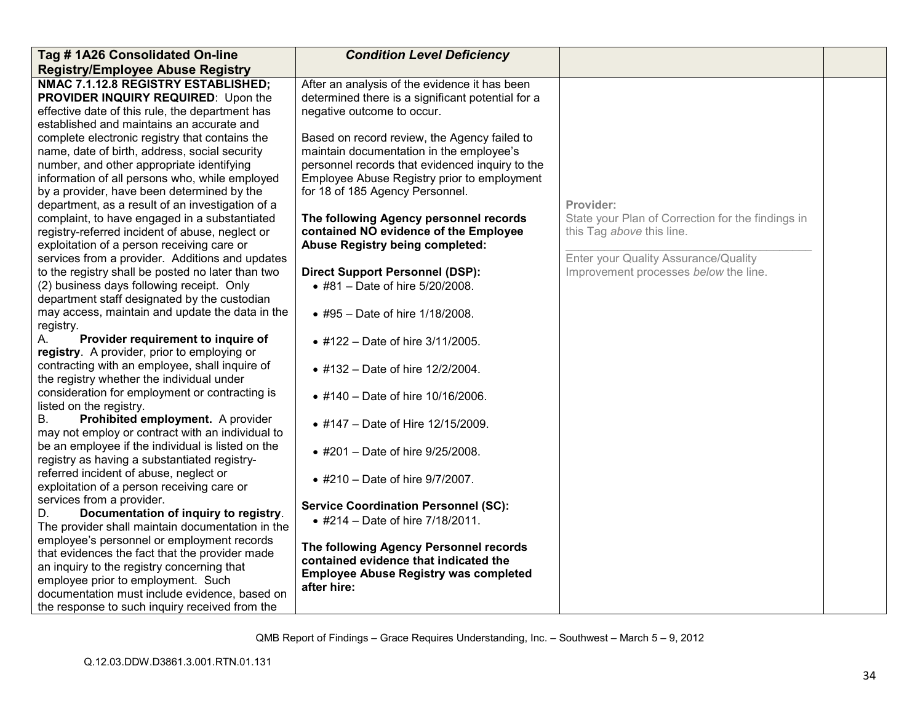| Tag #1A26 Consolidated On-line                                                               | <b>Condition Level Deficiency</b>                           |                                                   |  |
|----------------------------------------------------------------------------------------------|-------------------------------------------------------------|---------------------------------------------------|--|
| <b>Registry/Employee Abuse Registry</b>                                                      |                                                             |                                                   |  |
| NMAC 7.1.12.8 REGISTRY ESTABLISHED;                                                          | After an analysis of the evidence it has been               |                                                   |  |
| PROVIDER INQUIRY REQUIRED: Upon the                                                          | determined there is a significant potential for a           |                                                   |  |
| effective date of this rule, the department has<br>established and maintains an accurate and | negative outcome to occur.                                  |                                                   |  |
| complete electronic registry that contains the                                               | Based on record review, the Agency failed to                |                                                   |  |
| name, date of birth, address, social security                                                | maintain documentation in the employee's                    |                                                   |  |
| number, and other appropriate identifying                                                    | personnel records that evidenced inquiry to the             |                                                   |  |
| information of all persons who, while employed                                               | Employee Abuse Registry prior to employment                 |                                                   |  |
| by a provider, have been determined by the                                                   | for 18 of 185 Agency Personnel.                             |                                                   |  |
| department, as a result of an investigation of a                                             |                                                             | Provider:                                         |  |
| complaint, to have engaged in a substantiated                                                | The following Agency personnel records                      | State your Plan of Correction for the findings in |  |
| registry-referred incident of abuse, neglect or                                              | contained NO evidence of the Employee                       | this Tag above this line.                         |  |
| exploitation of a person receiving care or                                                   | <b>Abuse Registry being completed:</b>                      |                                                   |  |
| services from a provider. Additions and updates                                              |                                                             | Enter your Quality Assurance/Quality              |  |
| to the registry shall be posted no later than two                                            | <b>Direct Support Personnel (DSP):</b>                      | Improvement processes below the line.             |  |
| (2) business days following receipt. Only                                                    | • #81 - Date of hire 5/20/2008.                             |                                                   |  |
| department staff designated by the custodian                                                 |                                                             |                                                   |  |
| may access, maintain and update the data in the                                              | • #95 - Date of hire 1/18/2008.                             |                                                   |  |
| registry.<br>Provider requirement to inquire of<br>А.                                        |                                                             |                                                   |  |
| registry. A provider, prior to employing or                                                  | • #122 - Date of hire 3/11/2005.                            |                                                   |  |
| contracting with an employee, shall inquire of                                               | • #132 - Date of hire 12/2/2004.                            |                                                   |  |
| the registry whether the individual under                                                    |                                                             |                                                   |  |
| consideration for employment or contracting is                                               | • #140 - Date of hire 10/16/2006.                           |                                                   |  |
| listed on the registry.                                                                      |                                                             |                                                   |  |
| Prohibited employment. A provider<br>В.                                                      | • #147 – Date of Hire 12/15/2009.                           |                                                   |  |
| may not employ or contract with an individual to                                             |                                                             |                                                   |  |
| be an employee if the individual is listed on the                                            | • #201 - Date of hire 9/25/2008.                            |                                                   |  |
| registry as having a substantiated registry-                                                 |                                                             |                                                   |  |
| referred incident of abuse, neglect or<br>exploitation of a person receiving care or         | • #210 - Date of hire 9/7/2007.                             |                                                   |  |
| services from a provider.                                                                    |                                                             |                                                   |  |
| Documentation of inquiry to registry.<br>D.                                                  | <b>Service Coordination Personnel (SC):</b>                 |                                                   |  |
| The provider shall maintain documentation in the                                             | • #214 - Date of hire 7/18/2011.                            |                                                   |  |
| employee's personnel or employment records                                                   |                                                             |                                                   |  |
| that evidences the fact that the provider made                                               | The following Agency Personnel records                      |                                                   |  |
| an inquiry to the registry concerning that                                                   | contained evidence that indicated the                       |                                                   |  |
| employee prior to employment. Such                                                           | <b>Employee Abuse Registry was completed</b><br>after hire: |                                                   |  |
| documentation must include evidence, based on                                                |                                                             |                                                   |  |
| the response to such inquiry received from the                                               |                                                             |                                                   |  |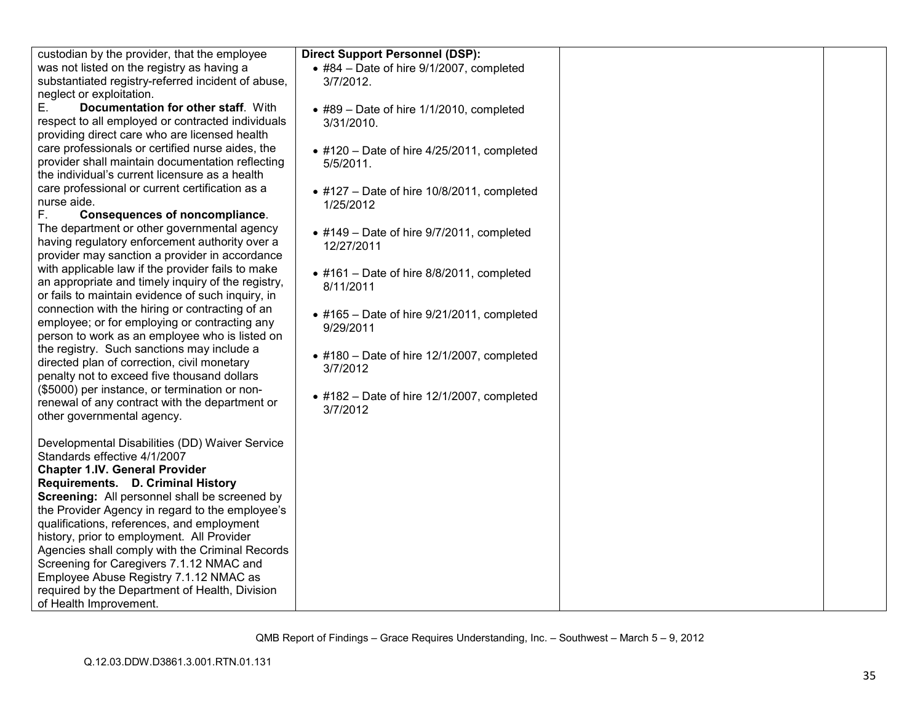| custodian by the provider, that the employee                                                                                                                                                                                                                                                                                                                                                                                                                                                                                                                                                                                                                                                                                                                                                                                                                                                                                                                                                                                                                                                                                                                                                                                                                                                                                                                                                                                                                                                                       |
|--------------------------------------------------------------------------------------------------------------------------------------------------------------------------------------------------------------------------------------------------------------------------------------------------------------------------------------------------------------------------------------------------------------------------------------------------------------------------------------------------------------------------------------------------------------------------------------------------------------------------------------------------------------------------------------------------------------------------------------------------------------------------------------------------------------------------------------------------------------------------------------------------------------------------------------------------------------------------------------------------------------------------------------------------------------------------------------------------------------------------------------------------------------------------------------------------------------------------------------------------------------------------------------------------------------------------------------------------------------------------------------------------------------------------------------------------------------------------------------------------------------------|
|                                                                                                                                                                                                                                                                                                                                                                                                                                                                                                                                                                                                                                                                                                                                                                                                                                                                                                                                                                                                                                                                                                                                                                                                                                                                                                                                                                                                                                                                                                                    |
| was not listed on the registry as having a                                                                                                                                                                                                                                                                                                                                                                                                                                                                                                                                                                                                                                                                                                                                                                                                                                                                                                                                                                                                                                                                                                                                                                                                                                                                                                                                                                                                                                                                         |
|                                                                                                                                                                                                                                                                                                                                                                                                                                                                                                                                                                                                                                                                                                                                                                                                                                                                                                                                                                                                                                                                                                                                                                                                                                                                                                                                                                                                                                                                                                                    |
|                                                                                                                                                                                                                                                                                                                                                                                                                                                                                                                                                                                                                                                                                                                                                                                                                                                                                                                                                                                                                                                                                                                                                                                                                                                                                                                                                                                                                                                                                                                    |
|                                                                                                                                                                                                                                                                                                                                                                                                                                                                                                                                                                                                                                                                                                                                                                                                                                                                                                                                                                                                                                                                                                                                                                                                                                                                                                                                                                                                                                                                                                                    |
|                                                                                                                                                                                                                                                                                                                                                                                                                                                                                                                                                                                                                                                                                                                                                                                                                                                                                                                                                                                                                                                                                                                                                                                                                                                                                                                                                                                                                                                                                                                    |
|                                                                                                                                                                                                                                                                                                                                                                                                                                                                                                                                                                                                                                                                                                                                                                                                                                                                                                                                                                                                                                                                                                                                                                                                                                                                                                                                                                                                                                                                                                                    |
| care professionals or certified nurse aides, the                                                                                                                                                                                                                                                                                                                                                                                                                                                                                                                                                                                                                                                                                                                                                                                                                                                                                                                                                                                                                                                                                                                                                                                                                                                                                                                                                                                                                                                                   |
| provider shall maintain documentation reflecting                                                                                                                                                                                                                                                                                                                                                                                                                                                                                                                                                                                                                                                                                                                                                                                                                                                                                                                                                                                                                                                                                                                                                                                                                                                                                                                                                                                                                                                                   |
|                                                                                                                                                                                                                                                                                                                                                                                                                                                                                                                                                                                                                                                                                                                                                                                                                                                                                                                                                                                                                                                                                                                                                                                                                                                                                                                                                                                                                                                                                                                    |
|                                                                                                                                                                                                                                                                                                                                                                                                                                                                                                                                                                                                                                                                                                                                                                                                                                                                                                                                                                                                                                                                                                                                                                                                                                                                                                                                                                                                                                                                                                                    |
|                                                                                                                                                                                                                                                                                                                                                                                                                                                                                                                                                                                                                                                                                                                                                                                                                                                                                                                                                                                                                                                                                                                                                                                                                                                                                                                                                                                                                                                                                                                    |
|                                                                                                                                                                                                                                                                                                                                                                                                                                                                                                                                                                                                                                                                                                                                                                                                                                                                                                                                                                                                                                                                                                                                                                                                                                                                                                                                                                                                                                                                                                                    |
|                                                                                                                                                                                                                                                                                                                                                                                                                                                                                                                                                                                                                                                                                                                                                                                                                                                                                                                                                                                                                                                                                                                                                                                                                                                                                                                                                                                                                                                                                                                    |
|                                                                                                                                                                                                                                                                                                                                                                                                                                                                                                                                                                                                                                                                                                                                                                                                                                                                                                                                                                                                                                                                                                                                                                                                                                                                                                                                                                                                                                                                                                                    |
|                                                                                                                                                                                                                                                                                                                                                                                                                                                                                                                                                                                                                                                                                                                                                                                                                                                                                                                                                                                                                                                                                                                                                                                                                                                                                                                                                                                                                                                                                                                    |
|                                                                                                                                                                                                                                                                                                                                                                                                                                                                                                                                                                                                                                                                                                                                                                                                                                                                                                                                                                                                                                                                                                                                                                                                                                                                                                                                                                                                                                                                                                                    |
|                                                                                                                                                                                                                                                                                                                                                                                                                                                                                                                                                                                                                                                                                                                                                                                                                                                                                                                                                                                                                                                                                                                                                                                                                                                                                                                                                                                                                                                                                                                    |
|                                                                                                                                                                                                                                                                                                                                                                                                                                                                                                                                                                                                                                                                                                                                                                                                                                                                                                                                                                                                                                                                                                                                                                                                                                                                                                                                                                                                                                                                                                                    |
|                                                                                                                                                                                                                                                                                                                                                                                                                                                                                                                                                                                                                                                                                                                                                                                                                                                                                                                                                                                                                                                                                                                                                                                                                                                                                                                                                                                                                                                                                                                    |
|                                                                                                                                                                                                                                                                                                                                                                                                                                                                                                                                                                                                                                                                                                                                                                                                                                                                                                                                                                                                                                                                                                                                                                                                                                                                                                                                                                                                                                                                                                                    |
|                                                                                                                                                                                                                                                                                                                                                                                                                                                                                                                                                                                                                                                                                                                                                                                                                                                                                                                                                                                                                                                                                                                                                                                                                                                                                                                                                                                                                                                                                                                    |
|                                                                                                                                                                                                                                                                                                                                                                                                                                                                                                                                                                                                                                                                                                                                                                                                                                                                                                                                                                                                                                                                                                                                                                                                                                                                                                                                                                                                                                                                                                                    |
|                                                                                                                                                                                                                                                                                                                                                                                                                                                                                                                                                                                                                                                                                                                                                                                                                                                                                                                                                                                                                                                                                                                                                                                                                                                                                                                                                                                                                                                                                                                    |
|                                                                                                                                                                                                                                                                                                                                                                                                                                                                                                                                                                                                                                                                                                                                                                                                                                                                                                                                                                                                                                                                                                                                                                                                                                                                                                                                                                                                                                                                                                                    |
|                                                                                                                                                                                                                                                                                                                                                                                                                                                                                                                                                                                                                                                                                                                                                                                                                                                                                                                                                                                                                                                                                                                                                                                                                                                                                                                                                                                                                                                                                                                    |
|                                                                                                                                                                                                                                                                                                                                                                                                                                                                                                                                                                                                                                                                                                                                                                                                                                                                                                                                                                                                                                                                                                                                                                                                                                                                                                                                                                                                                                                                                                                    |
|                                                                                                                                                                                                                                                                                                                                                                                                                                                                                                                                                                                                                                                                                                                                                                                                                                                                                                                                                                                                                                                                                                                                                                                                                                                                                                                                                                                                                                                                                                                    |
|                                                                                                                                                                                                                                                                                                                                                                                                                                                                                                                                                                                                                                                                                                                                                                                                                                                                                                                                                                                                                                                                                                                                                                                                                                                                                                                                                                                                                                                                                                                    |
|                                                                                                                                                                                                                                                                                                                                                                                                                                                                                                                                                                                                                                                                                                                                                                                                                                                                                                                                                                                                                                                                                                                                                                                                                                                                                                                                                                                                                                                                                                                    |
| Developmental Disabilities (DD) Waiver Service                                                                                                                                                                                                                                                                                                                                                                                                                                                                                                                                                                                                                                                                                                                                                                                                                                                                                                                                                                                                                                                                                                                                                                                                                                                                                                                                                                                                                                                                     |
| Standards effective 4/1/2007                                                                                                                                                                                                                                                                                                                                                                                                                                                                                                                                                                                                                                                                                                                                                                                                                                                                                                                                                                                                                                                                                                                                                                                                                                                                                                                                                                                                                                                                                       |
| <b>Chapter 1.IV. General Provider</b>                                                                                                                                                                                                                                                                                                                                                                                                                                                                                                                                                                                                                                                                                                                                                                                                                                                                                                                                                                                                                                                                                                                                                                                                                                                                                                                                                                                                                                                                              |
| Requirements. D. Criminal History                                                                                                                                                                                                                                                                                                                                                                                                                                                                                                                                                                                                                                                                                                                                                                                                                                                                                                                                                                                                                                                                                                                                                                                                                                                                                                                                                                                                                                                                                  |
| Screening: All personnel shall be screened by                                                                                                                                                                                                                                                                                                                                                                                                                                                                                                                                                                                                                                                                                                                                                                                                                                                                                                                                                                                                                                                                                                                                                                                                                                                                                                                                                                                                                                                                      |
|                                                                                                                                                                                                                                                                                                                                                                                                                                                                                                                                                                                                                                                                                                                                                                                                                                                                                                                                                                                                                                                                                                                                                                                                                                                                                                                                                                                                                                                                                                                    |
|                                                                                                                                                                                                                                                                                                                                                                                                                                                                                                                                                                                                                                                                                                                                                                                                                                                                                                                                                                                                                                                                                                                                                                                                                                                                                                                                                                                                                                                                                                                    |
|                                                                                                                                                                                                                                                                                                                                                                                                                                                                                                                                                                                                                                                                                                                                                                                                                                                                                                                                                                                                                                                                                                                                                                                                                                                                                                                                                                                                                                                                                                                    |
|                                                                                                                                                                                                                                                                                                                                                                                                                                                                                                                                                                                                                                                                                                                                                                                                                                                                                                                                                                                                                                                                                                                                                                                                                                                                                                                                                                                                                                                                                                                    |
|                                                                                                                                                                                                                                                                                                                                                                                                                                                                                                                                                                                                                                                                                                                                                                                                                                                                                                                                                                                                                                                                                                                                                                                                                                                                                                                                                                                                                                                                                                                    |
|                                                                                                                                                                                                                                                                                                                                                                                                                                                                                                                                                                                                                                                                                                                                                                                                                                                                                                                                                                                                                                                                                                                                                                                                                                                                                                                                                                                                                                                                                                                    |
|                                                                                                                                                                                                                                                                                                                                                                                                                                                                                                                                                                                                                                                                                                                                                                                                                                                                                                                                                                                                                                                                                                                                                                                                                                                                                                                                                                                                                                                                                                                    |
|                                                                                                                                                                                                                                                                                                                                                                                                                                                                                                                                                                                                                                                                                                                                                                                                                                                                                                                                                                                                                                                                                                                                                                                                                                                                                                                                                                                                                                                                                                                    |
| substantiated registry-referred incident of abuse,<br>neglect or exploitation.<br>Documentation for other staff. With<br>respect to all employed or contracted individuals<br>providing direct care who are licensed health<br>the individual's current licensure as a health<br>care professional or current certification as a<br>nurse aide.<br><b>Consequences of noncompliance.</b><br>The department or other governmental agency<br>having regulatory enforcement authority over a<br>provider may sanction a provider in accordance<br>with applicable law if the provider fails to make<br>an appropriate and timely inquiry of the registry,<br>or fails to maintain evidence of such inquiry, in<br>connection with the hiring or contracting of an<br>employee; or for employing or contracting any<br>person to work as an employee who is listed on<br>the registry. Such sanctions may include a<br>directed plan of correction, civil monetary<br>penalty not to exceed five thousand dollars<br>(\$5000) per instance, or termination or non-<br>renewal of any contract with the department or<br>other governmental agency.<br>the Provider Agency in regard to the employee's<br>qualifications, references, and employment<br>history, prior to employment. All Provider<br>Agencies shall comply with the Criminal Records<br>Screening for Caregivers 7.1.12 NMAC and<br>Employee Abuse Registry 7.1.12 NMAC as<br>required by the Department of Health, Division<br>of Health Improvement. |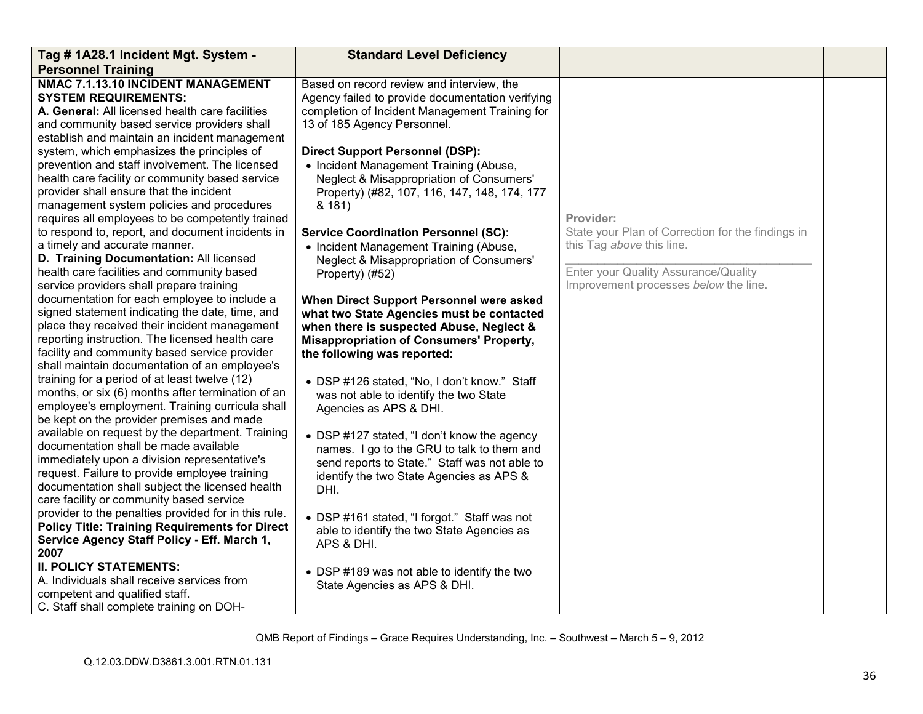| Tag # 1A28.1 Incident Mgt. System -                                                                                                                                                                                                                                                                                                                                                                                                                                                                                                                                                                                                                                                                                                                                                                                                                                                                                                                                                                                                                                                                                                                                                                                                                                                                                                                                                                                                                                                                                                                                                                                                                                                                                                                                                                                                                                                                                         | <b>Standard Level Deficiency</b>                                                                                                                                                                                                                                                                                                                                                                                                                                                                                                                                                                                                                                                                                                                                                                                                                                                                                                                                                                                                                                                                                                                                                                                                                                         |                                                                                                                                                                              |  |
|-----------------------------------------------------------------------------------------------------------------------------------------------------------------------------------------------------------------------------------------------------------------------------------------------------------------------------------------------------------------------------------------------------------------------------------------------------------------------------------------------------------------------------------------------------------------------------------------------------------------------------------------------------------------------------------------------------------------------------------------------------------------------------------------------------------------------------------------------------------------------------------------------------------------------------------------------------------------------------------------------------------------------------------------------------------------------------------------------------------------------------------------------------------------------------------------------------------------------------------------------------------------------------------------------------------------------------------------------------------------------------------------------------------------------------------------------------------------------------------------------------------------------------------------------------------------------------------------------------------------------------------------------------------------------------------------------------------------------------------------------------------------------------------------------------------------------------------------------------------------------------------------------------------------------------|--------------------------------------------------------------------------------------------------------------------------------------------------------------------------------------------------------------------------------------------------------------------------------------------------------------------------------------------------------------------------------------------------------------------------------------------------------------------------------------------------------------------------------------------------------------------------------------------------------------------------------------------------------------------------------------------------------------------------------------------------------------------------------------------------------------------------------------------------------------------------------------------------------------------------------------------------------------------------------------------------------------------------------------------------------------------------------------------------------------------------------------------------------------------------------------------------------------------------------------------------------------------------|------------------------------------------------------------------------------------------------------------------------------------------------------------------------------|--|
| <b>Personnel Training</b><br>NMAC 7.1.13.10 INCIDENT MANAGEMENT<br><b>SYSTEM REQUIREMENTS:</b><br>A. General: All licensed health care facilities<br>and community based service providers shall<br>establish and maintain an incident management<br>system, which emphasizes the principles of<br>prevention and staff involvement. The licensed<br>health care facility or community based service<br>provider shall ensure that the incident<br>management system policies and procedures<br>requires all employees to be competently trained<br>to respond to, report, and document incidents in<br>a timely and accurate manner.<br>D. Training Documentation: All licensed<br>health care facilities and community based<br>service providers shall prepare training<br>documentation for each employee to include a<br>signed statement indicating the date, time, and<br>place they received their incident management<br>reporting instruction. The licensed health care<br>facility and community based service provider<br>shall maintain documentation of an employee's<br>training for a period of at least twelve (12)<br>months, or six (6) months after termination of an<br>employee's employment. Training curricula shall<br>be kept on the provider premises and made<br>available on request by the department. Training<br>documentation shall be made available<br>immediately upon a division representative's<br>request. Failure to provide employee training<br>documentation shall subject the licensed health<br>care facility or community based service<br>provider to the penalties provided for in this rule.<br><b>Policy Title: Training Requirements for Direct</b><br>Service Agency Staff Policy - Eff. March 1,<br>2007<br><b>II. POLICY STATEMENTS:</b><br>A. Individuals shall receive services from<br>competent and qualified staff.<br>C. Staff shall complete training on DOH- | Based on record review and interview, the<br>Agency failed to provide documentation verifying<br>completion of Incident Management Training for<br>13 of 185 Agency Personnel.<br><b>Direct Support Personnel (DSP):</b><br>• Incident Management Training (Abuse,<br>Neglect & Misappropriation of Consumers'<br>Property) (#82, 107, 116, 147, 148, 174, 177<br>& 181)<br><b>Service Coordination Personnel (SC):</b><br>• Incident Management Training (Abuse,<br>Neglect & Misappropriation of Consumers'<br>Property) (#52)<br>When Direct Support Personnel were asked<br>what two State Agencies must be contacted<br>when there is suspected Abuse, Neglect &<br><b>Misappropriation of Consumers' Property,</b><br>the following was reported:<br>• DSP #126 stated, "No, I don't know." Staff<br>was not able to identify the two State<br>Agencies as APS & DHI.<br>• DSP #127 stated, "I don't know the agency<br>names. I go to the GRU to talk to them and<br>send reports to State." Staff was not able to<br>identify the two State Agencies as APS &<br>DHI.<br>• DSP #161 stated, "I forgot." Staff was not<br>able to identify the two State Agencies as<br>APS & DHI.<br>• DSP #189 was not able to identify the two<br>State Agencies as APS & DHI. | Provider:<br>State your Plan of Correction for the findings in<br>this Tag above this line.<br>Enter your Quality Assurance/Quality<br>Improvement processes below the line. |  |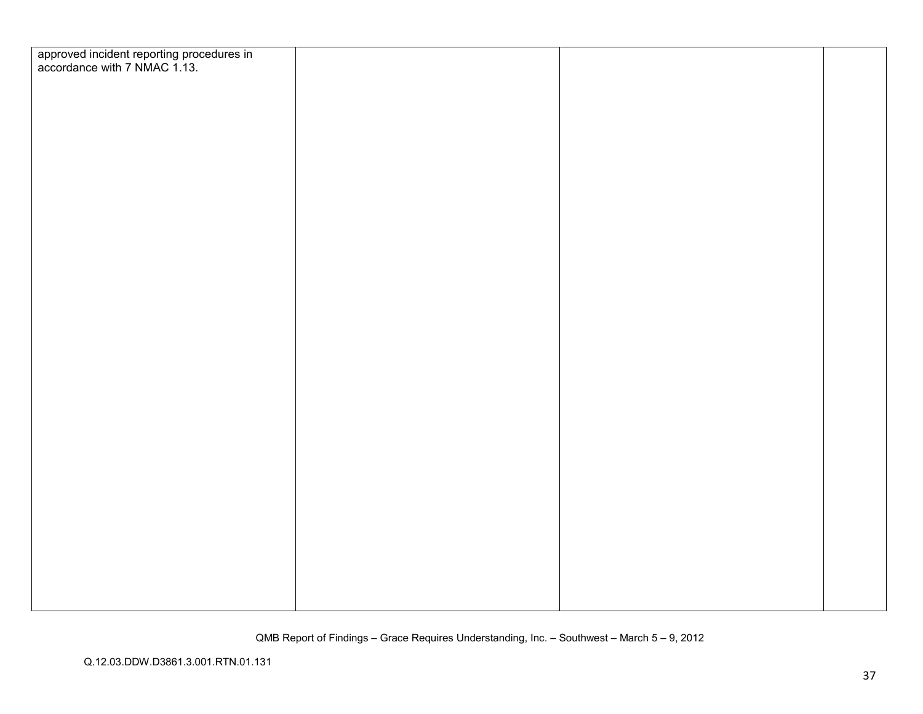| approved incident reporting procedures in<br>accordance with 7 NMAC 1.13. |  |  |
|---------------------------------------------------------------------------|--|--|
|                                                                           |  |  |
|                                                                           |  |  |
|                                                                           |  |  |
|                                                                           |  |  |
|                                                                           |  |  |
|                                                                           |  |  |
|                                                                           |  |  |
|                                                                           |  |  |
|                                                                           |  |  |
|                                                                           |  |  |
|                                                                           |  |  |
|                                                                           |  |  |
|                                                                           |  |  |
|                                                                           |  |  |
|                                                                           |  |  |
|                                                                           |  |  |
|                                                                           |  |  |
|                                                                           |  |  |
|                                                                           |  |  |
|                                                                           |  |  |
|                                                                           |  |  |
|                                                                           |  |  |
|                                                                           |  |  |
|                                                                           |  |  |
|                                                                           |  |  |
|                                                                           |  |  |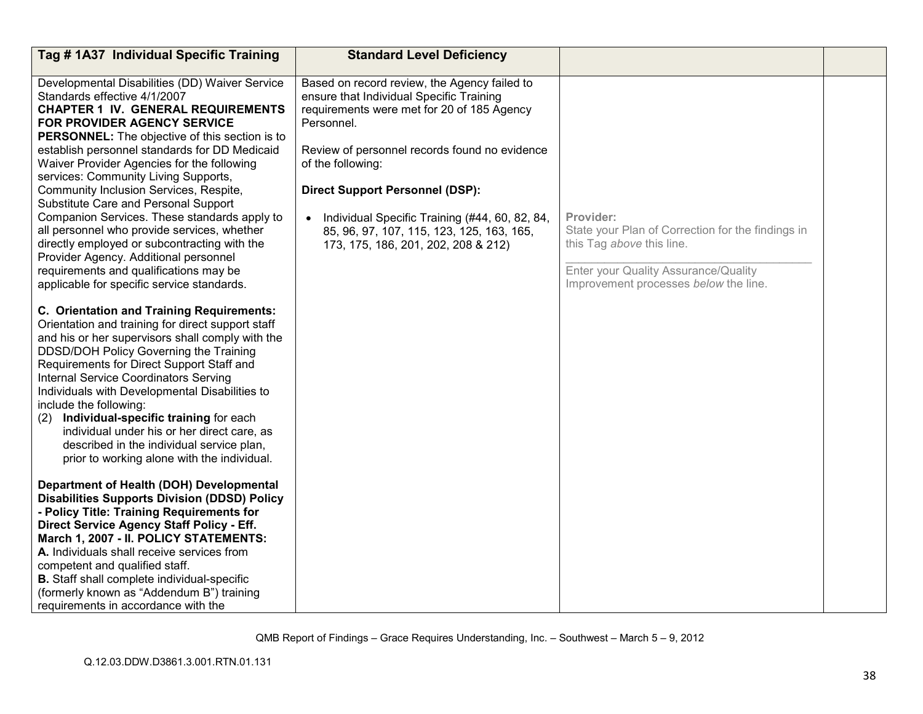| Tag # 1A37 Individual Specific Training                                                                                                                                                                                                                                                                                                                                                                                                                                                                                                                                                                                                                                                                                                                                                                                                                                                                                                                                                                                                                                                                                                                                                                                                                                                   | <b>Standard Level Deficiency</b>                                                                                                                                                                                                                                                                                                                                                                           |                                                                                                                                                                              |  |
|-------------------------------------------------------------------------------------------------------------------------------------------------------------------------------------------------------------------------------------------------------------------------------------------------------------------------------------------------------------------------------------------------------------------------------------------------------------------------------------------------------------------------------------------------------------------------------------------------------------------------------------------------------------------------------------------------------------------------------------------------------------------------------------------------------------------------------------------------------------------------------------------------------------------------------------------------------------------------------------------------------------------------------------------------------------------------------------------------------------------------------------------------------------------------------------------------------------------------------------------------------------------------------------------|------------------------------------------------------------------------------------------------------------------------------------------------------------------------------------------------------------------------------------------------------------------------------------------------------------------------------------------------------------------------------------------------------------|------------------------------------------------------------------------------------------------------------------------------------------------------------------------------|--|
| Developmental Disabilities (DD) Waiver Service<br>Standards effective 4/1/2007<br><b>CHAPTER 1 IV. GENERAL REQUIREMENTS</b><br>FOR PROVIDER AGENCY SERVICE<br>PERSONNEL: The objective of this section is to<br>establish personnel standards for DD Medicaid<br>Waiver Provider Agencies for the following<br>services: Community Living Supports,<br>Community Inclusion Services, Respite,<br>Substitute Care and Personal Support<br>Companion Services. These standards apply to<br>all personnel who provide services, whether<br>directly employed or subcontracting with the<br>Provider Agency. Additional personnel<br>requirements and qualifications may be<br>applicable for specific service standards.<br>C. Orientation and Training Requirements:<br>Orientation and training for direct support staff<br>and his or her supervisors shall comply with the<br>DDSD/DOH Policy Governing the Training<br>Requirements for Direct Support Staff and<br><b>Internal Service Coordinators Serving</b><br>Individuals with Developmental Disabilities to<br>include the following:<br>Individual-specific training for each<br>(2)<br>individual under his or her direct care, as<br>described in the individual service plan,<br>prior to working alone with the individual. | Based on record review, the Agency failed to<br>ensure that Individual Specific Training<br>requirements were met for 20 of 185 Agency<br>Personnel.<br>Review of personnel records found no evidence<br>of the following:<br><b>Direct Support Personnel (DSP):</b><br>Individual Specific Training (#44, 60, 82, 84,<br>85, 96, 97, 107, 115, 123, 125, 163, 165,<br>173, 175, 186, 201, 202, 208 & 212) | Provider:<br>State your Plan of Correction for the findings in<br>this Tag above this line.<br>Enter your Quality Assurance/Quality<br>Improvement processes below the line. |  |
| Department of Health (DOH) Developmental<br><b>Disabilities Supports Division (DDSD) Policy</b><br>- Policy Title: Training Requirements for<br>Direct Service Agency Staff Policy - Eff.<br>March 1, 2007 - II. POLICY STATEMENTS:<br>A. Individuals shall receive services from<br>competent and qualified staff.<br><b>B.</b> Staff shall complete individual-specific<br>(formerly known as "Addendum B") training<br>requirements in accordance with the                                                                                                                                                                                                                                                                                                                                                                                                                                                                                                                                                                                                                                                                                                                                                                                                                             |                                                                                                                                                                                                                                                                                                                                                                                                            |                                                                                                                                                                              |  |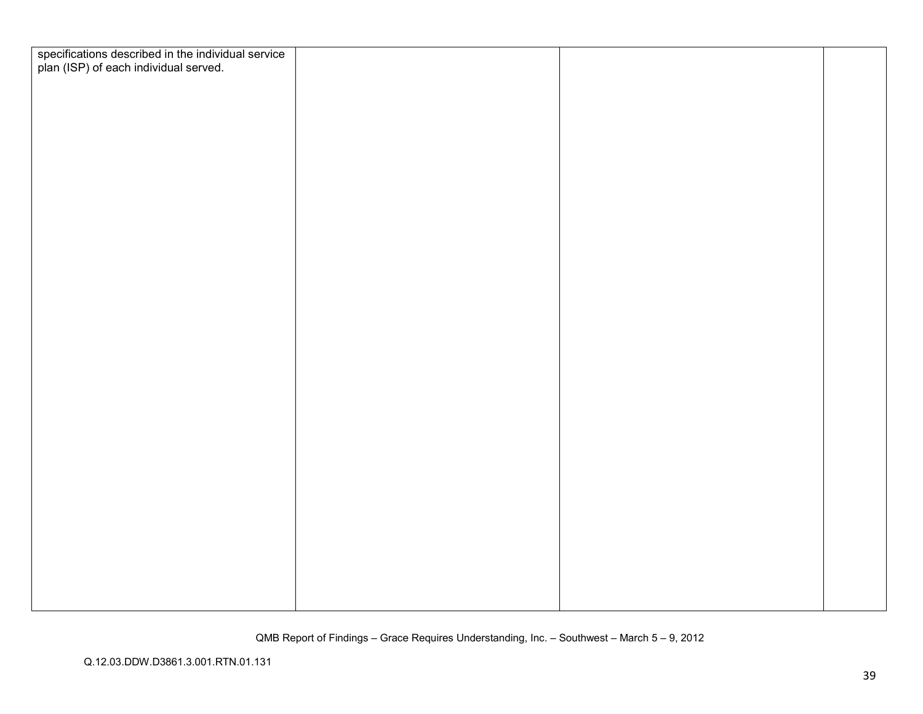| specifications described in the individual service<br>plan (ISP) of each individual served. |  |  |
|---------------------------------------------------------------------------------------------|--|--|
|                                                                                             |  |  |
|                                                                                             |  |  |
|                                                                                             |  |  |
|                                                                                             |  |  |
|                                                                                             |  |  |
|                                                                                             |  |  |
|                                                                                             |  |  |
|                                                                                             |  |  |
|                                                                                             |  |  |
|                                                                                             |  |  |
|                                                                                             |  |  |
|                                                                                             |  |  |
|                                                                                             |  |  |
|                                                                                             |  |  |
|                                                                                             |  |  |
|                                                                                             |  |  |
|                                                                                             |  |  |
|                                                                                             |  |  |
|                                                                                             |  |  |
|                                                                                             |  |  |
|                                                                                             |  |  |
|                                                                                             |  |  |
|                                                                                             |  |  |
|                                                                                             |  |  |
|                                                                                             |  |  |
|                                                                                             |  |  |
|                                                                                             |  |  |
|                                                                                             |  |  |
|                                                                                             |  |  |
|                                                                                             |  |  |
|                                                                                             |  |  |
|                                                                                             |  |  |
|                                                                                             |  |  |
|                                                                                             |  |  |
|                                                                                             |  |  |
|                                                                                             |  |  |
|                                                                                             |  |  |
|                                                                                             |  |  |
|                                                                                             |  |  |
|                                                                                             |  |  |
|                                                                                             |  |  |
|                                                                                             |  |  |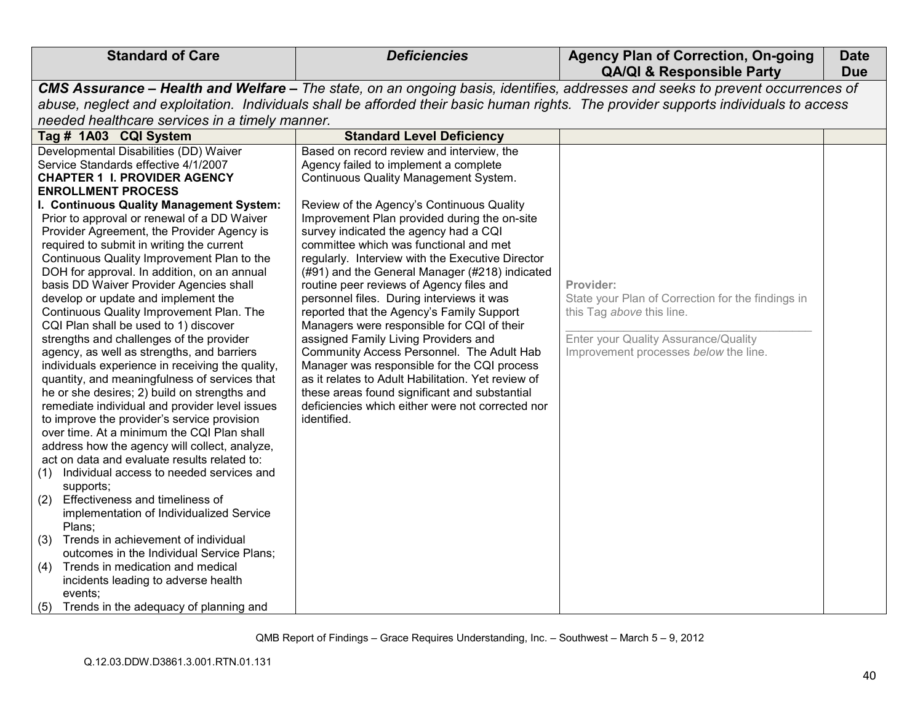| <b>Standard of Care</b>                                                                       | <b>Deficiencies</b>                                                                   | <b>Agency Plan of Correction, On-going</b><br><b>QA/QI &amp; Responsible Party</b>                                                   | <b>Date</b><br><b>Due</b> |
|-----------------------------------------------------------------------------------------------|---------------------------------------------------------------------------------------|--------------------------------------------------------------------------------------------------------------------------------------|---------------------------|
|                                                                                               |                                                                                       | CMS Assurance - Health and Welfare - The state, on an ongoing basis, identifies, addresses and seeks to prevent occurrences of       |                           |
|                                                                                               |                                                                                       | abuse, neglect and exploitation. Individuals shall be afforded their basic human rights. The provider supports individuals to access |                           |
| needed healthcare services in a timely manner.                                                |                                                                                       |                                                                                                                                      |                           |
|                                                                                               |                                                                                       |                                                                                                                                      |                           |
| Tag # 1A03 CQI System                                                                         | <b>Standard Level Deficiency</b>                                                      |                                                                                                                                      |                           |
| Developmental Disabilities (DD) Waiver<br>Service Standards effective 4/1/2007                | Based on record review and interview, the                                             |                                                                                                                                      |                           |
| <b>CHAPTER 1 I. PROVIDER AGENCY</b>                                                           | Agency failed to implement a complete<br><b>Continuous Quality Management System.</b> |                                                                                                                                      |                           |
| <b>ENROLLMENT PROCESS</b>                                                                     |                                                                                       |                                                                                                                                      |                           |
| I. Continuous Quality Management System:                                                      | Review of the Agency's Continuous Quality                                             |                                                                                                                                      |                           |
| Prior to approval or renewal of a DD Waiver                                                   | Improvement Plan provided during the on-site                                          |                                                                                                                                      |                           |
| Provider Agreement, the Provider Agency is                                                    | survey indicated the agency had a CQI                                                 |                                                                                                                                      |                           |
| required to submit in writing the current                                                     | committee which was functional and met                                                |                                                                                                                                      |                           |
| Continuous Quality Improvement Plan to the                                                    | regularly. Interview with the Executive Director                                      |                                                                                                                                      |                           |
| DOH for approval. In addition, on an annual                                                   | (#91) and the General Manager (#218) indicated                                        |                                                                                                                                      |                           |
| basis DD Waiver Provider Agencies shall                                                       | routine peer reviews of Agency files and                                              | Provider:                                                                                                                            |                           |
| develop or update and implement the                                                           | personnel files. During interviews it was                                             | State your Plan of Correction for the findings in                                                                                    |                           |
| Continuous Quality Improvement Plan. The                                                      | reported that the Agency's Family Support                                             | this Tag above this line.                                                                                                            |                           |
| CQI Plan shall be used to 1) discover                                                         | Managers were responsible for CQI of their                                            |                                                                                                                                      |                           |
| strengths and challenges of the provider                                                      | assigned Family Living Providers and                                                  | Enter your Quality Assurance/Quality                                                                                                 |                           |
| agency, as well as strengths, and barriers                                                    | Community Access Personnel. The Adult Hab                                             | Improvement processes below the line.                                                                                                |                           |
| individuals experience in receiving the quality,                                              | Manager was responsible for the CQI process                                           |                                                                                                                                      |                           |
| quantity, and meaningfulness of services that                                                 | as it relates to Adult Habilitation. Yet review of                                    |                                                                                                                                      |                           |
| he or she desires; 2) build on strengths and                                                  | these areas found significant and substantial                                         |                                                                                                                                      |                           |
| remediate individual and provider level issues                                                | deficiencies which either were not corrected nor                                      |                                                                                                                                      |                           |
| to improve the provider's service provision                                                   | identified.                                                                           |                                                                                                                                      |                           |
| over time. At a minimum the CQI Plan shall                                                    |                                                                                       |                                                                                                                                      |                           |
| address how the agency will collect, analyze,<br>act on data and evaluate results related to: |                                                                                       |                                                                                                                                      |                           |
| Individual access to needed services and<br>(1)                                               |                                                                                       |                                                                                                                                      |                           |
| supports;                                                                                     |                                                                                       |                                                                                                                                      |                           |
| Effectiveness and timeliness of<br>(2)                                                        |                                                                                       |                                                                                                                                      |                           |
| implementation of Individualized Service                                                      |                                                                                       |                                                                                                                                      |                           |
| Plans;                                                                                        |                                                                                       |                                                                                                                                      |                           |
| Trends in achievement of individual<br>(3)                                                    |                                                                                       |                                                                                                                                      |                           |
| outcomes in the Individual Service Plans;                                                     |                                                                                       |                                                                                                                                      |                           |
| Trends in medication and medical<br>(4)                                                       |                                                                                       |                                                                                                                                      |                           |
| incidents leading to adverse health                                                           |                                                                                       |                                                                                                                                      |                           |
| events;                                                                                       |                                                                                       |                                                                                                                                      |                           |
| (5) Trends in the adequacy of planning and                                                    |                                                                                       |                                                                                                                                      |                           |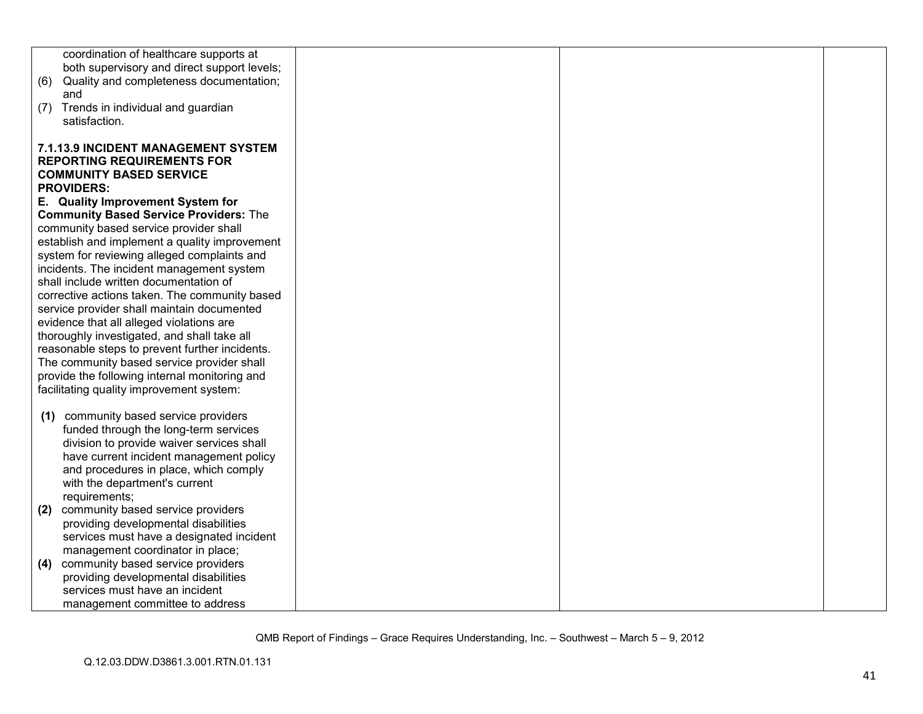| coordination of healthcare supports at         |  |  |
|------------------------------------------------|--|--|
| both supervisory and direct support levels;    |  |  |
|                                                |  |  |
| Quality and completeness documentation;<br>(6) |  |  |
| and                                            |  |  |
| Trends in individual and guardian<br>(7)       |  |  |
| satisfaction.                                  |  |  |
|                                                |  |  |
| 7.1.13.9 INCIDENT MANAGEMENT SYSTEM            |  |  |
| <b>REPORTING REQUIREMENTS FOR</b>              |  |  |
| <b>COMMUNITY BASED SERVICE</b>                 |  |  |
| <b>PROVIDERS:</b>                              |  |  |
| E. Quality Improvement System for              |  |  |
| <b>Community Based Service Providers: The</b>  |  |  |
| community based service provider shall         |  |  |
| establish and implement a quality improvement  |  |  |
| system for reviewing alleged complaints and    |  |  |
| incidents. The incident management system      |  |  |
| shall include written documentation of         |  |  |
| corrective actions taken. The community based  |  |  |
| service provider shall maintain documented     |  |  |
| evidence that all alleged violations are       |  |  |
| thoroughly investigated, and shall take all    |  |  |
| reasonable steps to prevent further incidents. |  |  |
| The community based service provider shall     |  |  |
|                                                |  |  |
| provide the following internal monitoring and  |  |  |
| facilitating quality improvement system:       |  |  |
|                                                |  |  |
| community based service providers<br>(1)       |  |  |
| funded through the long-term services          |  |  |
| division to provide waiver services shall      |  |  |
| have current incident management policy        |  |  |
| and procedures in place, which comply          |  |  |
| with the department's current                  |  |  |
| requirements;                                  |  |  |
| community based service providers<br>(2)       |  |  |
| providing developmental disabilities           |  |  |
| services must have a designated incident       |  |  |
| management coordinator in place;               |  |  |
| community based service providers<br>(4)       |  |  |
| providing developmental disabilities           |  |  |
| services must have an incident                 |  |  |
| management committee to address                |  |  |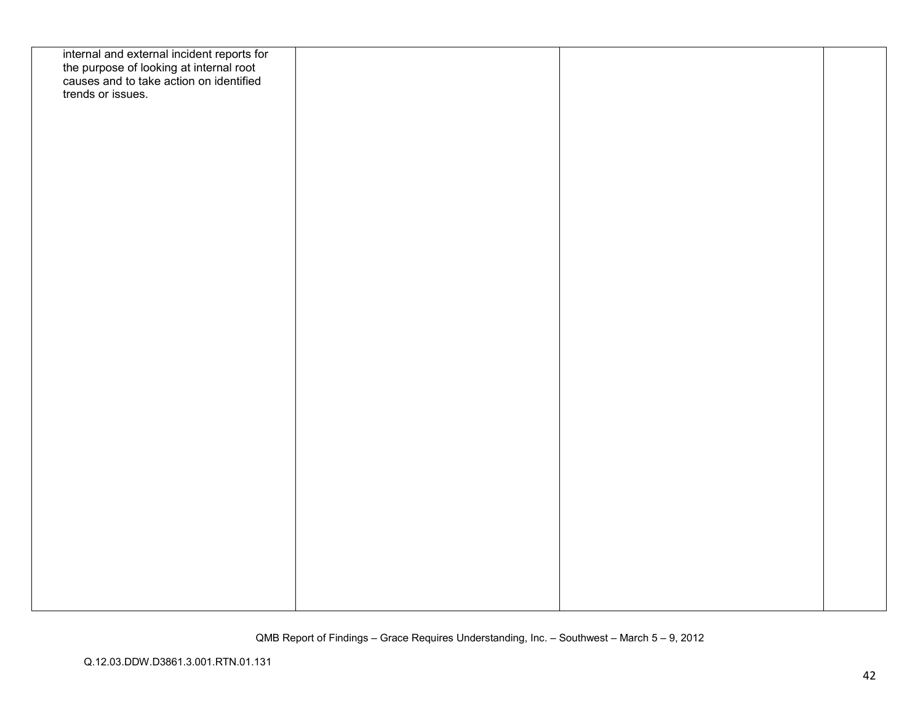| internal and external incident reports for<br>the purpose of looking at internal root<br>causes and to take action on identified |  |  |
|----------------------------------------------------------------------------------------------------------------------------------|--|--|
|                                                                                                                                  |  |  |
|                                                                                                                                  |  |  |
| trends or issues.                                                                                                                |  |  |
|                                                                                                                                  |  |  |
|                                                                                                                                  |  |  |
|                                                                                                                                  |  |  |
|                                                                                                                                  |  |  |
|                                                                                                                                  |  |  |
|                                                                                                                                  |  |  |
|                                                                                                                                  |  |  |
|                                                                                                                                  |  |  |
|                                                                                                                                  |  |  |
|                                                                                                                                  |  |  |
|                                                                                                                                  |  |  |
|                                                                                                                                  |  |  |
|                                                                                                                                  |  |  |
|                                                                                                                                  |  |  |
|                                                                                                                                  |  |  |
|                                                                                                                                  |  |  |
|                                                                                                                                  |  |  |
|                                                                                                                                  |  |  |
|                                                                                                                                  |  |  |
|                                                                                                                                  |  |  |
|                                                                                                                                  |  |  |
|                                                                                                                                  |  |  |
|                                                                                                                                  |  |  |
|                                                                                                                                  |  |  |
|                                                                                                                                  |  |  |
|                                                                                                                                  |  |  |
|                                                                                                                                  |  |  |
|                                                                                                                                  |  |  |
|                                                                                                                                  |  |  |
|                                                                                                                                  |  |  |
|                                                                                                                                  |  |  |
|                                                                                                                                  |  |  |
|                                                                                                                                  |  |  |
|                                                                                                                                  |  |  |
|                                                                                                                                  |  |  |
|                                                                                                                                  |  |  |
|                                                                                                                                  |  |  |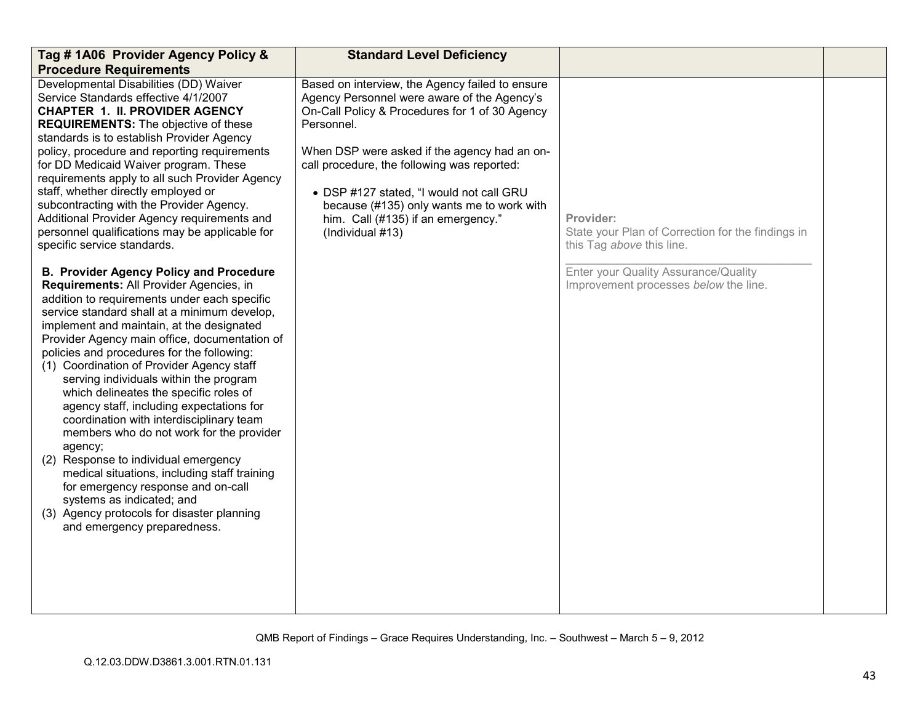| Tag #1A06 Provider Agency Policy &<br><b>Procedure Requirements</b>                                                                                                                                                                                                                                                                                                                                                                                                                                                                                                                                                                                                                                                                                                                                                                                                                                                                                                                                                                                                                                                                                                                                                                                                                                                                                                                                                                                | <b>Standard Level Deficiency</b>                                                                                                                                                                                                                                                                                                                                                                                 |                                                                                                                                                                              |  |
|----------------------------------------------------------------------------------------------------------------------------------------------------------------------------------------------------------------------------------------------------------------------------------------------------------------------------------------------------------------------------------------------------------------------------------------------------------------------------------------------------------------------------------------------------------------------------------------------------------------------------------------------------------------------------------------------------------------------------------------------------------------------------------------------------------------------------------------------------------------------------------------------------------------------------------------------------------------------------------------------------------------------------------------------------------------------------------------------------------------------------------------------------------------------------------------------------------------------------------------------------------------------------------------------------------------------------------------------------------------------------------------------------------------------------------------------------|------------------------------------------------------------------------------------------------------------------------------------------------------------------------------------------------------------------------------------------------------------------------------------------------------------------------------------------------------------------------------------------------------------------|------------------------------------------------------------------------------------------------------------------------------------------------------------------------------|--|
| Developmental Disabilities (DD) Waiver<br>Service Standards effective 4/1/2007<br><b>CHAPTER 1. II. PROVIDER AGENCY</b><br><b>REQUIREMENTS:</b> The objective of these<br>standards is to establish Provider Agency<br>policy, procedure and reporting requirements<br>for DD Medicaid Waiver program. These<br>requirements apply to all such Provider Agency<br>staff, whether directly employed or<br>subcontracting with the Provider Agency.<br>Additional Provider Agency requirements and<br>personnel qualifications may be applicable for<br>specific service standards.<br><b>B. Provider Agency Policy and Procedure</b><br>Requirements: All Provider Agencies, in<br>addition to requirements under each specific<br>service standard shall at a minimum develop,<br>implement and maintain, at the designated<br>Provider Agency main office, documentation of<br>policies and procedures for the following:<br>(1) Coordination of Provider Agency staff<br>serving individuals within the program<br>which delineates the specific roles of<br>agency staff, including expectations for<br>coordination with interdisciplinary team<br>members who do not work for the provider<br>agency;<br>(2) Response to individual emergency<br>medical situations, including staff training<br>for emergency response and on-call<br>systems as indicated; and<br>(3) Agency protocols for disaster planning<br>and emergency preparedness. | Based on interview, the Agency failed to ensure<br>Agency Personnel were aware of the Agency's<br>On-Call Policy & Procedures for 1 of 30 Agency<br>Personnel.<br>When DSP were asked if the agency had an on-<br>call procedure, the following was reported:<br>• DSP #127 stated, "I would not call GRU<br>because (#135) only wants me to work with<br>him. Call (#135) if an emergency."<br>(Individual #13) | Provider:<br>State your Plan of Correction for the findings in<br>this Tag above this line.<br>Enter your Quality Assurance/Quality<br>Improvement processes below the line. |  |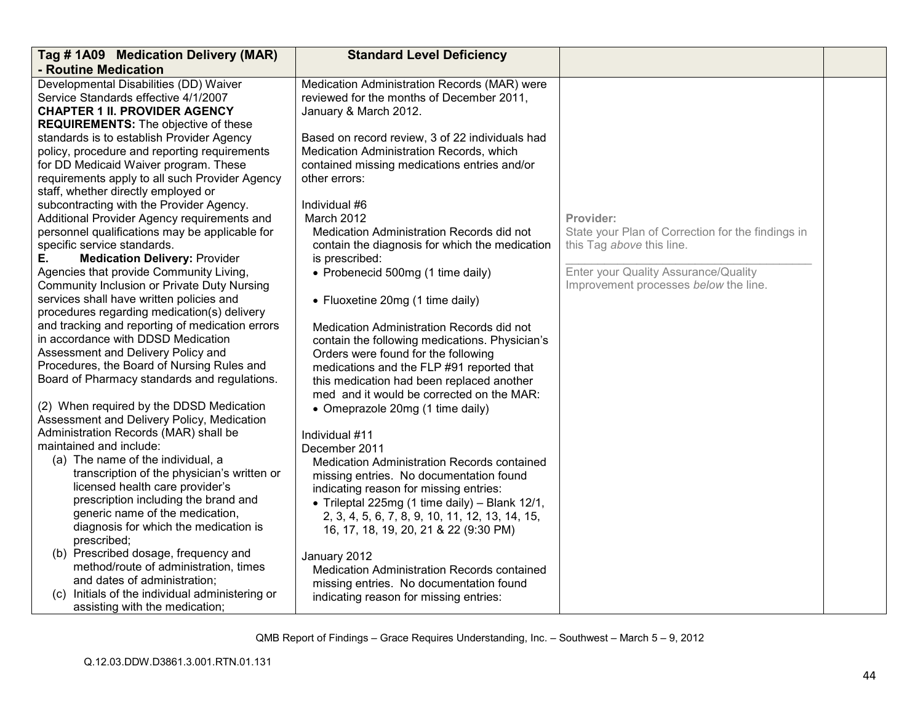| Tag #1A09 Medication Delivery (MAR)                                                     | <b>Standard Level Deficiency</b>                                                            |                                                   |  |
|-----------------------------------------------------------------------------------------|---------------------------------------------------------------------------------------------|---------------------------------------------------|--|
| - Routine Medication                                                                    |                                                                                             |                                                   |  |
| Developmental Disabilities (DD) Waiver                                                  | Medication Administration Records (MAR) were                                                |                                                   |  |
| Service Standards effective 4/1/2007                                                    | reviewed for the months of December 2011,                                                   |                                                   |  |
| <b>CHAPTER 1 II. PROVIDER AGENCY</b>                                                    | January & March 2012.                                                                       |                                                   |  |
| <b>REQUIREMENTS:</b> The objective of these                                             |                                                                                             |                                                   |  |
| standards is to establish Provider Agency                                               | Based on record review, 3 of 22 individuals had                                             |                                                   |  |
| policy, procedure and reporting requirements                                            | Medication Administration Records, which                                                    |                                                   |  |
| for DD Medicaid Waiver program. These                                                   | contained missing medications entries and/or                                                |                                                   |  |
| requirements apply to all such Provider Agency                                          | other errors:                                                                               |                                                   |  |
| staff, whether directly employed or                                                     |                                                                                             |                                                   |  |
| subcontracting with the Provider Agency.                                                | Individual #6                                                                               |                                                   |  |
| Additional Provider Agency requirements and                                             | March 2012                                                                                  | Provider:                                         |  |
| personnel qualifications may be applicable for                                          | Medication Administration Records did not                                                   | State your Plan of Correction for the findings in |  |
| specific service standards.                                                             | contain the diagnosis for which the medication                                              | this Tag above this line.                         |  |
| <b>Medication Delivery: Provider</b><br>Е.                                              | is prescribed:                                                                              |                                                   |  |
| Agencies that provide Community Living,                                                 | • Probenecid 500mg (1 time daily)                                                           | Enter your Quality Assurance/Quality              |  |
| Community Inclusion or Private Duty Nursing<br>services shall have written policies and |                                                                                             | Improvement processes below the line.             |  |
| procedures regarding medication(s) delivery                                             | • Fluoxetine 20mg (1 time daily)                                                            |                                                   |  |
| and tracking and reporting of medication errors                                         |                                                                                             |                                                   |  |
| in accordance with DDSD Medication                                                      | Medication Administration Records did not<br>contain the following medications. Physician's |                                                   |  |
| Assessment and Delivery Policy and                                                      | Orders were found for the following                                                         |                                                   |  |
| Procedures, the Board of Nursing Rules and                                              | medications and the FLP #91 reported that                                                   |                                                   |  |
| Board of Pharmacy standards and regulations.                                            | this medication had been replaced another                                                   |                                                   |  |
|                                                                                         | med and it would be corrected on the MAR:                                                   |                                                   |  |
| (2) When required by the DDSD Medication                                                | • Omeprazole 20mg (1 time daily)                                                            |                                                   |  |
| Assessment and Delivery Policy, Medication                                              |                                                                                             |                                                   |  |
| Administration Records (MAR) shall be                                                   | Individual #11                                                                              |                                                   |  |
| maintained and include:                                                                 | December 2011                                                                               |                                                   |  |
| (a) The name of the individual, a                                                       | Medication Administration Records contained                                                 |                                                   |  |
| transcription of the physician's written or                                             | missing entries. No documentation found                                                     |                                                   |  |
| licensed health care provider's                                                         | indicating reason for missing entries:                                                      |                                                   |  |
| prescription including the brand and                                                    | • Trileptal 225mg (1 time daily) – Blank $12/1$ ,                                           |                                                   |  |
| generic name of the medication,                                                         | 2, 3, 4, 5, 6, 7, 8, 9, 10, 11, 12, 13, 14, 15,                                             |                                                   |  |
| diagnosis for which the medication is                                                   | 16, 17, 18, 19, 20, 21 & 22 (9:30 PM)                                                       |                                                   |  |
| prescribed;                                                                             |                                                                                             |                                                   |  |
| (b) Prescribed dosage, frequency and                                                    | January 2012                                                                                |                                                   |  |
| method/route of administration, times                                                   | Medication Administration Records contained                                                 |                                                   |  |
| and dates of administration;                                                            | missing entries. No documentation found                                                     |                                                   |  |
| (c) Initials of the individual administering or                                         | indicating reason for missing entries:                                                      |                                                   |  |
| assisting with the medication;                                                          |                                                                                             |                                                   |  |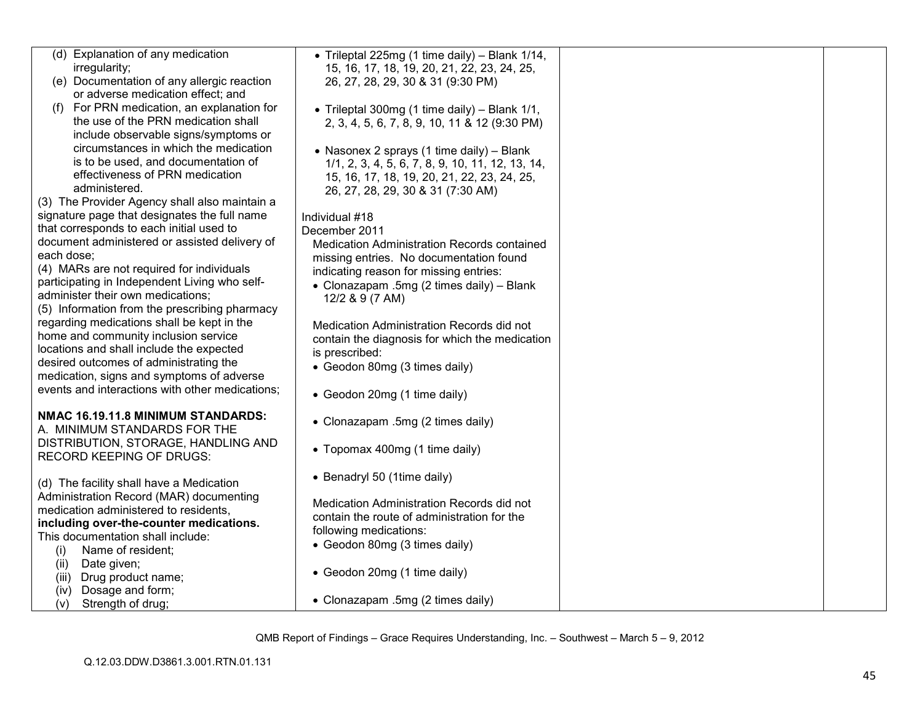| irregularity;<br>15, 16, 17, 18, 19, 20, 21, 22, 23, 24, 25,<br>(e) Documentation of any allergic reaction<br>26, 27, 28, 29, 30 & 31 (9:30 PM)<br>or adverse medication effect; and<br>For PRN medication, an explanation for<br>• Trileptal 300mg (1 time daily) - Blank 1/1,<br>the use of the PRN medication shall<br>2, 3, 4, 5, 6, 7, 8, 9, 10, 11 & 12 (9:30 PM)<br>include observable signs/symptoms or<br>circumstances in which the medication<br>• Nasonex 2 sprays (1 time daily) - Blank<br>is to be used, and documentation of<br>1/1, 2, 3, 4, 5, 6, 7, 8, 9, 10, 11, 12, 13, 14,<br>effectiveness of PRN medication<br>15, 16, 17, 18, 19, 20, 21, 22, 23, 24, 25,<br>administered.<br>26, 27, 28, 29, 30 & 31 (7:30 AM)<br>(3) The Provider Agency shall also maintain a<br>signature page that designates the full name<br>Individual #18<br>that corresponds to each initial used to<br>December 2011<br>document administered or assisted delivery of<br>Medication Administration Records contained<br>each dose;<br>missing entries. No documentation found<br>(4) MARs are not required for individuals<br>indicating reason for missing entries:<br>participating in Independent Living who self-<br>• Clonazapam .5mg (2 times daily) - Blank<br>administer their own medications;<br>12/2 & 9 (7 AM)<br>(5) Information from the prescribing pharmacy<br>regarding medications shall be kept in the<br>Medication Administration Records did not<br>home and community inclusion service<br>contain the diagnosis for which the medication<br>locations and shall include the expected<br>is prescribed:<br>desired outcomes of administrating the<br>• Geodon 80mg (3 times daily)<br>medication, signs and symptoms of adverse<br>events and interactions with other medications;<br>• Geodon 20mg (1 time daily)<br>NMAC 16.19.11.8 MINIMUM STANDARDS:<br>• Clonazapam .5mg (2 times daily)<br>A. MINIMUM STANDARDS FOR THE<br>DISTRIBUTION, STORAGE, HANDLING AND<br>• Topomax 400mg (1 time daily)<br><b>RECORD KEEPING OF DRUGS:</b><br>• Benadryl 50 (1time daily)<br>(d) The facility shall have a Medication<br>Administration Record (MAR) documenting<br>Medication Administration Records did not<br>medication administered to residents,<br>contain the route of administration for the<br>including over-the-counter medications.<br>following medications:<br>This documentation shall include:<br>• Geodon 80mg (3 times daily)<br>Name of resident;<br>(i)<br>Date given;<br>(ii)<br>• Geodon 20mg (1 time daily)<br>Drug product name;<br>(iii)<br>Dosage and form;<br>(iv) | (d) Explanation of any medication | • Trileptal 225mg (1 time daily) - Blank 1/14, |  |
|--------------------------------------------------------------------------------------------------------------------------------------------------------------------------------------------------------------------------------------------------------------------------------------------------------------------------------------------------------------------------------------------------------------------------------------------------------------------------------------------------------------------------------------------------------------------------------------------------------------------------------------------------------------------------------------------------------------------------------------------------------------------------------------------------------------------------------------------------------------------------------------------------------------------------------------------------------------------------------------------------------------------------------------------------------------------------------------------------------------------------------------------------------------------------------------------------------------------------------------------------------------------------------------------------------------------------------------------------------------------------------------------------------------------------------------------------------------------------------------------------------------------------------------------------------------------------------------------------------------------------------------------------------------------------------------------------------------------------------------------------------------------------------------------------------------------------------------------------------------------------------------------------------------------------------------------------------------------------------------------------------------------------------------------------------------------------------------------------------------------------------------------------------------------------------------------------------------------------------------------------------------------------------------------------------------------------------------------------------------------------------------------------------------------------------------------------------------------------------------------------------------------------------------------------------------------------------------------------------------------------|-----------------------------------|------------------------------------------------|--|
|                                                                                                                                                                                                                                                                                                                                                                                                                                                                                                                                                                                                                                                                                                                                                                                                                                                                                                                                                                                                                                                                                                                                                                                                                                                                                                                                                                                                                                                                                                                                                                                                                                                                                                                                                                                                                                                                                                                                                                                                                                                                                                                                                                                                                                                                                                                                                                                                                                                                                                                                                                                                                          |                                   |                                                |  |
|                                                                                                                                                                                                                                                                                                                                                                                                                                                                                                                                                                                                                                                                                                                                                                                                                                                                                                                                                                                                                                                                                                                                                                                                                                                                                                                                                                                                                                                                                                                                                                                                                                                                                                                                                                                                                                                                                                                                                                                                                                                                                                                                                                                                                                                                                                                                                                                                                                                                                                                                                                                                                          |                                   |                                                |  |
|                                                                                                                                                                                                                                                                                                                                                                                                                                                                                                                                                                                                                                                                                                                                                                                                                                                                                                                                                                                                                                                                                                                                                                                                                                                                                                                                                                                                                                                                                                                                                                                                                                                                                                                                                                                                                                                                                                                                                                                                                                                                                                                                                                                                                                                                                                                                                                                                                                                                                                                                                                                                                          |                                   |                                                |  |
|                                                                                                                                                                                                                                                                                                                                                                                                                                                                                                                                                                                                                                                                                                                                                                                                                                                                                                                                                                                                                                                                                                                                                                                                                                                                                                                                                                                                                                                                                                                                                                                                                                                                                                                                                                                                                                                                                                                                                                                                                                                                                                                                                                                                                                                                                                                                                                                                                                                                                                                                                                                                                          |                                   |                                                |  |
|                                                                                                                                                                                                                                                                                                                                                                                                                                                                                                                                                                                                                                                                                                                                                                                                                                                                                                                                                                                                                                                                                                                                                                                                                                                                                                                                                                                                                                                                                                                                                                                                                                                                                                                                                                                                                                                                                                                                                                                                                                                                                                                                                                                                                                                                                                                                                                                                                                                                                                                                                                                                                          |                                   |                                                |  |
|                                                                                                                                                                                                                                                                                                                                                                                                                                                                                                                                                                                                                                                                                                                                                                                                                                                                                                                                                                                                                                                                                                                                                                                                                                                                                                                                                                                                                                                                                                                                                                                                                                                                                                                                                                                                                                                                                                                                                                                                                                                                                                                                                                                                                                                                                                                                                                                                                                                                                                                                                                                                                          |                                   |                                                |  |
|                                                                                                                                                                                                                                                                                                                                                                                                                                                                                                                                                                                                                                                                                                                                                                                                                                                                                                                                                                                                                                                                                                                                                                                                                                                                                                                                                                                                                                                                                                                                                                                                                                                                                                                                                                                                                                                                                                                                                                                                                                                                                                                                                                                                                                                                                                                                                                                                                                                                                                                                                                                                                          |                                   |                                                |  |
|                                                                                                                                                                                                                                                                                                                                                                                                                                                                                                                                                                                                                                                                                                                                                                                                                                                                                                                                                                                                                                                                                                                                                                                                                                                                                                                                                                                                                                                                                                                                                                                                                                                                                                                                                                                                                                                                                                                                                                                                                                                                                                                                                                                                                                                                                                                                                                                                                                                                                                                                                                                                                          |                                   |                                                |  |
|                                                                                                                                                                                                                                                                                                                                                                                                                                                                                                                                                                                                                                                                                                                                                                                                                                                                                                                                                                                                                                                                                                                                                                                                                                                                                                                                                                                                                                                                                                                                                                                                                                                                                                                                                                                                                                                                                                                                                                                                                                                                                                                                                                                                                                                                                                                                                                                                                                                                                                                                                                                                                          |                                   |                                                |  |
|                                                                                                                                                                                                                                                                                                                                                                                                                                                                                                                                                                                                                                                                                                                                                                                                                                                                                                                                                                                                                                                                                                                                                                                                                                                                                                                                                                                                                                                                                                                                                                                                                                                                                                                                                                                                                                                                                                                                                                                                                                                                                                                                                                                                                                                                                                                                                                                                                                                                                                                                                                                                                          |                                   |                                                |  |
|                                                                                                                                                                                                                                                                                                                                                                                                                                                                                                                                                                                                                                                                                                                                                                                                                                                                                                                                                                                                                                                                                                                                                                                                                                                                                                                                                                                                                                                                                                                                                                                                                                                                                                                                                                                                                                                                                                                                                                                                                                                                                                                                                                                                                                                                                                                                                                                                                                                                                                                                                                                                                          |                                   |                                                |  |
|                                                                                                                                                                                                                                                                                                                                                                                                                                                                                                                                                                                                                                                                                                                                                                                                                                                                                                                                                                                                                                                                                                                                                                                                                                                                                                                                                                                                                                                                                                                                                                                                                                                                                                                                                                                                                                                                                                                                                                                                                                                                                                                                                                                                                                                                                                                                                                                                                                                                                                                                                                                                                          |                                   |                                                |  |
|                                                                                                                                                                                                                                                                                                                                                                                                                                                                                                                                                                                                                                                                                                                                                                                                                                                                                                                                                                                                                                                                                                                                                                                                                                                                                                                                                                                                                                                                                                                                                                                                                                                                                                                                                                                                                                                                                                                                                                                                                                                                                                                                                                                                                                                                                                                                                                                                                                                                                                                                                                                                                          |                                   |                                                |  |
|                                                                                                                                                                                                                                                                                                                                                                                                                                                                                                                                                                                                                                                                                                                                                                                                                                                                                                                                                                                                                                                                                                                                                                                                                                                                                                                                                                                                                                                                                                                                                                                                                                                                                                                                                                                                                                                                                                                                                                                                                                                                                                                                                                                                                                                                                                                                                                                                                                                                                                                                                                                                                          |                                   |                                                |  |
|                                                                                                                                                                                                                                                                                                                                                                                                                                                                                                                                                                                                                                                                                                                                                                                                                                                                                                                                                                                                                                                                                                                                                                                                                                                                                                                                                                                                                                                                                                                                                                                                                                                                                                                                                                                                                                                                                                                                                                                                                                                                                                                                                                                                                                                                                                                                                                                                                                                                                                                                                                                                                          |                                   |                                                |  |
|                                                                                                                                                                                                                                                                                                                                                                                                                                                                                                                                                                                                                                                                                                                                                                                                                                                                                                                                                                                                                                                                                                                                                                                                                                                                                                                                                                                                                                                                                                                                                                                                                                                                                                                                                                                                                                                                                                                                                                                                                                                                                                                                                                                                                                                                                                                                                                                                                                                                                                                                                                                                                          |                                   |                                                |  |
|                                                                                                                                                                                                                                                                                                                                                                                                                                                                                                                                                                                                                                                                                                                                                                                                                                                                                                                                                                                                                                                                                                                                                                                                                                                                                                                                                                                                                                                                                                                                                                                                                                                                                                                                                                                                                                                                                                                                                                                                                                                                                                                                                                                                                                                                                                                                                                                                                                                                                                                                                                                                                          |                                   |                                                |  |
|                                                                                                                                                                                                                                                                                                                                                                                                                                                                                                                                                                                                                                                                                                                                                                                                                                                                                                                                                                                                                                                                                                                                                                                                                                                                                                                                                                                                                                                                                                                                                                                                                                                                                                                                                                                                                                                                                                                                                                                                                                                                                                                                                                                                                                                                                                                                                                                                                                                                                                                                                                                                                          |                                   |                                                |  |
|                                                                                                                                                                                                                                                                                                                                                                                                                                                                                                                                                                                                                                                                                                                                                                                                                                                                                                                                                                                                                                                                                                                                                                                                                                                                                                                                                                                                                                                                                                                                                                                                                                                                                                                                                                                                                                                                                                                                                                                                                                                                                                                                                                                                                                                                                                                                                                                                                                                                                                                                                                                                                          |                                   |                                                |  |
|                                                                                                                                                                                                                                                                                                                                                                                                                                                                                                                                                                                                                                                                                                                                                                                                                                                                                                                                                                                                                                                                                                                                                                                                                                                                                                                                                                                                                                                                                                                                                                                                                                                                                                                                                                                                                                                                                                                                                                                                                                                                                                                                                                                                                                                                                                                                                                                                                                                                                                                                                                                                                          |                                   |                                                |  |
|                                                                                                                                                                                                                                                                                                                                                                                                                                                                                                                                                                                                                                                                                                                                                                                                                                                                                                                                                                                                                                                                                                                                                                                                                                                                                                                                                                                                                                                                                                                                                                                                                                                                                                                                                                                                                                                                                                                                                                                                                                                                                                                                                                                                                                                                                                                                                                                                                                                                                                                                                                                                                          |                                   |                                                |  |
|                                                                                                                                                                                                                                                                                                                                                                                                                                                                                                                                                                                                                                                                                                                                                                                                                                                                                                                                                                                                                                                                                                                                                                                                                                                                                                                                                                                                                                                                                                                                                                                                                                                                                                                                                                                                                                                                                                                                                                                                                                                                                                                                                                                                                                                                                                                                                                                                                                                                                                                                                                                                                          |                                   |                                                |  |
|                                                                                                                                                                                                                                                                                                                                                                                                                                                                                                                                                                                                                                                                                                                                                                                                                                                                                                                                                                                                                                                                                                                                                                                                                                                                                                                                                                                                                                                                                                                                                                                                                                                                                                                                                                                                                                                                                                                                                                                                                                                                                                                                                                                                                                                                                                                                                                                                                                                                                                                                                                                                                          |                                   |                                                |  |
|                                                                                                                                                                                                                                                                                                                                                                                                                                                                                                                                                                                                                                                                                                                                                                                                                                                                                                                                                                                                                                                                                                                                                                                                                                                                                                                                                                                                                                                                                                                                                                                                                                                                                                                                                                                                                                                                                                                                                                                                                                                                                                                                                                                                                                                                                                                                                                                                                                                                                                                                                                                                                          |                                   |                                                |  |
|                                                                                                                                                                                                                                                                                                                                                                                                                                                                                                                                                                                                                                                                                                                                                                                                                                                                                                                                                                                                                                                                                                                                                                                                                                                                                                                                                                                                                                                                                                                                                                                                                                                                                                                                                                                                                                                                                                                                                                                                                                                                                                                                                                                                                                                                                                                                                                                                                                                                                                                                                                                                                          |                                   |                                                |  |
|                                                                                                                                                                                                                                                                                                                                                                                                                                                                                                                                                                                                                                                                                                                                                                                                                                                                                                                                                                                                                                                                                                                                                                                                                                                                                                                                                                                                                                                                                                                                                                                                                                                                                                                                                                                                                                                                                                                                                                                                                                                                                                                                                                                                                                                                                                                                                                                                                                                                                                                                                                                                                          |                                   |                                                |  |
|                                                                                                                                                                                                                                                                                                                                                                                                                                                                                                                                                                                                                                                                                                                                                                                                                                                                                                                                                                                                                                                                                                                                                                                                                                                                                                                                                                                                                                                                                                                                                                                                                                                                                                                                                                                                                                                                                                                                                                                                                                                                                                                                                                                                                                                                                                                                                                                                                                                                                                                                                                                                                          |                                   |                                                |  |
|                                                                                                                                                                                                                                                                                                                                                                                                                                                                                                                                                                                                                                                                                                                                                                                                                                                                                                                                                                                                                                                                                                                                                                                                                                                                                                                                                                                                                                                                                                                                                                                                                                                                                                                                                                                                                                                                                                                                                                                                                                                                                                                                                                                                                                                                                                                                                                                                                                                                                                                                                                                                                          |                                   |                                                |  |
|                                                                                                                                                                                                                                                                                                                                                                                                                                                                                                                                                                                                                                                                                                                                                                                                                                                                                                                                                                                                                                                                                                                                                                                                                                                                                                                                                                                                                                                                                                                                                                                                                                                                                                                                                                                                                                                                                                                                                                                                                                                                                                                                                                                                                                                                                                                                                                                                                                                                                                                                                                                                                          |                                   |                                                |  |
|                                                                                                                                                                                                                                                                                                                                                                                                                                                                                                                                                                                                                                                                                                                                                                                                                                                                                                                                                                                                                                                                                                                                                                                                                                                                                                                                                                                                                                                                                                                                                                                                                                                                                                                                                                                                                                                                                                                                                                                                                                                                                                                                                                                                                                                                                                                                                                                                                                                                                                                                                                                                                          |                                   |                                                |  |
|                                                                                                                                                                                                                                                                                                                                                                                                                                                                                                                                                                                                                                                                                                                                                                                                                                                                                                                                                                                                                                                                                                                                                                                                                                                                                                                                                                                                                                                                                                                                                                                                                                                                                                                                                                                                                                                                                                                                                                                                                                                                                                                                                                                                                                                                                                                                                                                                                                                                                                                                                                                                                          |                                   |                                                |  |
|                                                                                                                                                                                                                                                                                                                                                                                                                                                                                                                                                                                                                                                                                                                                                                                                                                                                                                                                                                                                                                                                                                                                                                                                                                                                                                                                                                                                                                                                                                                                                                                                                                                                                                                                                                                                                                                                                                                                                                                                                                                                                                                                                                                                                                                                                                                                                                                                                                                                                                                                                                                                                          |                                   |                                                |  |
|                                                                                                                                                                                                                                                                                                                                                                                                                                                                                                                                                                                                                                                                                                                                                                                                                                                                                                                                                                                                                                                                                                                                                                                                                                                                                                                                                                                                                                                                                                                                                                                                                                                                                                                                                                                                                                                                                                                                                                                                                                                                                                                                                                                                                                                                                                                                                                                                                                                                                                                                                                                                                          |                                   |                                                |  |
|                                                                                                                                                                                                                                                                                                                                                                                                                                                                                                                                                                                                                                                                                                                                                                                                                                                                                                                                                                                                                                                                                                                                                                                                                                                                                                                                                                                                                                                                                                                                                                                                                                                                                                                                                                                                                                                                                                                                                                                                                                                                                                                                                                                                                                                                                                                                                                                                                                                                                                                                                                                                                          |                                   |                                                |  |
|                                                                                                                                                                                                                                                                                                                                                                                                                                                                                                                                                                                                                                                                                                                                                                                                                                                                                                                                                                                                                                                                                                                                                                                                                                                                                                                                                                                                                                                                                                                                                                                                                                                                                                                                                                                                                                                                                                                                                                                                                                                                                                                                                                                                                                                                                                                                                                                                                                                                                                                                                                                                                          |                                   |                                                |  |
|                                                                                                                                                                                                                                                                                                                                                                                                                                                                                                                                                                                                                                                                                                                                                                                                                                                                                                                                                                                                                                                                                                                                                                                                                                                                                                                                                                                                                                                                                                                                                                                                                                                                                                                                                                                                                                                                                                                                                                                                                                                                                                                                                                                                                                                                                                                                                                                                                                                                                                                                                                                                                          |                                   |                                                |  |
|                                                                                                                                                                                                                                                                                                                                                                                                                                                                                                                                                                                                                                                                                                                                                                                                                                                                                                                                                                                                                                                                                                                                                                                                                                                                                                                                                                                                                                                                                                                                                                                                                                                                                                                                                                                                                                                                                                                                                                                                                                                                                                                                                                                                                                                                                                                                                                                                                                                                                                                                                                                                                          | Strength of drug;<br>(v)          | • Clonazapam .5mg (2 times daily)              |  |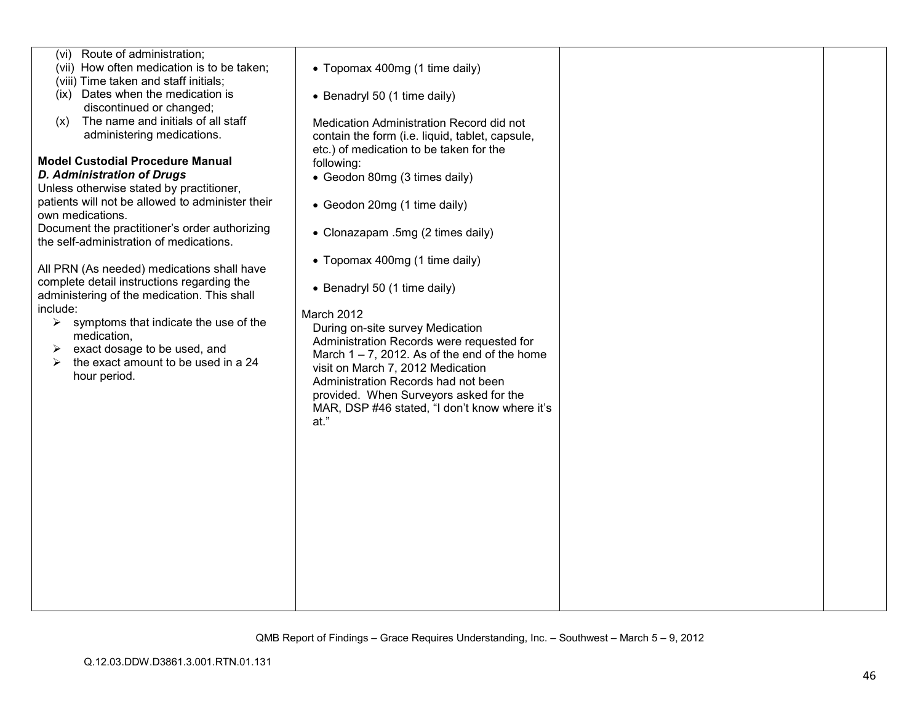| (vi) Route of administration;                    |                                                 |  |
|--------------------------------------------------|-------------------------------------------------|--|
| (vii) How often medication is to be taken;       | • Topomax 400mg (1 time daily)                  |  |
| (viii) Time taken and staff initials;            |                                                 |  |
| (ix) Dates when the medication is                |                                                 |  |
|                                                  | • Benadryl 50 (1 time daily)                    |  |
| discontinued or changed;                         |                                                 |  |
| The name and initials of all staff<br>(x)        | Medication Administration Record did not        |  |
| administering medications.                       | contain the form (i.e. liquid, tablet, capsule, |  |
|                                                  | etc.) of medication to be taken for the         |  |
| <b>Model Custodial Procedure Manual</b>          | following:                                      |  |
| <b>D. Administration of Drugs</b>                | • Geodon 80mg (3 times daily)                   |  |
| Unless otherwise stated by practitioner,         |                                                 |  |
| patients will not be allowed to administer their | • Geodon 20mg (1 time daily)                    |  |
| own medications.                                 |                                                 |  |
| Document the practitioner's order authorizing    | • Clonazapam .5mg (2 times daily)               |  |
| the self-administration of medications.          |                                                 |  |
|                                                  |                                                 |  |
| All PRN (As needed) medications shall have       | • Topomax 400mg (1 time daily)                  |  |
| complete detail instructions regarding the       |                                                 |  |
| administering of the medication. This shall      | • Benadryl 50 (1 time daily)                    |  |
| include:                                         |                                                 |  |
| symptoms that indicate the use of the<br>➤       | March 2012                                      |  |
| medication,                                      | During on-site survey Medication                |  |
|                                                  | Administration Records were requested for       |  |
| exact dosage to be used, and<br>➤                | March $1 - 7$ , 2012. As of the end of the home |  |
| the exact amount to be used in a 24<br>⋗         | visit on March 7, 2012 Medication               |  |
| hour period.                                     | Administration Records had not been             |  |
|                                                  | provided. When Surveyors asked for the          |  |
|                                                  | MAR, DSP #46 stated, "I don't know where it's   |  |
|                                                  | at."                                            |  |
|                                                  |                                                 |  |
|                                                  |                                                 |  |
|                                                  |                                                 |  |
|                                                  |                                                 |  |
|                                                  |                                                 |  |
|                                                  |                                                 |  |
|                                                  |                                                 |  |
|                                                  |                                                 |  |
|                                                  |                                                 |  |
|                                                  |                                                 |  |
|                                                  |                                                 |  |
|                                                  |                                                 |  |
|                                                  |                                                 |  |
|                                                  |                                                 |  |
|                                                  |                                                 |  |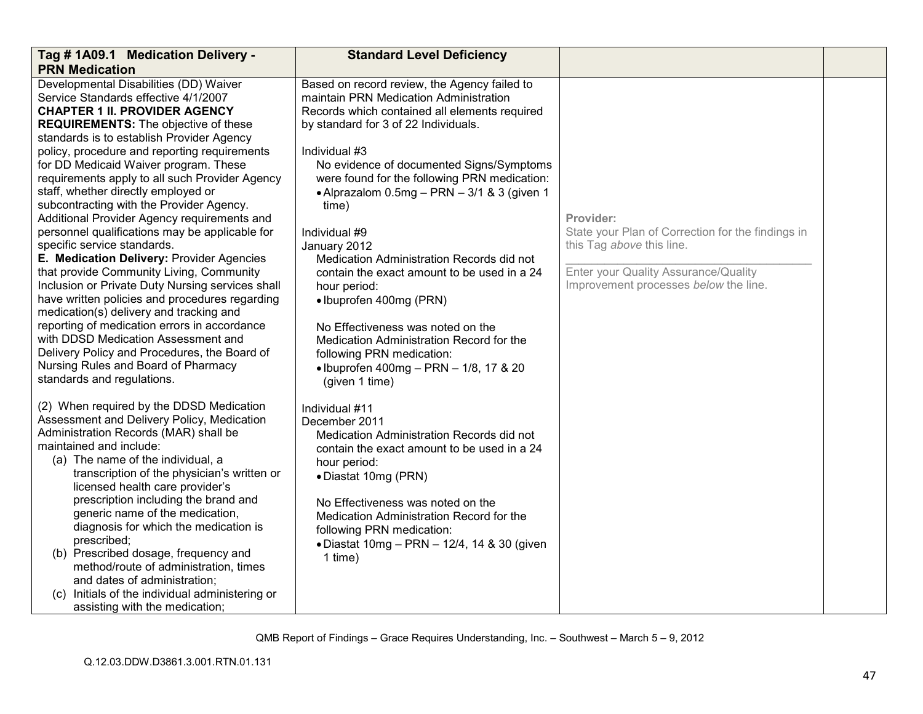| Tag # 1A09.1 Medication Delivery -<br><b>PRN Medication</b>                                                                                                                                                                                                                                                                                                                                                                                                                                                                                                                                                                                                                                                                                                                                                                                                                                                                                                                                                                            | <b>Standard Level Deficiency</b>                                                                                                                                                                                                                                                                                                                                                                                                                                                                                                                                                                                                                                                                       |                                                                                                                                                                              |  |
|----------------------------------------------------------------------------------------------------------------------------------------------------------------------------------------------------------------------------------------------------------------------------------------------------------------------------------------------------------------------------------------------------------------------------------------------------------------------------------------------------------------------------------------------------------------------------------------------------------------------------------------------------------------------------------------------------------------------------------------------------------------------------------------------------------------------------------------------------------------------------------------------------------------------------------------------------------------------------------------------------------------------------------------|--------------------------------------------------------------------------------------------------------------------------------------------------------------------------------------------------------------------------------------------------------------------------------------------------------------------------------------------------------------------------------------------------------------------------------------------------------------------------------------------------------------------------------------------------------------------------------------------------------------------------------------------------------------------------------------------------------|------------------------------------------------------------------------------------------------------------------------------------------------------------------------------|--|
| Developmental Disabilities (DD) Waiver<br>Service Standards effective 4/1/2007<br><b>CHAPTER 1 II. PROVIDER AGENCY</b><br><b>REQUIREMENTS:</b> The objective of these<br>standards is to establish Provider Agency<br>policy, procedure and reporting requirements<br>for DD Medicaid Waiver program. These<br>requirements apply to all such Provider Agency<br>staff, whether directly employed or<br>subcontracting with the Provider Agency.<br>Additional Provider Agency requirements and<br>personnel qualifications may be applicable for<br>specific service standards.<br>E. Medication Delivery: Provider Agencies<br>that provide Community Living, Community<br>Inclusion or Private Duty Nursing services shall<br>have written policies and procedures regarding<br>medication(s) delivery and tracking and<br>reporting of medication errors in accordance<br>with DDSD Medication Assessment and<br>Delivery Policy and Procedures, the Board of<br>Nursing Rules and Board of Pharmacy<br>standards and regulations. | Based on record review, the Agency failed to<br>maintain PRN Medication Administration<br>Records which contained all elements required<br>by standard for 3 of 22 Individuals.<br>Individual #3<br>No evidence of documented Signs/Symptoms<br>were found for the following PRN medication:<br>• Alprazalom 0.5mg - PRN - 3/1 & 3 (given 1<br>time)<br>Individual #9<br>January 2012<br>Medication Administration Records did not<br>contain the exact amount to be used in a 24<br>hour period:<br>• Ibuprofen 400mg (PRN)<br>No Effectiveness was noted on the<br>Medication Administration Record for the<br>following PRN medication:<br>• Ibuprofen 400mg - PRN - 1/8, 17 & 20<br>(given 1 time) | Provider:<br>State your Plan of Correction for the findings in<br>this Tag above this line.<br>Enter your Quality Assurance/Quality<br>Improvement processes below the line. |  |
| (2) When required by the DDSD Medication<br>Assessment and Delivery Policy, Medication<br>Administration Records (MAR) shall be<br>maintained and include:<br>(a) The name of the individual, a<br>transcription of the physician's written or<br>licensed health care provider's<br>prescription including the brand and<br>generic name of the medication,<br>diagnosis for which the medication is<br>prescribed;<br>(b) Prescribed dosage, frequency and<br>method/route of administration, times<br>and dates of administration;<br>(c) Initials of the individual administering or<br>assisting with the medication;                                                                                                                                                                                                                                                                                                                                                                                                             | Individual #11<br>December 2011<br>Medication Administration Records did not<br>contain the exact amount to be used in a 24<br>hour period:<br>· Diastat 10mg (PRN)<br>No Effectiveness was noted on the<br>Medication Administration Record for the<br>following PRN medication:<br>· Diastat 10mg - PRN - 12/4, 14 & 30 (given<br>1 time)                                                                                                                                                                                                                                                                                                                                                            |                                                                                                                                                                              |  |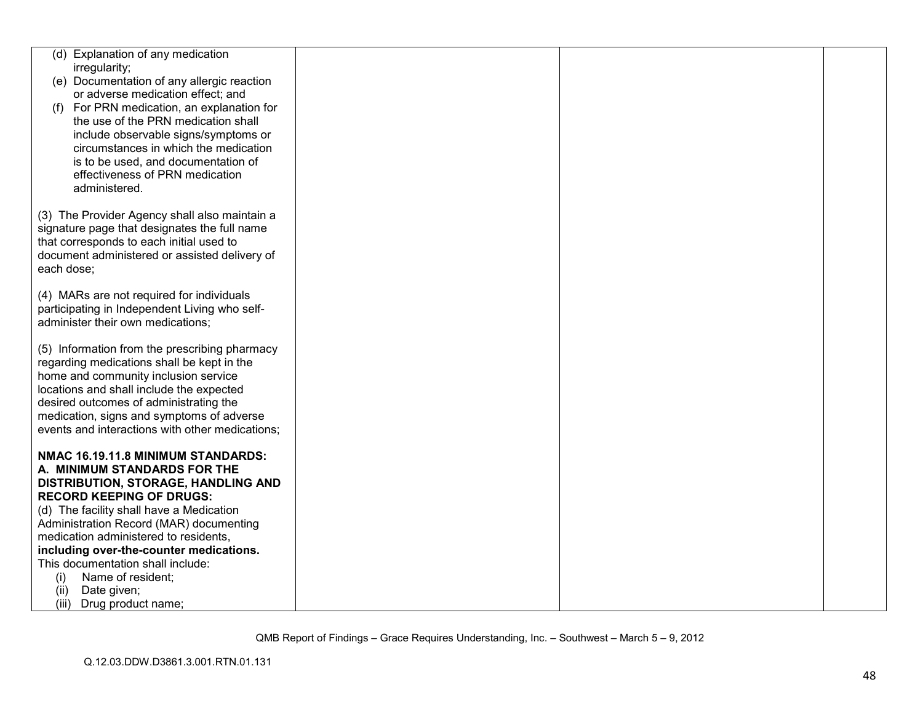| (d) Explanation of any medication                                                    |  |  |
|--------------------------------------------------------------------------------------|--|--|
| irregularity;                                                                        |  |  |
| (e) Documentation of any allergic reaction                                           |  |  |
| or adverse medication effect; and                                                    |  |  |
| For PRN medication, an explanation for<br>(1)<br>the use of the PRN medication shall |  |  |
| include observable signs/symptoms or                                                 |  |  |
| circumstances in which the medication                                                |  |  |
| is to be used, and documentation of                                                  |  |  |
| effectiveness of PRN medication                                                      |  |  |
| administered.                                                                        |  |  |
|                                                                                      |  |  |
| (3) The Provider Agency shall also maintain a                                        |  |  |
| signature page that designates the full name                                         |  |  |
| that corresponds to each initial used to                                             |  |  |
| document administered or assisted delivery of                                        |  |  |
| each dose;                                                                           |  |  |
| (4) MARs are not required for individuals                                            |  |  |
| participating in Independent Living who self-                                        |  |  |
| administer their own medications;                                                    |  |  |
|                                                                                      |  |  |
| (5) Information from the prescribing pharmacy                                        |  |  |
| regarding medications shall be kept in the                                           |  |  |
| home and community inclusion service                                                 |  |  |
| locations and shall include the expected                                             |  |  |
| desired outcomes of administrating the<br>medication, signs and symptoms of adverse  |  |  |
| events and interactions with other medications;                                      |  |  |
|                                                                                      |  |  |
| NMAC 16.19.11.8 MINIMUM STANDARDS:                                                   |  |  |
| A. MINIMUM STANDARDS FOR THE                                                         |  |  |
| DISTRIBUTION, STORAGE, HANDLING AND                                                  |  |  |
| <b>RECORD KEEPING OF DRUGS:</b>                                                      |  |  |
| (d) The facility shall have a Medication                                             |  |  |
| Administration Record (MAR) documenting<br>medication administered to residents,     |  |  |
| including over-the-counter medications.                                              |  |  |
| This documentation shall include:                                                    |  |  |
| Name of resident;<br>(i)                                                             |  |  |
| Date given;<br>(ii)                                                                  |  |  |
| (iii)<br>Drug product name;                                                          |  |  |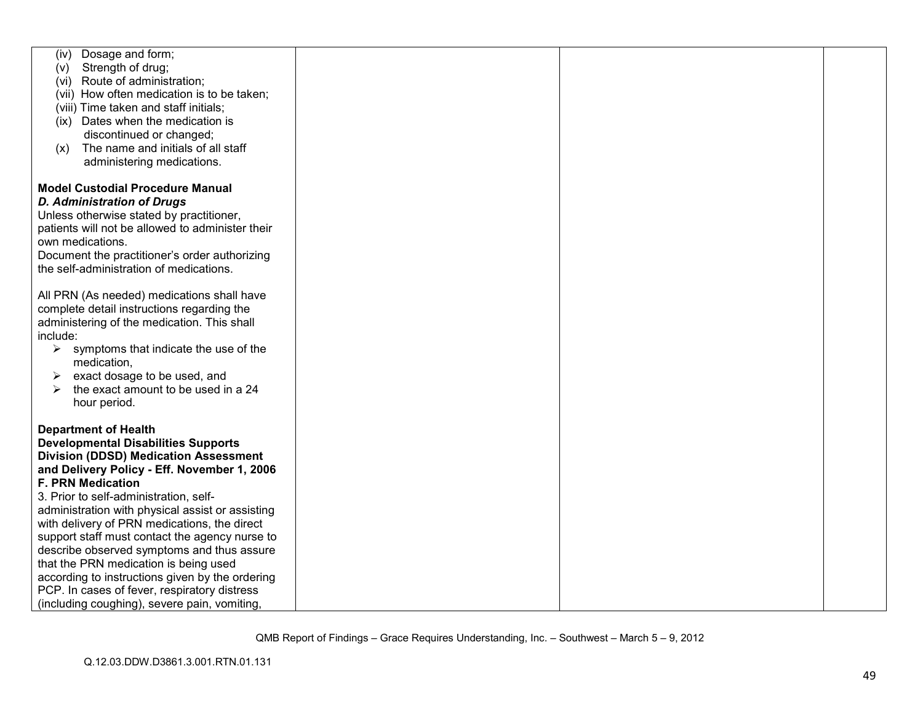| Dosage and form;<br>(iv)                         |  |  |
|--------------------------------------------------|--|--|
| Strength of drug;<br>(v)                         |  |  |
| (vi) Route of administration;                    |  |  |
| (vii) How often medication is to be taken;       |  |  |
| (viii) Time taken and staff initials;            |  |  |
| (ix) Dates when the medication is                |  |  |
| discontinued or changed;                         |  |  |
| The name and initials of all staff               |  |  |
| (x)                                              |  |  |
| administering medications.                       |  |  |
|                                                  |  |  |
| <b>Model Custodial Procedure Manual</b>          |  |  |
| <b>D. Administration of Drugs</b>                |  |  |
| Unless otherwise stated by practitioner,         |  |  |
| patients will not be allowed to administer their |  |  |
| own medications.                                 |  |  |
| Document the practitioner's order authorizing    |  |  |
| the self-administration of medications.          |  |  |
|                                                  |  |  |
| All PRN (As needed) medications shall have       |  |  |
|                                                  |  |  |
| complete detail instructions regarding the       |  |  |
| administering of the medication. This shall      |  |  |
| include:                                         |  |  |
| ➤<br>symptoms that indicate the use of the       |  |  |
| medication,                                      |  |  |
| exact dosage to be used, and<br>➤                |  |  |
| the exact amount to be used in a 24              |  |  |
| hour period.                                     |  |  |
|                                                  |  |  |
| <b>Department of Health</b>                      |  |  |
| <b>Developmental Disabilities Supports</b>       |  |  |
| <b>Division (DDSD) Medication Assessment</b>     |  |  |
| and Delivery Policy - Eff. November 1, 2006      |  |  |
| <b>F. PRN Medication</b>                         |  |  |
| 3. Prior to self-administration, self-           |  |  |
| administration with physical assist or assisting |  |  |
| with delivery of PRN medications, the direct     |  |  |
| support staff must contact the agency nurse to   |  |  |
|                                                  |  |  |
| describe observed symptoms and thus assure       |  |  |
| that the PRN medication is being used            |  |  |
| according to instructions given by the ordering  |  |  |
| PCP. In cases of fever, respiratory distress     |  |  |
| (including coughing), severe pain, vomiting,     |  |  |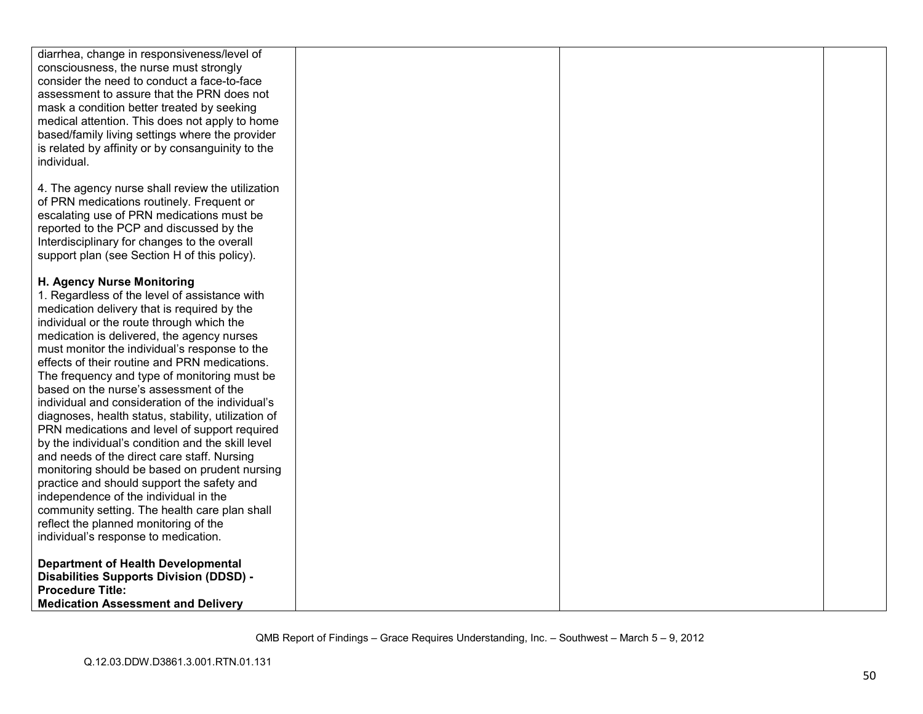| diarrhea, change in responsiveness/level of         |  |  |
|-----------------------------------------------------|--|--|
| consciousness, the nurse must strongly              |  |  |
| consider the need to conduct a face-to-face         |  |  |
| assessment to assure that the PRN does not          |  |  |
|                                                     |  |  |
| mask a condition better treated by seeking          |  |  |
| medical attention. This does not apply to home      |  |  |
| based/family living settings where the provider     |  |  |
| is related by affinity or by consanguinity to the   |  |  |
| individual.                                         |  |  |
|                                                     |  |  |
| 4. The agency nurse shall review the utilization    |  |  |
|                                                     |  |  |
| of PRN medications routinely. Frequent or           |  |  |
| escalating use of PRN medications must be           |  |  |
| reported to the PCP and discussed by the            |  |  |
| Interdisciplinary for changes to the overall        |  |  |
| support plan (see Section H of this policy).        |  |  |
|                                                     |  |  |
| H. Agency Nurse Monitoring                          |  |  |
| 1. Regardless of the level of assistance with       |  |  |
| medication delivery that is required by the         |  |  |
| individual or the route through which the           |  |  |
| medication is delivered, the agency nurses          |  |  |
| must monitor the individual's response to the       |  |  |
| effects of their routine and PRN medications.       |  |  |
| The frequency and type of monitoring must be        |  |  |
| based on the nurse's assessment of the              |  |  |
|                                                     |  |  |
| individual and consideration of the individual's    |  |  |
| diagnoses, health status, stability, utilization of |  |  |
| PRN medications and level of support required       |  |  |
| by the individual's condition and the skill level   |  |  |
| and needs of the direct care staff. Nursing         |  |  |
| monitoring should be based on prudent nursing       |  |  |
| practice and should support the safety and          |  |  |
| independence of the individual in the               |  |  |
| community setting. The health care plan shall       |  |  |
| reflect the planned monitoring of the               |  |  |
| individual's response to medication.                |  |  |
|                                                     |  |  |
| <b>Department of Health Developmental</b>           |  |  |
| <b>Disabilities Supports Division (DDSD) -</b>      |  |  |
| <b>Procedure Title:</b>                             |  |  |
| <b>Medication Assessment and Delivery</b>           |  |  |
|                                                     |  |  |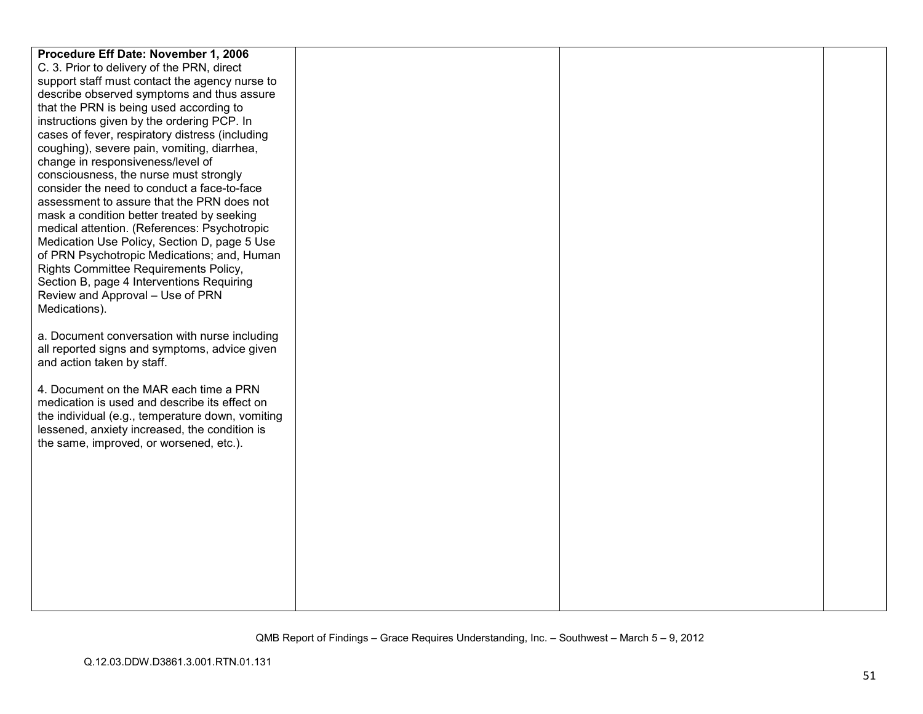| Procedure Eff Date: November 1, 2006                                        |  |  |
|-----------------------------------------------------------------------------|--|--|
| C. 3. Prior to delivery of the PRN, direct                                  |  |  |
| support staff must contact the agency nurse to                              |  |  |
| describe observed symptoms and thus assure                                  |  |  |
| that the PRN is being used according to                                     |  |  |
| instructions given by the ordering PCP. In                                  |  |  |
| cases of fever, respiratory distress (including                             |  |  |
| coughing), severe pain, vomiting, diarrhea,                                 |  |  |
| change in responsiveness/level of                                           |  |  |
| consciousness, the nurse must strongly                                      |  |  |
| consider the need to conduct a face-to-face                                 |  |  |
| assessment to assure that the PRN does not                                  |  |  |
| mask a condition better treated by seeking                                  |  |  |
| medical attention. (References: Psychotropic                                |  |  |
| Medication Use Policy, Section D, page 5 Use                                |  |  |
| of PRN Psychotropic Medications; and, Human                                 |  |  |
| Rights Committee Requirements Policy,                                       |  |  |
| Section B, page 4 Interventions Requiring                                   |  |  |
| Review and Approval - Use of PRN                                            |  |  |
| Medications).                                                               |  |  |
|                                                                             |  |  |
| a. Document conversation with nurse including                               |  |  |
| all reported signs and symptoms, advice given<br>and action taken by staff. |  |  |
|                                                                             |  |  |
| 4. Document on the MAR each time a PRN                                      |  |  |
| medication is used and describe its effect on                               |  |  |
| the individual (e.g., temperature down, vomiting                            |  |  |
| lessened, anxiety increased, the condition is                               |  |  |
| the same, improved, or worsened, etc.).                                     |  |  |
|                                                                             |  |  |
|                                                                             |  |  |
|                                                                             |  |  |
|                                                                             |  |  |
|                                                                             |  |  |
|                                                                             |  |  |
|                                                                             |  |  |
|                                                                             |  |  |
|                                                                             |  |  |
|                                                                             |  |  |
|                                                                             |  |  |
|                                                                             |  |  |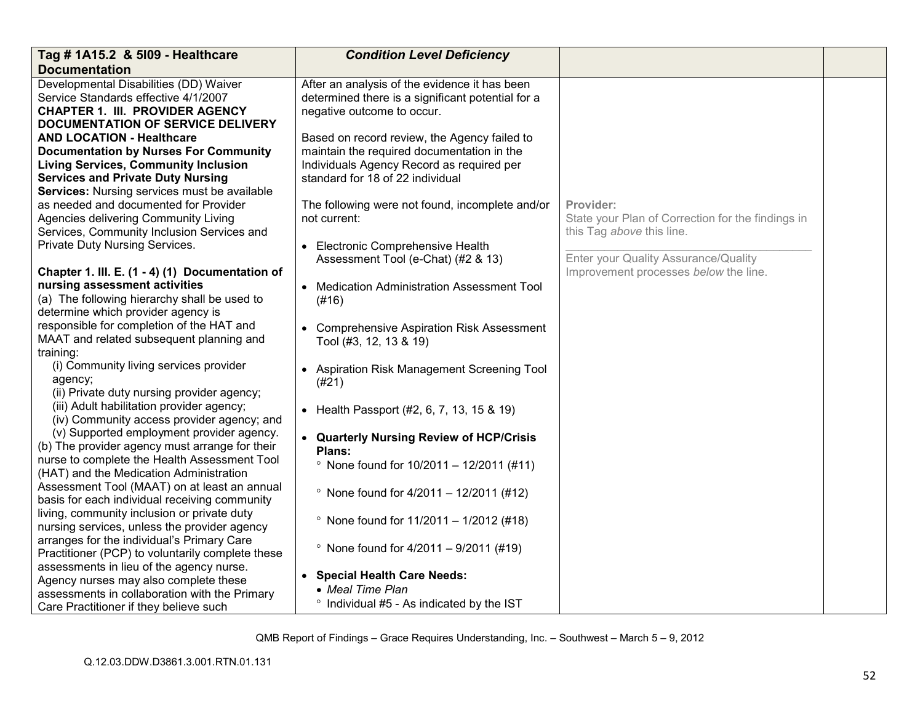| Tag # 1A15.2 & 5109 - Healthcare                 | <b>Condition Level Deficiency</b>                 |                                                   |  |
|--------------------------------------------------|---------------------------------------------------|---------------------------------------------------|--|
| <b>Documentation</b>                             |                                                   |                                                   |  |
| Developmental Disabilities (DD) Waiver           | After an analysis of the evidence it has been     |                                                   |  |
| Service Standards effective 4/1/2007             | determined there is a significant potential for a |                                                   |  |
| <b>CHAPTER 1. III. PROVIDER AGENCY</b>           | negative outcome to occur.                        |                                                   |  |
| <b>DOCUMENTATION OF SERVICE DELIVERY</b>         |                                                   |                                                   |  |
| <b>AND LOCATION - Healthcare</b>                 | Based on record review, the Agency failed to      |                                                   |  |
| <b>Documentation by Nurses For Community</b>     | maintain the required documentation in the        |                                                   |  |
| <b>Living Services, Community Inclusion</b>      | Individuals Agency Record as required per         |                                                   |  |
| <b>Services and Private Duty Nursing</b>         | standard for 18 of 22 individual                  |                                                   |  |
| Services: Nursing services must be available     |                                                   |                                                   |  |
| as needed and documented for Provider            | The following were not found, incomplete and/or   | Provider:                                         |  |
| Agencies delivering Community Living             | not current:                                      | State your Plan of Correction for the findings in |  |
| Services, Community Inclusion Services and       |                                                   | this Tag above this line.                         |  |
| Private Duty Nursing Services.                   | • Electronic Comprehensive Health                 |                                                   |  |
|                                                  | Assessment Tool (e-Chat) (#2 & 13)                | Enter your Quality Assurance/Quality              |  |
| Chapter 1. III. E. (1 - 4) (1) Documentation of  |                                                   | Improvement processes below the line.             |  |
| nursing assessment activities                    | • Medication Administration Assessment Tool       |                                                   |  |
| (a) The following hierarchy shall be used to     | (#16)                                             |                                                   |  |
| determine which provider agency is               |                                                   |                                                   |  |
| responsible for completion of the HAT and        | • Comprehensive Aspiration Risk Assessment        |                                                   |  |
| MAAT and related subsequent planning and         | Tool (#3, 12, 13 & 19)                            |                                                   |  |
| training:                                        |                                                   |                                                   |  |
| (i) Community living services provider           | • Aspiration Risk Management Screening Tool       |                                                   |  |
| agency;                                          | (#21)                                             |                                                   |  |
| (ii) Private duty nursing provider agency;       |                                                   |                                                   |  |
| (iii) Adult habilitation provider agency;        | • Health Passport (#2, 6, 7, 13, 15 & 19)         |                                                   |  |
| (iv) Community access provider agency; and       |                                                   |                                                   |  |
| (v) Supported employment provider agency.        | • Quarterly Nursing Review of HCP/Crisis          |                                                   |  |
| (b) The provider agency must arrange for their   | Plans:                                            |                                                   |  |
| nurse to complete the Health Assessment Tool     |                                                   |                                                   |  |
| (HAT) and the Medication Administration          | • None found for $10/2011 - 12/2011$ (#11)        |                                                   |  |
| Assessment Tool (MAAT) on at least an annual     |                                                   |                                                   |  |
| basis for each individual receiving community    | • None found for $4/2011 - 12/2011$ (#12)         |                                                   |  |
| living, community inclusion or private duty      |                                                   |                                                   |  |
| nursing services, unless the provider agency     | • None found for $11/2011 - 1/2012$ (#18)         |                                                   |  |
| arranges for the individual's Primary Care       |                                                   |                                                   |  |
| Practitioner (PCP) to voluntarily complete these | • None found for $4/2011 - 9/2011$ (#19)          |                                                   |  |
| assessments in lieu of the agency nurse.         |                                                   |                                                   |  |
| Agency nurses may also complete these            | • Special Health Care Needs:                      |                                                   |  |
| assessments in collaboration with the Primary    | • Meal Time Plan                                  |                                                   |  |
| Care Practitioner if they believe such           | ° Individual #5 - As indicated by the IST         |                                                   |  |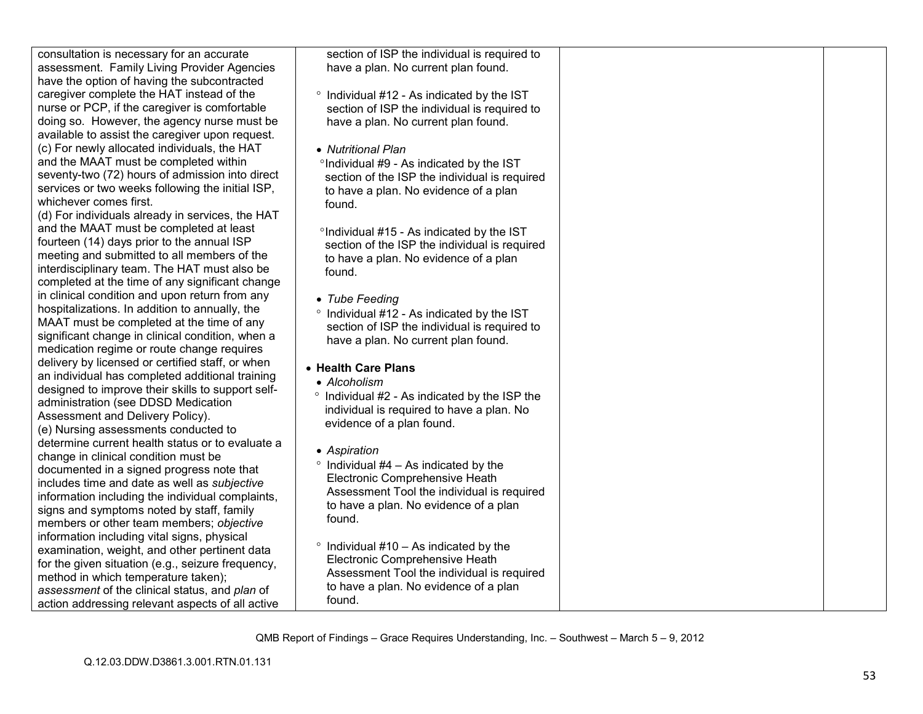| consultation is necessary for an accurate         | section of ISP the individual is required to   |  |
|---------------------------------------------------|------------------------------------------------|--|
| assessment. Family Living Provider Agencies       | have a plan. No current plan found.            |  |
| have the option of having the subcontracted       |                                                |  |
| caregiver complete the HAT instead of the         | ° Individual #12 - As indicated by the IST     |  |
| nurse or PCP, if the caregiver is comfortable     | section of ISP the individual is required to   |  |
| doing so. However, the agency nurse must be       | have a plan. No current plan found.            |  |
| available to assist the caregiver upon request.   |                                                |  |
| (c) For newly allocated individuals, the HAT      | • Nutritional Plan                             |  |
| and the MAAT must be completed within             | °Individual #9 - As indicated by the IST       |  |
| seventy-two (72) hours of admission into direct   | section of the ISP the individual is required  |  |
| services or two weeks following the initial ISP,  | to have a plan. No evidence of a plan          |  |
| whichever comes first.                            | found.                                         |  |
| (d) For individuals already in services, the HAT  |                                                |  |
| and the MAAT must be completed at least           |                                                |  |
| fourteen (14) days prior to the annual ISP        | °Individual #15 - As indicated by the IST      |  |
| meeting and submitted to all members of the       | section of the ISP the individual is required  |  |
| interdisciplinary team. The HAT must also be      | to have a plan. No evidence of a plan          |  |
| completed at the time of any significant change   | found.                                         |  |
| in clinical condition and upon return from any    |                                                |  |
| hospitalizations. In addition to annually, the    | • Tube Feeding                                 |  |
| MAAT must be completed at the time of any         | ° Individual #12 - As indicated by the IST     |  |
| significant change in clinical condition, when a  | section of ISP the individual is required to   |  |
| medication regime or route change requires        | have a plan. No current plan found.            |  |
|                                                   |                                                |  |
| delivery by licensed or certified staff, or when  | • Health Care Plans                            |  |
| an individual has completed additional training   | • Alcoholism                                   |  |
| designed to improve their skills to support self- | ° Individual #2 - As indicated by the ISP the  |  |
| administration (see DDSD Medication               | individual is required to have a plan. No      |  |
| Assessment and Delivery Policy).                  | evidence of a plan found.                      |  |
| (e) Nursing assessments conducted to              |                                                |  |
| determine current health status or to evaluate a  | • Aspiration                                   |  |
| change in clinical condition must be              | $\degree$ Individual #4 – As indicated by the  |  |
| documented in a signed progress note that         | Electronic Comprehensive Heath                 |  |
| includes time and date as well as subjective      | Assessment Tool the individual is required     |  |
| information including the individual complaints,  | to have a plan. No evidence of a plan          |  |
| signs and symptoms noted by staff, family         | found.                                         |  |
| members or other team members; objective          |                                                |  |
| information including vital signs, physical       | $\degree$ Individual #10 - As indicated by the |  |
| examination, weight, and other pertinent data     | Electronic Comprehensive Heath                 |  |
| for the given situation (e.g., seizure frequency, | Assessment Tool the individual is required     |  |
| method in which temperature taken);               |                                                |  |
| assessment of the clinical status, and plan of    | to have a plan. No evidence of a plan          |  |
| action addressing relevant aspects of all active  | found.                                         |  |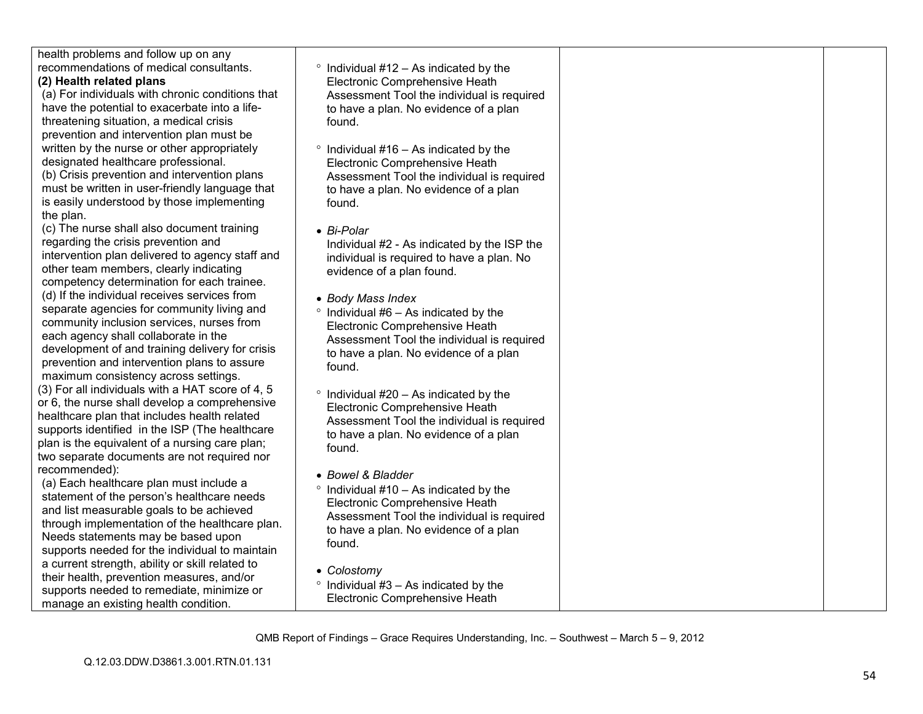| health problems and follow up on any<br>recommendations of medical consultants.<br>$\degree$ Individual #12 - As indicated by the<br>(2) Health related plans<br>Electronic Comprehensive Heath<br>(a) For individuals with chronic conditions that<br>Assessment Tool the individual is required<br>have the potential to exacerbate into a life-<br>to have a plan. No evidence of a plan<br>threatening situation, a medical crisis<br>found.<br>prevention and intervention plan must be<br>written by the nurse or other appropriately<br>$\degree$ Individual #16 – As indicated by the<br>designated healthcare professional.<br>Electronic Comprehensive Heath<br>(b) Crisis prevention and intervention plans<br>Assessment Tool the individual is required<br>must be written in user-friendly language that<br>to have a plan. No evidence of a plan<br>is easily understood by those implementing<br>found.<br>the plan.<br>(c) The nurse shall also document training |  |
|------------------------------------------------------------------------------------------------------------------------------------------------------------------------------------------------------------------------------------------------------------------------------------------------------------------------------------------------------------------------------------------------------------------------------------------------------------------------------------------------------------------------------------------------------------------------------------------------------------------------------------------------------------------------------------------------------------------------------------------------------------------------------------------------------------------------------------------------------------------------------------------------------------------------------------------------------------------------------------|--|
|                                                                                                                                                                                                                                                                                                                                                                                                                                                                                                                                                                                                                                                                                                                                                                                                                                                                                                                                                                                    |  |
|                                                                                                                                                                                                                                                                                                                                                                                                                                                                                                                                                                                                                                                                                                                                                                                                                                                                                                                                                                                    |  |
|                                                                                                                                                                                                                                                                                                                                                                                                                                                                                                                                                                                                                                                                                                                                                                                                                                                                                                                                                                                    |  |
|                                                                                                                                                                                                                                                                                                                                                                                                                                                                                                                                                                                                                                                                                                                                                                                                                                                                                                                                                                                    |  |
|                                                                                                                                                                                                                                                                                                                                                                                                                                                                                                                                                                                                                                                                                                                                                                                                                                                                                                                                                                                    |  |
|                                                                                                                                                                                                                                                                                                                                                                                                                                                                                                                                                                                                                                                                                                                                                                                                                                                                                                                                                                                    |  |
|                                                                                                                                                                                                                                                                                                                                                                                                                                                                                                                                                                                                                                                                                                                                                                                                                                                                                                                                                                                    |  |
|                                                                                                                                                                                                                                                                                                                                                                                                                                                                                                                                                                                                                                                                                                                                                                                                                                                                                                                                                                                    |  |
|                                                                                                                                                                                                                                                                                                                                                                                                                                                                                                                                                                                                                                                                                                                                                                                                                                                                                                                                                                                    |  |
|                                                                                                                                                                                                                                                                                                                                                                                                                                                                                                                                                                                                                                                                                                                                                                                                                                                                                                                                                                                    |  |
|                                                                                                                                                                                                                                                                                                                                                                                                                                                                                                                                                                                                                                                                                                                                                                                                                                                                                                                                                                                    |  |
|                                                                                                                                                                                                                                                                                                                                                                                                                                                                                                                                                                                                                                                                                                                                                                                                                                                                                                                                                                                    |  |
|                                                                                                                                                                                                                                                                                                                                                                                                                                                                                                                                                                                                                                                                                                                                                                                                                                                                                                                                                                                    |  |
| • Bi-Polar<br>regarding the crisis prevention and                                                                                                                                                                                                                                                                                                                                                                                                                                                                                                                                                                                                                                                                                                                                                                                                                                                                                                                                  |  |
| Individual #2 - As indicated by the ISP the<br>intervention plan delivered to agency staff and<br>individual is required to have a plan. No                                                                                                                                                                                                                                                                                                                                                                                                                                                                                                                                                                                                                                                                                                                                                                                                                                        |  |
| other team members, clearly indicating<br>evidence of a plan found.                                                                                                                                                                                                                                                                                                                                                                                                                                                                                                                                                                                                                                                                                                                                                                                                                                                                                                                |  |
| competency determination for each trainee.                                                                                                                                                                                                                                                                                                                                                                                                                                                                                                                                                                                                                                                                                                                                                                                                                                                                                                                                         |  |
| (d) If the individual receives services from<br>• Body Mass Index                                                                                                                                                                                                                                                                                                                                                                                                                                                                                                                                                                                                                                                                                                                                                                                                                                                                                                                  |  |
| separate agencies for community living and<br>$\degree$ Individual #6 - As indicated by the                                                                                                                                                                                                                                                                                                                                                                                                                                                                                                                                                                                                                                                                                                                                                                                                                                                                                        |  |
| community inclusion services, nurses from<br>Electronic Comprehensive Heath                                                                                                                                                                                                                                                                                                                                                                                                                                                                                                                                                                                                                                                                                                                                                                                                                                                                                                        |  |
| each agency shall collaborate in the<br>Assessment Tool the individual is required                                                                                                                                                                                                                                                                                                                                                                                                                                                                                                                                                                                                                                                                                                                                                                                                                                                                                                 |  |
| development of and training delivery for crisis<br>to have a plan. No evidence of a plan                                                                                                                                                                                                                                                                                                                                                                                                                                                                                                                                                                                                                                                                                                                                                                                                                                                                                           |  |
| prevention and intervention plans to assure<br>found.                                                                                                                                                                                                                                                                                                                                                                                                                                                                                                                                                                                                                                                                                                                                                                                                                                                                                                                              |  |
| maximum consistency across settings.                                                                                                                                                                                                                                                                                                                                                                                                                                                                                                                                                                                                                                                                                                                                                                                                                                                                                                                                               |  |
| (3) For all individuals with a HAT score of 4, 5<br>$\degree$ Individual #20 – As indicated by the                                                                                                                                                                                                                                                                                                                                                                                                                                                                                                                                                                                                                                                                                                                                                                                                                                                                                 |  |
| or 6, the nurse shall develop a comprehensive<br>Electronic Comprehensive Heath                                                                                                                                                                                                                                                                                                                                                                                                                                                                                                                                                                                                                                                                                                                                                                                                                                                                                                    |  |
| healthcare plan that includes health related<br>Assessment Tool the individual is required                                                                                                                                                                                                                                                                                                                                                                                                                                                                                                                                                                                                                                                                                                                                                                                                                                                                                         |  |
| supports identified in the ISP (The healthcare<br>to have a plan. No evidence of a plan                                                                                                                                                                                                                                                                                                                                                                                                                                                                                                                                                                                                                                                                                                                                                                                                                                                                                            |  |
| plan is the equivalent of a nursing care plan;<br>found.                                                                                                                                                                                                                                                                                                                                                                                                                                                                                                                                                                                                                                                                                                                                                                                                                                                                                                                           |  |
| two separate documents are not required nor                                                                                                                                                                                                                                                                                                                                                                                                                                                                                                                                                                                                                                                                                                                                                                                                                                                                                                                                        |  |
| recommended):<br>• Bowel & Bladder                                                                                                                                                                                                                                                                                                                                                                                                                                                                                                                                                                                                                                                                                                                                                                                                                                                                                                                                                 |  |
| (a) Each healthcare plan must include a<br>$\degree$ Individual #10 - As indicated by the                                                                                                                                                                                                                                                                                                                                                                                                                                                                                                                                                                                                                                                                                                                                                                                                                                                                                          |  |
| statement of the person's healthcare needs<br>Electronic Comprehensive Heath                                                                                                                                                                                                                                                                                                                                                                                                                                                                                                                                                                                                                                                                                                                                                                                                                                                                                                       |  |
| and list measurable goals to be achieved<br>Assessment Tool the individual is required                                                                                                                                                                                                                                                                                                                                                                                                                                                                                                                                                                                                                                                                                                                                                                                                                                                                                             |  |
| through implementation of the healthcare plan.<br>to have a plan. No evidence of a plan                                                                                                                                                                                                                                                                                                                                                                                                                                                                                                                                                                                                                                                                                                                                                                                                                                                                                            |  |
| Needs statements may be based upon<br>found.                                                                                                                                                                                                                                                                                                                                                                                                                                                                                                                                                                                                                                                                                                                                                                                                                                                                                                                                       |  |
| supports needed for the individual to maintain                                                                                                                                                                                                                                                                                                                                                                                                                                                                                                                                                                                                                                                                                                                                                                                                                                                                                                                                     |  |
| a current strength, ability or skill related to<br>• Colostomy                                                                                                                                                                                                                                                                                                                                                                                                                                                                                                                                                                                                                                                                                                                                                                                                                                                                                                                     |  |
| their health, prevention measures, and/or<br>$\degree$ Individual #3 - As indicated by the                                                                                                                                                                                                                                                                                                                                                                                                                                                                                                                                                                                                                                                                                                                                                                                                                                                                                         |  |
| supports needed to remediate, minimize or<br>Electronic Comprehensive Heath                                                                                                                                                                                                                                                                                                                                                                                                                                                                                                                                                                                                                                                                                                                                                                                                                                                                                                        |  |
| manage an existing health condition.                                                                                                                                                                                                                                                                                                                                                                                                                                                                                                                                                                                                                                                                                                                                                                                                                                                                                                                                               |  |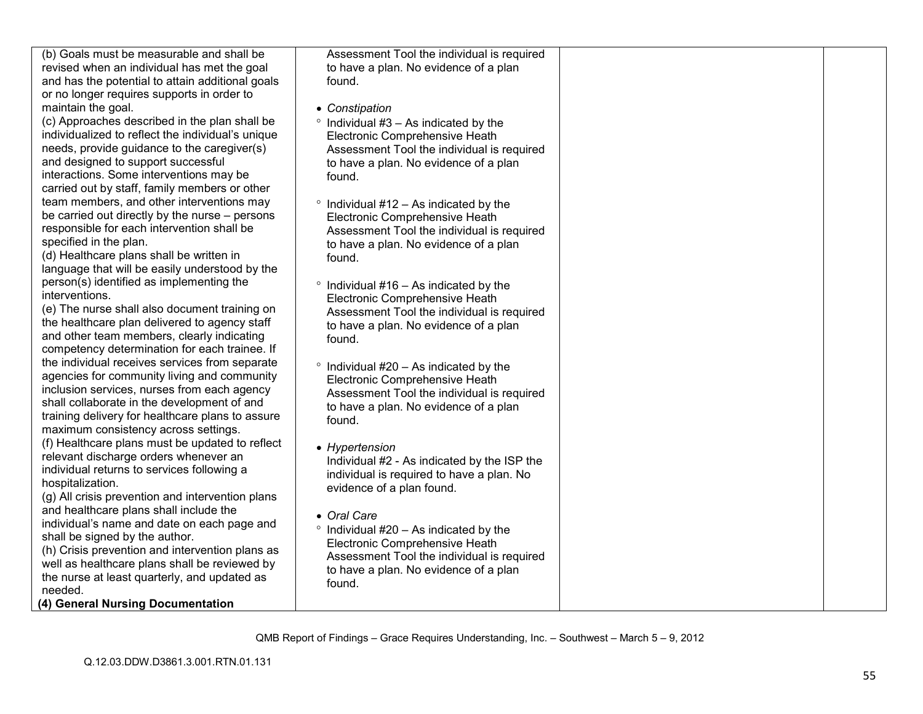| (b) Goals must be measurable and shall be         | Assessment Tool the individual is required     |  |
|---------------------------------------------------|------------------------------------------------|--|
| revised when an individual has met the goal       | to have a plan. No evidence of a plan          |  |
| and has the potential to attain additional goals  | found.                                         |  |
| or no longer requires supports in order to        |                                                |  |
| maintain the goal.                                | • Constipation                                 |  |
| (c) Approaches described in the plan shall be     | $\degree$ Individual #3 - As indicated by the  |  |
| individualized to reflect the individual's unique | Electronic Comprehensive Heath                 |  |
| needs, provide guidance to the caregiver(s)       | Assessment Tool the individual is required     |  |
| and designed to support successful                | to have a plan. No evidence of a plan          |  |
| interactions. Some interventions may be           | found.                                         |  |
| carried out by staff, family members or other     |                                                |  |
| team members, and other interventions may         | $\degree$ Individual #12 - As indicated by the |  |
| be carried out directly by the nurse – persons    | Electronic Comprehensive Heath                 |  |
| responsible for each intervention shall be        | Assessment Tool the individual is required     |  |
| specified in the plan.                            | to have a plan. No evidence of a plan          |  |
| (d) Healthcare plans shall be written in          | found.                                         |  |
| language that will be easily understood by the    |                                                |  |
| person(s) identified as implementing the          | $\degree$ Individual #16 - As indicated by the |  |
| interventions.                                    | Electronic Comprehensive Heath                 |  |
| (e) The nurse shall also document training on     | Assessment Tool the individual is required     |  |
| the healthcare plan delivered to agency staff     | to have a plan. No evidence of a plan          |  |
| and other team members, clearly indicating        | found.                                         |  |
| competency determination for each trainee. If     |                                                |  |
| the individual receives services from separate    | $\degree$ Individual #20 - As indicated by the |  |
| agencies for community living and community       | Electronic Comprehensive Heath                 |  |
| inclusion services, nurses from each agency       | Assessment Tool the individual is required     |  |
| shall collaborate in the development of and       | to have a plan. No evidence of a plan          |  |
| training delivery for healthcare plans to assure  | found.                                         |  |
| maximum consistency across settings.              |                                                |  |
| (f) Healthcare plans must be updated to reflect   | • Hypertension                                 |  |
| relevant discharge orders whenever an             | Individual #2 - As indicated by the ISP the    |  |
| individual returns to services following a        | individual is required to have a plan. No      |  |
| hospitalization.                                  | evidence of a plan found.                      |  |
| (g) All crisis prevention and intervention plans  |                                                |  |
| and healthcare plans shall include the            | • Oral Care                                    |  |
| individual's name and date on each page and       | $\degree$ Individual #20 - As indicated by the |  |
| shall be signed by the author.                    | Electronic Comprehensive Heath                 |  |
| (h) Crisis prevention and intervention plans as   | Assessment Tool the individual is required     |  |
| well as healthcare plans shall be reviewed by     | to have a plan. No evidence of a plan          |  |
| the nurse at least quarterly, and updated as      | found.                                         |  |
| needed.                                           |                                                |  |
| (4) General Nursing Documentation                 |                                                |  |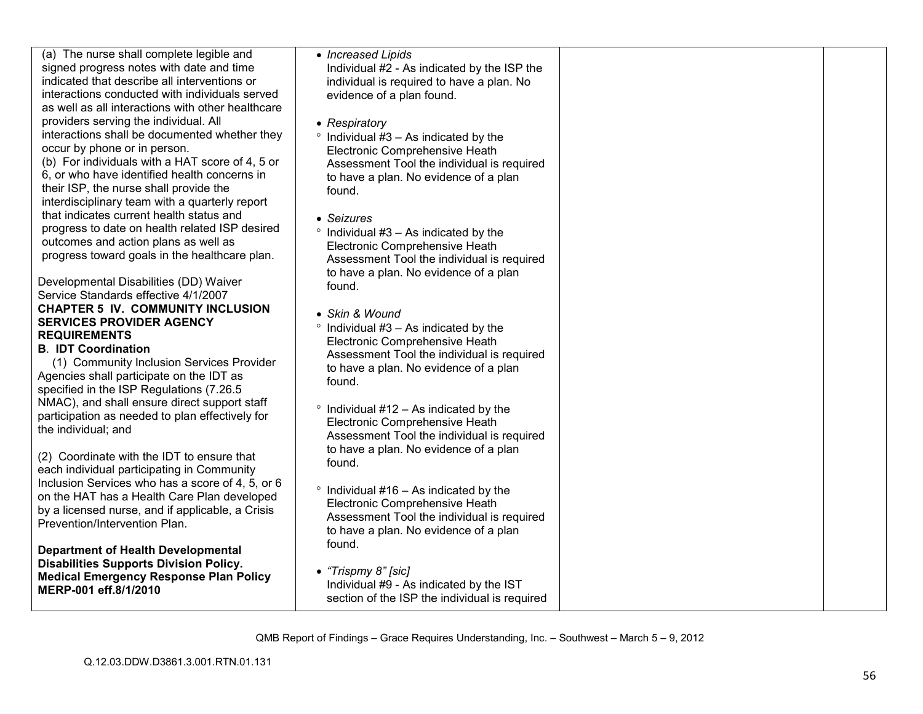| (a) The nurse shall complete legible and<br>signed progress notes with date and time<br>indicated that describe all interventions or<br>interactions conducted with individuals served<br>as well as all interactions with other healthcare<br>providers serving the individual. All<br>interactions shall be documented whether they<br>occur by phone or in person.<br>(b) For individuals with a HAT score of 4, 5 or<br>6, or who have identified health concerns in<br>their ISP, the nurse shall provide the<br>interdisciplinary team with a quarterly report<br>that indicates current health status and<br>progress to date on health related ISP desired<br>outcomes and action plans as well as<br>progress toward goals in the healthcare plan.<br>Developmental Disabilities (DD) Waiver<br>Service Standards effective 4/1/2007<br><b>CHAPTER 5 IV. COMMUNITY INCLUSION</b><br><b>SERVICES PROVIDER AGENCY</b><br><b>REQUIREMENTS</b><br><b>B. IDT Coordination</b><br>(1) Community Inclusion Services Provider<br>Agencies shall participate on the IDT as<br>specified in the ISP Regulations (7.26.5)<br>NMAC), and shall ensure direct support staff<br>participation as needed to plan effectively for<br>the individual; and<br>(2) Coordinate with the IDT to ensure that<br>each individual participating in Community<br>Inclusion Services who has a score of 4, 5, or 6<br>on the HAT has a Health Care Plan developed | • Increased Lipids<br>Individual #2 - As indicated by the ISP the<br>individual is required to have a plan. No<br>evidence of a plan found.<br>• Respiratory<br>$\degree$ Individual #3 - As indicated by the<br>Electronic Comprehensive Heath<br>Assessment Tool the individual is required<br>to have a plan. No evidence of a plan<br>found.<br>• Seizures<br>$\degree$ Individual #3 – As indicated by the<br>Electronic Comprehensive Heath<br>Assessment Tool the individual is required<br>to have a plan. No evidence of a plan<br>found.<br>• Skin & Wound<br>$\degree$ Individual #3 – As indicated by the<br>Electronic Comprehensive Heath<br>Assessment Tool the individual is required<br>to have a plan. No evidence of a plan<br>found.<br>$\degree$ Individual #12 – As indicated by the<br>Electronic Comprehensive Heath<br>Assessment Tool the individual is required<br>to have a plan. No evidence of a plan<br>found.<br>$\degree$ Individual #16 - As indicated by the<br>Electronic Comprehensive Heath |  |
|--------------------------------------------------------------------------------------------------------------------------------------------------------------------------------------------------------------------------------------------------------------------------------------------------------------------------------------------------------------------------------------------------------------------------------------------------------------------------------------------------------------------------------------------------------------------------------------------------------------------------------------------------------------------------------------------------------------------------------------------------------------------------------------------------------------------------------------------------------------------------------------------------------------------------------------------------------------------------------------------------------------------------------------------------------------------------------------------------------------------------------------------------------------------------------------------------------------------------------------------------------------------------------------------------------------------------------------------------------------------------------------------------------------------------------------------------|-----------------------------------------------------------------------------------------------------------------------------------------------------------------------------------------------------------------------------------------------------------------------------------------------------------------------------------------------------------------------------------------------------------------------------------------------------------------------------------------------------------------------------------------------------------------------------------------------------------------------------------------------------------------------------------------------------------------------------------------------------------------------------------------------------------------------------------------------------------------------------------------------------------------------------------------------------------------------------------------------------------------------------------|--|
| by a licensed nurse, and if applicable, a Crisis<br>Prevention/Intervention Plan.                                                                                                                                                                                                                                                                                                                                                                                                                                                                                                                                                                                                                                                                                                                                                                                                                                                                                                                                                                                                                                                                                                                                                                                                                                                                                                                                                                | Assessment Tool the individual is required<br>to have a plan. No evidence of a plan                                                                                                                                                                                                                                                                                                                                                                                                                                                                                                                                                                                                                                                                                                                                                                                                                                                                                                                                               |  |
| <b>Department of Health Developmental</b><br><b>Disabilities Supports Division Policy.</b><br><b>Medical Emergency Response Plan Policy</b><br>MERP-001 eff.8/1/2010                                                                                                                                                                                                                                                                                                                                                                                                                                                                                                                                                                                                                                                                                                                                                                                                                                                                                                                                                                                                                                                                                                                                                                                                                                                                             | found.<br>• "Trispmy 8" [sic]<br>Individual #9 - As indicated by the IST<br>section of the ISP the individual is required                                                                                                                                                                                                                                                                                                                                                                                                                                                                                                                                                                                                                                                                                                                                                                                                                                                                                                         |  |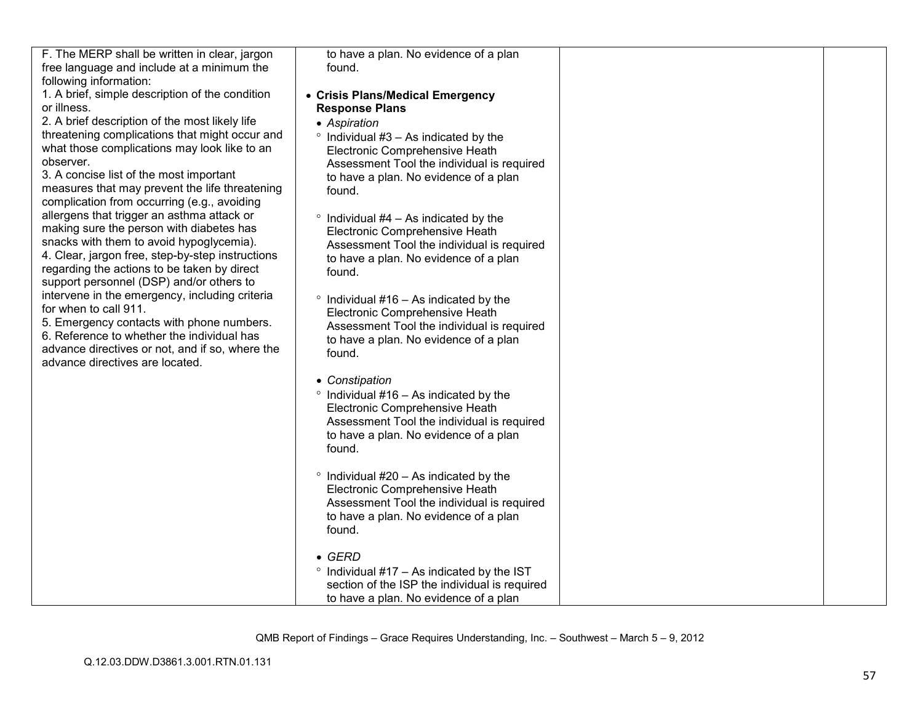| F. The MERP shall be written in clear, jargon    | to have a plan. No evidence of a plan              |  |
|--------------------------------------------------|----------------------------------------------------|--|
| free language and include at a minimum the       | found.                                             |  |
| following information:                           |                                                    |  |
| 1. A brief, simple description of the condition  | • Crisis Plans/Medical Emergency                   |  |
| or illness.                                      | <b>Response Plans</b>                              |  |
| 2. A brief description of the most likely life   | • Aspiration                                       |  |
| threatening complications that might occur and   | $\degree$ Individual #3 – As indicated by the      |  |
| what those complications may look like to an     | Electronic Comprehensive Heath                     |  |
| observer.                                        | Assessment Tool the individual is required         |  |
| 3. A concise list of the most important          | to have a plan. No evidence of a plan              |  |
| measures that may prevent the life threatening   | found.                                             |  |
| complication from occurring (e.g., avoiding      |                                                    |  |
| allergens that trigger an asthma attack or       | $\degree$ Individual #4 – As indicated by the      |  |
| making sure the person with diabetes has         | Electronic Comprehensive Heath                     |  |
| snacks with them to avoid hypoglycemia).         | Assessment Tool the individual is required         |  |
| 4. Clear, jargon free, step-by-step instructions | to have a plan. No evidence of a plan              |  |
| regarding the actions to be taken by direct      | found.                                             |  |
| support personnel (DSP) and/or others to         |                                                    |  |
| intervene in the emergency, including criteria   | $\degree$ Individual #16 - As indicated by the     |  |
| for when to call 911.                            | Electronic Comprehensive Heath                     |  |
| 5. Emergency contacts with phone numbers.        | Assessment Tool the individual is required         |  |
| 6. Reference to whether the individual has       | to have a plan. No evidence of a plan              |  |
| advance directives or not, and if so, where the  | found.                                             |  |
| advance directives are located.                  |                                                    |  |
|                                                  | • Constipation                                     |  |
|                                                  | $\degree$ Individual #16 - As indicated by the     |  |
|                                                  | Electronic Comprehensive Heath                     |  |
|                                                  | Assessment Tool the individual is required         |  |
|                                                  | to have a plan. No evidence of a plan              |  |
|                                                  | found.                                             |  |
|                                                  |                                                    |  |
|                                                  | $\degree$ Individual #20 - As indicated by the     |  |
|                                                  | Electronic Comprehensive Heath                     |  |
|                                                  | Assessment Tool the individual is required         |  |
|                                                  | to have a plan. No evidence of a plan              |  |
|                                                  | found.                                             |  |
|                                                  |                                                    |  |
|                                                  | $\bullet$ GERD                                     |  |
|                                                  | $\degree$ Individual #17 – As indicated by the IST |  |
|                                                  | section of the ISP the individual is required      |  |
|                                                  | to have a plan. No evidence of a plan              |  |
|                                                  |                                                    |  |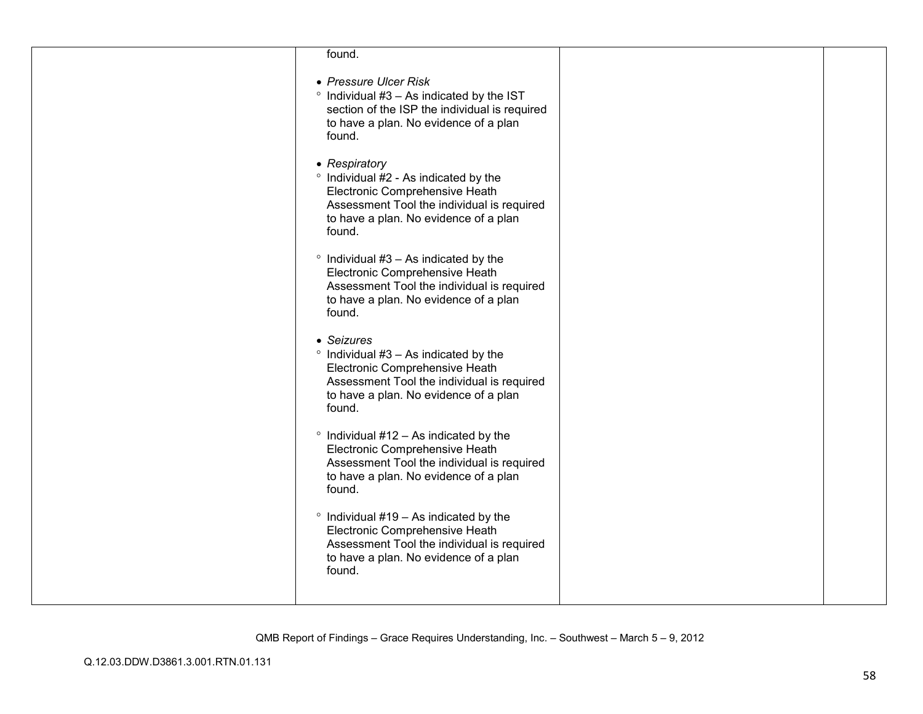| found.                                                                                                                                                                                         |  |
|------------------------------------------------------------------------------------------------------------------------------------------------------------------------------------------------|--|
| • Pressure Ulcer Risk<br>$\degree$ Individual #3 - As indicated by the IST<br>section of the ISP the individual is required<br>to have a plan. No evidence of a plan<br>found.                 |  |
| • Respiratory<br>° Individual #2 - As indicated by the<br>Electronic Comprehensive Heath<br>Assessment Tool the individual is required<br>to have a plan. No evidence of a plan<br>found.      |  |
| $\degree$ Individual #3 - As indicated by the<br>Electronic Comprehensive Heath<br>Assessment Tool the individual is required<br>to have a plan. No evidence of a plan<br>found.               |  |
| • Seizures<br>$\degree$ Individual #3 - As indicated by the<br>Electronic Comprehensive Heath<br>Assessment Tool the individual is required<br>to have a plan. No evidence of a plan<br>found. |  |
| $\degree$ Individual #12 - As indicated by the<br>Electronic Comprehensive Heath<br>Assessment Tool the individual is required<br>to have a plan. No evidence of a plan<br>found.              |  |
| $\degree$ Individual #19 - As indicated by the<br>Electronic Comprehensive Heath<br>Assessment Tool the individual is required<br>to have a plan. No evidence of a plan<br>found.              |  |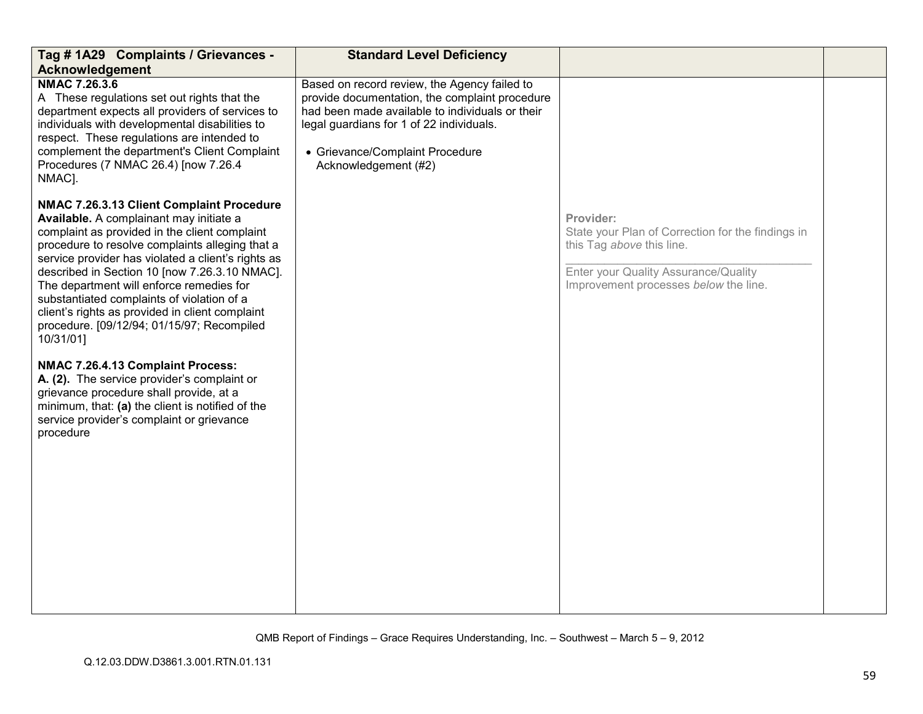| Tag # 1A29 Complaints / Grievances -<br><b>Acknowledgement</b>                                                                                                                                                                                                                                                                                                                                                                                                                                                                                                                                                                                                                                                                                       | <b>Standard Level Deficiency</b>                                                                                                                                                                                                                         |                                                                                                                                                                              |  |
|------------------------------------------------------------------------------------------------------------------------------------------------------------------------------------------------------------------------------------------------------------------------------------------------------------------------------------------------------------------------------------------------------------------------------------------------------------------------------------------------------------------------------------------------------------------------------------------------------------------------------------------------------------------------------------------------------------------------------------------------------|----------------------------------------------------------------------------------------------------------------------------------------------------------------------------------------------------------------------------------------------------------|------------------------------------------------------------------------------------------------------------------------------------------------------------------------------|--|
| NMAC 7.26.3.6<br>A These regulations set out rights that the<br>department expects all providers of services to<br>individuals with developmental disabilities to<br>respect. These regulations are intended to<br>complement the department's Client Complaint<br>Procedures (7 NMAC 26.4) [now 7.26.4<br>NMAC].                                                                                                                                                                                                                                                                                                                                                                                                                                    | Based on record review, the Agency failed to<br>provide documentation, the complaint procedure<br>had been made available to individuals or their<br>legal guardians for 1 of 22 individuals.<br>• Grievance/Complaint Procedure<br>Acknowledgement (#2) |                                                                                                                                                                              |  |
| NMAC 7.26.3.13 Client Complaint Procedure<br>Available. A complainant may initiate a<br>complaint as provided in the client complaint<br>procedure to resolve complaints alleging that a<br>service provider has violated a client's rights as<br>described in Section 10 [now 7.26.3.10 NMAC].<br>The department will enforce remedies for<br>substantiated complaints of violation of a<br>client's rights as provided in client complaint<br>procedure. [09/12/94; 01/15/97; Recompiled<br>10/31/01]<br>NMAC 7.26.4.13 Complaint Process:<br>A. (2). The service provider's complaint or<br>grievance procedure shall provide, at a<br>minimum, that: (a) the client is notified of the<br>service provider's complaint or grievance<br>procedure |                                                                                                                                                                                                                                                          | Provider:<br>State your Plan of Correction for the findings in<br>this Tag above this line.<br>Enter your Quality Assurance/Quality<br>Improvement processes below the line. |  |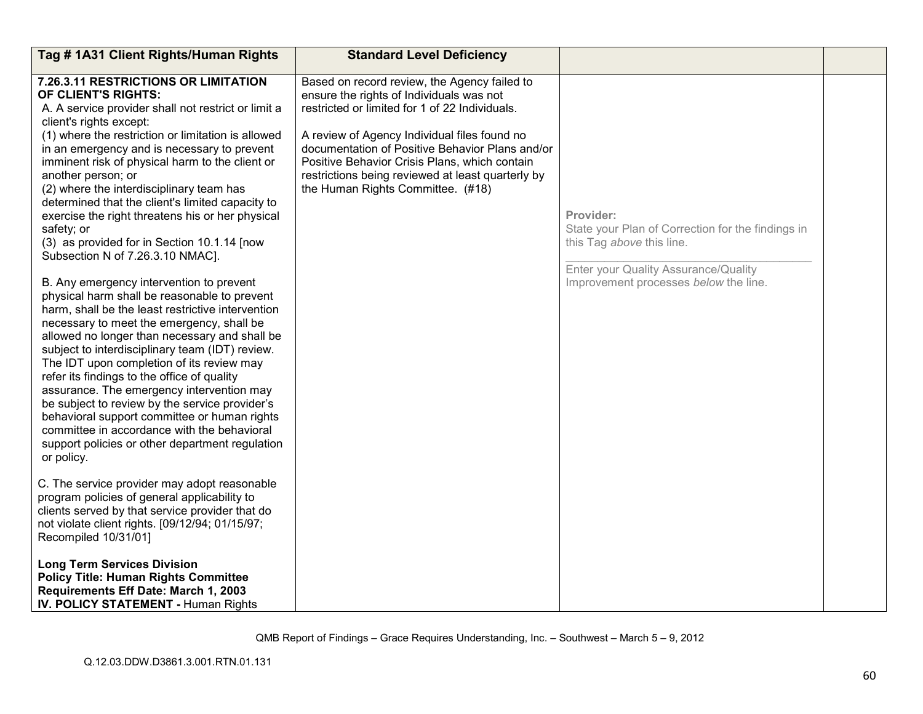| Tag #1A31 Client Rights/Human Rights                                                                                                                                                                                                                                                                                                                                                                                                                                                                                                                                                                                                                                                                                                                                                                                                                                                                                                                                                                                                                                                                                          | <b>Standard Level Deficiency</b>                                                                                                                                                                                                                                                                                                                                                         |                                                                                                                                                                              |  |
|-------------------------------------------------------------------------------------------------------------------------------------------------------------------------------------------------------------------------------------------------------------------------------------------------------------------------------------------------------------------------------------------------------------------------------------------------------------------------------------------------------------------------------------------------------------------------------------------------------------------------------------------------------------------------------------------------------------------------------------------------------------------------------------------------------------------------------------------------------------------------------------------------------------------------------------------------------------------------------------------------------------------------------------------------------------------------------------------------------------------------------|------------------------------------------------------------------------------------------------------------------------------------------------------------------------------------------------------------------------------------------------------------------------------------------------------------------------------------------------------------------------------------------|------------------------------------------------------------------------------------------------------------------------------------------------------------------------------|--|
| 7.26.3.11 RESTRICTIONS OR LIMITATION<br>OF CLIENT'S RIGHTS:<br>A. A service provider shall not restrict or limit a<br>client's rights except:<br>(1) where the restriction or limitation is allowed<br>in an emergency and is necessary to prevent<br>imminent risk of physical harm to the client or<br>another person; or<br>(2) where the interdisciplinary team has<br>determined that the client's limited capacity to<br>exercise the right threatens his or her physical<br>safety; or<br>(3) as provided for in Section 10.1.14 [now<br>Subsection N of 7.26.3.10 NMAC].<br>B. Any emergency intervention to prevent<br>physical harm shall be reasonable to prevent<br>harm, shall be the least restrictive intervention<br>necessary to meet the emergency, shall be<br>allowed no longer than necessary and shall be<br>subject to interdisciplinary team (IDT) review.<br>The IDT upon completion of its review may<br>refer its findings to the office of quality<br>assurance. The emergency intervention may<br>be subject to review by the service provider's<br>behavioral support committee or human rights | Based on record review, the Agency failed to<br>ensure the rights of Individuals was not<br>restricted or limited for 1 of 22 Individuals.<br>A review of Agency Individual files found no<br>documentation of Positive Behavior Plans and/or<br>Positive Behavior Crisis Plans, which contain<br>restrictions being reviewed at least quarterly by<br>the Human Rights Committee. (#18) | Provider:<br>State your Plan of Correction for the findings in<br>this Tag above this line.<br>Enter your Quality Assurance/Quality<br>Improvement processes below the line. |  |
| committee in accordance with the behavioral<br>support policies or other department regulation<br>or policy.                                                                                                                                                                                                                                                                                                                                                                                                                                                                                                                                                                                                                                                                                                                                                                                                                                                                                                                                                                                                                  |                                                                                                                                                                                                                                                                                                                                                                                          |                                                                                                                                                                              |  |
| C. The service provider may adopt reasonable<br>program policies of general applicability to<br>clients served by that service provider that do<br>not violate client rights. [09/12/94; 01/15/97;<br>Recompiled 10/31/01]                                                                                                                                                                                                                                                                                                                                                                                                                                                                                                                                                                                                                                                                                                                                                                                                                                                                                                    |                                                                                                                                                                                                                                                                                                                                                                                          |                                                                                                                                                                              |  |
| <b>Long Term Services Division</b><br><b>Policy Title: Human Rights Committee</b><br>Requirements Eff Date: March 1, 2003<br><b>IV. POLICY STATEMENT - Human Rights</b>                                                                                                                                                                                                                                                                                                                                                                                                                                                                                                                                                                                                                                                                                                                                                                                                                                                                                                                                                       |                                                                                                                                                                                                                                                                                                                                                                                          |                                                                                                                                                                              |  |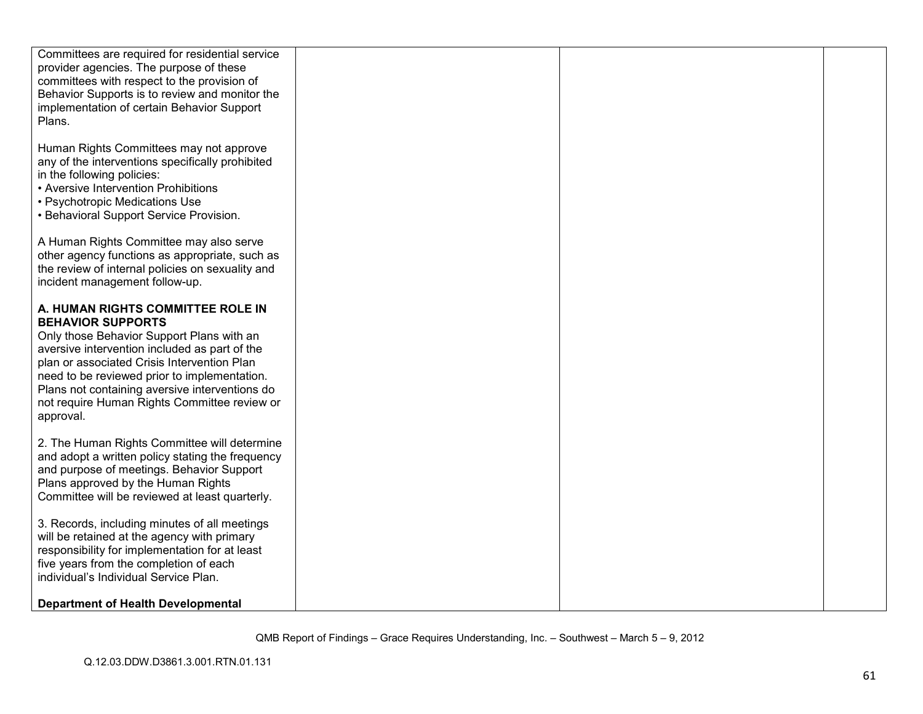| Committees are required for residential service  |  |  |
|--------------------------------------------------|--|--|
| provider agencies. The purpose of these          |  |  |
| committees with respect to the provision of      |  |  |
| Behavior Supports is to review and monitor the   |  |  |
|                                                  |  |  |
| implementation of certain Behavior Support       |  |  |
| Plans.                                           |  |  |
|                                                  |  |  |
| Human Rights Committees may not approve          |  |  |
| any of the interventions specifically prohibited |  |  |
| in the following policies:                       |  |  |
| • Aversive Intervention Prohibitions             |  |  |
| • Psychotropic Medications Use                   |  |  |
| • Behavioral Support Service Provision.          |  |  |
|                                                  |  |  |
| A Human Rights Committee may also serve          |  |  |
| other agency functions as appropriate, such as   |  |  |
| the review of internal policies on sexuality and |  |  |
| incident management follow-up.                   |  |  |
|                                                  |  |  |
| A. HUMAN RIGHTS COMMITTEE ROLE IN                |  |  |
| <b>BEHAVIOR SUPPORTS</b>                         |  |  |
| Only those Behavior Support Plans with an        |  |  |
| aversive intervention included as part of the    |  |  |
| plan or associated Crisis Intervention Plan      |  |  |
| need to be reviewed prior to implementation.     |  |  |
| Plans not containing aversive interventions do   |  |  |
| not require Human Rights Committee review or     |  |  |
| approval.                                        |  |  |
|                                                  |  |  |
| 2. The Human Rights Committee will determine     |  |  |
| and adopt a written policy stating the frequency |  |  |
| and purpose of meetings. Behavior Support        |  |  |
| Plans approved by the Human Rights               |  |  |
| Committee will be reviewed at least quarterly.   |  |  |
|                                                  |  |  |
| 3. Records, including minutes of all meetings    |  |  |
| will be retained at the agency with primary      |  |  |
| responsibility for implementation for at least   |  |  |
| five years from the completion of each           |  |  |
| individual's Individual Service Plan.            |  |  |
|                                                  |  |  |
| <b>Department of Health Developmental</b>        |  |  |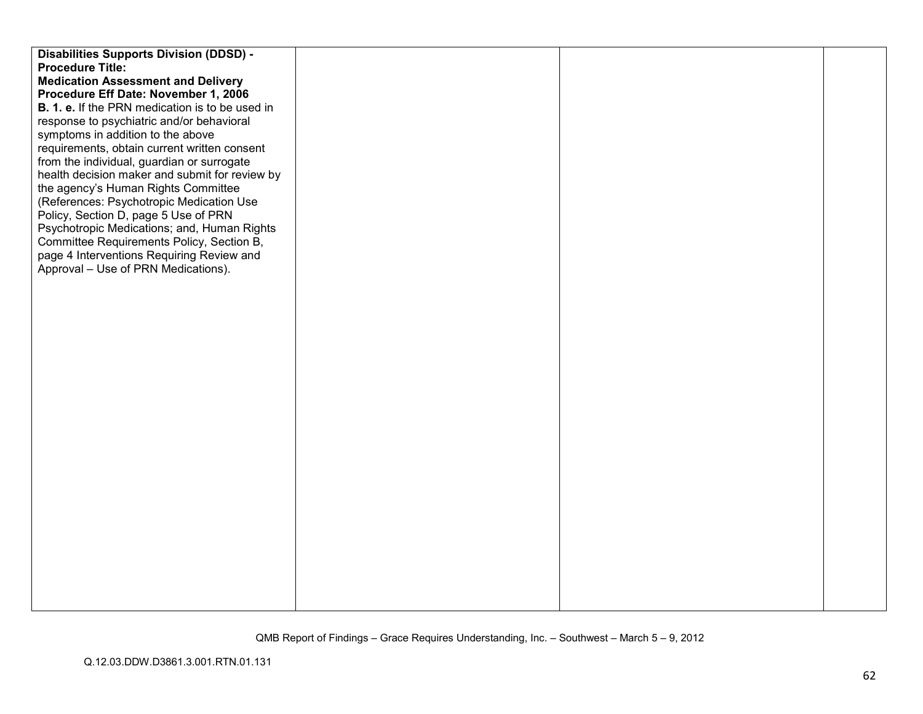| <b>Disabilities Supports Division (DDSD) -</b>  |  |  |
|-------------------------------------------------|--|--|
| <b>Procedure Title:</b>                         |  |  |
| <b>Medication Assessment and Delivery</b>       |  |  |
| Procedure Eff Date: November 1, 2006            |  |  |
| B. 1. e. If the PRN medication is to be used in |  |  |
| response to psychiatric and/or behavioral       |  |  |
| symptoms in addition to the above               |  |  |
| requirements, obtain current written consent    |  |  |
| from the individual, guardian or surrogate      |  |  |
| health decision maker and submit for review by  |  |  |
| the agency's Human Rights Committee             |  |  |
| (References: Psychotropic Medication Use        |  |  |
| Policy, Section D, page 5 Use of PRN            |  |  |
| Psychotropic Medications; and, Human Rights     |  |  |
| Committee Requirements Policy, Section B,       |  |  |
| page 4 Interventions Requiring Review and       |  |  |
| Approval – Use of PRN Medications).             |  |  |
|                                                 |  |  |
|                                                 |  |  |
|                                                 |  |  |
|                                                 |  |  |
|                                                 |  |  |
|                                                 |  |  |
|                                                 |  |  |
|                                                 |  |  |
|                                                 |  |  |
|                                                 |  |  |
|                                                 |  |  |
|                                                 |  |  |
|                                                 |  |  |
|                                                 |  |  |
|                                                 |  |  |
|                                                 |  |  |
|                                                 |  |  |
|                                                 |  |  |
|                                                 |  |  |
|                                                 |  |  |
|                                                 |  |  |
|                                                 |  |  |
|                                                 |  |  |
|                                                 |  |  |
|                                                 |  |  |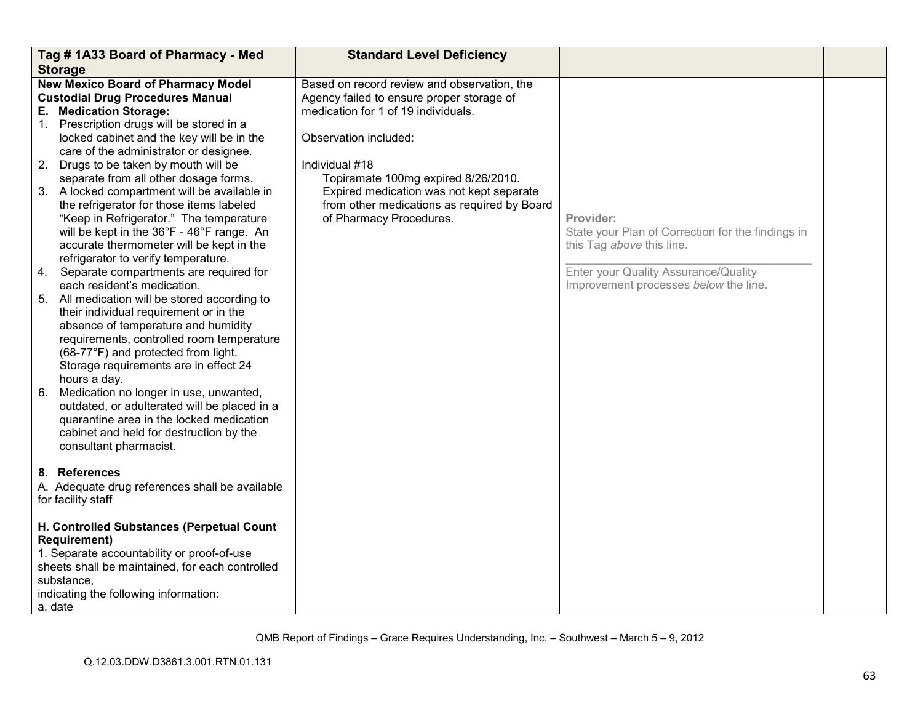|    | Tag #1A33 Board of Pharmacy - Med<br><b>Storage</b>                                                                                                                                                                                                                                                                                                                                                                                                                                                                                                                                                                                                                                                                                                                                                                                                                                                                                                                                                                                                                                                                                                                               | <b>Standard Level Deficiency</b>                                                                                                                                                                                                                                                                                                        |                                                                                                                                                                              |  |
|----|-----------------------------------------------------------------------------------------------------------------------------------------------------------------------------------------------------------------------------------------------------------------------------------------------------------------------------------------------------------------------------------------------------------------------------------------------------------------------------------------------------------------------------------------------------------------------------------------------------------------------------------------------------------------------------------------------------------------------------------------------------------------------------------------------------------------------------------------------------------------------------------------------------------------------------------------------------------------------------------------------------------------------------------------------------------------------------------------------------------------------------------------------------------------------------------|-----------------------------------------------------------------------------------------------------------------------------------------------------------------------------------------------------------------------------------------------------------------------------------------------------------------------------------------|------------------------------------------------------------------------------------------------------------------------------------------------------------------------------|--|
| 6. | <b>New Mexico Board of Pharmacy Model</b><br><b>Custodial Drug Procedures Manual</b><br>E. Medication Storage:<br>1. Prescription drugs will be stored in a<br>locked cabinet and the key will be in the<br>care of the administrator or designee.<br>2. Drugs to be taken by mouth will be<br>separate from all other dosage forms.<br>3. A locked compartment will be available in<br>the refrigerator for those items labeled<br>"Keep in Refrigerator." The temperature<br>will be kept in the 36°F - 46°F range. An<br>accurate thermometer will be kept in the<br>refrigerator to verify temperature.<br>4. Separate compartments are required for<br>each resident's medication.<br>5. All medication will be stored according to<br>their individual requirement or in the<br>absence of temperature and humidity<br>requirements, controlled room temperature<br>(68-77°F) and protected from light.<br>Storage requirements are in effect 24<br>hours a day.<br>Medication no longer in use, unwanted,<br>outdated, or adulterated will be placed in a<br>quarantine area in the locked medication<br>cabinet and held for destruction by the<br>consultant pharmacist. | Based on record review and observation, the<br>Agency failed to ensure proper storage of<br>medication for 1 of 19 individuals.<br>Observation included:<br>Individual #18<br>Topiramate 100mg expired 8/26/2010.<br>Expired medication was not kept separate<br>from other medications as required by Board<br>of Pharmacy Procedures. | Provider:<br>State your Plan of Correction for the findings in<br>this Tag above this line.<br>Enter your Quality Assurance/Quality<br>Improvement processes below the line. |  |
|    | 8. References<br>A. Adequate drug references shall be available<br>for facility staff                                                                                                                                                                                                                                                                                                                                                                                                                                                                                                                                                                                                                                                                                                                                                                                                                                                                                                                                                                                                                                                                                             |                                                                                                                                                                                                                                                                                                                                         |                                                                                                                                                                              |  |
|    | H. Controlled Substances (Perpetual Count<br><b>Requirement)</b><br>1. Separate accountability or proof-of-use<br>sheets shall be maintained, for each controlled<br>substance.<br>indicating the following information:<br>a. date                                                                                                                                                                                                                                                                                                                                                                                                                                                                                                                                                                                                                                                                                                                                                                                                                                                                                                                                               |                                                                                                                                                                                                                                                                                                                                         |                                                                                                                                                                              |  |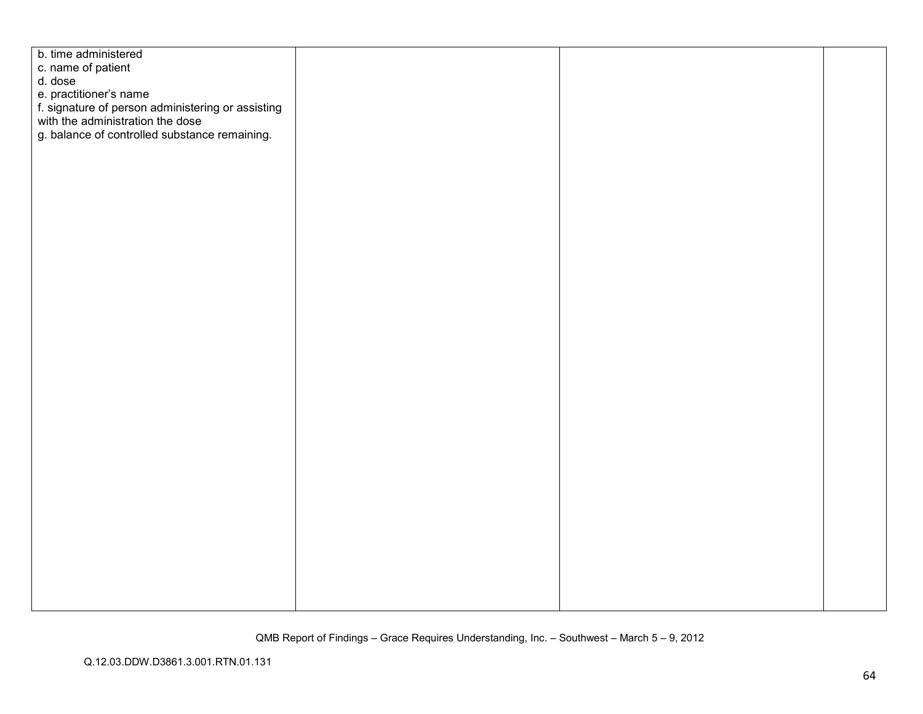| b. time administered                                                                  |  |  |
|---------------------------------------------------------------------------------------|--|--|
| c. name of patient                                                                    |  |  |
| d. dose                                                                               |  |  |
| e. practitioner's name                                                                |  |  |
|                                                                                       |  |  |
| f. signature of person administering or assisting<br>with the administration the dose |  |  |
| g. balance of controlled substance remaining.                                         |  |  |
|                                                                                       |  |  |
|                                                                                       |  |  |
|                                                                                       |  |  |
|                                                                                       |  |  |
|                                                                                       |  |  |
|                                                                                       |  |  |
|                                                                                       |  |  |
|                                                                                       |  |  |
|                                                                                       |  |  |
|                                                                                       |  |  |
|                                                                                       |  |  |
|                                                                                       |  |  |
|                                                                                       |  |  |
|                                                                                       |  |  |
|                                                                                       |  |  |
|                                                                                       |  |  |
|                                                                                       |  |  |
|                                                                                       |  |  |
|                                                                                       |  |  |
|                                                                                       |  |  |
|                                                                                       |  |  |
|                                                                                       |  |  |
|                                                                                       |  |  |
|                                                                                       |  |  |
|                                                                                       |  |  |
|                                                                                       |  |  |
|                                                                                       |  |  |
|                                                                                       |  |  |
|                                                                                       |  |  |
|                                                                                       |  |  |
|                                                                                       |  |  |
|                                                                                       |  |  |
|                                                                                       |  |  |
|                                                                                       |  |  |
|                                                                                       |  |  |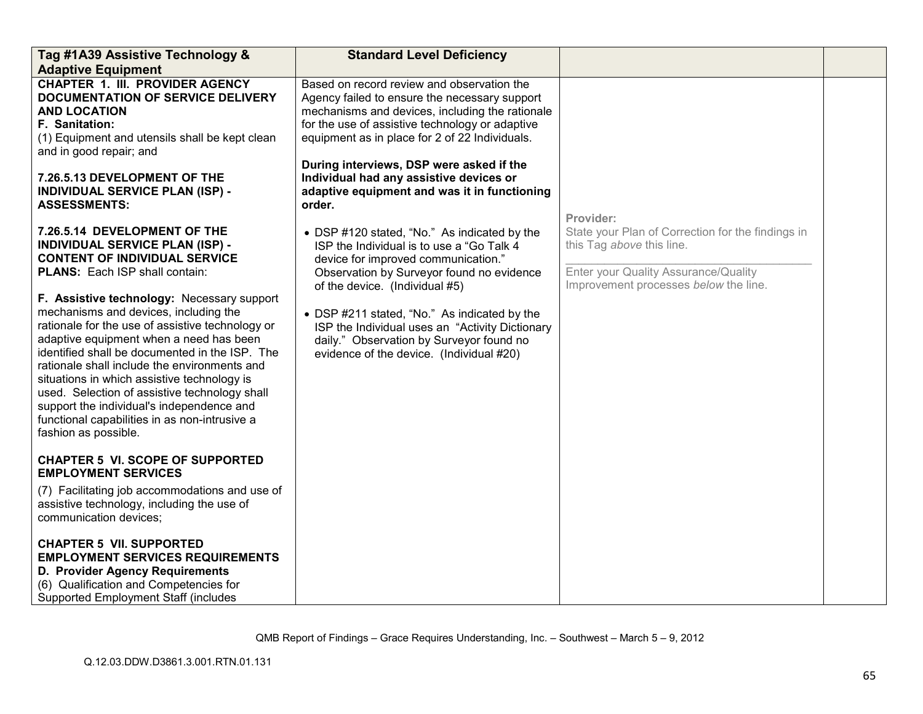| Tag #1A39 Assistive Technology &<br><b>Adaptive Equipment</b>                                                                                                                                                                                                                                                                                                                                                                                                                                                                                                                                                                                                                                                                                                                                                                                                                                                                                                                                                                                                                      | <b>Standard Level Deficiency</b>                                                                                                                                                                                                                                                                                                                                                                           |                                                                                                                                                                              |  |
|------------------------------------------------------------------------------------------------------------------------------------------------------------------------------------------------------------------------------------------------------------------------------------------------------------------------------------------------------------------------------------------------------------------------------------------------------------------------------------------------------------------------------------------------------------------------------------------------------------------------------------------------------------------------------------------------------------------------------------------------------------------------------------------------------------------------------------------------------------------------------------------------------------------------------------------------------------------------------------------------------------------------------------------------------------------------------------|------------------------------------------------------------------------------------------------------------------------------------------------------------------------------------------------------------------------------------------------------------------------------------------------------------------------------------------------------------------------------------------------------------|------------------------------------------------------------------------------------------------------------------------------------------------------------------------------|--|
| <b>CHAPTER 1. III. PROVIDER AGENCY</b><br><b>DOCUMENTATION OF SERVICE DELIVERY</b><br><b>AND LOCATION</b><br>F. Sanitation:<br>(1) Equipment and utensils shall be kept clean<br>and in good repair; and<br>7.26.5.13 DEVELOPMENT OF THE<br><b>INDIVIDUAL SERVICE PLAN (ISP) -</b><br><b>ASSESSMENTS:</b>                                                                                                                                                                                                                                                                                                                                                                                                                                                                                                                                                                                                                                                                                                                                                                          | Based on record review and observation the<br>Agency failed to ensure the necessary support<br>mechanisms and devices, including the rationale<br>for the use of assistive technology or adaptive<br>equipment as in place for 2 of 22 Individuals.<br>During interviews, DSP were asked if the<br>Individual had any assistive devices or<br>adaptive equipment and was it in functioning<br>order.       |                                                                                                                                                                              |  |
| 7.26.5.14 DEVELOPMENT OF THE<br><b>INDIVIDUAL SERVICE PLAN (ISP) -</b><br><b>CONTENT OF INDIVIDUAL SERVICE</b><br><b>PLANS:</b> Each ISP shall contain:<br>F. Assistive technology: Necessary support<br>mechanisms and devices, including the<br>rationale for the use of assistive technology or<br>adaptive equipment when a need has been<br>identified shall be documented in the ISP. The<br>rationale shall include the environments and<br>situations in which assistive technology is<br>used. Selection of assistive technology shall<br>support the individual's independence and<br>functional capabilities in as non-intrusive a<br>fashion as possible.<br><b>CHAPTER 5 VI. SCOPE OF SUPPORTED</b><br><b>EMPLOYMENT SERVICES</b><br>(7) Facilitating job accommodations and use of<br>assistive technology, including the use of<br>communication devices;<br><b>CHAPTER 5 VII. SUPPORTED</b><br><b>EMPLOYMENT SERVICES REQUIREMENTS</b><br>D. Provider Agency Requirements<br>(6) Qualification and Competencies for<br><b>Supported Employment Staff (includes</b> | • DSP #120 stated, "No." As indicated by the<br>ISP the Individual is to use a "Go Talk 4<br>device for improved communication."<br>Observation by Surveyor found no evidence<br>of the device. (Individual #5)<br>• DSP #211 stated, "No." As indicated by the<br>ISP the Individual uses an "Activity Dictionary<br>daily." Observation by Surveyor found no<br>evidence of the device. (Individual #20) | Provider:<br>State your Plan of Correction for the findings in<br>this Tag above this line.<br>Enter your Quality Assurance/Quality<br>Improvement processes below the line. |  |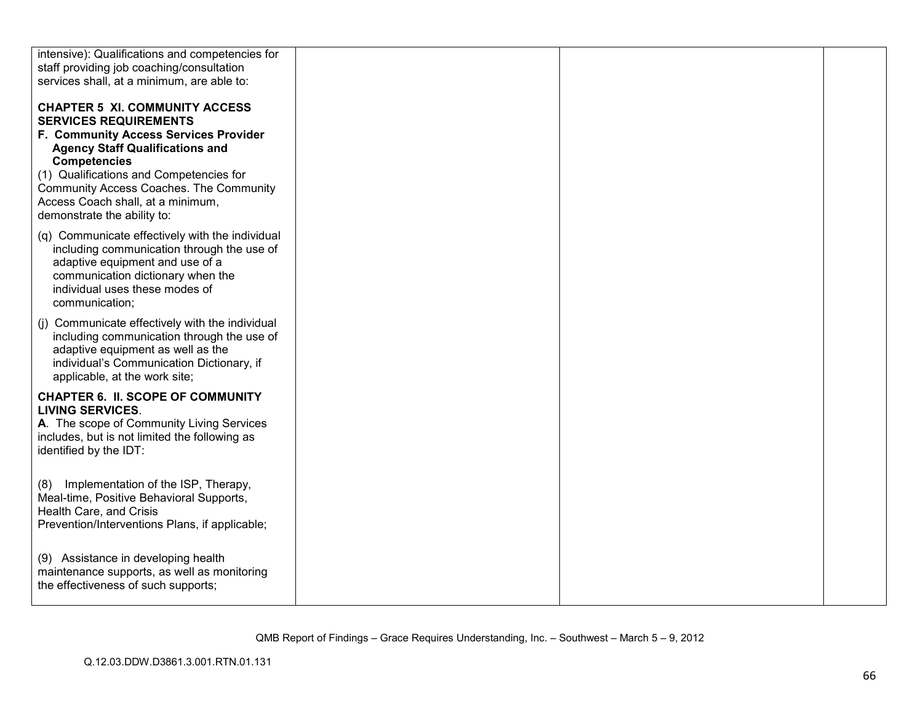| intensive): Qualifications and competencies for                                                                                                                                                                           |  |  |
|---------------------------------------------------------------------------------------------------------------------------------------------------------------------------------------------------------------------------|--|--|
| staff providing job coaching/consultation                                                                                                                                                                                 |  |  |
| services shall, at a minimum, are able to:                                                                                                                                                                                |  |  |
| <b>CHAPTER 5 XI. COMMUNITY ACCESS</b><br><b>SERVICES REQUIREMENTS</b><br>F. Community Access Services Provider                                                                                                            |  |  |
| <b>Agency Staff Qualifications and</b><br><b>Competencies</b>                                                                                                                                                             |  |  |
| (1) Qualifications and Competencies for<br>Community Access Coaches. The Community<br>Access Coach shall, at a minimum,<br>demonstrate the ability to:                                                                    |  |  |
| (q) Communicate effectively with the individual<br>including communication through the use of<br>adaptive equipment and use of a<br>communication dictionary when the<br>individual uses these modes of<br>communication; |  |  |
| (j) Communicate effectively with the individual<br>including communication through the use of<br>adaptive equipment as well as the<br>individual's Communication Dictionary, if<br>applicable, at the work site;          |  |  |
| <b>CHAPTER 6. II. SCOPE OF COMMUNITY</b><br><b>LIVING SERVICES.</b><br>A. The scope of Community Living Services<br>includes, but is not limited the following as<br>identified by the IDT:                               |  |  |
| Implementation of the ISP, Therapy,<br>(8)<br>Meal-time, Positive Behavioral Supports,<br>Health Care, and Crisis<br>Prevention/Interventions Plans, if applicable;                                                       |  |  |
| (9) Assistance in developing health<br>maintenance supports, as well as monitoring<br>the effectiveness of such supports;                                                                                                 |  |  |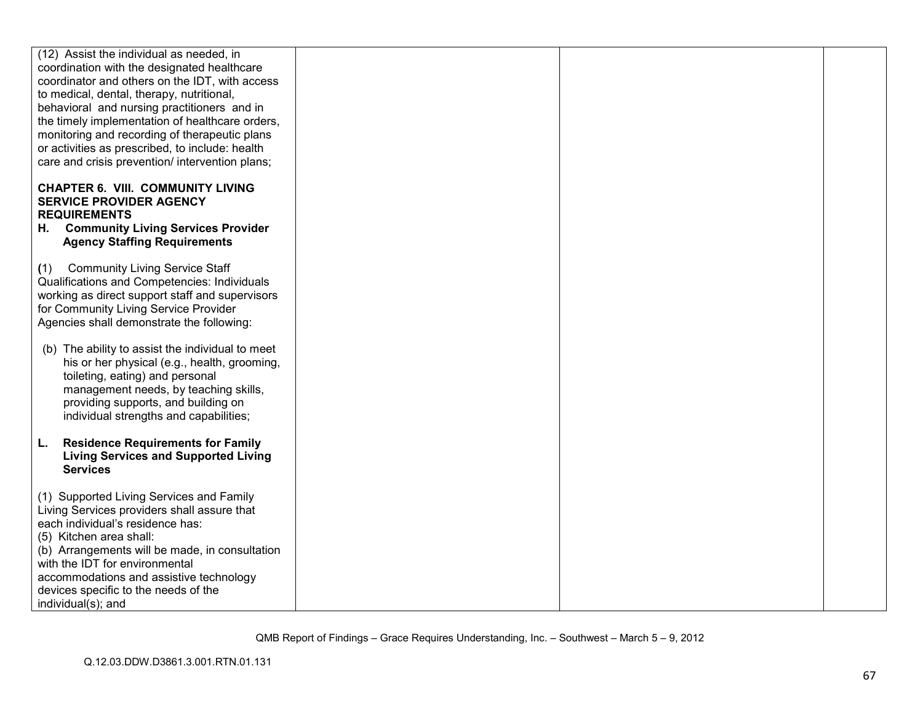| (12) Assist the individual as needed, in                                                                                                                                          |  |  |
|-----------------------------------------------------------------------------------------------------------------------------------------------------------------------------------|--|--|
| coordination with the designated healthcare                                                                                                                                       |  |  |
| coordinator and others on the IDT, with access                                                                                                                                    |  |  |
| to medical, dental, therapy, nutritional,                                                                                                                                         |  |  |
| behavioral and nursing practitioners and in                                                                                                                                       |  |  |
| the timely implementation of healthcare orders,                                                                                                                                   |  |  |
| monitoring and recording of therapeutic plans                                                                                                                                     |  |  |
| or activities as prescribed, to include: health                                                                                                                                   |  |  |
| care and crisis prevention/ intervention plans;                                                                                                                                   |  |  |
|                                                                                                                                                                                   |  |  |
| <b>CHAPTER 6. VIII. COMMUNITY LIVING</b><br><b>SERVICE PROVIDER AGENCY</b><br><b>REQUIREMENTS</b><br>H. Community Living Services Provider<br><b>Agency Staffing Requirements</b> |  |  |
|                                                                                                                                                                                   |  |  |
| (1) Community Living Service Staff                                                                                                                                                |  |  |
| Qualifications and Competencies: Individuals                                                                                                                                      |  |  |
| working as direct support staff and supervisors                                                                                                                                   |  |  |
| for Community Living Service Provider                                                                                                                                             |  |  |
| Agencies shall demonstrate the following:                                                                                                                                         |  |  |
| (b) The ability to assist the individual to meet                                                                                                                                  |  |  |
|                                                                                                                                                                                   |  |  |
| his or her physical (e.g., health, grooming,                                                                                                                                      |  |  |
| toileting, eating) and personal                                                                                                                                                   |  |  |
| management needs, by teaching skills,                                                                                                                                             |  |  |
| providing supports, and building on                                                                                                                                               |  |  |
| individual strengths and capabilities;                                                                                                                                            |  |  |
| <b>Residence Requirements for Family</b>                                                                                                                                          |  |  |
| L.                                                                                                                                                                                |  |  |
| <b>Living Services and Supported Living</b><br><b>Services</b>                                                                                                                    |  |  |
|                                                                                                                                                                                   |  |  |
| (1) Supported Living Services and Family                                                                                                                                          |  |  |
| Living Services providers shall assure that                                                                                                                                       |  |  |
| each individual's residence has:                                                                                                                                                  |  |  |
| (5) Kitchen area shall:                                                                                                                                                           |  |  |
|                                                                                                                                                                                   |  |  |
| (b) Arrangements will be made, in consultation                                                                                                                                    |  |  |
| with the IDT for environmental                                                                                                                                                    |  |  |
| accommodations and assistive technology                                                                                                                                           |  |  |
| devices specific to the needs of the                                                                                                                                              |  |  |
| individual(s); and                                                                                                                                                                |  |  |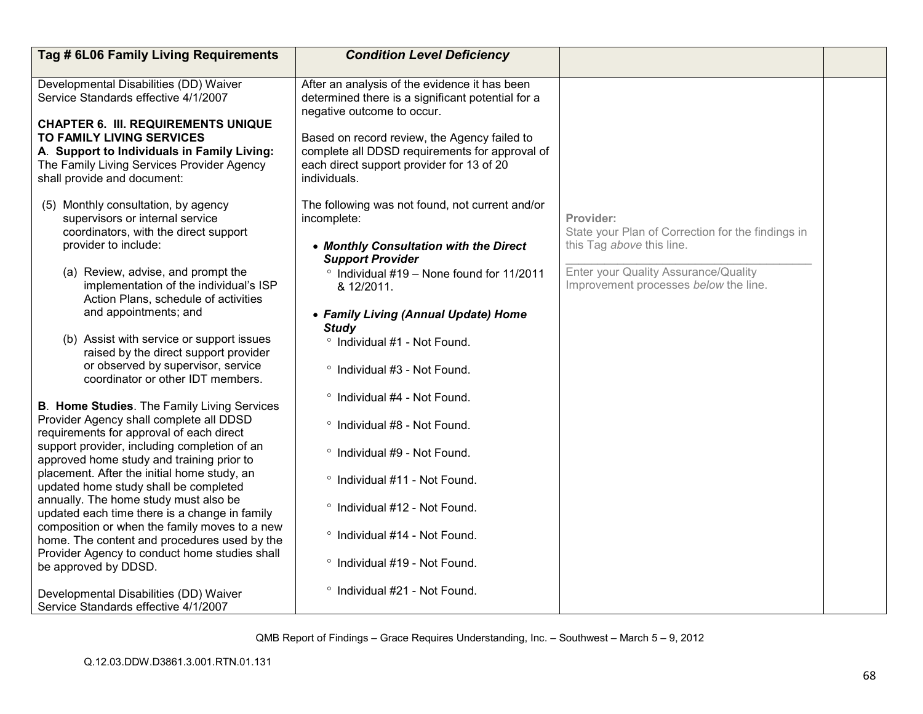| Tag # 6L06 Family Living Requirements                                                                                                                                                                                                                                                                                                                                                                                                                                                                                                                                                              | <b>Condition Level Deficiency</b>                                                                                                                                                                                                                                                                                      |                                                                                                                                                                              |  |
|----------------------------------------------------------------------------------------------------------------------------------------------------------------------------------------------------------------------------------------------------------------------------------------------------------------------------------------------------------------------------------------------------------------------------------------------------------------------------------------------------------------------------------------------------------------------------------------------------|------------------------------------------------------------------------------------------------------------------------------------------------------------------------------------------------------------------------------------------------------------------------------------------------------------------------|------------------------------------------------------------------------------------------------------------------------------------------------------------------------------|--|
| Developmental Disabilities (DD) Waiver<br>Service Standards effective 4/1/2007<br><b>CHAPTER 6. III. REQUIREMENTS UNIQUE</b><br>TO FAMILY LIVING SERVICES<br>A. Support to Individuals in Family Living:<br>The Family Living Services Provider Agency<br>shall provide and document:                                                                                                                                                                                                                                                                                                              | After an analysis of the evidence it has been<br>determined there is a significant potential for a<br>negative outcome to occur.<br>Based on record review, the Agency failed to<br>complete all DDSD requirements for approval of<br>each direct support provider for 13 of 20<br>individuals.                        |                                                                                                                                                                              |  |
| (5) Monthly consultation, by agency<br>supervisors or internal service<br>coordinators, with the direct support<br>provider to include:<br>(a) Review, advise, and prompt the<br>implementation of the individual's ISP<br>Action Plans, schedule of activities<br>and appointments; and<br>(b) Assist with service or support issues<br>raised by the direct support provider<br>or observed by supervisor, service<br>coordinator or other IDT members.                                                                                                                                          | The following was not found, not current and/or<br>incomplete:<br>• Monthly Consultation with the Direct<br><b>Support Provider</b><br>° Individual #19 - None found for 11/2011<br>& 12/2011.<br>• Family Living (Annual Update) Home<br><b>Study</b><br>° Individual #1 - Not Found.<br>° Individual #3 - Not Found. | Provider:<br>State your Plan of Correction for the findings in<br>this Tag above this line.<br>Enter your Quality Assurance/Quality<br>Improvement processes below the line. |  |
| <b>B. Home Studies.</b> The Family Living Services<br>Provider Agency shall complete all DDSD<br>requirements for approval of each direct<br>support provider, including completion of an<br>approved home study and training prior to<br>placement. After the initial home study, an<br>updated home study shall be completed<br>annually. The home study must also be<br>updated each time there is a change in family<br>composition or when the family moves to a new<br>home. The content and procedures used by the<br>Provider Agency to conduct home studies shall<br>be approved by DDSD. | ° Individual #4 - Not Found.<br>° Individual #8 - Not Found.<br>° Individual #9 - Not Found.<br>° Individual #11 - Not Found.<br>° Individual #12 - Not Found.<br>° Individual #14 - Not Found.<br>° Individual #19 - Not Found.                                                                                       |                                                                                                                                                                              |  |
| Developmental Disabilities (DD) Waiver<br>Service Standards effective 4/1/2007                                                                                                                                                                                                                                                                                                                                                                                                                                                                                                                     | ° Individual #21 - Not Found.                                                                                                                                                                                                                                                                                          |                                                                                                                                                                              |  |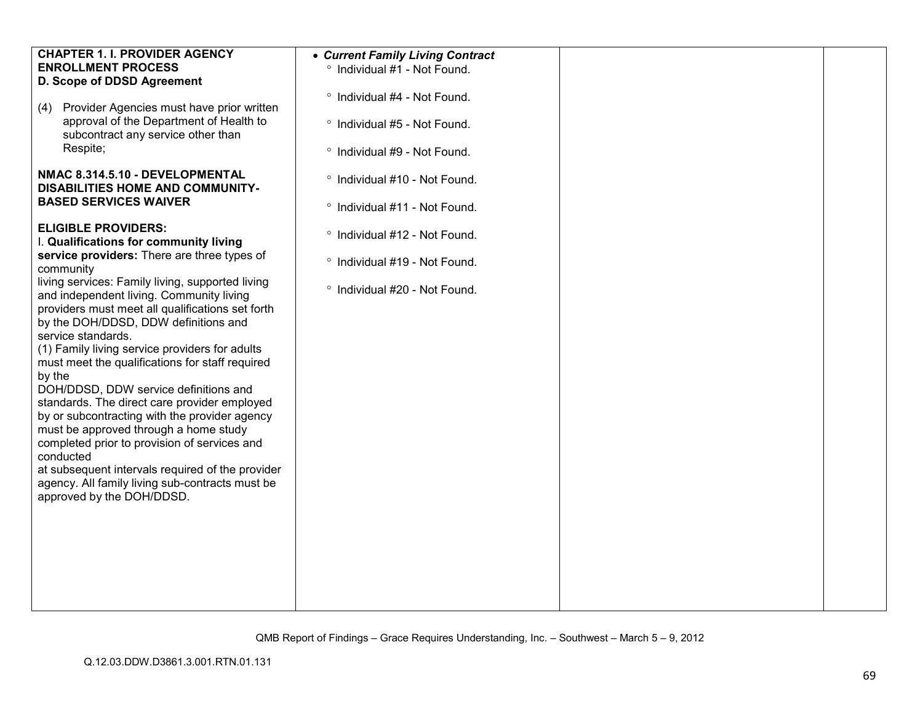| <b>CHAPTER 1. I. PROVIDER AGENCY</b>             | • Current Family Living Contract |  |
|--------------------------------------------------|----------------------------------|--|
|                                                  |                                  |  |
| <b>ENROLLMENT PROCESS</b>                        | ° Individual #1 - Not Found.     |  |
| D. Scope of DDSD Agreement                       |                                  |  |
|                                                  | ° Individual #4 - Not Found.     |  |
| Provider Agencies must have prior written<br>(4) |                                  |  |
| approval of the Department of Health to          | ° Individual #5 - Not Found.     |  |
| subcontract any service other than               |                                  |  |
| Respite;                                         |                                  |  |
|                                                  | ° Individual #9 - Not Found.     |  |
|                                                  |                                  |  |
| NMAC 8.314.5.10 - DEVELOPMENTAL                  | ° Individual #10 - Not Found.    |  |
| <b>DISABILITIES HOME AND COMMUNITY-</b>          |                                  |  |
| <b>BASED SERVICES WAIVER</b>                     | ° Individual #11 - Not Found.    |  |
|                                                  |                                  |  |
| <b>ELIGIBLE PROVIDERS:</b>                       |                                  |  |
| I. Qualifications for community living           | ° Individual #12 - Not Found.    |  |
| service providers: There are three types of      |                                  |  |
| community                                        | ° Individual #19 - Not Found.    |  |
|                                                  |                                  |  |
| living services: Family living, supported living | ° Individual #20 - Not Found.    |  |
| and independent living. Community living         |                                  |  |
| providers must meet all qualifications set forth |                                  |  |
| by the DOH/DDSD, DDW definitions and             |                                  |  |
| service standards.                               |                                  |  |
| (1) Family living service providers for adults   |                                  |  |
| must meet the qualifications for staff required  |                                  |  |
| by the                                           |                                  |  |
| DOH/DDSD, DDW service definitions and            |                                  |  |
| standards. The direct care provider employed     |                                  |  |
|                                                  |                                  |  |
| by or subcontracting with the provider agency    |                                  |  |
| must be approved through a home study            |                                  |  |
| completed prior to provision of services and     |                                  |  |
| conducted                                        |                                  |  |
| at subsequent intervals required of the provider |                                  |  |
| agency. All family living sub-contracts must be  |                                  |  |
| approved by the DOH/DDSD.                        |                                  |  |
|                                                  |                                  |  |
|                                                  |                                  |  |
|                                                  |                                  |  |
|                                                  |                                  |  |
|                                                  |                                  |  |
|                                                  |                                  |  |
|                                                  |                                  |  |
|                                                  |                                  |  |
|                                                  |                                  |  |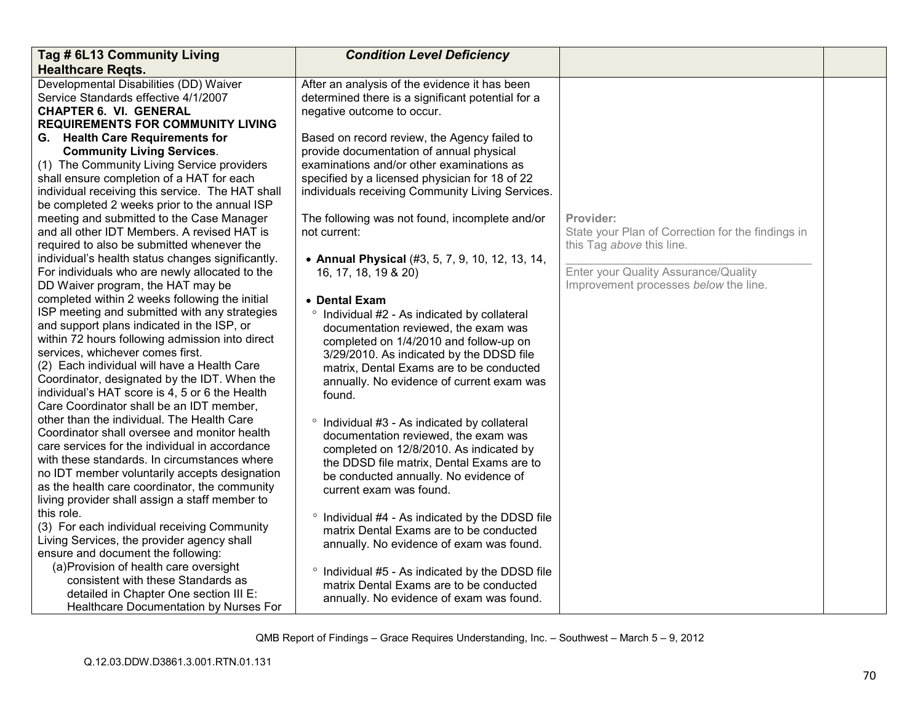| Tag # 6L13 Community Living                       | <b>Condition Level Deficiency</b>                     |                                                   |  |
|---------------------------------------------------|-------------------------------------------------------|---------------------------------------------------|--|
| <b>Healthcare Regts.</b>                          |                                                       |                                                   |  |
| Developmental Disabilities (DD) Waiver            | After an analysis of the evidence it has been         |                                                   |  |
| Service Standards effective 4/1/2007              | determined there is a significant potential for a     |                                                   |  |
| <b>CHAPTER 6. VI. GENERAL</b>                     | negative outcome to occur.                            |                                                   |  |
| <b>REQUIREMENTS FOR COMMUNITY LIVING</b>          |                                                       |                                                   |  |
| G. Health Care Requirements for                   | Based on record review, the Agency failed to          |                                                   |  |
| <b>Community Living Services.</b>                 | provide documentation of annual physical              |                                                   |  |
| (1) The Community Living Service providers        | examinations and/or other examinations as             |                                                   |  |
| shall ensure completion of a HAT for each         | specified by a licensed physician for 18 of 22        |                                                   |  |
| individual receiving this service. The HAT shall  | individuals receiving Community Living Services.      |                                                   |  |
| be completed 2 weeks prior to the annual ISP      |                                                       |                                                   |  |
| meeting and submitted to the Case Manager         | The following was not found, incomplete and/or        | Provider:                                         |  |
| and all other IDT Members. A revised HAT is       | not current:                                          | State your Plan of Correction for the findings in |  |
| required to also be submitted whenever the        |                                                       | this Tag above this line.                         |  |
| individual's health status changes significantly. | • Annual Physical (#3, 5, 7, 9, 10, 12, 13, 14,       |                                                   |  |
| For individuals who are newly allocated to the    | 16, 17, 18, 19 & 20)                                  | Enter your Quality Assurance/Quality              |  |
| DD Waiver program, the HAT may be                 |                                                       | Improvement processes below the line.             |  |
| completed within 2 weeks following the initial    | • Dental Exam                                         |                                                   |  |
| ISP meeting and submitted with any strategies     | $\circ$<br>Individual #2 - As indicated by collateral |                                                   |  |
| and support plans indicated in the ISP, or        | documentation reviewed, the exam was                  |                                                   |  |
| within 72 hours following admission into direct   | completed on 1/4/2010 and follow-up on                |                                                   |  |
| services, whichever comes first.                  | 3/29/2010. As indicated by the DDSD file              |                                                   |  |
| (2) Each individual will have a Health Care       | matrix, Dental Exams are to be conducted              |                                                   |  |
| Coordinator, designated by the IDT. When the      | annually. No evidence of current exam was             |                                                   |  |
| individual's HAT score is 4, 5 or 6 the Health    | found.                                                |                                                   |  |
| Care Coordinator shall be an IDT member,          |                                                       |                                                   |  |
| other than the individual. The Health Care        | $\circ$<br>Individual #3 - As indicated by collateral |                                                   |  |
| Coordinator shall oversee and monitor health      | documentation reviewed, the exam was                  |                                                   |  |
| care services for the individual in accordance    | completed on 12/8/2010. As indicated by               |                                                   |  |
| with these standards. In circumstances where      | the DDSD file matrix, Dental Exams are to             |                                                   |  |
| no IDT member voluntarily accepts designation     | be conducted annually. No evidence of                 |                                                   |  |
| as the health care coordinator, the community     | current exam was found.                               |                                                   |  |
| living provider shall assign a staff member to    |                                                       |                                                   |  |
| this role.                                        | Individual #4 - As indicated by the DDSD file         |                                                   |  |
| (3) For each individual receiving Community       | matrix Dental Exams are to be conducted               |                                                   |  |
| Living Services, the provider agency shall        | annually. No evidence of exam was found.              |                                                   |  |
| ensure and document the following:                |                                                       |                                                   |  |
| (a) Provision of health care oversight            | Individual #5 - As indicated by the DDSD file         |                                                   |  |
| consistent with these Standards as                | matrix Dental Exams are to be conducted               |                                                   |  |
| detailed in Chapter One section III E:            | annually. No evidence of exam was found.              |                                                   |  |
| Healthcare Documentation by Nurses For            |                                                       |                                                   |  |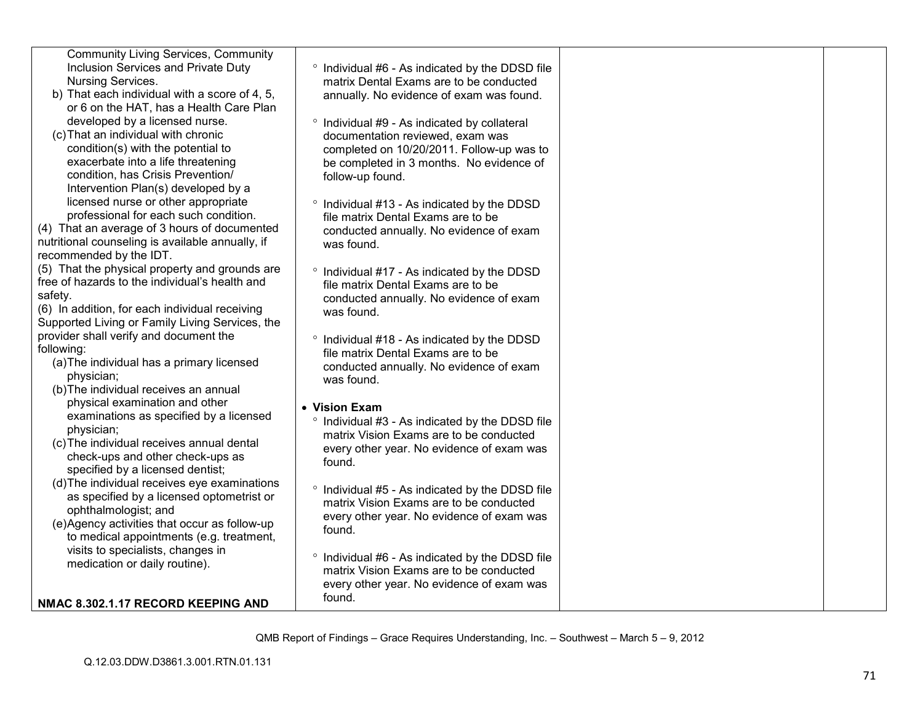| <b>Community Living Services, Community</b><br>Inclusion Services and Private Duty | ° Individual #6 - As indicated by the DDSD file                                              |  |
|------------------------------------------------------------------------------------|----------------------------------------------------------------------------------------------|--|
| Nursing Services.                                                                  | matrix Dental Exams are to be conducted                                                      |  |
| b) That each individual with a score of 4, 5,                                      | annually. No evidence of exam was found.                                                     |  |
| or 6 on the HAT, has a Health Care Plan                                            |                                                                                              |  |
| developed by a licensed nurse.                                                     | ° Individual #9 - As indicated by collateral                                                 |  |
| (c) That an individual with chronic                                                | documentation reviewed, exam was                                                             |  |
| condition(s) with the potential to<br>exacerbate into a life threatening           | completed on 10/20/2011. Follow-up was to                                                    |  |
| condition, has Crisis Prevention/                                                  | be completed in 3 months. No evidence of                                                     |  |
|                                                                                    | follow-up found.                                                                             |  |
| Intervention Plan(s) developed by a<br>licensed nurse or other appropriate         |                                                                                              |  |
| professional for each such condition.                                              | <sup>o</sup> Individual #13 - As indicated by the DDSD                                       |  |
| (4) That an average of 3 hours of documented                                       | file matrix Dental Exams are to be                                                           |  |
| nutritional counseling is available annually, if                                   | conducted annually. No evidence of exam                                                      |  |
| recommended by the IDT.                                                            | was found.                                                                                   |  |
| (5) That the physical property and grounds are                                     |                                                                                              |  |
| free of hazards to the individual's health and                                     | <sup>o</sup> Individual #17 - As indicated by the DDSD<br>file matrix Dental Exams are to be |  |
| safety.                                                                            | conducted annually. No evidence of exam                                                      |  |
| (6) In addition, for each individual receiving                                     | was found.                                                                                   |  |
| Supported Living or Family Living Services, the                                    |                                                                                              |  |
| provider shall verify and document the                                             | ° Individual #18 - As indicated by the DDSD                                                  |  |
| following:                                                                         | file matrix Dental Exams are to be                                                           |  |
| (a) The individual has a primary licensed                                          | conducted annually. No evidence of exam                                                      |  |
| physician;                                                                         | was found.                                                                                   |  |
| (b) The individual receives an annual                                              |                                                                                              |  |
| physical examination and other                                                     | • Vision Exam                                                                                |  |
| examinations as specified by a licensed                                            | ° Individual #3 - As indicated by the DDSD file                                              |  |
| physician;                                                                         | matrix Vision Exams are to be conducted                                                      |  |
| (c) The individual receives annual dental                                          | every other year. No evidence of exam was                                                    |  |
| check-ups and other check-ups as                                                   | found.                                                                                       |  |
| specified by a licensed dentist;                                                   |                                                                                              |  |
| (d) The individual receives eye examinations                                       | ° Individual #5 - As indicated by the DDSD file                                              |  |
| as specified by a licensed optometrist or                                          | matrix Vision Exams are to be conducted                                                      |  |
| ophthalmologist; and                                                               | every other year. No evidence of exam was                                                    |  |
| (e)Agency activities that occur as follow-up                                       | found.                                                                                       |  |
| to medical appointments (e.g. treatment,                                           |                                                                                              |  |
| visits to specialists, changes in                                                  | ° Individual #6 - As indicated by the DDSD file                                              |  |
| medication or daily routine).                                                      | matrix Vision Exams are to be conducted                                                      |  |
|                                                                                    | every other year. No evidence of exam was                                                    |  |
| NMAC 8.302.1.17 RECORD KEEPING AND                                                 | found.                                                                                       |  |
|                                                                                    |                                                                                              |  |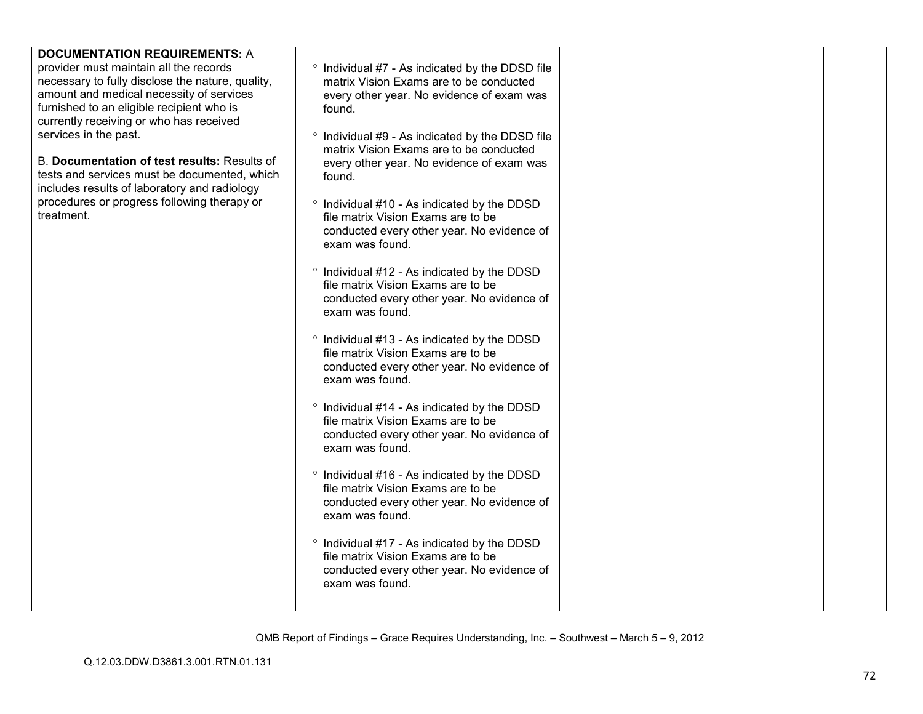| <b>DOCUMENTATION REQUIREMENTS: A</b>             |                                                                                                       |  |
|--------------------------------------------------|-------------------------------------------------------------------------------------------------------|--|
| provider must maintain all the records           |                                                                                                       |  |
| necessary to fully disclose the nature, quality, | <sup>o</sup> Individual #7 - As indicated by the DDSD file<br>matrix Vision Exams are to be conducted |  |
| amount and medical necessity of services         |                                                                                                       |  |
| furnished to an eligible recipient who is        | every other year. No evidence of exam was                                                             |  |
|                                                  | found.                                                                                                |  |
| currently receiving or who has received          |                                                                                                       |  |
| services in the past.                            | <sup>o</sup> Individual #9 - As indicated by the DDSD file                                            |  |
|                                                  | matrix Vision Exams are to be conducted                                                               |  |
| B. Documentation of test results: Results of     | every other year. No evidence of exam was                                                             |  |
| tests and services must be documented, which     | found.                                                                                                |  |
| includes results of laboratory and radiology     |                                                                                                       |  |
| procedures or progress following therapy or      | <sup>o</sup> Individual #10 - As indicated by the DDSD                                                |  |
| treatment.                                       | file matrix Vision Exams are to be                                                                    |  |
|                                                  | conducted every other year. No evidence of                                                            |  |
|                                                  | exam was found.                                                                                       |  |
|                                                  |                                                                                                       |  |
|                                                  | <sup>o</sup> Individual #12 - As indicated by the DDSD                                                |  |
|                                                  | file matrix Vision Exams are to be                                                                    |  |
|                                                  | conducted every other year. No evidence of                                                            |  |
|                                                  | exam was found.                                                                                       |  |
|                                                  |                                                                                                       |  |
|                                                  | ° Individual #13 - As indicated by the DDSD                                                           |  |
|                                                  | file matrix Vision Exams are to be                                                                    |  |
|                                                  | conducted every other year. No evidence of                                                            |  |
|                                                  | exam was found.                                                                                       |  |
|                                                  | ° Individual #14 - As indicated by the DDSD                                                           |  |
|                                                  | file matrix Vision Exams are to be                                                                    |  |
|                                                  |                                                                                                       |  |
|                                                  | conducted every other year. No evidence of<br>exam was found.                                         |  |
|                                                  |                                                                                                       |  |
|                                                  | ° Individual #16 - As indicated by the DDSD                                                           |  |
|                                                  | file matrix Vision Exams are to be                                                                    |  |
|                                                  | conducted every other year. No evidence of                                                            |  |
|                                                  | exam was found.                                                                                       |  |
|                                                  |                                                                                                       |  |
|                                                  | ° Individual #17 - As indicated by the DDSD                                                           |  |
|                                                  | file matrix Vision Exams are to be                                                                    |  |
|                                                  | conducted every other year. No evidence of                                                            |  |
|                                                  | exam was found.                                                                                       |  |
|                                                  |                                                                                                       |  |
|                                                  |                                                                                                       |  |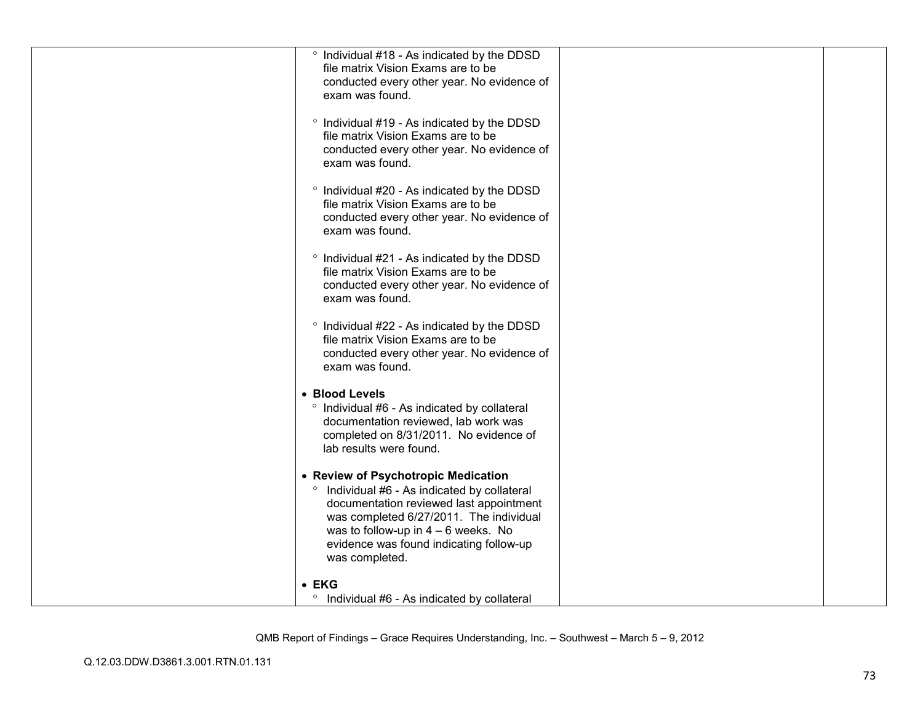|               | ° Individual #18 - As indicated by the DDSD<br>file matrix Vision Exams are to be<br>conducted every other year. No evidence of<br>exam was found.                                                                                                                                         |  |
|---------------|--------------------------------------------------------------------------------------------------------------------------------------------------------------------------------------------------------------------------------------------------------------------------------------------|--|
|               | ° Individual #19 - As indicated by the DDSD<br>file matrix Vision Exams are to be<br>conducted every other year. No evidence of<br>exam was found.                                                                                                                                         |  |
|               | <sup>o</sup> Individual #20 - As indicated by the DDSD<br>file matrix Vision Exams are to be<br>conducted every other year. No evidence of<br>exam was found.                                                                                                                              |  |
|               | ° Individual #21 - As indicated by the DDSD<br>file matrix Vision Exams are to be<br>conducted every other year. No evidence of<br>exam was found.                                                                                                                                         |  |
|               | ° Individual #22 - As indicated by the DDSD<br>file matrix Vision Exams are to be<br>conducted every other year. No evidence of<br>exam was found.                                                                                                                                         |  |
|               | • Blood Levels<br>° Individual #6 - As indicated by collateral<br>documentation reviewed, lab work was<br>completed on 8/31/2011. No evidence of<br>lab results were found.                                                                                                                |  |
|               | • Review of Psychotropic Medication<br><sup>o</sup> Individual #6 - As indicated by collateral<br>documentation reviewed last appointment<br>was completed 6/27/2011. The individual<br>was to follow-up in $4 - 6$ weeks. No<br>evidence was found indicating follow-up<br>was completed. |  |
| $\bullet$ EKG | <sup>o</sup> Individual #6 - As indicated by collateral                                                                                                                                                                                                                                    |  |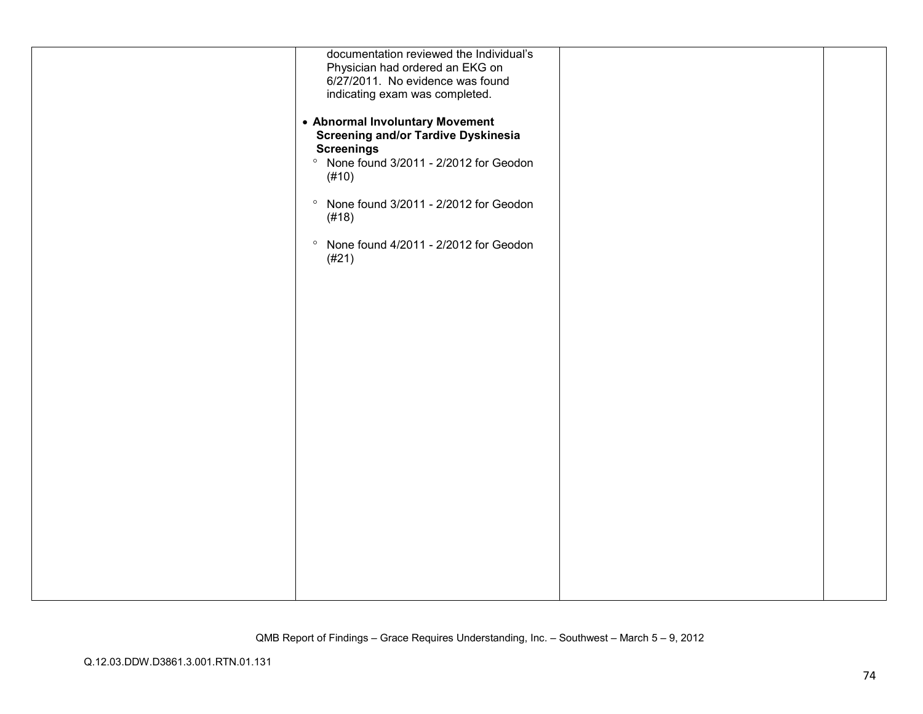| documentation reviewed the Individual's<br>Physician had ordered an EKG on                                                                                        |  |
|-------------------------------------------------------------------------------------------------------------------------------------------------------------------|--|
| 6/27/2011. No evidence was found<br>indicating exam was completed.                                                                                                |  |
| • Abnormal Involuntary Movement<br><b>Screening and/or Tardive Dyskinesia</b><br><b>Screenings</b><br><sup>o</sup> None found 3/2011 - 2/2012 for Geodon<br>(#10) |  |
| <sup>o</sup> None found 3/2011 - 2/2012 for Geodon<br>(#18)                                                                                                       |  |
| <sup>o</sup> None found 4/2011 - 2/2012 for Geodon<br>(#21)                                                                                                       |  |
|                                                                                                                                                                   |  |
|                                                                                                                                                                   |  |
|                                                                                                                                                                   |  |
|                                                                                                                                                                   |  |
|                                                                                                                                                                   |  |
|                                                                                                                                                                   |  |
|                                                                                                                                                                   |  |
|                                                                                                                                                                   |  |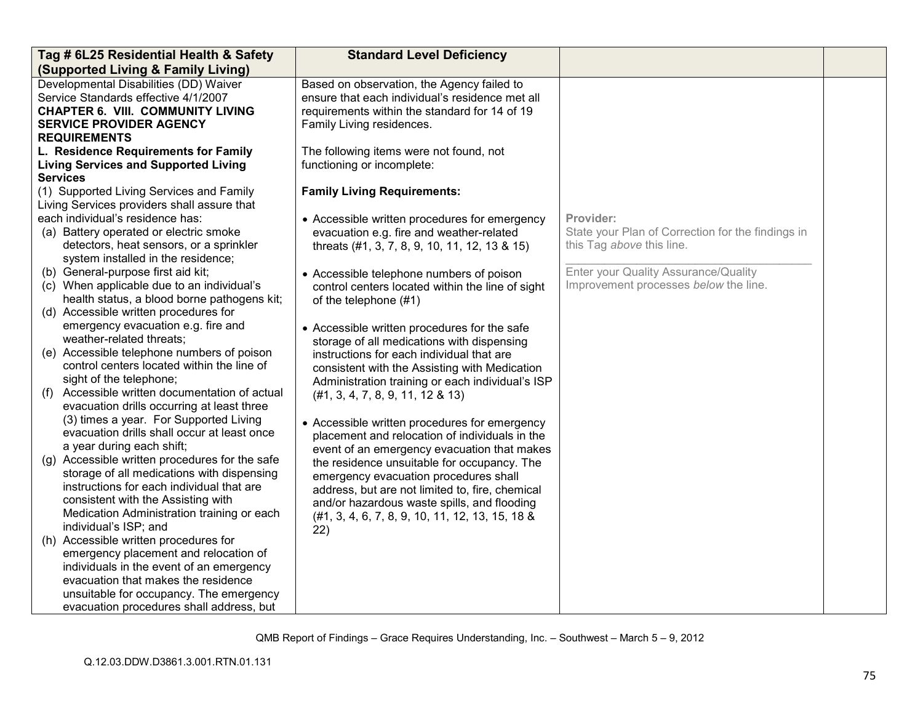| Tag # 6L25 Residential Health & Safety                                 | <b>Standard Level Deficiency</b>                                                                |                                                   |  |
|------------------------------------------------------------------------|-------------------------------------------------------------------------------------------------|---------------------------------------------------|--|
| (Supported Living & Family Living)                                     |                                                                                                 |                                                   |  |
| Developmental Disabilities (DD) Waiver                                 | Based on observation, the Agency failed to                                                      |                                                   |  |
| Service Standards effective 4/1/2007                                   | ensure that each individual's residence met all                                                 |                                                   |  |
| <b>CHAPTER 6. VIII. COMMUNITY LIVING</b>                               | requirements within the standard for 14 of 19                                                   |                                                   |  |
| <b>SERVICE PROVIDER AGENCY</b>                                         | Family Living residences.                                                                       |                                                   |  |
| <b>REQUIREMENTS</b>                                                    |                                                                                                 |                                                   |  |
| L. Residence Requirements for Family                                   | The following items were not found, not                                                         |                                                   |  |
| <b>Living Services and Supported Living</b>                            | functioning or incomplete:                                                                      |                                                   |  |
| <b>Services</b>                                                        |                                                                                                 |                                                   |  |
| (1) Supported Living Services and Family                               | <b>Family Living Requirements:</b>                                                              |                                                   |  |
| Living Services providers shall assure that                            |                                                                                                 |                                                   |  |
| each individual's residence has:                                       | • Accessible written procedures for emergency                                                   | Provider:                                         |  |
| (a) Battery operated or electric smoke                                 | evacuation e.g. fire and weather-related                                                        | State your Plan of Correction for the findings in |  |
| detectors, heat sensors, or a sprinkler                                | threats (#1, 3, 7, 8, 9, 10, 11, 12, 13 & 15)                                                   | this Tag above this line.                         |  |
| system installed in the residence;                                     |                                                                                                 |                                                   |  |
| (b) General-purpose first aid kit;                                     | • Accessible telephone numbers of poison                                                        | Enter your Quality Assurance/Quality              |  |
| (c) When applicable due to an individual's                             | control centers located within the line of sight                                                | Improvement processes below the line.             |  |
| health status, a blood borne pathogens kit;                            | of the telephone (#1)                                                                           |                                                   |  |
| (d) Accessible written procedures for                                  |                                                                                                 |                                                   |  |
| emergency evacuation e.g. fire and                                     | • Accessible written procedures for the safe                                                    |                                                   |  |
| weather-related threats;<br>(e) Accessible telephone numbers of poison | storage of all medications with dispensing                                                      |                                                   |  |
| control centers located within the line of                             | instructions for each individual that are                                                       |                                                   |  |
| sight of the telephone;                                                | consistent with the Assisting with Medication                                                   |                                                   |  |
| Accessible written documentation of actual<br>(f)                      | Administration training or each individual's ISP                                                |                                                   |  |
| evacuation drills occurring at least three                             | (#1, 3, 4, 7, 8, 9, 11, 12, 8, 13)                                                              |                                                   |  |
| (3) times a year. For Supported Living                                 |                                                                                                 |                                                   |  |
| evacuation drills shall occur at least once                            | • Accessible written procedures for emergency<br>placement and relocation of individuals in the |                                                   |  |
| a year during each shift;                                              | event of an emergency evacuation that makes                                                     |                                                   |  |
| (g) Accessible written procedures for the safe                         | the residence unsuitable for occupancy. The                                                     |                                                   |  |
| storage of all medications with dispensing                             | emergency evacuation procedures shall                                                           |                                                   |  |
| instructions for each individual that are                              | address, but are not limited to, fire, chemical                                                 |                                                   |  |
| consistent with the Assisting with                                     | and/or hazardous waste spills, and flooding                                                     |                                                   |  |
| Medication Administration training or each                             | (#1, 3, 4, 6, 7, 8, 9, 10, 11, 12, 13, 15, 18 &                                                 |                                                   |  |
| individual's ISP; and                                                  | 22)                                                                                             |                                                   |  |
| (h) Accessible written procedures for                                  |                                                                                                 |                                                   |  |
| emergency placement and relocation of                                  |                                                                                                 |                                                   |  |
| individuals in the event of an emergency                               |                                                                                                 |                                                   |  |
| evacuation that makes the residence                                    |                                                                                                 |                                                   |  |
| unsuitable for occupancy. The emergency                                |                                                                                                 |                                                   |  |
| evacuation procedures shall address, but                               |                                                                                                 |                                                   |  |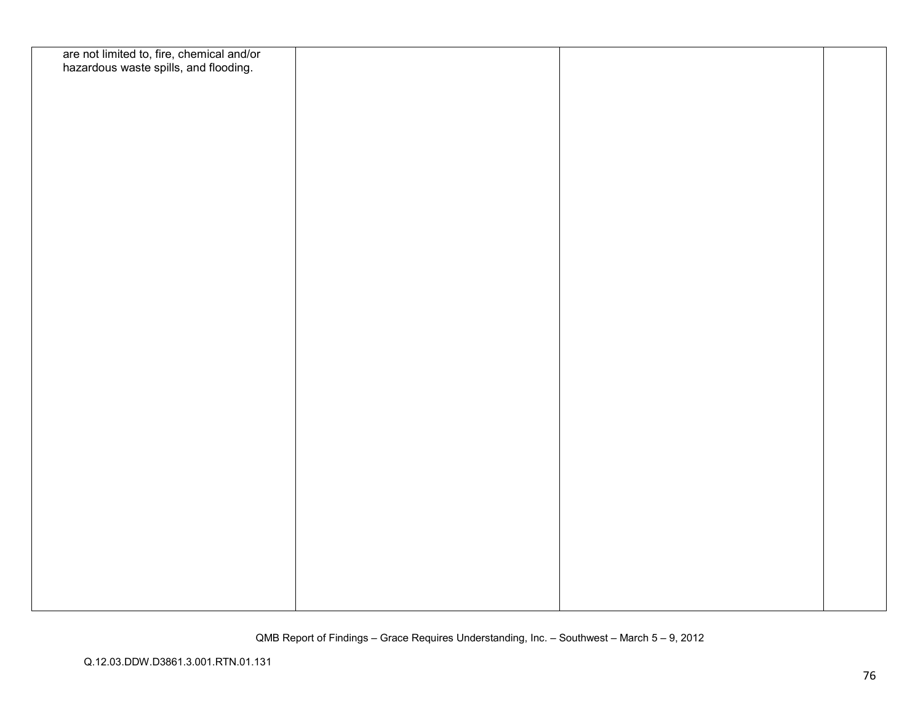| are not limited to, fire, chemical and/or<br>hazardous waste spills, and flooding. |  |  |
|------------------------------------------------------------------------------------|--|--|
|                                                                                    |  |  |
|                                                                                    |  |  |
|                                                                                    |  |  |
|                                                                                    |  |  |
|                                                                                    |  |  |
|                                                                                    |  |  |
|                                                                                    |  |  |
|                                                                                    |  |  |
|                                                                                    |  |  |
|                                                                                    |  |  |
|                                                                                    |  |  |
|                                                                                    |  |  |
|                                                                                    |  |  |
|                                                                                    |  |  |
|                                                                                    |  |  |
|                                                                                    |  |  |
|                                                                                    |  |  |
|                                                                                    |  |  |
|                                                                                    |  |  |
|                                                                                    |  |  |
|                                                                                    |  |  |
|                                                                                    |  |  |
|                                                                                    |  |  |
|                                                                                    |  |  |
|                                                                                    |  |  |
|                                                                                    |  |  |
|                                                                                    |  |  |
|                                                                                    |  |  |
|                                                                                    |  |  |
|                                                                                    |  |  |
|                                                                                    |  |  |
|                                                                                    |  |  |
|                                                                                    |  |  |
|                                                                                    |  |  |
|                                                                                    |  |  |
|                                                                                    |  |  |
|                                                                                    |  |  |
|                                                                                    |  |  |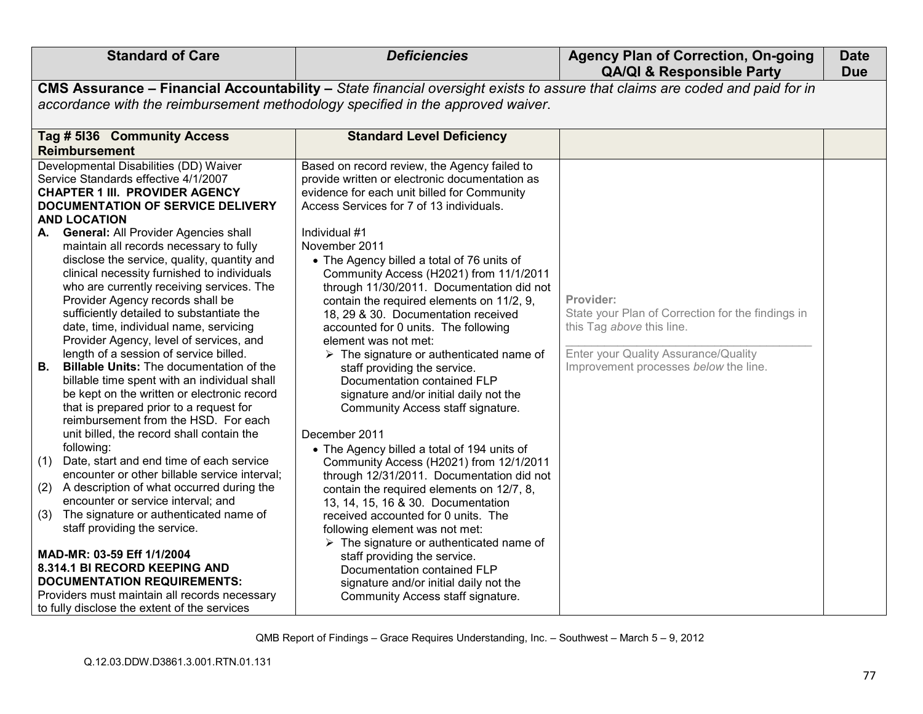| <b>Standard of Care</b>                                                                                                                                                                                                                                                                                                                                                                                                                                                                                                                                                                                                                                                                                                                                                                                                                                                                                                                                                                                                                                                                                                                                                                                                                                                                                                                                                         | <b>Deficiencies</b>                                                                                                                                                                                                                                                                                                                                                                                                                                                                                                                                                                                                                                                                                                                                                                                                                                                                                                                                                                                                                                                                                                                                                                                                                                         | <b>Agency Plan of Correction, On-going</b><br><b>QA/QI &amp; Responsible Party</b>                                                                                           | <b>Date</b><br><b>Due</b> |
|---------------------------------------------------------------------------------------------------------------------------------------------------------------------------------------------------------------------------------------------------------------------------------------------------------------------------------------------------------------------------------------------------------------------------------------------------------------------------------------------------------------------------------------------------------------------------------------------------------------------------------------------------------------------------------------------------------------------------------------------------------------------------------------------------------------------------------------------------------------------------------------------------------------------------------------------------------------------------------------------------------------------------------------------------------------------------------------------------------------------------------------------------------------------------------------------------------------------------------------------------------------------------------------------------------------------------------------------------------------------------------|-------------------------------------------------------------------------------------------------------------------------------------------------------------------------------------------------------------------------------------------------------------------------------------------------------------------------------------------------------------------------------------------------------------------------------------------------------------------------------------------------------------------------------------------------------------------------------------------------------------------------------------------------------------------------------------------------------------------------------------------------------------------------------------------------------------------------------------------------------------------------------------------------------------------------------------------------------------------------------------------------------------------------------------------------------------------------------------------------------------------------------------------------------------------------------------------------------------------------------------------------------------|------------------------------------------------------------------------------------------------------------------------------------------------------------------------------|---------------------------|
|                                                                                                                                                                                                                                                                                                                                                                                                                                                                                                                                                                                                                                                                                                                                                                                                                                                                                                                                                                                                                                                                                                                                                                                                                                                                                                                                                                                 | CMS Assurance - Financial Accountability - State financial oversight exists to assure that claims are coded and paid for in                                                                                                                                                                                                                                                                                                                                                                                                                                                                                                                                                                                                                                                                                                                                                                                                                                                                                                                                                                                                                                                                                                                                 |                                                                                                                                                                              |                           |
| accordance with the reimbursement methodology specified in the approved waiver.                                                                                                                                                                                                                                                                                                                                                                                                                                                                                                                                                                                                                                                                                                                                                                                                                                                                                                                                                                                                                                                                                                                                                                                                                                                                                                 |                                                                                                                                                                                                                                                                                                                                                                                                                                                                                                                                                                                                                                                                                                                                                                                                                                                                                                                                                                                                                                                                                                                                                                                                                                                             |                                                                                                                                                                              |                           |
| Tag # 5136 Community Access<br><b>Reimbursement</b>                                                                                                                                                                                                                                                                                                                                                                                                                                                                                                                                                                                                                                                                                                                                                                                                                                                                                                                                                                                                                                                                                                                                                                                                                                                                                                                             | <b>Standard Level Deficiency</b>                                                                                                                                                                                                                                                                                                                                                                                                                                                                                                                                                                                                                                                                                                                                                                                                                                                                                                                                                                                                                                                                                                                                                                                                                            |                                                                                                                                                                              |                           |
| Developmental Disabilities (DD) Waiver<br>Service Standards effective 4/1/2007<br><b>CHAPTER 1 III. PROVIDER AGENCY</b><br>DOCUMENTATION OF SERVICE DELIVERY<br><b>AND LOCATION</b><br>A. General: All Provider Agencies shall<br>maintain all records necessary to fully<br>disclose the service, quality, quantity and<br>clinical necessity furnished to individuals<br>who are currently receiving services. The<br>Provider Agency records shall be<br>sufficiently detailed to substantiate the<br>date, time, individual name, servicing<br>Provider Agency, level of services, and<br>length of a session of service billed.<br>В.<br><b>Billable Units:</b> The documentation of the<br>billable time spent with an individual shall<br>be kept on the written or electronic record<br>that is prepared prior to a request for<br>reimbursement from the HSD. For each<br>unit billed, the record shall contain the<br>following:<br>Date, start and end time of each service<br>(1)<br>encounter or other billable service interval;<br>A description of what occurred during the<br>(2)<br>encounter or service interval; and<br>The signature or authenticated name of<br>(3)<br>staff providing the service.<br>MAD-MR: 03-59 Eff 1/1/2004<br>8.314.1 BI RECORD KEEPING AND<br><b>DOCUMENTATION REQUIREMENTS:</b><br>Providers must maintain all records necessary | Based on record review, the Agency failed to<br>provide written or electronic documentation as<br>evidence for each unit billed for Community<br>Access Services for 7 of 13 individuals.<br>Individual #1<br>November 2011<br>• The Agency billed a total of 76 units of<br>Community Access (H2021) from 11/1/2011<br>through 11/30/2011. Documentation did not<br>contain the required elements on 11/2, 9,<br>18, 29 & 30. Documentation received<br>accounted for 0 units. The following<br>element was not met:<br>$\triangleright$ The signature or authenticated name of<br>staff providing the service.<br>Documentation contained FLP<br>signature and/or initial daily not the<br>Community Access staff signature.<br>December 2011<br>• The Agency billed a total of 194 units of<br>Community Access (H2021) from 12/1/2011<br>through 12/31/2011. Documentation did not<br>contain the required elements on 12/7, 8,<br>13, 14, 15, 16 & 30. Documentation<br>received accounted for 0 units. The<br>following element was not met:<br>$\triangleright$ The signature or authenticated name of<br>staff providing the service.<br>Documentation contained FLP<br>signature and/or initial daily not the<br>Community Access staff signature. | Provider:<br>State your Plan of Correction for the findings in<br>this Tag above this line.<br>Enter your Quality Assurance/Quality<br>Improvement processes below the line. |                           |
| to fully disclose the extent of the services                                                                                                                                                                                                                                                                                                                                                                                                                                                                                                                                                                                                                                                                                                                                                                                                                                                                                                                                                                                                                                                                                                                                                                                                                                                                                                                                    |                                                                                                                                                                                                                                                                                                                                                                                                                                                                                                                                                                                                                                                                                                                                                                                                                                                                                                                                                                                                                                                                                                                                                                                                                                                             |                                                                                                                                                                              |                           |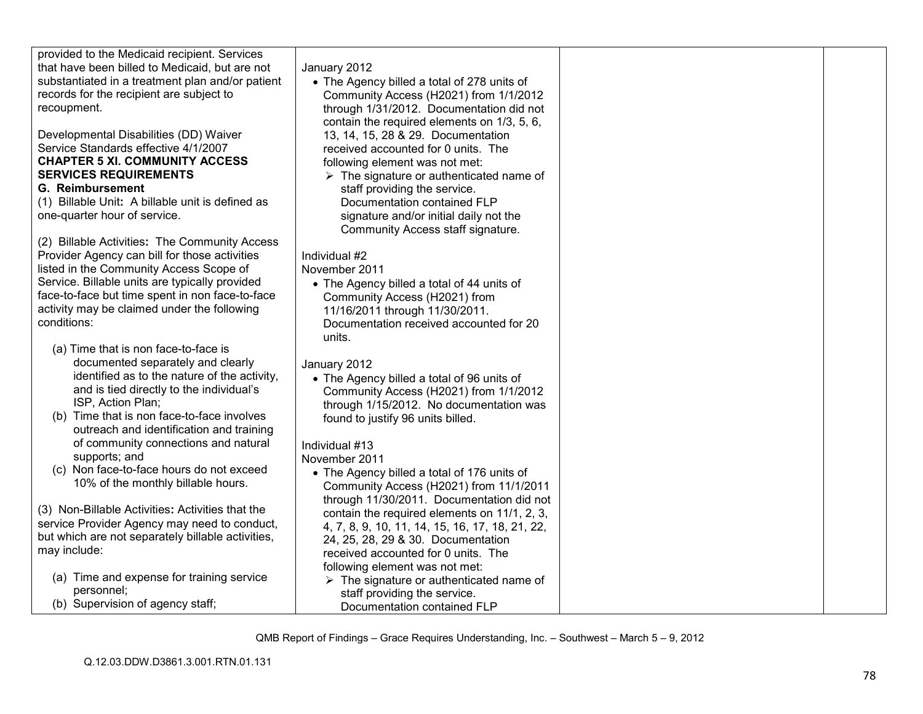| provided to the Medicaid recipient. Services      |                                                         |  |
|---------------------------------------------------|---------------------------------------------------------|--|
| that have been billed to Medicaid, but are not    | January 2012                                            |  |
| substantiated in a treatment plan and/or patient  | • The Agency billed a total of 278 units of             |  |
| records for the recipient are subject to          | Community Access (H2021) from 1/1/2012                  |  |
| recoupment.                                       | through 1/31/2012. Documentation did not                |  |
|                                                   | contain the required elements on 1/3, 5, 6,             |  |
| Developmental Disabilities (DD) Waiver            | 13, 14, 15, 28 & 29. Documentation                      |  |
| Service Standards effective 4/1/2007              | received accounted for 0 units. The                     |  |
| <b>CHAPTER 5 XI. COMMUNITY ACCESS</b>             | following element was not met:                          |  |
| <b>SERVICES REQUIREMENTS</b>                      | $\triangleright$ The signature or authenticated name of |  |
| G. Reimbursement                                  | staff providing the service.                            |  |
| (1) Billable Unit: A billable unit is defined as  | Documentation contained FLP                             |  |
| one-quarter hour of service.                      | signature and/or initial daily not the                  |  |
|                                                   | Community Access staff signature.                       |  |
| (2) Billable Activities: The Community Access     |                                                         |  |
| Provider Agency can bill for those activities     | Individual #2                                           |  |
| listed in the Community Access Scope of           | November 2011                                           |  |
| Service. Billable units are typically provided    | • The Agency billed a total of 44 units of              |  |
| face-to-face but time spent in non face-to-face   | Community Access (H2021) from                           |  |
| activity may be claimed under the following       | 11/16/2011 through 11/30/2011.                          |  |
| conditions:                                       | Documentation received accounted for 20                 |  |
|                                                   | units.                                                  |  |
| (a) Time that is non face-to-face is              |                                                         |  |
| documented separately and clearly                 | January 2012                                            |  |
| identified as to the nature of the activity,      |                                                         |  |
| and is tied directly to the individual's          | • The Agency billed a total of 96 units of              |  |
| ISP, Action Plan;                                 | Community Access (H2021) from 1/1/2012                  |  |
|                                                   | through 1/15/2012. No documentation was                 |  |
| (b) Time that is non face-to-face involves        | found to justify 96 units billed.                       |  |
| outreach and identification and training          |                                                         |  |
| of community connections and natural              | Individual #13                                          |  |
| supports; and                                     | November 2011                                           |  |
| (c) Non face-to-face hours do not exceed          | • The Agency billed a total of 176 units of             |  |
| 10% of the monthly billable hours.                | Community Access (H2021) from 11/1/2011                 |  |
|                                                   | through 11/30/2011. Documentation did not               |  |
| (3) Non-Billable Activities: Activities that the  | contain the required elements on 11/1, 2, 3,            |  |
| service Provider Agency may need to conduct,      | 4, 7, 8, 9, 10, 11, 14, 15, 16, 17, 18, 21, 22,         |  |
| but which are not separately billable activities, | 24, 25, 28, 29 & 30. Documentation                      |  |
| may include:                                      | received accounted for 0 units. The                     |  |
|                                                   | following element was not met:                          |  |
| (a) Time and expense for training service         | $\triangleright$ The signature or authenticated name of |  |
| personnel;                                        | staff providing the service.                            |  |
| (b) Supervision of agency staff;                  | Documentation contained FLP                             |  |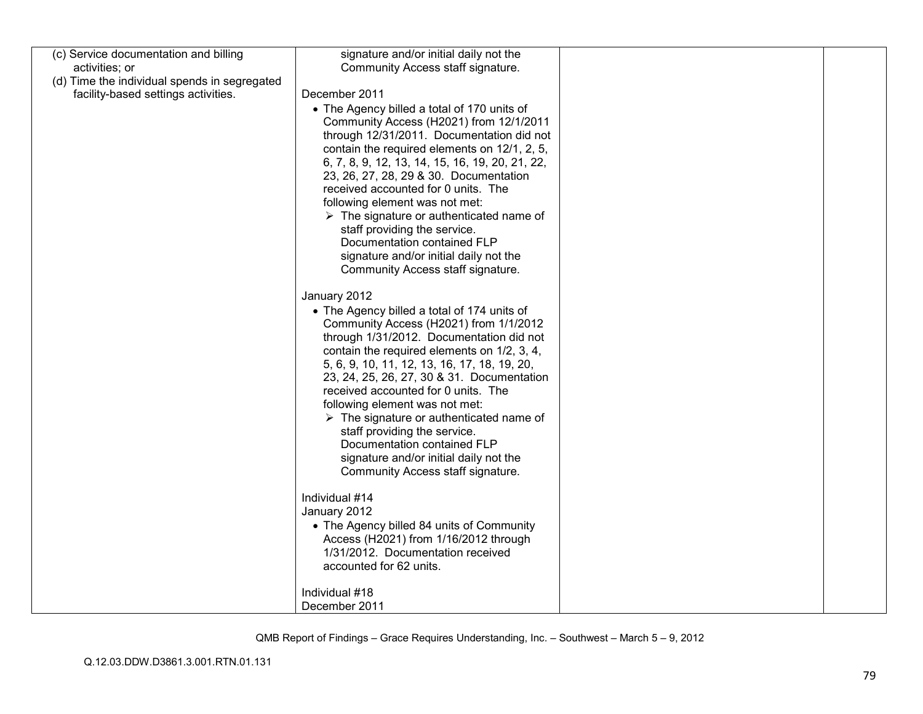| (c) Service documentation and billing        | signature and/or initial daily not the                  |  |
|----------------------------------------------|---------------------------------------------------------|--|
| activities; or                               | Community Access staff signature.                       |  |
| (d) Time the individual spends in segregated |                                                         |  |
| facility-based settings activities.          | December 2011                                           |  |
|                                              | • The Agency billed a total of 170 units of             |  |
|                                              | Community Access (H2021) from 12/1/2011                 |  |
|                                              | through 12/31/2011. Documentation did not               |  |
|                                              | contain the required elements on 12/1, 2, 5,            |  |
|                                              | 6, 7, 8, 9, 12, 13, 14, 15, 16, 19, 20, 21, 22,         |  |
|                                              | 23, 26, 27, 28, 29 & 30. Documentation                  |  |
|                                              | received accounted for 0 units. The                     |  |
|                                              | following element was not met:                          |  |
|                                              | $\triangleright$ The signature or authenticated name of |  |
|                                              | staff providing the service.                            |  |
|                                              | Documentation contained FLP                             |  |
|                                              | signature and/or initial daily not the                  |  |
|                                              | Community Access staff signature.                       |  |
|                                              |                                                         |  |
|                                              | January 2012                                            |  |
|                                              | • The Agency billed a total of 174 units of             |  |
|                                              | Community Access (H2021) from 1/1/2012                  |  |
|                                              | through 1/31/2012. Documentation did not                |  |
|                                              | contain the required elements on 1/2, 3, 4,             |  |
|                                              | 5, 6, 9, 10, 11, 12, 13, 16, 17, 18, 19, 20,            |  |
|                                              | 23, 24, 25, 26, 27, 30 & 31. Documentation              |  |
|                                              | received accounted for 0 units. The                     |  |
|                                              | following element was not met:                          |  |
|                                              | $\triangleright$ The signature or authenticated name of |  |
|                                              | staff providing the service.                            |  |
|                                              | Documentation contained FLP                             |  |
|                                              | signature and/or initial daily not the                  |  |
|                                              | Community Access staff signature.                       |  |
|                                              |                                                         |  |
|                                              | Individual #14                                          |  |
|                                              | January 2012                                            |  |
|                                              | • The Agency billed 84 units of Community               |  |
|                                              | Access (H2021) from 1/16/2012 through                   |  |
|                                              | 1/31/2012. Documentation received                       |  |
|                                              | accounted for 62 units.                                 |  |
|                                              | Individual #18                                          |  |
|                                              | December 2011                                           |  |
|                                              |                                                         |  |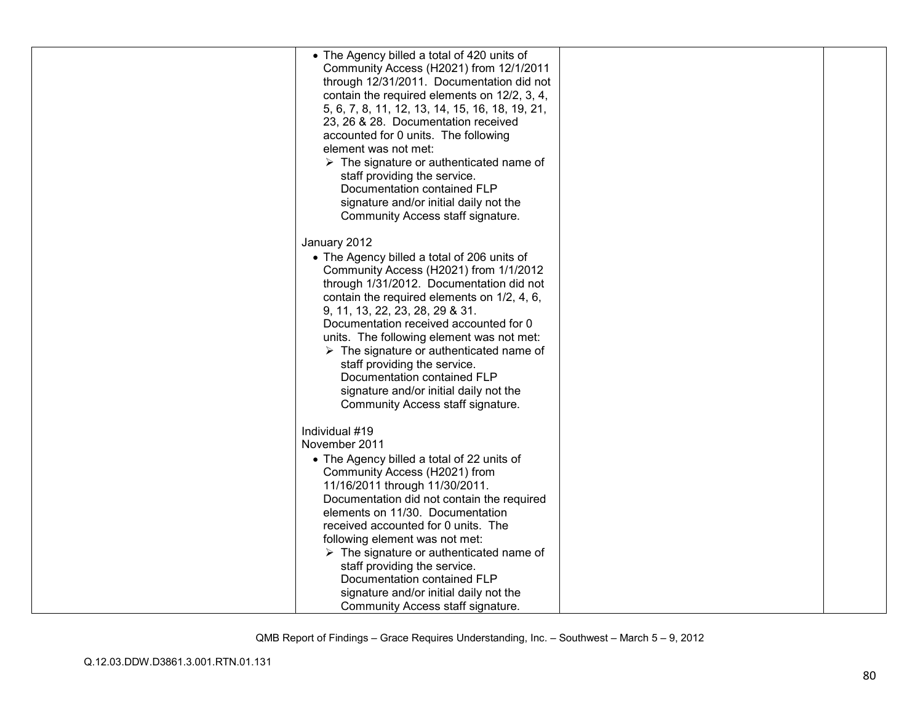| • The Agency billed a total of 420 units of             |  |
|---------------------------------------------------------|--|
|                                                         |  |
| Community Access (H2021) from 12/1/2011                 |  |
| through 12/31/2011. Documentation did not               |  |
| contain the required elements on 12/2, 3, 4,            |  |
| 5, 6, 7, 8, 11, 12, 13, 14, 15, 16, 18, 19, 21,         |  |
| 23, 26 & 28. Documentation received                     |  |
| accounted for 0 units. The following                    |  |
| element was not met:                                    |  |
| $\triangleright$ The signature or authenticated name of |  |
| staff providing the service.                            |  |
| Documentation contained FLP                             |  |
|                                                         |  |
| signature and/or initial daily not the                  |  |
| Community Access staff signature.                       |  |
|                                                         |  |
| January 2012                                            |  |
| • The Agency billed a total of 206 units of             |  |
| Community Access (H2021) from 1/1/2012                  |  |
| through 1/31/2012. Documentation did not                |  |
| contain the required elements on 1/2, 4, 6,             |  |
| 9, 11, 13, 22, 23, 28, 29 & 31.                         |  |
| Documentation received accounted for 0                  |  |
| units. The following element was not met:               |  |
| $\triangleright$ The signature or authenticated name of |  |
| staff providing the service.                            |  |
| Documentation contained FLP                             |  |
| signature and/or initial daily not the                  |  |
|                                                         |  |
| Community Access staff signature.                       |  |
| Individual #19                                          |  |
|                                                         |  |
| November 2011                                           |  |
| • The Agency billed a total of 22 units of              |  |
| Community Access (H2021) from                           |  |
| 11/16/2011 through 11/30/2011.                          |  |
| Documentation did not contain the required              |  |
| elements on 11/30. Documentation                        |  |
| received accounted for 0 units. The                     |  |
| following element was not met:                          |  |
| $\triangleright$ The signature or authenticated name of |  |
| staff providing the service.                            |  |
| Documentation contained FLP                             |  |
| signature and/or initial daily not the                  |  |
| Community Access staff signature.                       |  |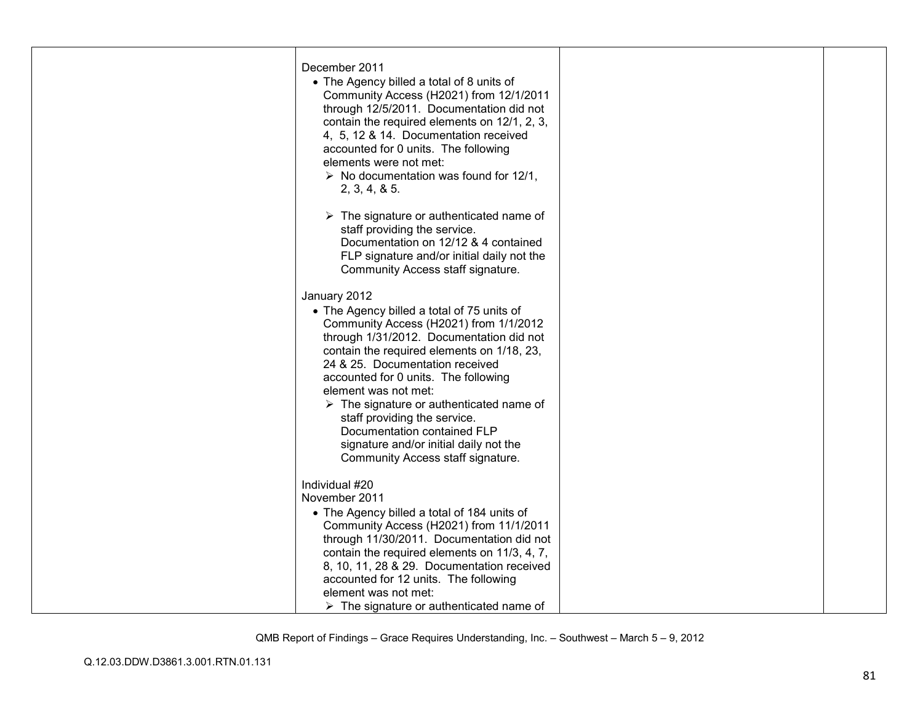| December 2011<br>• The Agency billed a total of 8 units of<br>Community Access (H2021) from 12/1/2011<br>through 12/5/2011. Documentation did not<br>contain the required elements on 12/1, 2, 3,<br>4, 5, 12 & 14. Documentation received<br>accounted for 0 units. The following<br>elements were not met:<br>$\triangleright$ No documentation was found for 12/1,<br>2, 3, 4, 8, 5.<br>$\triangleright$ The signature or authenticated name of<br>staff providing the service.<br>Documentation on 12/12 & 4 contained                               |  |
|----------------------------------------------------------------------------------------------------------------------------------------------------------------------------------------------------------------------------------------------------------------------------------------------------------------------------------------------------------------------------------------------------------------------------------------------------------------------------------------------------------------------------------------------------------|--|
| FLP signature and/or initial daily not the<br>Community Access staff signature.<br>January 2012<br>• The Agency billed a total of 75 units of<br>Community Access (H2021) from 1/1/2012<br>through 1/31/2012. Documentation did not<br>contain the required elements on 1/18, 23,<br>24 & 25. Documentation received<br>accounted for 0 units. The following<br>element was not met:<br>$\triangleright$ The signature or authenticated name of<br>staff providing the service.<br>Documentation contained FLP<br>signature and/or initial daily not the |  |
| Community Access staff signature.<br>Individual #20<br>November 2011<br>• The Agency billed a total of 184 units of<br>Community Access (H2021) from 11/1/2011<br>through 11/30/2011. Documentation did not<br>contain the required elements on 11/3, 4, 7,<br>8, 10, 11, 28 & 29. Documentation received<br>accounted for 12 units. The following<br>element was not met:<br>$\triangleright$ The signature or authenticated name of                                                                                                                    |  |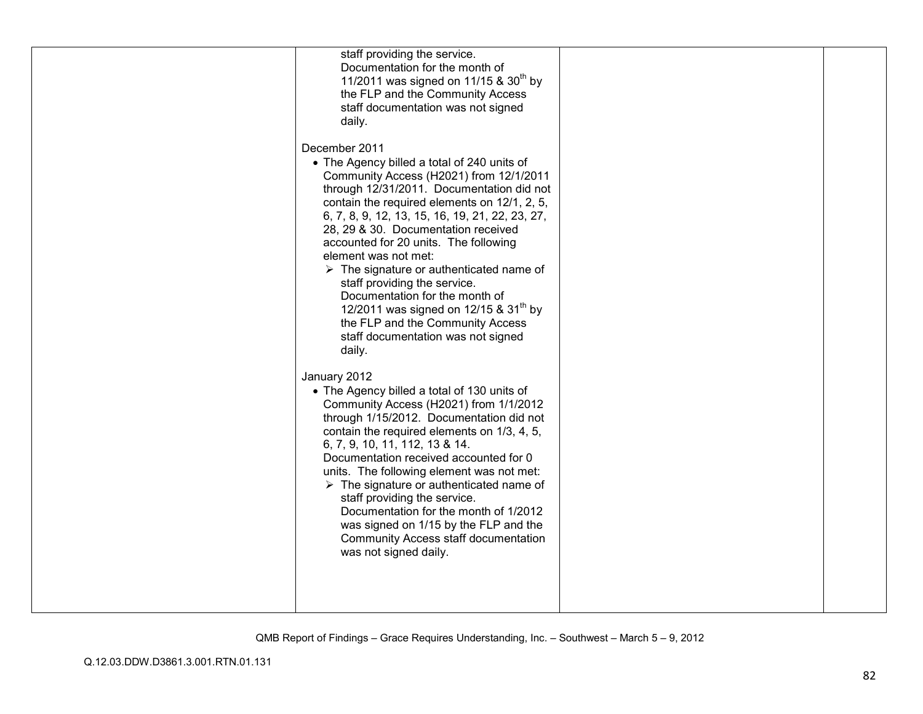| staff providing the service.<br>Documentation for the month of<br>11/2011 was signed on 11/15 & 30 <sup>th</sup> by<br>the FLP and the Community Access<br>staff documentation was not signed<br>daily.<br>December 2011<br>• The Agency billed a total of 240 units of<br>Community Access (H2021) from 12/1/2011<br>through 12/31/2011. Documentation did not<br>contain the required elements on 12/1, 2, 5,<br>6, 7, 8, 9, 12, 13, 15, 16, 19, 21, 22, 23, 27,<br>28, 29 & 30. Documentation received<br>accounted for 20 units. The following<br>element was not met:<br>$\triangleright$ The signature or authenticated name of<br>staff providing the service.<br>Documentation for the month of<br>12/2011 was signed on 12/15 & 31 <sup>th</sup> by<br>the FLP and the Community Access<br>staff documentation was not signed |  |
|----------------------------------------------------------------------------------------------------------------------------------------------------------------------------------------------------------------------------------------------------------------------------------------------------------------------------------------------------------------------------------------------------------------------------------------------------------------------------------------------------------------------------------------------------------------------------------------------------------------------------------------------------------------------------------------------------------------------------------------------------------------------------------------------------------------------------------------|--|
| daily.<br>January 2012<br>• The Agency billed a total of 130 units of<br>Community Access (H2021) from 1/1/2012<br>through 1/15/2012. Documentation did not<br>contain the required elements on 1/3, 4, 5,<br>6, 7, 9, 10, 11, 112, 13 & 14.<br>Documentation received accounted for 0<br>units. The following element was not met:<br>$\triangleright$ The signature or authenticated name of<br>staff providing the service.<br>Documentation for the month of 1/2012<br>was signed on 1/15 by the FLP and the<br>Community Access staff documentation<br>was not signed daily.                                                                                                                                                                                                                                                      |  |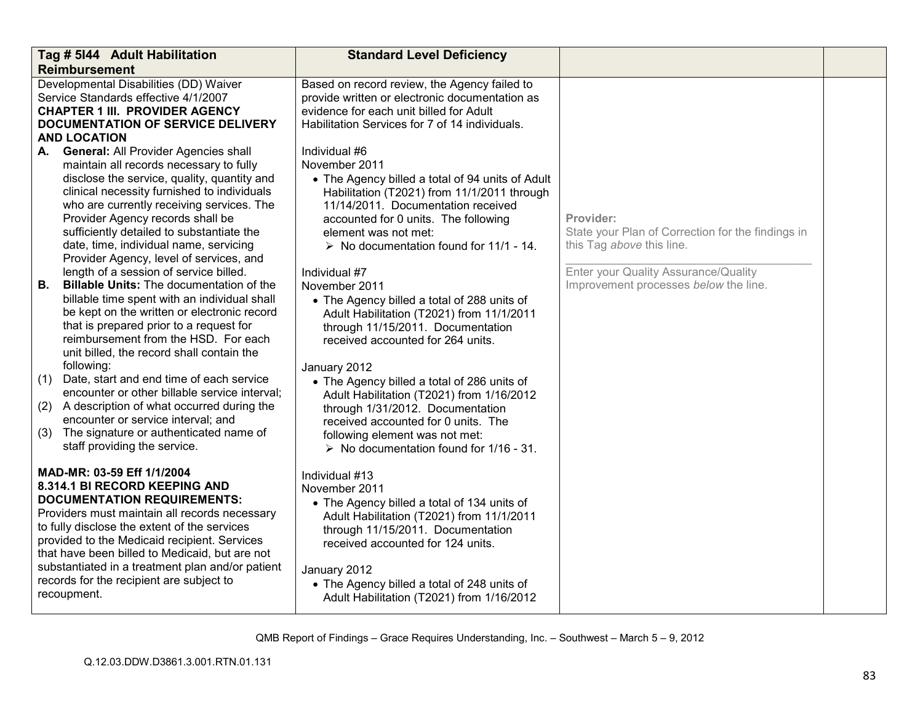|                               | Tag # 5144 Adult Habilitation<br><b>Reimbursement</b>                                                                                                                                                                                                                                                                                                                                                                                                                                                                                                                                                                                                                                                                                                                                                                                                                                                                                                                                                       | <b>Standard Level Deficiency</b>                                                                                                                                                                                                                                                                                                                                                                                                                                                                                                                                                                                                                                                                                                                                                             |                                                                                                                                                                              |  |
|-------------------------------|-------------------------------------------------------------------------------------------------------------------------------------------------------------------------------------------------------------------------------------------------------------------------------------------------------------------------------------------------------------------------------------------------------------------------------------------------------------------------------------------------------------------------------------------------------------------------------------------------------------------------------------------------------------------------------------------------------------------------------------------------------------------------------------------------------------------------------------------------------------------------------------------------------------------------------------------------------------------------------------------------------------|----------------------------------------------------------------------------------------------------------------------------------------------------------------------------------------------------------------------------------------------------------------------------------------------------------------------------------------------------------------------------------------------------------------------------------------------------------------------------------------------------------------------------------------------------------------------------------------------------------------------------------------------------------------------------------------------------------------------------------------------------------------------------------------------|------------------------------------------------------------------------------------------------------------------------------------------------------------------------------|--|
|                               | Developmental Disabilities (DD) Waiver<br>Service Standards effective 4/1/2007<br><b>CHAPTER 1 III. PROVIDER AGENCY</b><br><b>DOCUMENTATION OF SERVICE DELIVERY</b><br><b>AND LOCATION</b>                                                                                                                                                                                                                                                                                                                                                                                                                                                                                                                                                                                                                                                                                                                                                                                                                  | Based on record review, the Agency failed to<br>provide written or electronic documentation as<br>evidence for each unit billed for Adult<br>Habilitation Services for 7 of 14 individuals.                                                                                                                                                                                                                                                                                                                                                                                                                                                                                                                                                                                                  |                                                                                                                                                                              |  |
| А.<br>В.<br>(1)<br>(2)<br>(3) | <b>General: All Provider Agencies shall</b><br>maintain all records necessary to fully<br>disclose the service, quality, quantity and<br>clinical necessity furnished to individuals<br>who are currently receiving services. The<br>Provider Agency records shall be<br>sufficiently detailed to substantiate the<br>date, time, individual name, servicing<br>Provider Agency, level of services, and<br>length of a session of service billed.<br><b>Billable Units: The documentation of the</b><br>billable time spent with an individual shall<br>be kept on the written or electronic record<br>that is prepared prior to a request for<br>reimbursement from the HSD. For each<br>unit billed, the record shall contain the<br>following:<br>Date, start and end time of each service<br>encounter or other billable service interval;<br>A description of what occurred during the<br>encounter or service interval; and<br>The signature or authenticated name of<br>staff providing the service. | Individual #6<br>November 2011<br>• The Agency billed a total of 94 units of Adult<br>Habilitation (T2021) from 11/1/2011 through<br>11/14/2011. Documentation received<br>accounted for 0 units. The following<br>element was not met:<br>$\triangleright$ No documentation found for 11/1 - 14.<br>Individual #7<br>November 2011<br>• The Agency billed a total of 288 units of<br>Adult Habilitation (T2021) from 11/1/2011<br>through 11/15/2011. Documentation<br>received accounted for 264 units.<br>January 2012<br>• The Agency billed a total of 286 units of<br>Adult Habilitation (T2021) from 1/16/2012<br>through 1/31/2012. Documentation<br>received accounted for 0 units. The<br>following element was not met:<br>$\triangleright$ No documentation found for 1/16 - 31. | Provider:<br>State your Plan of Correction for the findings in<br>this Tag above this line.<br>Enter your Quality Assurance/Quality<br>Improvement processes below the line. |  |
|                               | MAD-MR: 03-59 Eff 1/1/2004<br>8.314.1 BI RECORD KEEPING AND<br><b>DOCUMENTATION REQUIREMENTS:</b><br>Providers must maintain all records necessary<br>to fully disclose the extent of the services<br>provided to the Medicaid recipient. Services<br>that have been billed to Medicaid, but are not<br>substantiated in a treatment plan and/or patient<br>records for the recipient are subject to<br>recoupment.                                                                                                                                                                                                                                                                                                                                                                                                                                                                                                                                                                                         | Individual #13<br>November 2011<br>• The Agency billed a total of 134 units of<br>Adult Habilitation (T2021) from 11/1/2011<br>through 11/15/2011. Documentation<br>received accounted for 124 units.<br>January 2012<br>• The Agency billed a total of 248 units of<br>Adult Habilitation (T2021) from 1/16/2012                                                                                                                                                                                                                                                                                                                                                                                                                                                                            |                                                                                                                                                                              |  |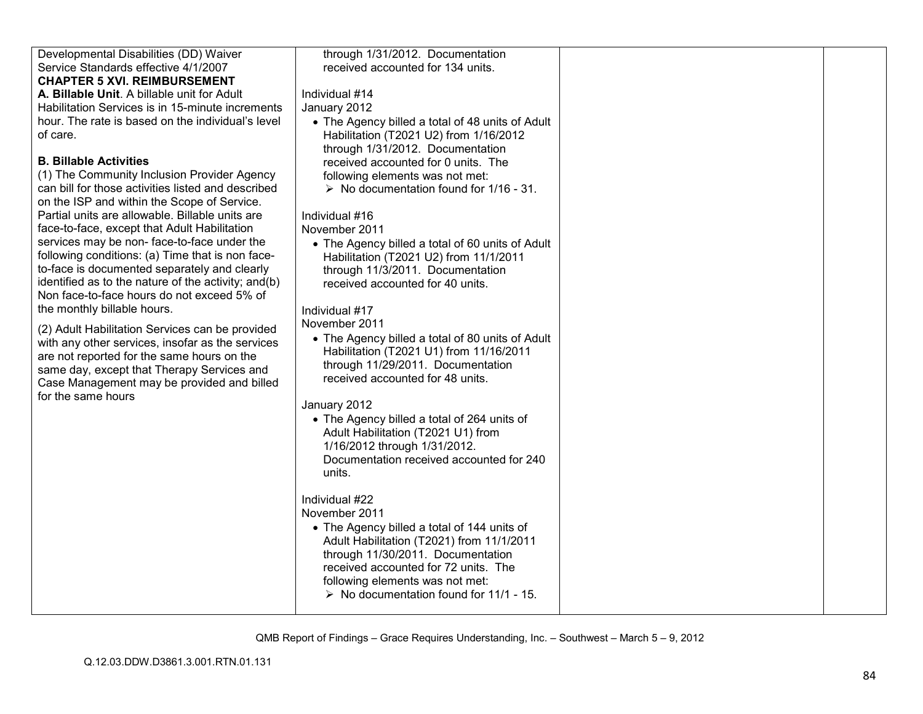| Developmental Disabilities (DD) Waiver              | through 1/31/2012. Documentation                                      |  |
|-----------------------------------------------------|-----------------------------------------------------------------------|--|
| Service Standards effective 4/1/2007                | received accounted for 134 units.                                     |  |
| <b>CHAPTER 5 XVI. REIMBURSEMENT</b>                 |                                                                       |  |
| A. Billable Unit. A billable unit for Adult         | Individual #14                                                        |  |
| Habilitation Services is in 15-minute increments    | January 2012                                                          |  |
| hour. The rate is based on the individual's level   | • The Agency billed a total of 48 units of Adult                      |  |
| of care.                                            | Habilitation (T2021 U2) from 1/16/2012                                |  |
|                                                     | through 1/31/2012. Documentation                                      |  |
| <b>B. Billable Activities</b>                       | received accounted for 0 units. The                                   |  |
| (1) The Community Inclusion Provider Agency         | following elements was not met:                                       |  |
| can bill for those activities listed and described  | $\triangleright$ No documentation found for 1/16 - 31.                |  |
| on the ISP and within the Scope of Service.         |                                                                       |  |
| Partial units are allowable. Billable units are     | Individual #16                                                        |  |
| face-to-face, except that Adult Habilitation        | November 2011                                                         |  |
| services may be non-face-to-face under the          | • The Agency billed a total of 60 units of Adult                      |  |
| following conditions: (a) Time that is non face-    | Habilitation (T2021 U2) from 11/1/2011                                |  |
| to-face is documented separately and clearly        | through 11/3/2011. Documentation                                      |  |
| identified as to the nature of the activity; and(b) | received accounted for 40 units.                                      |  |
| Non face-to-face hours do not exceed 5% of          |                                                                       |  |
| the monthly billable hours.                         | Individual #17                                                        |  |
| (2) Adult Habilitation Services can be provided     | November 2011                                                         |  |
| with any other services, insofar as the services    | • The Agency billed a total of 80 units of Adult                      |  |
| are not reported for the same hours on the          | Habilitation (T2021 U1) from 11/16/2011                               |  |
| same day, except that Therapy Services and          | through 11/29/2011. Documentation<br>received accounted for 48 units. |  |
| Case Management may be provided and billed          |                                                                       |  |
| for the same hours                                  | January 2012                                                          |  |
|                                                     | • The Agency billed a total of 264 units of                           |  |
|                                                     | Adult Habilitation (T2021 U1) from                                    |  |
|                                                     | 1/16/2012 through 1/31/2012.                                          |  |
|                                                     | Documentation received accounted for 240                              |  |
|                                                     | units.                                                                |  |
|                                                     |                                                                       |  |
|                                                     | Individual #22                                                        |  |
|                                                     | November 2011                                                         |  |
|                                                     | • The Agency billed a total of 144 units of                           |  |
|                                                     | Adult Habilitation (T2021) from 11/1/2011                             |  |
|                                                     | through 11/30/2011. Documentation                                     |  |
|                                                     | received accounted for 72 units. The                                  |  |
|                                                     | following elements was not met:                                       |  |
|                                                     | $\triangleright$ No documentation found for 11/1 - 15.                |  |
|                                                     |                                                                       |  |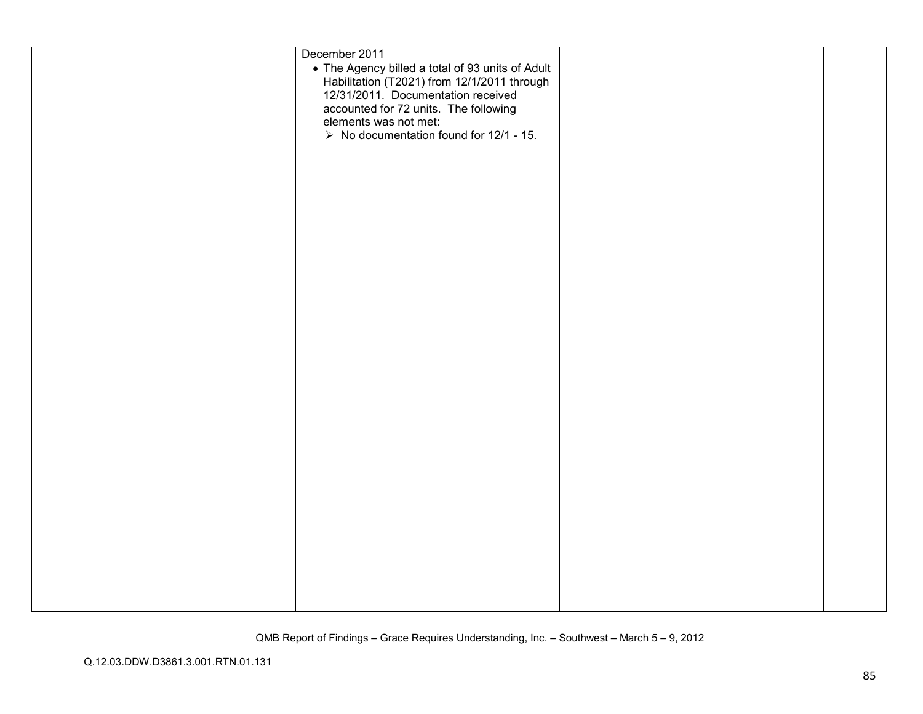| December 2011<br>• The Agency billed a total of 93 units of Adult<br>Habilitation (T2021) from 12/1/2011 through<br>12/31/2011 Documentation received<br>accounted for 72 units. The following<br>elements was not met:<br>$\triangleright$ No documentation found for 12/1 - 15. |  |
|-----------------------------------------------------------------------------------------------------------------------------------------------------------------------------------------------------------------------------------------------------------------------------------|--|
|                                                                                                                                                                                                                                                                                   |  |
|                                                                                                                                                                                                                                                                                   |  |
|                                                                                                                                                                                                                                                                                   |  |
|                                                                                                                                                                                                                                                                                   |  |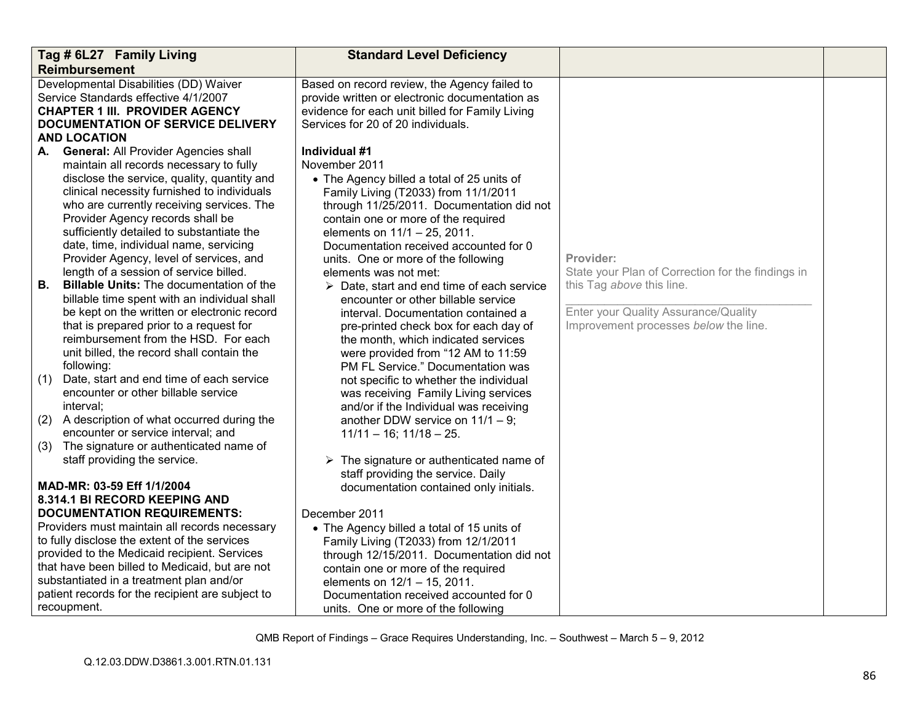| Tag # 6L27 Family Living<br><b>Reimbursement</b>                                                                                                                                                                                                                                                                                                                                                   | <b>Standard Level Deficiency</b>                                                                                                                                                                                                                                                                                                             |                                                                                                            |  |
|----------------------------------------------------------------------------------------------------------------------------------------------------------------------------------------------------------------------------------------------------------------------------------------------------------------------------------------------------------------------------------------------------|----------------------------------------------------------------------------------------------------------------------------------------------------------------------------------------------------------------------------------------------------------------------------------------------------------------------------------------------|------------------------------------------------------------------------------------------------------------|--|
| Developmental Disabilities (DD) Waiver<br>Service Standards effective 4/1/2007<br><b>CHAPTER 1 III. PROVIDER AGENCY</b><br>DOCUMENTATION OF SERVICE DELIVERY<br><b>AND LOCATION</b><br><b>General: All Provider Agencies shall</b><br>А.                                                                                                                                                           | Based on record review, the Agency failed to<br>provide written or electronic documentation as<br>evidence for each unit billed for Family Living<br>Services for 20 of 20 individuals.<br>Individual #1                                                                                                                                     |                                                                                                            |  |
| maintain all records necessary to fully<br>disclose the service, quality, quantity and<br>clinical necessity furnished to individuals<br>who are currently receiving services. The<br>Provider Agency records shall be<br>sufficiently detailed to substantiate the<br>date, time, individual name, servicing<br>Provider Agency, level of services, and<br>length of a session of service billed. | November 2011<br>• The Agency billed a total of 25 units of<br>Family Living (T2033) from 11/1/2011<br>through 11/25/2011. Documentation did not<br>contain one or more of the required<br>elements on 11/1 - 25, 2011.<br>Documentation received accounted for 0<br>units. One or more of the following<br>elements was not met:            | Provider:<br>State your Plan of Correction for the findings in                                             |  |
| Billable Units: The documentation of the<br>В.<br>billable time spent with an individual shall<br>be kept on the written or electronic record<br>that is prepared prior to a request for<br>reimbursement from the HSD. For each<br>unit billed, the record shall contain the<br>following:<br>(1)<br>Date, start and end time of each service                                                     | $\triangleright$ Date, start and end time of each service<br>encounter or other billable service<br>interval. Documentation contained a<br>pre-printed check box for each day of<br>the month, which indicated services<br>were provided from "12 AM to 11:59<br>PM FL Service." Documentation was<br>not specific to whether the individual | this Tag above this line.<br>Enter your Quality Assurance/Quality<br>Improvement processes below the line. |  |
| encounter or other billable service<br>interval:<br>(2)<br>A description of what occurred during the<br>encounter or service interval; and                                                                                                                                                                                                                                                         | was receiving Family Living services<br>and/or if the Individual was receiving<br>another DDW service on $11/1 - 9$ ;<br>$11/11 - 16$ ; $11/18 - 25$ .                                                                                                                                                                                       |                                                                                                            |  |
| (3) The signature or authenticated name of<br>staff providing the service.<br>MAD-MR: 03-59 Eff 1/1/2004                                                                                                                                                                                                                                                                                           | $\triangleright$ The signature or authenticated name of<br>staff providing the service. Daily<br>documentation contained only initials.                                                                                                                                                                                                      |                                                                                                            |  |
| 8.314.1 BI RECORD KEEPING AND<br><b>DOCUMENTATION REQUIREMENTS:</b><br>Providers must maintain all records necessary<br>to fully disclose the extent of the services<br>provided to the Medicaid recipient. Services<br>that have been billed to Medicaid, but are not<br>substantiated in a treatment plan and/or<br>patient records for the recipient are subject to<br>recoupment.              | December 2011<br>• The Agency billed a total of 15 units of<br>Family Living (T2033) from 12/1/2011<br>through 12/15/2011. Documentation did not<br>contain one or more of the required<br>elements on 12/1 - 15, 2011.<br>Documentation received accounted for 0<br>units. One or more of the following                                     |                                                                                                            |  |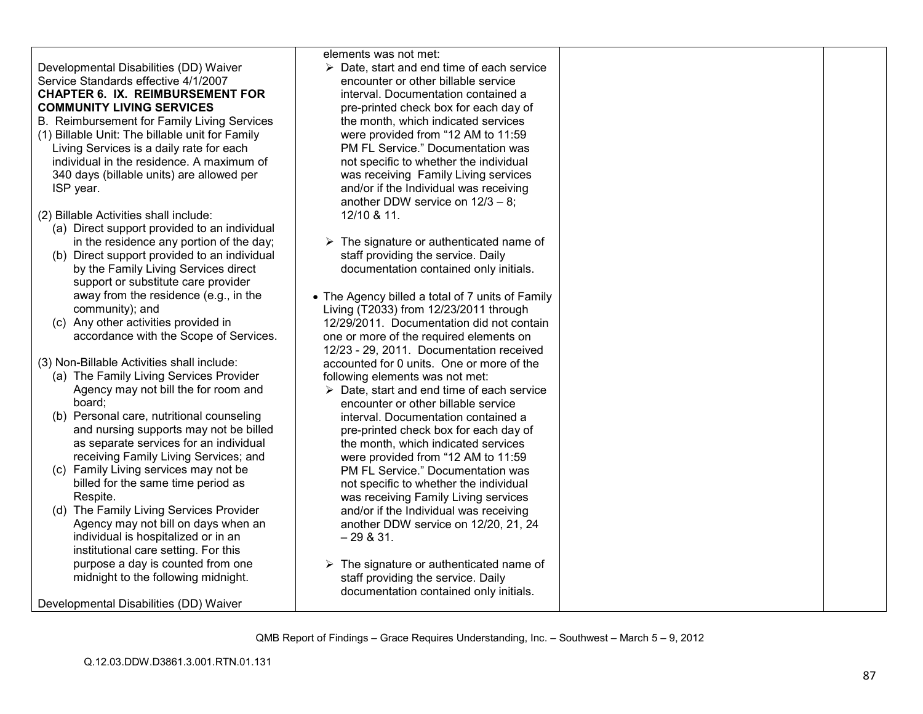## Developmental Disabilities (DD) Waiver Service Standards effective 4/1/2007 **CHAPTER 6. IX. REIMBURSEMENT FOR COMMUNITY LIVING SERVICES**

B. Reimbursement for Family Living Services

(1) Billable Unit: The billable unit for Family Living Services is a daily rate for each individual in the residence. A maximum of 340 days (billable units) are allowed per ISP year.

(2) Billable Activities shall include:

- (a) Direct support provided to an individual in the residence any portion of the day;
- (b) Direct support provided to an individual by the Family Living Services direct support or substitute care provider away from the residence (e.g., in the community); and
- (c) Any other activities provided in accordance with the Scope of Services.

(3) Non-Billable Activities shall include:

- (a) The Family Living Services Provider Agency may not bill the for room and board;
- (b) Personal care, nutritional counseling and nursing supports may not be billed as separate services for an individual receiving Family Living Services; and
- (c) Family Living services may not be billed for the same time period as Respite.
- (d) The Family Living Services Provider Agency may not bill on days when an individual is hospitalized or in an institutional care setting. For this purpose a day is counted from one midnight to the following midnight.

Developmental Disabilities (DD) Waiver

elements was not met:

- Date, start and end time of each service encounter or other billable service interval. Documentation contained a pre-printed check box for each day of the month, which indicated services were provided from "12 AM to 11:59 PM FL Service." Documentation was not specific to whether the individual was receiving Family Living services and/or if the Individual was receiving another DDW service on 12/3 – 8; 12/10 & 11.
- $\triangleright$  The signature or authenticated name of staff providing the service. Daily documentation contained only initials.
- The Agency billed a total of 7 units of Family Living (T2033) from 12/23/2011 through 12/29/2011. Documentation did not contain one or more of the required elements on 12/23 - 29, 2011. Documentation received accounted for 0 units. One or more of the following elements was not met:
	- Date, start and end time of each service encounter or other billable service interval. Documentation contained a pre-printed check box for each day of the month, which indicated services were provided from "12 AM to 11:59 PM FL Service." Documentation was not specific to whether the individual was receiving Family Living services and/or if the Individual was receiving another DDW service on 12/20, 21, 24  $-29 & 8 & 31.$
- $\triangleright$  The signature or authenticated name of staff providing the service. Daily documentation contained only initials.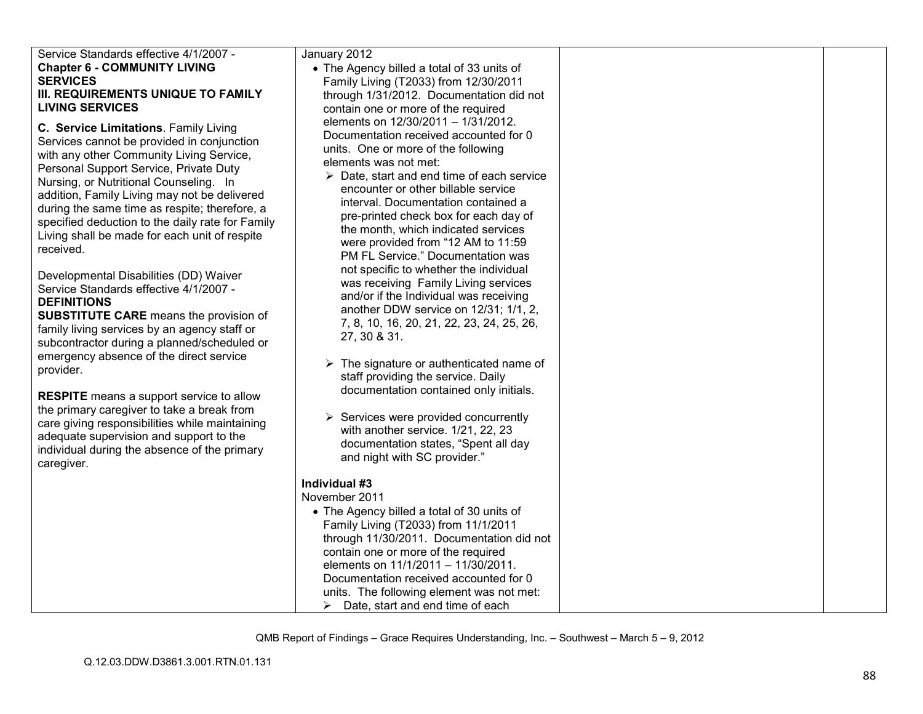| Service Standards effective 4/1/2007 -                                                            | January 2012                                                                                  |  |
|---------------------------------------------------------------------------------------------------|-----------------------------------------------------------------------------------------------|--|
| <b>Chapter 6 - COMMUNITY LIVING</b>                                                               | • The Agency billed a total of 33 units of                                                    |  |
| <b>SERVICES</b>                                                                                   | Family Living (T2033) from 12/30/2011                                                         |  |
| III. REQUIREMENTS UNIQUE TO FAMILY                                                                | through 1/31/2012. Documentation did not                                                      |  |
| <b>LIVING SERVICES</b>                                                                            | contain one or more of the required                                                           |  |
|                                                                                                   | elements on 12/30/2011 - 1/31/2012.                                                           |  |
| C. Service Limitations. Family Living                                                             | Documentation received accounted for 0                                                        |  |
| Services cannot be provided in conjunction                                                        | units. One or more of the following                                                           |  |
| with any other Community Living Service,                                                          | elements was not met:                                                                         |  |
| Personal Support Service, Private Duty                                                            | $\triangleright$ Date, start and end time of each service                                     |  |
| Nursing, or Nutritional Counseling. In                                                            | encounter or other billable service                                                           |  |
| addition, Family Living may not be delivered                                                      | interval. Documentation contained a                                                           |  |
| during the same time as respite; therefore, a<br>specified deduction to the daily rate for Family | pre-printed check box for each day of                                                         |  |
| Living shall be made for each unit of respite                                                     | the month, which indicated services                                                           |  |
| received.                                                                                         | were provided from "12 AM to 11:59                                                            |  |
|                                                                                                   | PM FL Service." Documentation was                                                             |  |
| Developmental Disabilities (DD) Waiver                                                            | not specific to whether the individual                                                        |  |
| Service Standards effective 4/1/2007 -                                                            | was receiving Family Living services                                                          |  |
| <b>DEFINITIONS</b>                                                                                | and/or if the Individual was receiving                                                        |  |
| <b>SUBSTITUTE CARE</b> means the provision of                                                     | another DDW service on 12/31; 1/1, 2,                                                         |  |
| family living services by an agency staff or                                                      | 7, 8, 10, 16, 20, 21, 22, 23, 24, 25, 26,                                                     |  |
| subcontractor during a planned/scheduled or                                                       | 27, 30 & 31.                                                                                  |  |
| emergency absence of the direct service                                                           |                                                                                               |  |
| provider.                                                                                         | $\triangleright$ The signature or authenticated name of<br>staff providing the service. Daily |  |
|                                                                                                   | documentation contained only initials.                                                        |  |
| <b>RESPITE</b> means a support service to allow                                                   |                                                                                               |  |
| the primary caregiver to take a break from                                                        | $\triangleright$ Services were provided concurrently                                          |  |
| care giving responsibilities while maintaining                                                    | with another service. 1/21, 22, 23                                                            |  |
| adequate supervision and support to the                                                           | documentation states, "Spent all day                                                          |  |
| individual during the absence of the primary                                                      | and night with SC provider."                                                                  |  |
| caregiver.                                                                                        |                                                                                               |  |
|                                                                                                   | Individual #3                                                                                 |  |
|                                                                                                   | November 2011                                                                                 |  |
|                                                                                                   | • The Agency billed a total of 30 units of                                                    |  |
|                                                                                                   | Family Living (T2033) from 11/1/2011                                                          |  |
|                                                                                                   | through 11/30/2011. Documentation did not                                                     |  |
|                                                                                                   | contain one or more of the required                                                           |  |
|                                                                                                   | elements on 11/1/2011 - 11/30/2011.                                                           |  |
|                                                                                                   | Documentation received accounted for 0                                                        |  |
|                                                                                                   | units. The following element was not met:                                                     |  |
|                                                                                                   | Date, start and end time of each<br>≻                                                         |  |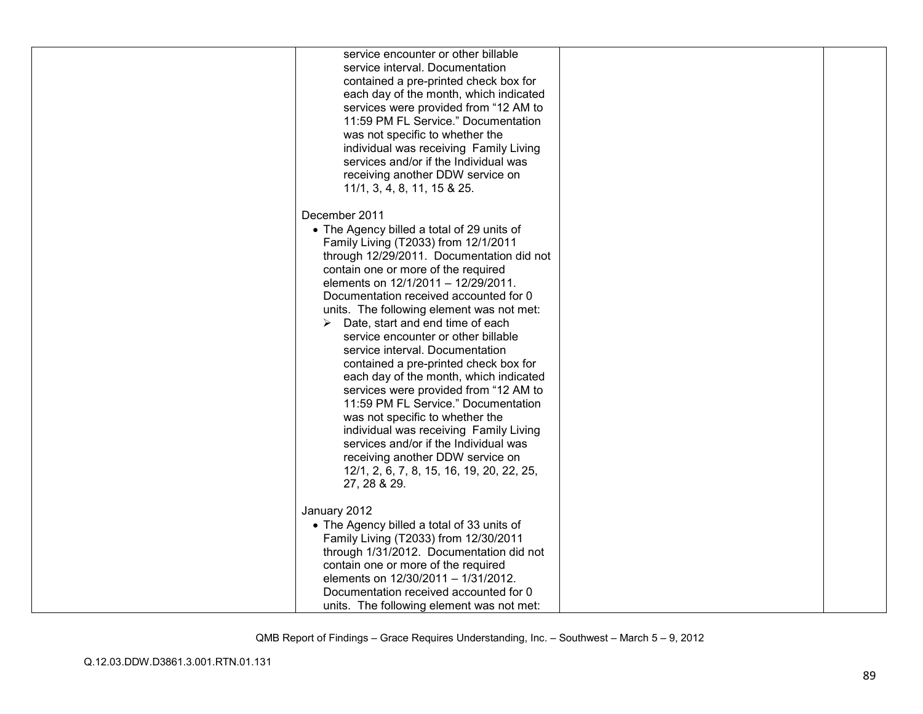| service encounter or other billable<br>service interval. Documentation<br>contained a pre-printed check box for<br>each day of the month, which indicated<br>services were provided from "12 AM to<br>11:59 PM FL Service." Documentation<br>was not specific to whether the<br>individual was receiving Family Living<br>services and/or if the Individual was<br>receiving another DDW service on<br>11/1, 3, 4, 8, 11, 15 & 25.                                                                                                                                                                                                                                                                                                                                                                                                 |  |
|------------------------------------------------------------------------------------------------------------------------------------------------------------------------------------------------------------------------------------------------------------------------------------------------------------------------------------------------------------------------------------------------------------------------------------------------------------------------------------------------------------------------------------------------------------------------------------------------------------------------------------------------------------------------------------------------------------------------------------------------------------------------------------------------------------------------------------|--|
| December 2011<br>• The Agency billed a total of 29 units of<br>Family Living (T2033) from 12/1/2011<br>through 12/29/2011. Documentation did not<br>contain one or more of the required<br>elements on 12/1/2011 - 12/29/2011.<br>Documentation received accounted for 0<br>units. The following element was not met:<br>Date, start and end time of each<br>➤<br>service encounter or other billable<br>service interval. Documentation<br>contained a pre-printed check box for<br>each day of the month, which indicated<br>services were provided from "12 AM to<br>11:59 PM FL Service." Documentation<br>was not specific to whether the<br>individual was receiving Family Living<br>services and/or if the Individual was<br>receiving another DDW service on<br>12/1, 2, 6, 7, 8, 15, 16, 19, 20, 22, 25,<br>27, 28 & 29. |  |
| January 2012<br>• The Agency billed a total of 33 units of<br>Family Living (T2033) from 12/30/2011<br>through 1/31/2012. Documentation did not<br>contain one or more of the required<br>elements on 12/30/2011 - 1/31/2012.<br>Documentation received accounted for 0<br>units. The following element was not met:                                                                                                                                                                                                                                                                                                                                                                                                                                                                                                               |  |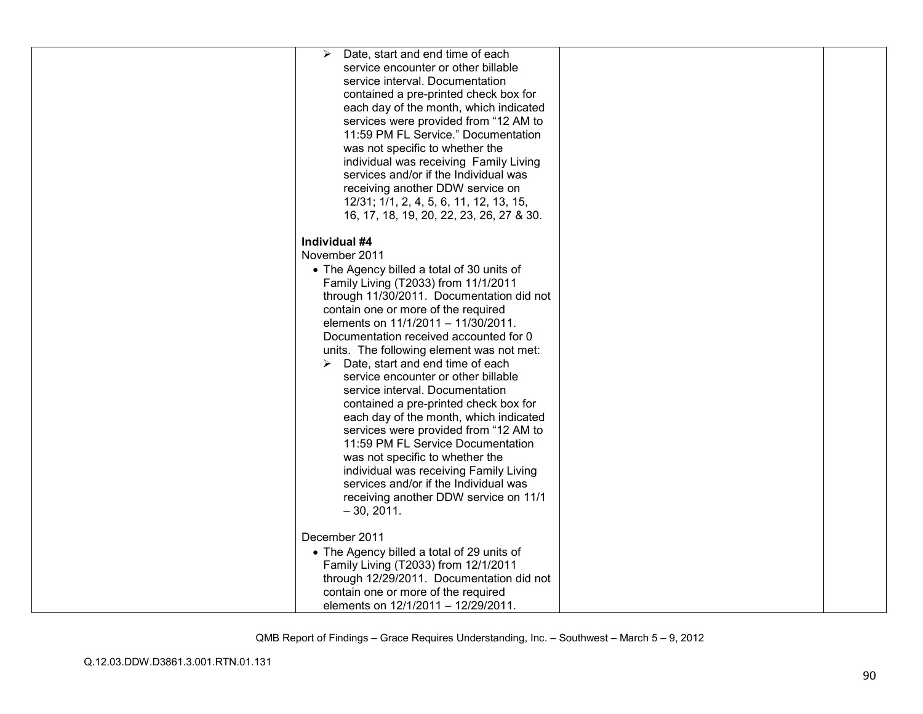| Date, start and end time of each<br>➤<br>service encounter or other billable<br>service interval. Documentation<br>contained a pre-printed check box for<br>each day of the month, which indicated<br>services were provided from "12 AM to<br>11:59 PM FL Service." Documentation<br>was not specific to whether the<br>individual was receiving Family Living<br>services and/or if the Individual was<br>receiving another DDW service on<br>12/31; 1/1, 2, 4, 5, 6, 11, 12, 13, 15,<br>16, 17, 18, 19, 20, 22, 23, 26, 27 & 30.                                                                                                                                                                                                                                                                                   |  |
|-----------------------------------------------------------------------------------------------------------------------------------------------------------------------------------------------------------------------------------------------------------------------------------------------------------------------------------------------------------------------------------------------------------------------------------------------------------------------------------------------------------------------------------------------------------------------------------------------------------------------------------------------------------------------------------------------------------------------------------------------------------------------------------------------------------------------|--|
| Individual #4<br>November 2011<br>• The Agency billed a total of 30 units of<br>Family Living (T2033) from 11/1/2011<br>through 11/30/2011. Documentation did not<br>contain one or more of the required<br>elements on 11/1/2011 - 11/30/2011.<br>Documentation received accounted for 0<br>units. The following element was not met:<br>$\triangleright$ Date, start and end time of each<br>service encounter or other billable<br>service interval. Documentation<br>contained a pre-printed check box for<br>each day of the month, which indicated<br>services were provided from "12 AM to<br>11:59 PM FL Service Documentation<br>was not specific to whether the<br>individual was receiving Family Living<br>services and/or if the Individual was<br>receiving another DDW service on 11/1<br>$-30, 2011.$ |  |
| December 2011<br>• The Agency billed a total of 29 units of<br>Family Living (T2033) from 12/1/2011<br>through 12/29/2011. Documentation did not<br>contain one or more of the required<br>elements on 12/1/2011 - 12/29/2011.                                                                                                                                                                                                                                                                                                                                                                                                                                                                                                                                                                                        |  |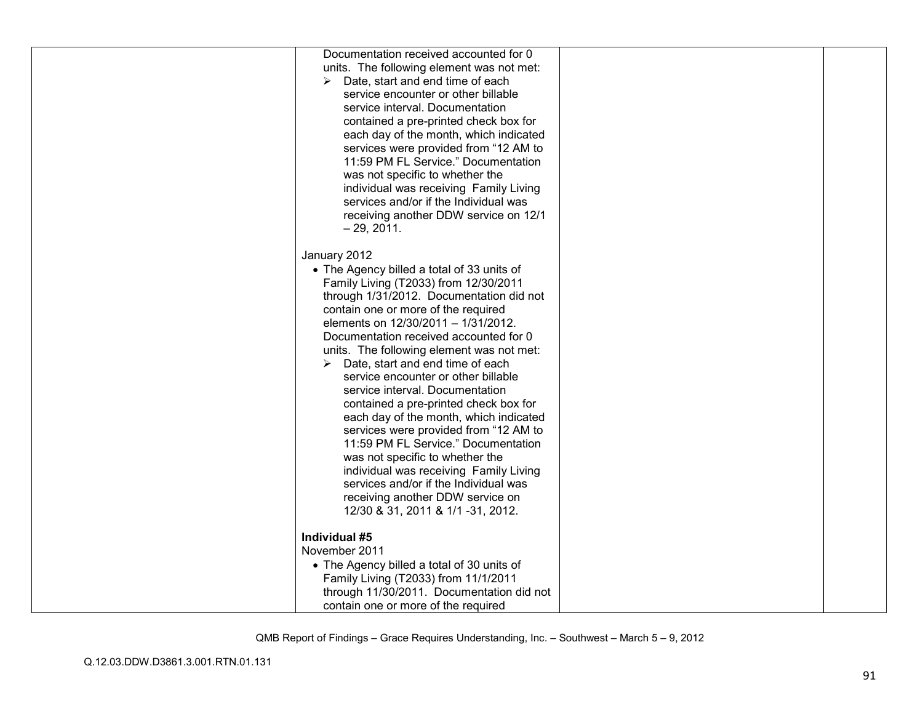| Documentation received accounted for 0     |  |
|--------------------------------------------|--|
| units. The following element was not met:  |  |
| Date, start and end time of each<br>➤      |  |
| service encounter or other billable        |  |
| service interval. Documentation            |  |
| contained a pre-printed check box for      |  |
| each day of the month, which indicated     |  |
| services were provided from "12 AM to      |  |
| 11:59 PM FL Service." Documentation        |  |
| was not specific to whether the            |  |
| individual was receiving Family Living     |  |
| services and/or if the Individual was      |  |
| receiving another DDW service on 12/1      |  |
| $-29, 2011.$                               |  |
|                                            |  |
| January 2012                               |  |
| • The Agency billed a total of 33 units of |  |
| Family Living (T2033) from 12/30/2011      |  |
| through 1/31/2012. Documentation did not   |  |
| contain one or more of the required        |  |
| elements on 12/30/2011 - 1/31/2012.        |  |
| Documentation received accounted for 0     |  |
|                                            |  |
| units. The following element was not met:  |  |
| Date, start and end time of each           |  |
| service encounter or other billable        |  |
| service interval. Documentation            |  |
| contained a pre-printed check box for      |  |
| each day of the month, which indicated     |  |
| services were provided from "12 AM to      |  |
| 11:59 PM FL Service." Documentation        |  |
| was not specific to whether the            |  |
| individual was receiving Family Living     |  |
| services and/or if the Individual was      |  |
| receiving another DDW service on           |  |
| 12/30 & 31, 2011 & 1/1 -31, 2012.          |  |
|                                            |  |
| Individual #5                              |  |
| November 2011                              |  |
| • The Agency billed a total of 30 units of |  |
| Family Living (T2033) from 11/1/2011       |  |
| through 11/30/2011. Documentation did not  |  |
| contain one or more of the required        |  |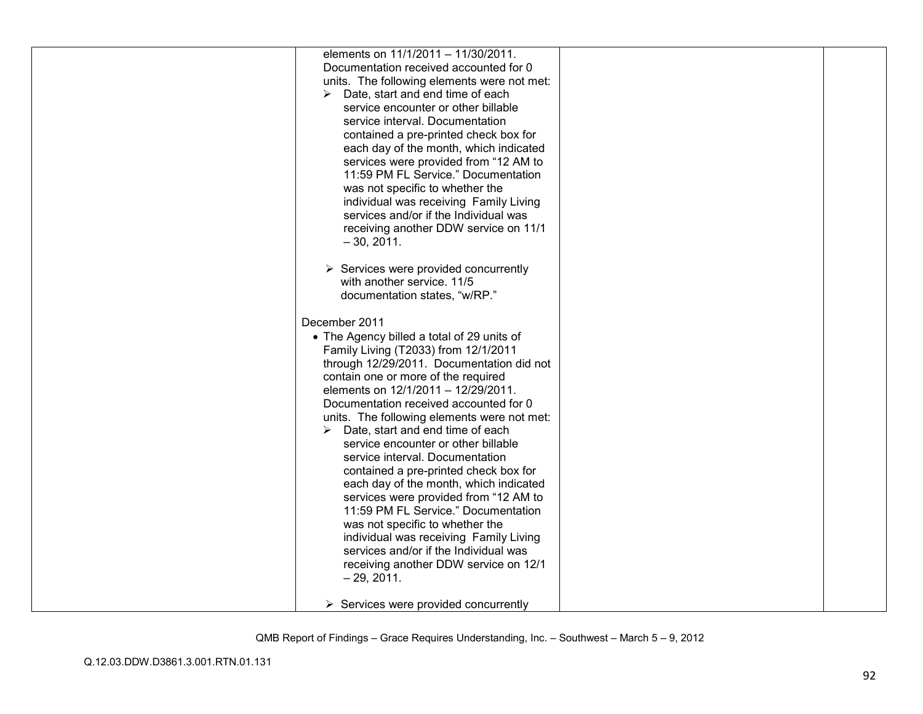| elements on 11/1/2011 - 11/30/2011.<br>Documentation received accounted for 0    |  |
|----------------------------------------------------------------------------------|--|
| units. The following elements were not met:                                      |  |
| Date, start and end time of each<br>➤                                            |  |
| service encounter or other billable                                              |  |
| service interval. Documentation                                                  |  |
| contained a pre-printed check box for                                            |  |
| each day of the month, which indicated                                           |  |
| services were provided from "12 AM to<br>11:59 PM FL Service." Documentation     |  |
| was not specific to whether the                                                  |  |
| individual was receiving Family Living                                           |  |
| services and/or if the Individual was                                            |  |
| receiving another DDW service on 11/1                                            |  |
| $-30, 2011.$                                                                     |  |
| $\triangleright$ Services were provided concurrently                             |  |
| with another service. 11/5                                                       |  |
| documentation states, "w/RP."                                                    |  |
| December 2011                                                                    |  |
| • The Agency billed a total of 29 units of                                       |  |
| Family Living (T2033) from 12/1/2011                                             |  |
| through 12/29/2011. Documentation did not<br>contain one or more of the required |  |
| elements on 12/1/2011 - 12/29/2011.                                              |  |
| Documentation received accounted for 0                                           |  |
| units. The following elements were not met:                                      |  |
| Date, start and end time of each<br>➤                                            |  |
| service encounter or other billable                                              |  |
| service interval. Documentation                                                  |  |
| contained a pre-printed check box for<br>each day of the month, which indicated  |  |
| services were provided from "12 AM to                                            |  |
| 11:59 PM FL Service." Documentation                                              |  |
| was not specific to whether the                                                  |  |
| individual was receiving Family Living                                           |  |
| services and/or if the Individual was                                            |  |
| receiving another DDW service on 12/1                                            |  |
| $-29, 2011.$                                                                     |  |
| $\triangleright$ Services were provided concurrently                             |  |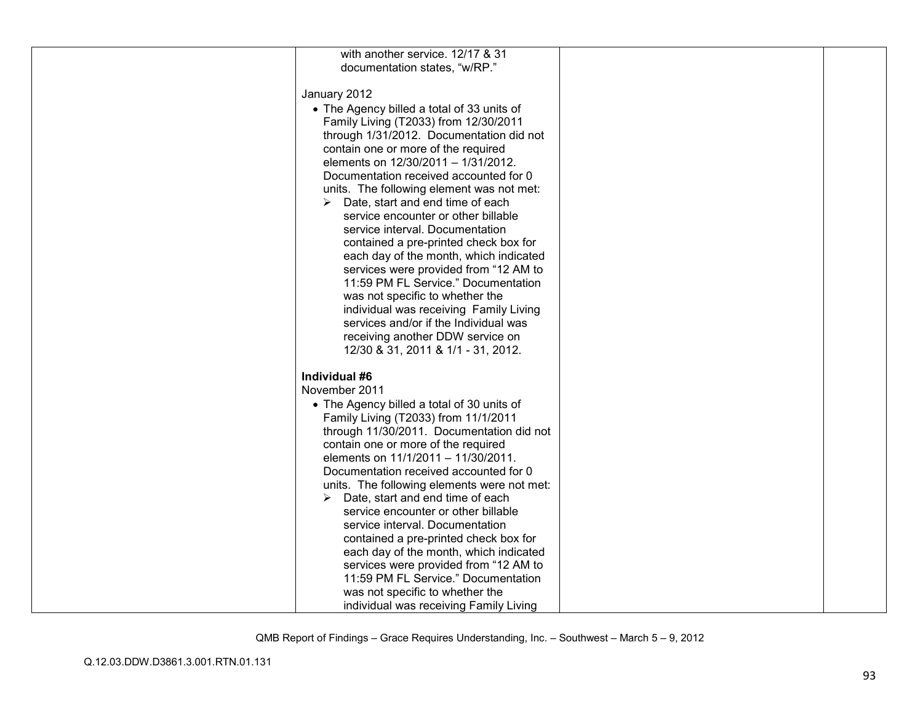| with another service. 12/17 & 31                  |  |
|---------------------------------------------------|--|
| documentation states, "w/RP."                     |  |
|                                                   |  |
| January 2012                                      |  |
| • The Agency billed a total of 33 units of        |  |
| Family Living (T2033) from 12/30/2011             |  |
| through 1/31/2012. Documentation did not          |  |
| contain one or more of the required               |  |
|                                                   |  |
| elements on 12/30/2011 - 1/31/2012.               |  |
| Documentation received accounted for 0            |  |
| units. The following element was not met:         |  |
| $\triangleright$ Date, start and end time of each |  |
| service encounter or other billable               |  |
| service interval. Documentation                   |  |
| contained a pre-printed check box for             |  |
| each day of the month, which indicated            |  |
| services were provided from "12 AM to             |  |
| 11:59 PM FL Service." Documentation               |  |
| was not specific to whether the                   |  |
| individual was receiving Family Living            |  |
|                                                   |  |
| services and/or if the Individual was             |  |
| receiving another DDW service on                  |  |
| 12/30 & 31, 2011 & 1/1 - 31, 2012.                |  |
| Individual #6                                     |  |
|                                                   |  |
| November 2011                                     |  |
| • The Agency billed a total of 30 units of        |  |
| Family Living (T2033) from 11/1/2011              |  |
| through 11/30/2011. Documentation did not         |  |
| contain one or more of the required               |  |
| elements on 11/1/2011 - 11/30/2011.               |  |
| Documentation received accounted for 0            |  |
| units. The following elements were not met:       |  |
| $\triangleright$ Date, start and end time of each |  |
| service encounter or other billable               |  |
| service interval. Documentation                   |  |
| contained a pre-printed check box for             |  |
| each day of the month, which indicated            |  |
| services were provided from "12 AM to             |  |
| 11:59 PM FL Service." Documentation               |  |
| was not specific to whether the                   |  |
|                                                   |  |
| individual was receiving Family Living            |  |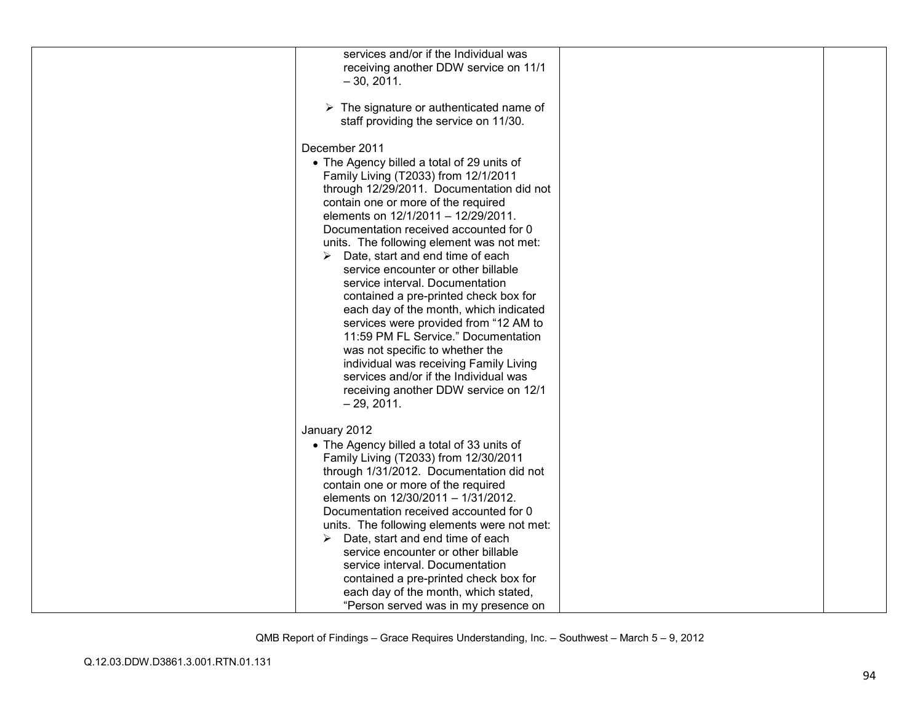| services and/or if the Individual was<br>receiving another DDW service on 11/1<br>$-30, 2011.$                                                                                                                                                                                                                                                                                                                                                                                                                                                                                                                                                                                                                                                                                                         |  |
|--------------------------------------------------------------------------------------------------------------------------------------------------------------------------------------------------------------------------------------------------------------------------------------------------------------------------------------------------------------------------------------------------------------------------------------------------------------------------------------------------------------------------------------------------------------------------------------------------------------------------------------------------------------------------------------------------------------------------------------------------------------------------------------------------------|--|
| $\triangleright$ The signature or authenticated name of<br>staff providing the service on 11/30.                                                                                                                                                                                                                                                                                                                                                                                                                                                                                                                                                                                                                                                                                                       |  |
| December 2011<br>• The Agency billed a total of 29 units of<br>Family Living (T2033) from 12/1/2011<br>through 12/29/2011. Documentation did not<br>contain one or more of the required<br>elements on 12/1/2011 - 12/29/2011.<br>Documentation received accounted for 0<br>units. The following element was not met:<br>$\triangleright$ Date, start and end time of each<br>service encounter or other billable<br>service interval. Documentation<br>contained a pre-printed check box for<br>each day of the month, which indicated<br>services were provided from "12 AM to<br>11:59 PM FL Service." Documentation<br>was not specific to whether the<br>individual was receiving Family Living<br>services and/or if the Individual was<br>receiving another DDW service on 12/1<br>$-29, 2011.$ |  |
| January 2012<br>• The Agency billed a total of 33 units of<br>Family Living (T2033) from 12/30/2011<br>through 1/31/2012. Documentation did not<br>contain one or more of the required<br>elements on 12/30/2011 - 1/31/2012.<br>Documentation received accounted for 0<br>units. The following elements were not met:<br>Date, start and end time of each<br>➤<br>service encounter or other billable<br>service interval. Documentation<br>contained a pre-printed check box for<br>each day of the month, which stated,<br>"Person served was in my presence on                                                                                                                                                                                                                                     |  |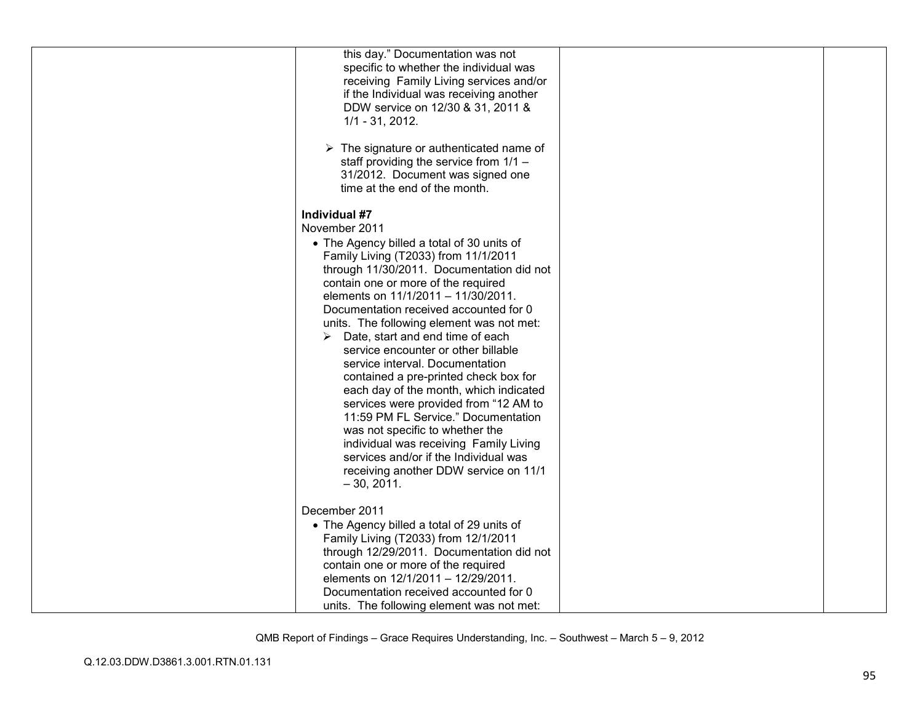| this day." Documentation was not                        |  |
|---------------------------------------------------------|--|
| specific to whether the individual was                  |  |
| receiving Family Living services and/or                 |  |
| if the Individual was receiving another                 |  |
| DDW service on 12/30 & 31, 2011 &                       |  |
| $1/1 - 31$ , 2012.                                      |  |
|                                                         |  |
| $\triangleright$ The signature or authenticated name of |  |
| staff providing the service from 1/1 -                  |  |
| 31/2012. Document was signed one                        |  |
| time at the end of the month.                           |  |
|                                                         |  |
| Individual #7                                           |  |
| November 2011                                           |  |
| • The Agency billed a total of 30 units of              |  |
| Family Living (T2033) from 11/1/2011                    |  |
| through 11/30/2011. Documentation did not               |  |
| contain one or more of the required                     |  |
| elements on 11/1/2011 - 11/30/2011.                     |  |
| Documentation received accounted for 0                  |  |
| units. The following element was not met:               |  |
| Date, start and end time of each<br>➤                   |  |
| service encounter or other billable                     |  |
| service interval. Documentation                         |  |
| contained a pre-printed check box for                   |  |
| each day of the month, which indicated                  |  |
| services were provided from "12 AM to                   |  |
| 11:59 PM FL Service." Documentation                     |  |
| was not specific to whether the                         |  |
| individual was receiving Family Living                  |  |
| services and/or if the Individual was                   |  |
| receiving another DDW service on 11/1                   |  |
| $-30, 2011.$                                            |  |
|                                                         |  |
| December 2011                                           |  |
| • The Agency billed a total of 29 units of              |  |
| Family Living (T2033) from 12/1/2011                    |  |
| through 12/29/2011. Documentation did not               |  |
| contain one or more of the required                     |  |
| elements on 12/1/2011 - 12/29/2011.                     |  |
| Documentation received accounted for 0                  |  |
| units. The following element was not met:               |  |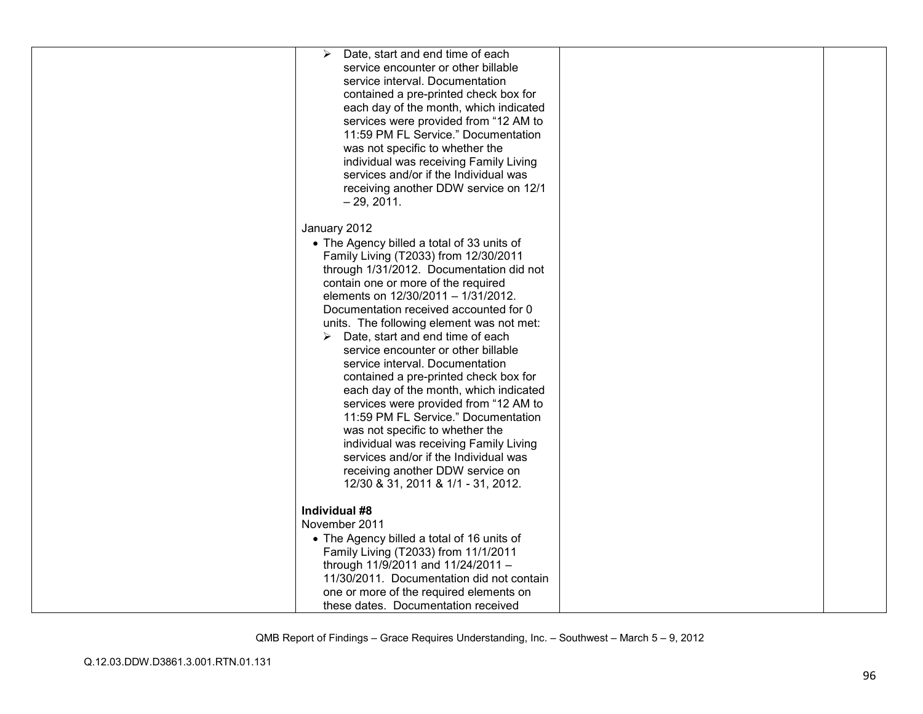| Date, start and end time of each<br>➤             |  |
|---------------------------------------------------|--|
| service encounter or other billable               |  |
| service interval. Documentation                   |  |
| contained a pre-printed check box for             |  |
| each day of the month, which indicated            |  |
| services were provided from "12 AM to             |  |
| 11:59 PM FL Service." Documentation               |  |
| was not specific to whether the                   |  |
| individual was receiving Family Living            |  |
| services and/or if the Individual was             |  |
| receiving another DDW service on 12/1             |  |
| $-29, 2011.$                                      |  |
|                                                   |  |
| January 2012                                      |  |
| • The Agency billed a total of 33 units of        |  |
| Family Living (T2033) from 12/30/2011             |  |
| through 1/31/2012. Documentation did not          |  |
| contain one or more of the required               |  |
| elements on 12/30/2011 - 1/31/2012.               |  |
| Documentation received accounted for 0            |  |
| units. The following element was not met:         |  |
| $\triangleright$ Date, start and end time of each |  |
| service encounter or other billable               |  |
| service interval. Documentation                   |  |
| contained a pre-printed check box for             |  |
| each day of the month, which indicated            |  |
| services were provided from "12 AM to             |  |
| 11:59 PM FL Service." Documentation               |  |
| was not specific to whether the                   |  |
| individual was receiving Family Living            |  |
| services and/or if the Individual was             |  |
| receiving another DDW service on                  |  |
| 12/30 & 31, 2011 & 1/1 - 31, 2012.                |  |
|                                                   |  |
| Individual #8                                     |  |
| November 2011                                     |  |
| • The Agency billed a total of 16 units of        |  |
| Family Living (T2033) from 11/1/2011              |  |
| through 11/9/2011 and 11/24/2011 -                |  |
| 11/30/2011. Documentation did not contain         |  |
| one or more of the required elements on           |  |
| these dates. Documentation received               |  |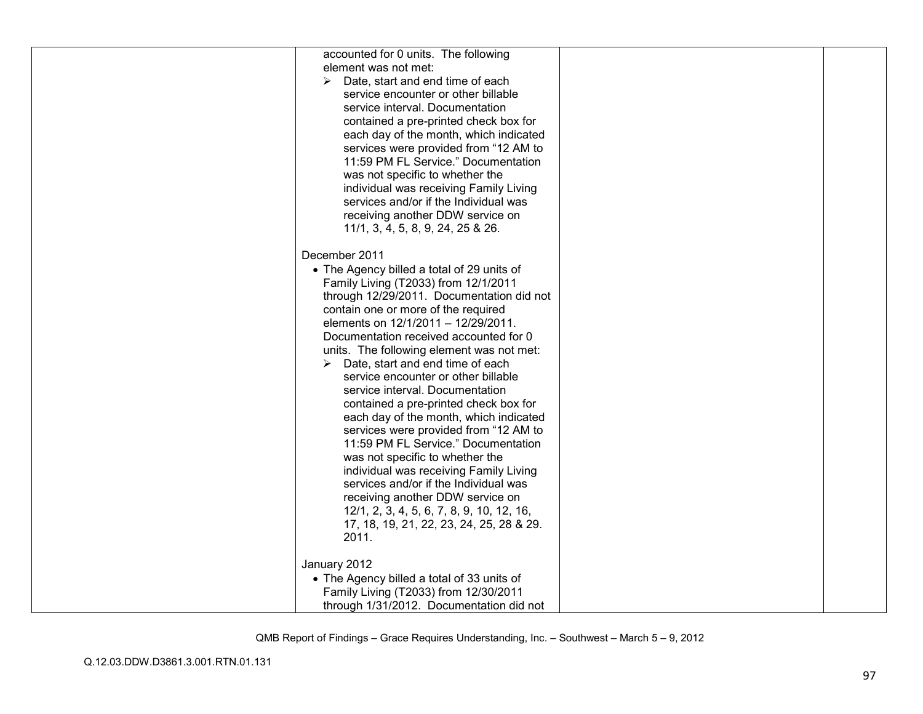| accounted for 0 units. The following       |  |
|--------------------------------------------|--|
| element was not met:                       |  |
|                                            |  |
| Date, start and end time of each           |  |
| service encounter or other billable        |  |
| service interval. Documentation            |  |
| contained a pre-printed check box for      |  |
| each day of the month, which indicated     |  |
| services were provided from "12 AM to      |  |
| 11:59 PM FL Service." Documentation        |  |
| was not specific to whether the            |  |
| individual was receiving Family Living     |  |
| services and/or if the Individual was      |  |
| receiving another DDW service on           |  |
| 11/1, 3, 4, 5, 8, 9, 24, 25 & 26.          |  |
|                                            |  |
| December 2011                              |  |
| • The Agency billed a total of 29 units of |  |
| Family Living (T2033) from 12/1/2011       |  |
| through 12/29/2011. Documentation did not  |  |
| contain one or more of the required        |  |
| elements on 12/1/2011 - 12/29/2011.        |  |
| Documentation received accounted for 0     |  |
|                                            |  |
| units. The following element was not met:  |  |
| Date, start and end time of each           |  |
| service encounter or other billable        |  |
| service interval. Documentation            |  |
| contained a pre-printed check box for      |  |
| each day of the month, which indicated     |  |
| services were provided from "12 AM to      |  |
| 11:59 PM FL Service." Documentation        |  |
| was not specific to whether the            |  |
| individual was receiving Family Living     |  |
| services and/or if the Individual was      |  |
| receiving another DDW service on           |  |
| 12/1, 2, 3, 4, 5, 6, 7, 8, 9, 10, 12, 16,  |  |
| 17, 18, 19, 21, 22, 23, 24, 25, 28 & 29.   |  |
| 2011.                                      |  |
|                                            |  |
| January 2012                               |  |
| • The Agency billed a total of 33 units of |  |
| Family Living (T2033) from 12/30/2011      |  |
| through 1/31/2012. Documentation did not   |  |
|                                            |  |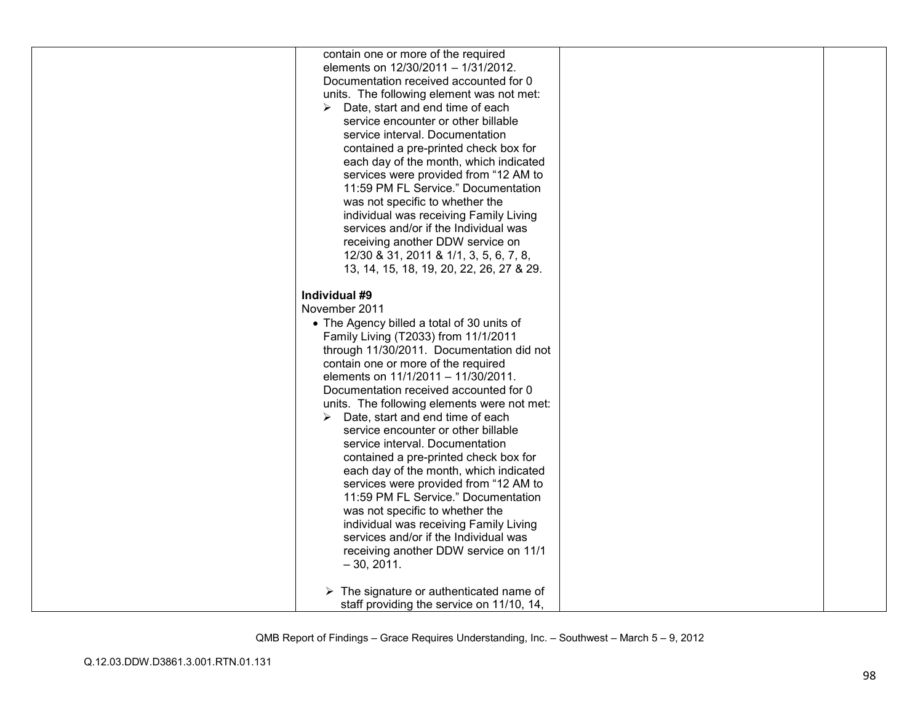| contain one or more of the required<br>elements on 12/30/2011 - 1/31/2012.<br>Documentation received accounted for 0<br>units. The following element was not met:<br>Date, start and end time of each<br>➤<br>service encounter or other billable<br>service interval. Documentation<br>contained a pre-printed check box for<br>each day of the month, which indicated<br>services were provided from "12 AM to<br>11:59 PM FL Service." Documentation<br>was not specific to whether the<br>individual was receiving Family Living<br>services and/or if the Individual was<br>receiving another DDW service on<br>12/30 & 31, 2011 & 1/1, 3, 5, 6, 7, 8,<br>13, 14, 15, 18, 19, 20, 22, 26, 27 & 29.<br>Individual #9                                                                     |  |
|----------------------------------------------------------------------------------------------------------------------------------------------------------------------------------------------------------------------------------------------------------------------------------------------------------------------------------------------------------------------------------------------------------------------------------------------------------------------------------------------------------------------------------------------------------------------------------------------------------------------------------------------------------------------------------------------------------------------------------------------------------------------------------------------|--|
| November 2011<br>• The Agency billed a total of 30 units of<br>Family Living (T2033) from 11/1/2011<br>through 11/30/2011. Documentation did not<br>contain one or more of the required<br>elements on 11/1/2011 - 11/30/2011.<br>Documentation received accounted for 0<br>units. The following elements were not met:<br>Date, start and end time of each<br>➤<br>service encounter or other billable<br>service interval. Documentation<br>contained a pre-printed check box for<br>each day of the month, which indicated<br>services were provided from "12 AM to<br>11:59 PM FL Service." Documentation<br>was not specific to whether the<br>individual was receiving Family Living<br>services and/or if the Individual was<br>receiving another DDW service on 11/1<br>$-30, 2011.$ |  |
| $\triangleright$ The signature or authenticated name of<br>staff providing the service on 11/10, 14,                                                                                                                                                                                                                                                                                                                                                                                                                                                                                                                                                                                                                                                                                         |  |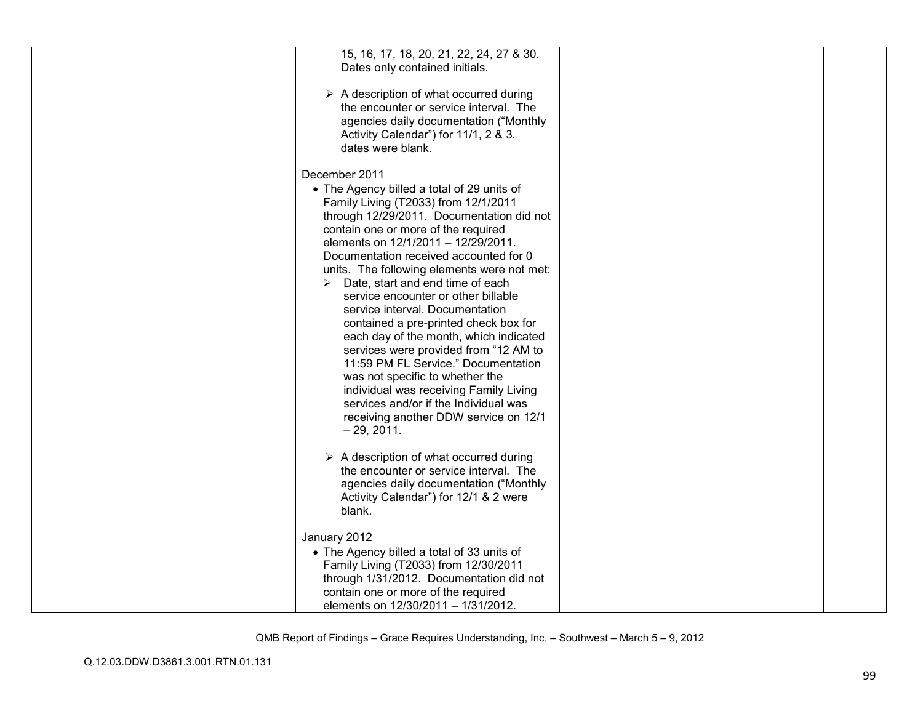| 15, 16, 17, 18, 20, 21, 22, 24, 27 & 30.<br>Dates only contained initials.                                                                                                                                                                                                                                                                                                                                                                                                                                                                                                                                                                                                                                                                                                                   |  |
|----------------------------------------------------------------------------------------------------------------------------------------------------------------------------------------------------------------------------------------------------------------------------------------------------------------------------------------------------------------------------------------------------------------------------------------------------------------------------------------------------------------------------------------------------------------------------------------------------------------------------------------------------------------------------------------------------------------------------------------------------------------------------------------------|--|
| $\triangleright$ A description of what occurred during<br>the encounter or service interval. The<br>agencies daily documentation ("Monthly<br>Activity Calendar") for 11/1, 2 & 3.<br>dates were blank.                                                                                                                                                                                                                                                                                                                                                                                                                                                                                                                                                                                      |  |
| December 2011<br>• The Agency billed a total of 29 units of<br>Family Living (T2033) from 12/1/2011<br>through 12/29/2011. Documentation did not<br>contain one or more of the required<br>elements on 12/1/2011 - 12/29/2011.<br>Documentation received accounted for 0<br>units. The following elements were not met:<br>Date, start and end time of each<br>➤<br>service encounter or other billable<br>service interval. Documentation<br>contained a pre-printed check box for<br>each day of the month, which indicated<br>services were provided from "12 AM to<br>11:59 PM FL Service." Documentation<br>was not specific to whether the<br>individual was receiving Family Living<br>services and/or if the Individual was<br>receiving another DDW service on 12/1<br>$-29, 2011.$ |  |
| $\triangleright$ A description of what occurred during<br>the encounter or service interval. The<br>agencies daily documentation ("Monthly<br>Activity Calendar") for 12/1 & 2 were<br>blank.                                                                                                                                                                                                                                                                                                                                                                                                                                                                                                                                                                                                |  |
| January 2012<br>• The Agency billed a total of 33 units of<br>Family Living (T2033) from 12/30/2011<br>through 1/31/2012. Documentation did not<br>contain one or more of the required<br>elements on 12/30/2011 - 1/31/2012.                                                                                                                                                                                                                                                                                                                                                                                                                                                                                                                                                                |  |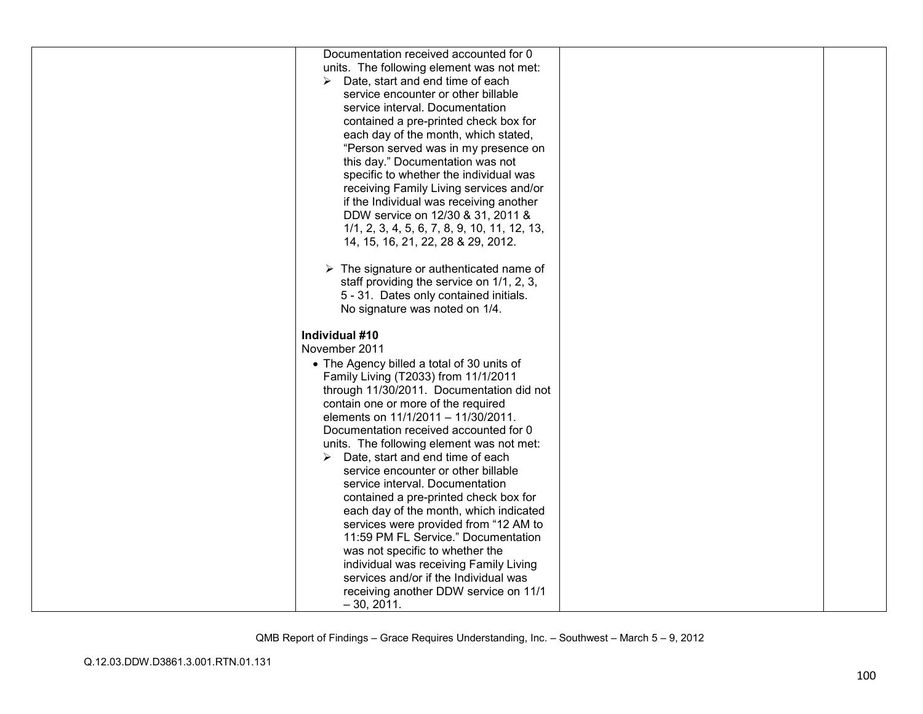| Documentation received accounted for 0                  |  |
|---------------------------------------------------------|--|
| units. The following element was not met:               |  |
| Date, start and end time of each<br>➤                   |  |
| service encounter or other billable                     |  |
| service interval. Documentation                         |  |
| contained a pre-printed check box for                   |  |
| each day of the month, which stated,                    |  |
| "Person served was in my presence on                    |  |
| this day." Documentation was not                        |  |
| specific to whether the individual was                  |  |
| receiving Family Living services and/or                 |  |
| if the Individual was receiving another                 |  |
| DDW service on 12/30 & 31, 2011 &                       |  |
| 1/1, 2, 3, 4, 5, 6, 7, 8, 9, 10, 11, 12, 13,            |  |
| 14, 15, 16, 21, 22, 28 & 29, 2012.                      |  |
| $\triangleright$ The signature or authenticated name of |  |
| staff providing the service on 1/1, 2, 3,               |  |
| 5 - 31. Dates only contained initials.                  |  |
| No signature was noted on 1/4.                          |  |
|                                                         |  |
|                                                         |  |
| Individual #10                                          |  |
| November 2011                                           |  |
| • The Agency billed a total of 30 units of              |  |
| Family Living (T2033) from 11/1/2011                    |  |
| through 11/30/2011. Documentation did not               |  |
| contain one or more of the required                     |  |
| elements on 11/1/2011 - 11/30/2011.                     |  |
| Documentation received accounted for 0                  |  |
| units. The following element was not met:               |  |
| $\triangleright$ Date, start and end time of each       |  |
| service encounter or other billable                     |  |
| service interval. Documentation                         |  |
| contained a pre-printed check box for                   |  |
| each day of the month, which indicated                  |  |
| services were provided from "12 AM to                   |  |
| 11:59 PM FL Service." Documentation                     |  |
| was not specific to whether the                         |  |
| individual was receiving Family Living                  |  |
| services and/or if the Individual was                   |  |
| receiving another DDW service on 11/1<br>$-30, 2011.$   |  |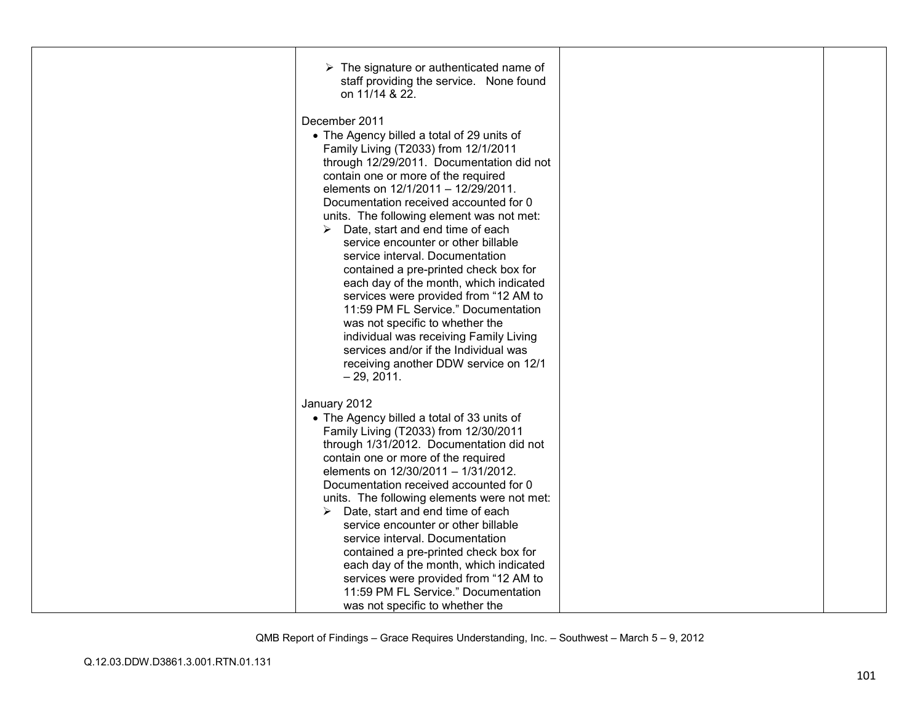| $\triangleright$ The signature or authenticated name of<br>staff providing the service. None found<br>on 11/14 & 22. |  |
|----------------------------------------------------------------------------------------------------------------------|--|
| December 2011                                                                                                        |  |
| • The Agency billed a total of 29 units of                                                                           |  |
| Family Living (T2033) from 12/1/2011<br>through 12/29/2011. Documentation did not                                    |  |
| contain one or more of the required                                                                                  |  |
| elements on 12/1/2011 - 12/29/2011.                                                                                  |  |
| Documentation received accounted for 0<br>units. The following element was not met:                                  |  |
| $\triangleright$ Date, start and end time of each                                                                    |  |
| service encounter or other billable                                                                                  |  |
| service interval. Documentation                                                                                      |  |
| contained a pre-printed check box for<br>each day of the month, which indicated                                      |  |
| services were provided from "12 AM to                                                                                |  |
| 11:59 PM FL Service." Documentation                                                                                  |  |
| was not specific to whether the<br>individual was receiving Family Living                                            |  |
| services and/or if the Individual was                                                                                |  |
| receiving another DDW service on 12/1                                                                                |  |
| $-29, 2011.$                                                                                                         |  |
| January 2012                                                                                                         |  |
| • The Agency billed a total of 33 units of                                                                           |  |
| Family Living (T2033) from 12/30/2011<br>through 1/31/2012. Documentation did not                                    |  |
| contain one or more of the required                                                                                  |  |
| elements on 12/30/2011 - 1/31/2012.                                                                                  |  |
| Documentation received accounted for 0                                                                               |  |
| units. The following elements were not met:<br>$\triangleright$ Date, start and end time of each                     |  |
| service encounter or other billable                                                                                  |  |
| service interval. Documentation                                                                                      |  |
| contained a pre-printed check box for<br>each day of the month, which indicated                                      |  |
| services were provided from "12 AM to                                                                                |  |
| 11:59 PM FL Service." Documentation                                                                                  |  |
| was not specific to whether the                                                                                      |  |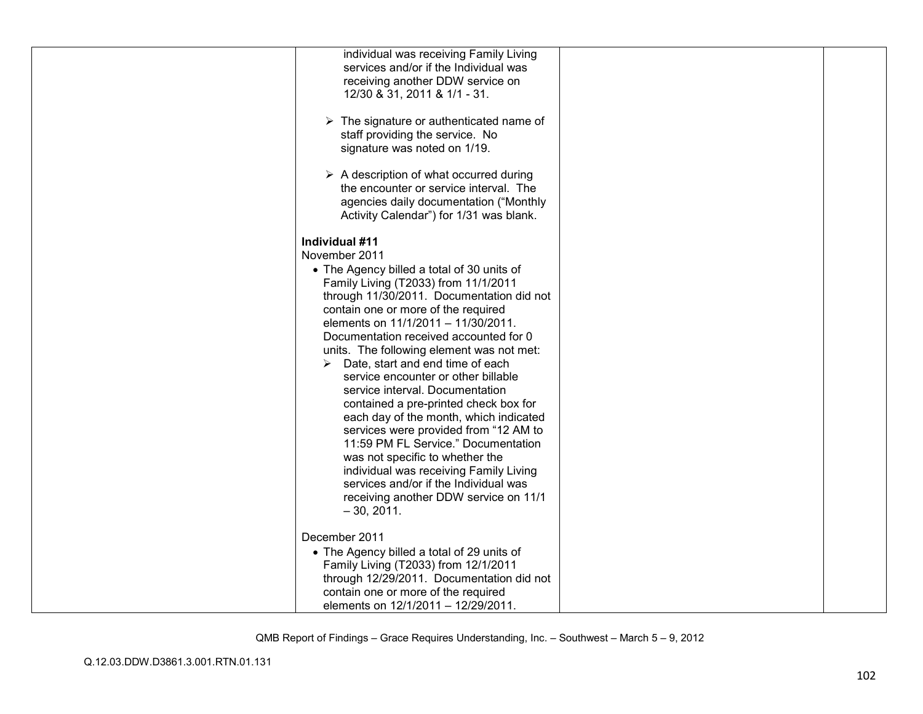| individual was receiving Family Living                  |  |
|---------------------------------------------------------|--|
| services and/or if the Individual was                   |  |
| receiving another DDW service on                        |  |
| 12/30 & 31, 2011 & 1/1 - 31.                            |  |
|                                                         |  |
| $\triangleright$ The signature or authenticated name of |  |
| staff providing the service. No                         |  |
| signature was noted on 1/19.                            |  |
|                                                         |  |
| $\triangleright$ A description of what occurred during  |  |
| the encounter or service interval. The                  |  |
| agencies daily documentation ("Monthly                  |  |
| Activity Calendar") for 1/31 was blank.                 |  |
|                                                         |  |
|                                                         |  |
| Individual #11                                          |  |
| November 2011                                           |  |
| • The Agency billed a total of 30 units of              |  |
| Family Living (T2033) from 11/1/2011                    |  |
| through 11/30/2011. Documentation did not               |  |
| contain one or more of the required                     |  |
| elements on 11/1/2011 - 11/30/2011.                     |  |
| Documentation received accounted for 0                  |  |
| units. The following element was not met:               |  |
| Date, start and end time of each<br>➤                   |  |
| service encounter or other billable                     |  |
| service interval. Documentation                         |  |
| contained a pre-printed check box for                   |  |
| each day of the month, which indicated                  |  |
| services were provided from "12 AM to                   |  |
|                                                         |  |
| 11:59 PM FL Service." Documentation                     |  |
| was not specific to whether the                         |  |
| individual was receiving Family Living                  |  |
| services and/or if the Individual was                   |  |
| receiving another DDW service on 11/1                   |  |
| $-30, 2011.$                                            |  |
|                                                         |  |
| December 2011                                           |  |
| • The Agency billed a total of 29 units of              |  |
| Family Living (T2033) from 12/1/2011                    |  |
| through 12/29/2011. Documentation did not               |  |
| contain one or more of the required                     |  |
| elements on 12/1/2011 - 12/29/2011.                     |  |
|                                                         |  |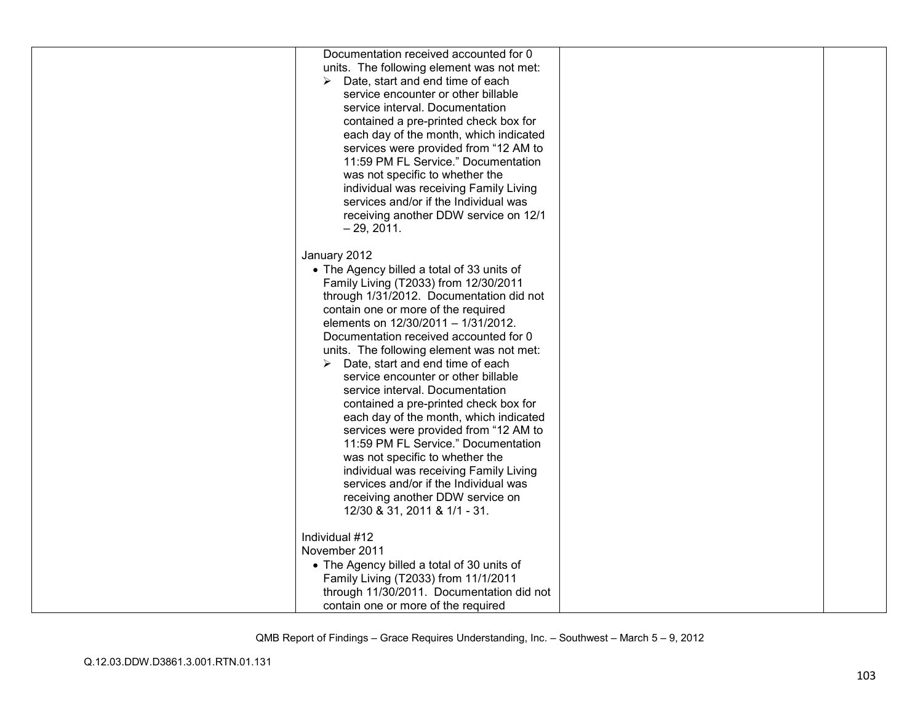| Documentation received accounted for 0<br>units. The following element was not met:<br>Date, start and end time of each<br>➤<br>service encounter or other billable<br>service interval. Documentation<br>contained a pre-printed check box for<br>each day of the month, which indicated<br>services were provided from "12 AM to<br>11:59 PM FL Service." Documentation<br>was not specific to whether the<br>individual was receiving Family Living<br>services and/or if the Individual was<br>receiving another DDW service on 12/1<br>$-29, 2011.$                                                                                                                                                                                                                                        |  |
|-------------------------------------------------------------------------------------------------------------------------------------------------------------------------------------------------------------------------------------------------------------------------------------------------------------------------------------------------------------------------------------------------------------------------------------------------------------------------------------------------------------------------------------------------------------------------------------------------------------------------------------------------------------------------------------------------------------------------------------------------------------------------------------------------|--|
| January 2012<br>• The Agency billed a total of 33 units of<br>Family Living (T2033) from 12/30/2011<br>through 1/31/2012. Documentation did not<br>contain one or more of the required<br>elements on 12/30/2011 - 1/31/2012.<br>Documentation received accounted for 0<br>units. The following element was not met:<br>Date, start and end time of each<br>service encounter or other billable<br>service interval. Documentation<br>contained a pre-printed check box for<br>each day of the month, which indicated<br>services were provided from "12 AM to<br>11:59 PM FL Service." Documentation<br>was not specific to whether the<br>individual was receiving Family Living<br>services and/or if the Individual was<br>receiving another DDW service on<br>12/30 & 31, 2011 & 1/1 - 31. |  |
| Individual #12<br>November 2011<br>• The Agency billed a total of 30 units of<br>Family Living (T2033) from 11/1/2011<br>through 11/30/2011. Documentation did not<br>contain one or more of the required                                                                                                                                                                                                                                                                                                                                                                                                                                                                                                                                                                                       |  |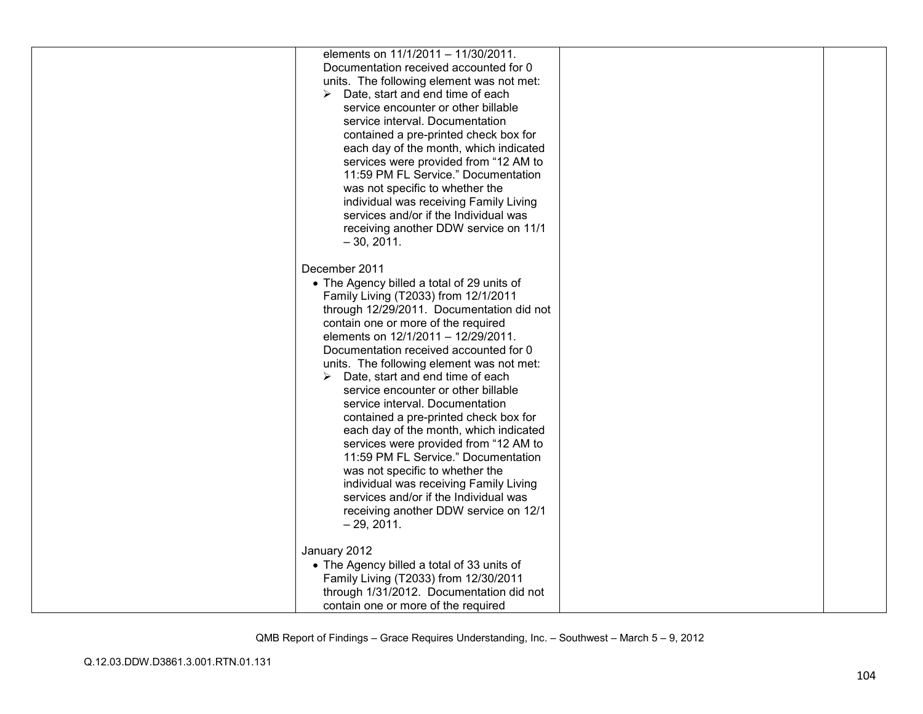| elements on 11/1/2011 - 11/30/2011.<br>Documentation received accounted for 0<br>units. The following element was not met:<br>Date, start and end time of each<br>➤<br>service encounter or other billable<br>service interval. Documentation<br>contained a pre-printed check box for<br>each day of the month, which indicated<br>services were provided from "12 AM to<br>11:59 PM FL Service." Documentation<br>was not specific to whether the<br>individual was receiving Family Living<br>services and/or if the Individual was<br>receiving another DDW service on 11/1<br>$-30, 2011.$                                                                                                                                                                                            |  |
|--------------------------------------------------------------------------------------------------------------------------------------------------------------------------------------------------------------------------------------------------------------------------------------------------------------------------------------------------------------------------------------------------------------------------------------------------------------------------------------------------------------------------------------------------------------------------------------------------------------------------------------------------------------------------------------------------------------------------------------------------------------------------------------------|--|
| December 2011<br>• The Agency billed a total of 29 units of<br>Family Living (T2033) from 12/1/2011<br>through 12/29/2011. Documentation did not<br>contain one or more of the required<br>elements on 12/1/2011 - 12/29/2011.<br>Documentation received accounted for 0<br>units. The following element was not met:<br>Date, start and end time of each<br>➤<br>service encounter or other billable<br>service interval. Documentation<br>contained a pre-printed check box for<br>each day of the month, which indicated<br>services were provided from "12 AM to<br>11:59 PM FL Service." Documentation<br>was not specific to whether the<br>individual was receiving Family Living<br>services and/or if the Individual was<br>receiving another DDW service on 12/1<br>$-29, 2011.$ |  |
| January 2012<br>• The Agency billed a total of 33 units of<br>Family Living (T2033) from 12/30/2011<br>through 1/31/2012. Documentation did not<br>contain one or more of the required                                                                                                                                                                                                                                                                                                                                                                                                                                                                                                                                                                                                     |  |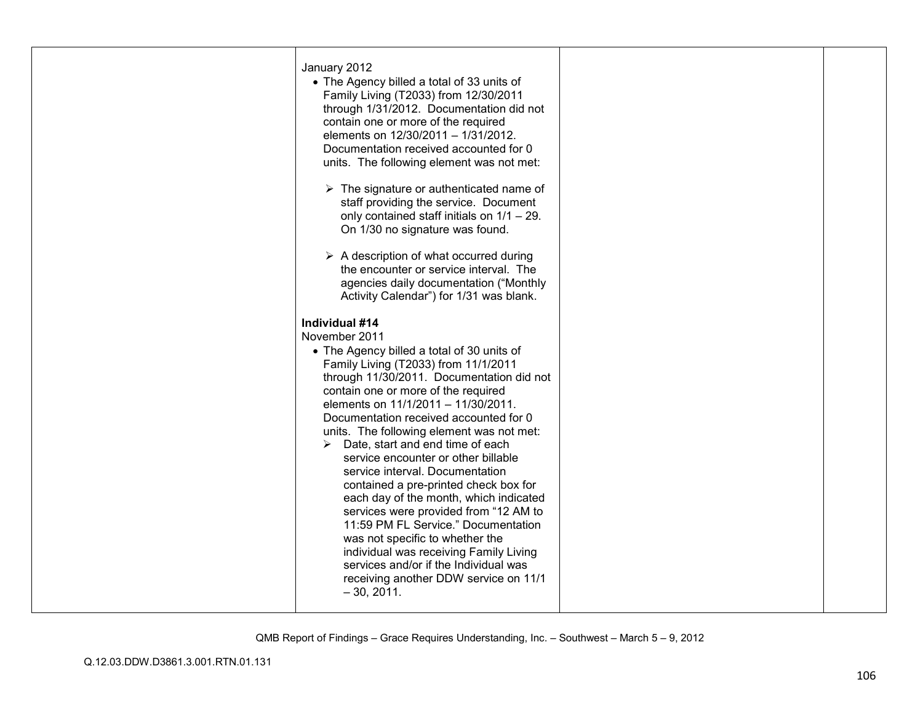| January 2012<br>• The Agency billed a total of 33 units of<br>Family Living (T2033) from 12/30/2011<br>through 1/31/2012. Documentation did not<br>contain one or more of the required<br>elements on 12/30/2011 - 1/31/2012.<br>Documentation received accounted for 0<br>units. The following element was not met:<br>$\triangleright$ The signature or authenticated name of<br>staff providing the service. Document<br>only contained staff initials on $1/1 - 29$ .<br>On 1/30 no signature was found.<br>$\triangleright$ A description of what occurred during<br>the encounter or service interval. The<br>agencies daily documentation ("Monthly<br>Activity Calendar") for 1/31 was blank.                                                                                                        |  |
|--------------------------------------------------------------------------------------------------------------------------------------------------------------------------------------------------------------------------------------------------------------------------------------------------------------------------------------------------------------------------------------------------------------------------------------------------------------------------------------------------------------------------------------------------------------------------------------------------------------------------------------------------------------------------------------------------------------------------------------------------------------------------------------------------------------|--|
| Individual #14<br>November 2011<br>• The Agency billed a total of 30 units of<br>Family Living (T2033) from 11/1/2011<br>through 11/30/2011. Documentation did not<br>contain one or more of the required<br>elements on 11/1/2011 - 11/30/2011.<br>Documentation received accounted for 0<br>units. The following element was not met:<br>Date, start and end time of each<br>➤<br>service encounter or other billable<br>service interval. Documentation<br>contained a pre-printed check box for<br>each day of the month, which indicated<br>services were provided from "12 AM to<br>11:59 PM FL Service." Documentation<br>was not specific to whether the<br>individual was receiving Family Living<br>services and/or if the Individual was<br>receiving another DDW service on 11/1<br>$-30, 2011.$ |  |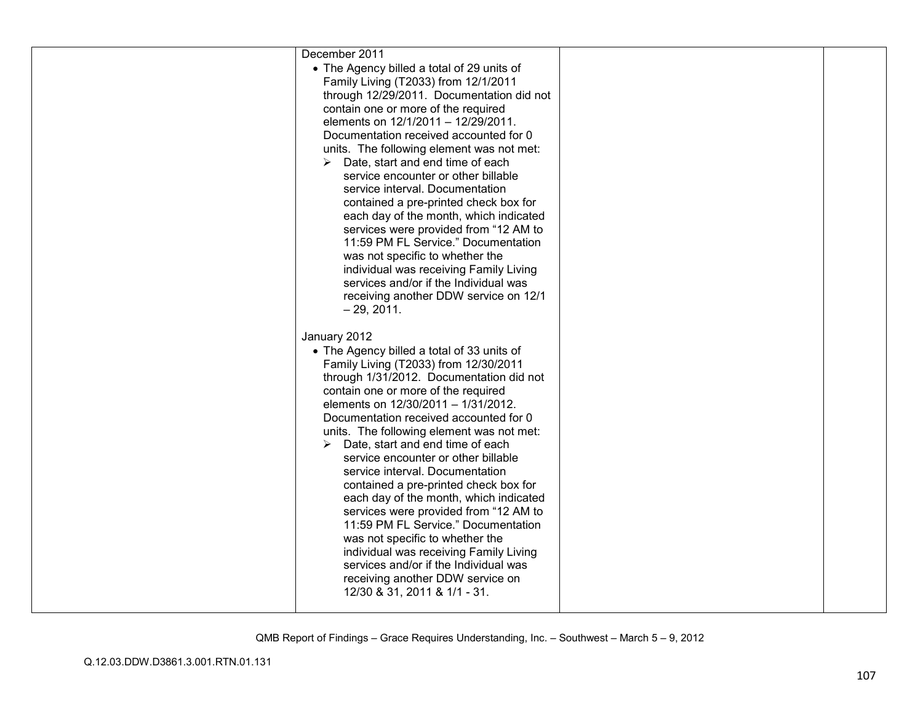| December 2011                                                                |  |
|------------------------------------------------------------------------------|--|
| • The Agency billed a total of 29 units of                                   |  |
| Family Living (T2033) from 12/1/2011                                         |  |
| through 12/29/2011. Documentation did not                                    |  |
| contain one or more of the required                                          |  |
| elements on 12/1/2011 - 12/29/2011.                                          |  |
| Documentation received accounted for 0                                       |  |
| units. The following element was not met:                                    |  |
| Date, start and end time of each<br>➤                                        |  |
| service encounter or other billable                                          |  |
| service interval. Documentation                                              |  |
| contained a pre-printed check box for                                        |  |
| each day of the month, which indicated                                       |  |
| services were provided from "12 AM to                                        |  |
| 11:59 PM FL Service." Documentation                                          |  |
| was not specific to whether the                                              |  |
|                                                                              |  |
| individual was receiving Family Living                                       |  |
| services and/or if the Individual was                                        |  |
| receiving another DDW service on 12/1                                        |  |
| $-29, 2011.$                                                                 |  |
|                                                                              |  |
| January 2012                                                                 |  |
| • The Agency billed a total of 33 units of                                   |  |
| Family Living (T2033) from 12/30/2011                                        |  |
| through 1/31/2012. Documentation did not                                     |  |
| contain one or more of the required                                          |  |
| elements on 12/30/2011 - 1/31/2012.                                          |  |
| Documentation received accounted for 0                                       |  |
|                                                                              |  |
| units. The following element was not met:                                    |  |
| Date, start and end time of each<br>➤                                        |  |
| service encounter or other billable                                          |  |
| service interval. Documentation                                              |  |
| contained a pre-printed check box for                                        |  |
| each day of the month, which indicated                                       |  |
|                                                                              |  |
| services were provided from "12 AM to<br>11:59 PM FL Service." Documentation |  |
|                                                                              |  |
| was not specific to whether the                                              |  |
| individual was receiving Family Living                                       |  |
| services and/or if the Individual was                                        |  |
| receiving another DDW service on                                             |  |
| 12/30 & 31, 2011 & 1/1 - 31.                                                 |  |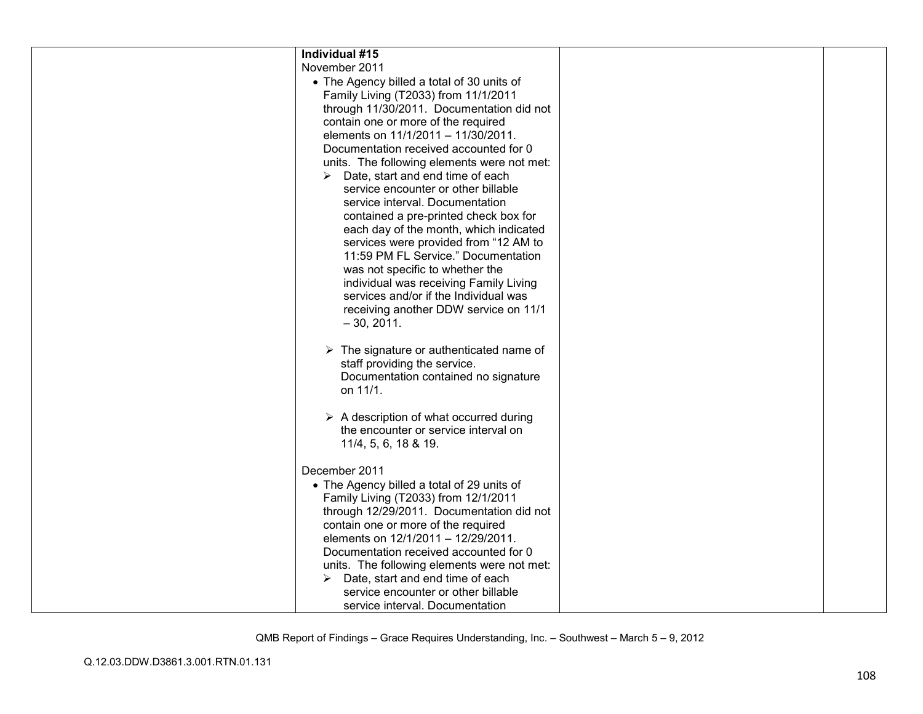| Individual #15                                          |  |
|---------------------------------------------------------|--|
| November 2011                                           |  |
| • The Agency billed a total of 30 units of              |  |
| Family Living (T2033) from 11/1/2011                    |  |
| through 11/30/2011. Documentation did not               |  |
| contain one or more of the required                     |  |
| elements on 11/1/2011 - 11/30/2011.                     |  |
| Documentation received accounted for 0                  |  |
| units. The following elements were not met:             |  |
| Date, start and end time of each                        |  |
| service encounter or other billable                     |  |
| service interval. Documentation                         |  |
| contained a pre-printed check box for                   |  |
| each day of the month, which indicated                  |  |
| services were provided from "12 AM to                   |  |
| 11:59 PM FL Service." Documentation                     |  |
| was not specific to whether the                         |  |
| individual was receiving Family Living                  |  |
| services and/or if the Individual was                   |  |
| receiving another DDW service on 11/1                   |  |
| $-30, 2011.$                                            |  |
|                                                         |  |
| $\triangleright$ The signature or authenticated name of |  |
| staff providing the service.                            |  |
| Documentation contained no signature                    |  |
| on 11/1.                                                |  |
|                                                         |  |
| $\triangleright$ A description of what occurred during  |  |
| the encounter or service interval on                    |  |
|                                                         |  |
| 11/4, 5, 6, 18 & 19.                                    |  |
| December 2011                                           |  |
| • The Agency billed a total of 29 units of              |  |
| Family Living (T2033) from 12/1/2011                    |  |
| through 12/29/2011. Documentation did not               |  |
| contain one or more of the required                     |  |
| elements on 12/1/2011 - 12/29/2011.                     |  |
| Documentation received accounted for 0                  |  |
| units. The following elements were not met:             |  |
| Date, start and end time of each                        |  |
| service encounter or other billable                     |  |
| service interval. Documentation                         |  |
|                                                         |  |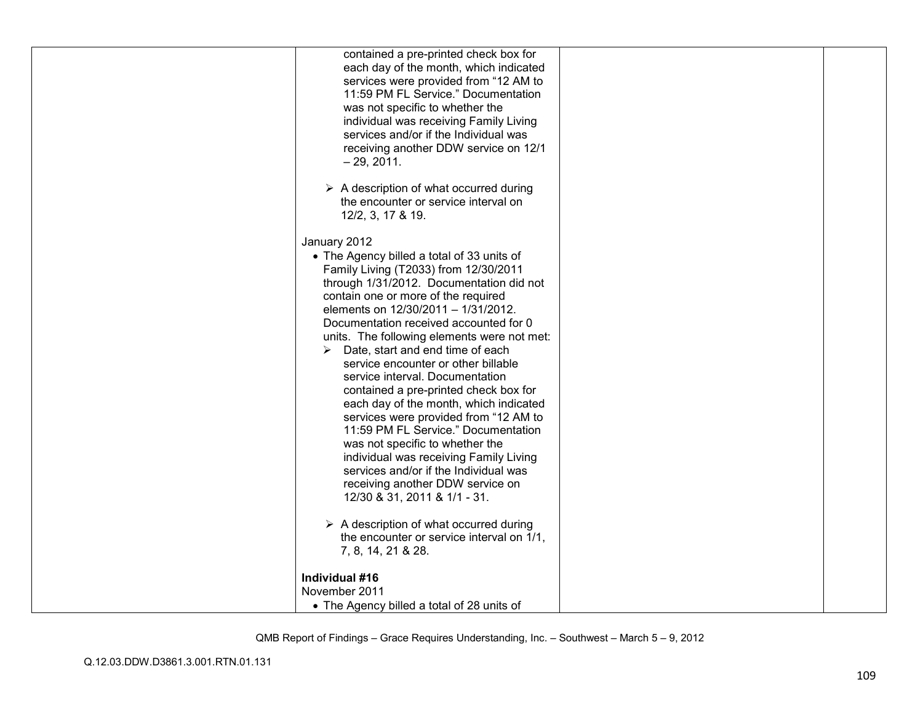| contained a pre-printed check box for                  |  |
|--------------------------------------------------------|--|
| each day of the month, which indicated                 |  |
| services were provided from "12 AM to                  |  |
|                                                        |  |
| 11:59 PM FL Service." Documentation                    |  |
| was not specific to whether the                        |  |
| individual was receiving Family Living                 |  |
| services and/or if the Individual was                  |  |
| receiving another DDW service on 12/1                  |  |
| $-29, 2011.$                                           |  |
|                                                        |  |
| $\triangleright$ A description of what occurred during |  |
| the encounter or service interval on                   |  |
| 12/2, 3, 17 & 19.                                      |  |
|                                                        |  |
| January 2012                                           |  |
| • The Agency billed a total of 33 units of             |  |
| Family Living (T2033) from 12/30/2011                  |  |
| through 1/31/2012. Documentation did not               |  |
| contain one or more of the required                    |  |
| elements on 12/30/2011 - 1/31/2012.                    |  |
| Documentation received accounted for 0                 |  |
| units. The following elements were not met:            |  |
| $\triangleright$ Date, start and end time of each      |  |
| service encounter or other billable                    |  |
| service interval. Documentation                        |  |
|                                                        |  |
| contained a pre-printed check box for                  |  |
| each day of the month, which indicated                 |  |
| services were provided from "12 AM to                  |  |
| 11:59 PM FL Service." Documentation                    |  |
| was not specific to whether the                        |  |
| individual was receiving Family Living                 |  |
| services and/or if the Individual was                  |  |
| receiving another DDW service on                       |  |
| 12/30 & 31, 2011 & 1/1 - 31.                           |  |
|                                                        |  |
| $\triangleright$ A description of what occurred during |  |
| the encounter or service interval on 1/1,              |  |
| 7, 8, 14, 21 & 28.                                     |  |
|                                                        |  |
| Individual #16                                         |  |
| November 2011                                          |  |
| • The Agency billed a total of 28 units of             |  |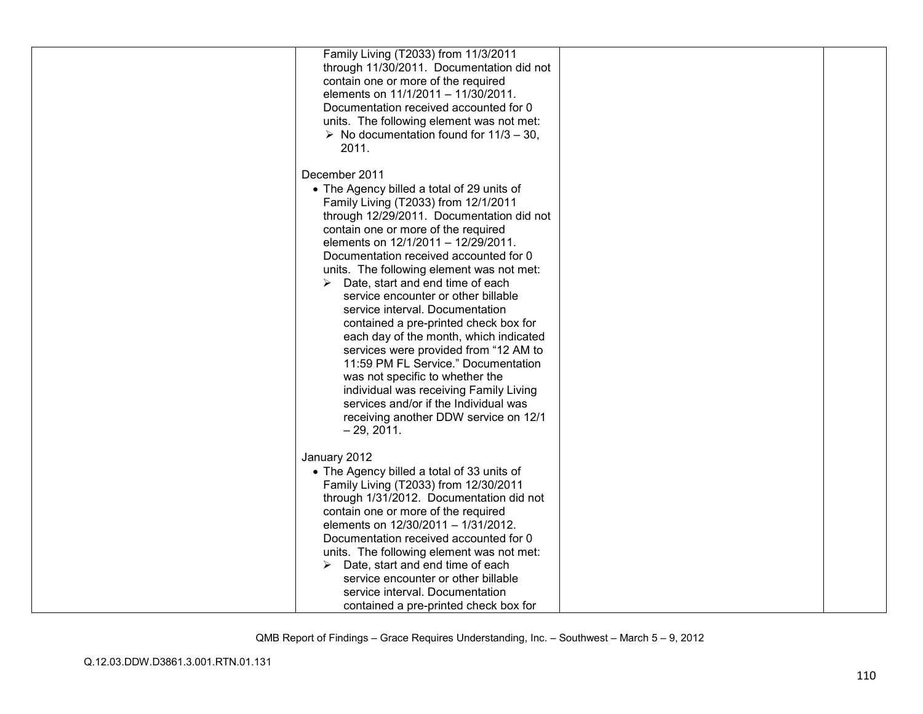| Family Living (T2033) from 11/3/2011<br>through 11/30/2011. Documentation did not<br>contain one or more of the required<br>elements on 11/1/2011 - 11/30/2011.<br>Documentation received accounted for 0<br>units. The following element was not met:<br>$\triangleright$ No documentation found for 11/3 - 30,<br>2011.                                                                                                                                                                                                                                                                                                                                                                                                                                                                              |  |
|--------------------------------------------------------------------------------------------------------------------------------------------------------------------------------------------------------------------------------------------------------------------------------------------------------------------------------------------------------------------------------------------------------------------------------------------------------------------------------------------------------------------------------------------------------------------------------------------------------------------------------------------------------------------------------------------------------------------------------------------------------------------------------------------------------|--|
| December 2011<br>• The Agency billed a total of 29 units of<br>Family Living (T2033) from 12/1/2011<br>through 12/29/2011. Documentation did not<br>contain one or more of the required<br>elements on 12/1/2011 - 12/29/2011.<br>Documentation received accounted for 0<br>units. The following element was not met:<br>$\triangleright$ Date, start and end time of each<br>service encounter or other billable<br>service interval. Documentation<br>contained a pre-printed check box for<br>each day of the month, which indicated<br>services were provided from "12 AM to<br>11:59 PM FL Service." Documentation<br>was not specific to whether the<br>individual was receiving Family Living<br>services and/or if the Individual was<br>receiving another DDW service on 12/1<br>$-29, 2011.$ |  |
| January 2012<br>• The Agency billed a total of 33 units of<br>Family Living (T2033) from 12/30/2011<br>through 1/31/2012. Documentation did not<br>contain one or more of the required<br>elements on 12/30/2011 - 1/31/2012.<br>Documentation received accounted for 0<br>units. The following element was not met:<br>$\triangleright$ Date, start and end time of each<br>service encounter or other billable<br>service interval. Documentation<br>contained a pre-printed check box for                                                                                                                                                                                                                                                                                                           |  |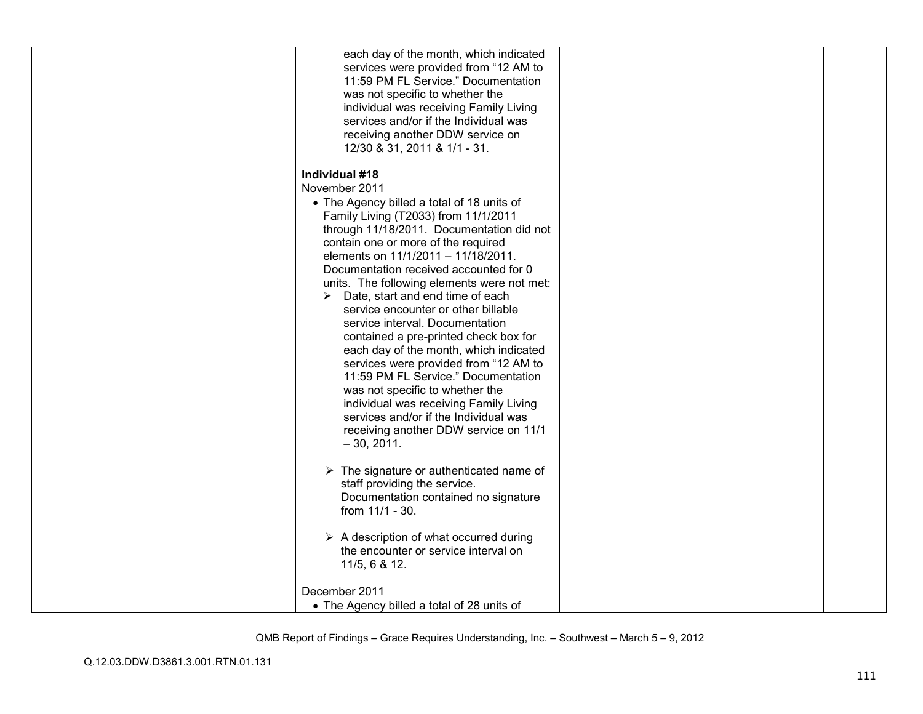| each day of the month, which indicated                                                   |  |
|------------------------------------------------------------------------------------------|--|
| services were provided from "12 AM to                                                    |  |
| 11:59 PM FL Service." Documentation<br>was not specific to whether the                   |  |
| individual was receiving Family Living                                                   |  |
| services and/or if the Individual was                                                    |  |
| receiving another DDW service on                                                         |  |
| 12/30 & 31, 2011 & 1/1 - 31.                                                             |  |
| Individual #18                                                                           |  |
| November 2011                                                                            |  |
| • The Agency billed a total of 18 units of                                               |  |
| Family Living (T2033) from 11/1/2011<br>through 11/18/2011. Documentation did not        |  |
| contain one or more of the required                                                      |  |
| elements on 11/1/2011 - 11/18/2011.                                                      |  |
| Documentation received accounted for 0                                                   |  |
| units. The following elements were not met:                                              |  |
| $\triangleright$ Date, start and end time of each<br>service encounter or other billable |  |
| service interval. Documentation                                                          |  |
| contained a pre-printed check box for                                                    |  |
| each day of the month, which indicated                                                   |  |
| services were provided from "12 AM to<br>11:59 PM FL Service." Documentation             |  |
| was not specific to whether the                                                          |  |
| individual was receiving Family Living                                                   |  |
| services and/or if the Individual was                                                    |  |
| receiving another DDW service on 11/1                                                    |  |
| $-30, 2011.$                                                                             |  |
| $\triangleright$ The signature or authenticated name of                                  |  |
| staff providing the service.                                                             |  |
| Documentation contained no signature                                                     |  |
| from 11/1 - 30.                                                                          |  |
| $\triangleright$ A description of what occurred during                                   |  |
| the encounter or service interval on                                                     |  |
| 11/5, 6 & 12.                                                                            |  |
| December 2011                                                                            |  |
| • The Agency billed a total of 28 units of                                               |  |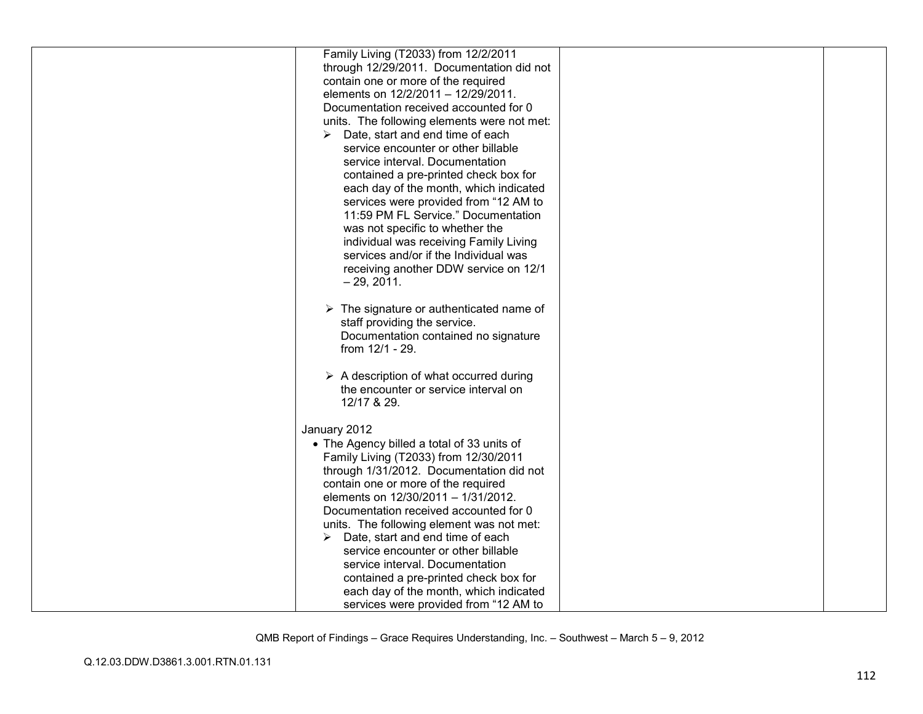| Family Living (T2033) from 12/2/2011                    |  |
|---------------------------------------------------------|--|
| through 12/29/2011. Documentation did not               |  |
| contain one or more of the required                     |  |
| elements on 12/2/2011 - 12/29/2011.                     |  |
|                                                         |  |
| Documentation received accounted for 0                  |  |
| units. The following elements were not met:             |  |
| Date, start and end time of each<br>➤                   |  |
| service encounter or other billable                     |  |
| service interval. Documentation                         |  |
| contained a pre-printed check box for                   |  |
| each day of the month, which indicated                  |  |
| services were provided from "12 AM to                   |  |
| 11:59 PM FL Service." Documentation                     |  |
| was not specific to whether the                         |  |
| individual was receiving Family Living                  |  |
| services and/or if the Individual was                   |  |
| receiving another DDW service on 12/1                   |  |
| $-29, 2011.$                                            |  |
|                                                         |  |
| $\triangleright$ The signature or authenticated name of |  |
|                                                         |  |
| staff providing the service.                            |  |
| Documentation contained no signature                    |  |
| from 12/1 - 29.                                         |  |
|                                                         |  |
| $\triangleright$ A description of what occurred during  |  |
| the encounter or service interval on                    |  |
| 12/17 & 29.                                             |  |
|                                                         |  |
| January 2012                                            |  |
| • The Agency billed a total of 33 units of              |  |
| Family Living (T2033) from 12/30/2011                   |  |
| through 1/31/2012. Documentation did not                |  |
| contain one or more of the required                     |  |
| elements on 12/30/2011 - 1/31/2012.                     |  |
| Documentation received accounted for 0                  |  |
| units. The following element was not met:               |  |
| Date, start and end time of each<br>➤                   |  |
| service encounter or other billable                     |  |
| service interval. Documentation                         |  |
| contained a pre-printed check box for                   |  |
| each day of the month, which indicated                  |  |
| services were provided from "12 AM to                   |  |
|                                                         |  |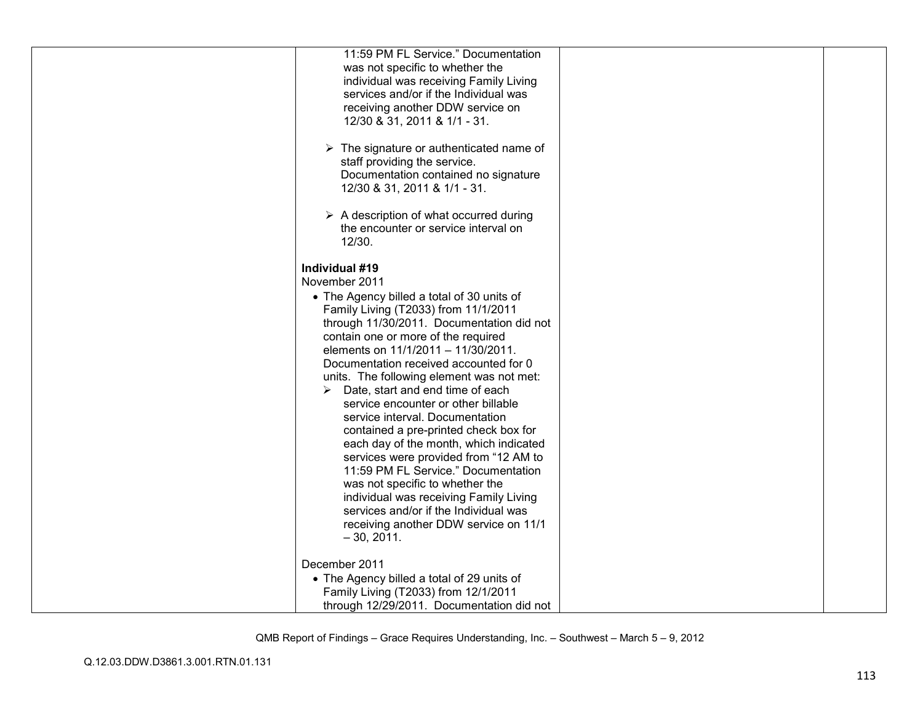| 11:59 PM FL Service." Documentation<br>was not specific to whether the<br>individual was receiving Family Living<br>services and/or if the Individual was<br>receiving another DDW service on<br>12/30 & 31, 2011 & 1/1 - 31.<br>$\triangleright$ The signature or authenticated name of<br>staff providing the service.<br>Documentation contained no signature<br>12/30 & 31, 2011 & 1/1 - 31.<br>$\triangleright$ A description of what occurred during<br>the encounter or service interval on<br>12/30.                                                                                                                                                                                                                                                                                                 |  |
|--------------------------------------------------------------------------------------------------------------------------------------------------------------------------------------------------------------------------------------------------------------------------------------------------------------------------------------------------------------------------------------------------------------------------------------------------------------------------------------------------------------------------------------------------------------------------------------------------------------------------------------------------------------------------------------------------------------------------------------------------------------------------------------------------------------|--|
| Individual #19<br>November 2011<br>• The Agency billed a total of 30 units of<br>Family Living (T2033) from 11/1/2011<br>through 11/30/2011. Documentation did not<br>contain one or more of the required<br>elements on 11/1/2011 - 11/30/2011.<br>Documentation received accounted for 0<br>units. The following element was not met:<br>Date, start and end time of each<br>➤<br>service encounter or other billable<br>service interval. Documentation<br>contained a pre-printed check box for<br>each day of the month, which indicated<br>services were provided from "12 AM to<br>11:59 PM FL Service." Documentation<br>was not specific to whether the<br>individual was receiving Family Living<br>services and/or if the Individual was<br>receiving another DDW service on 11/1<br>$-30, 2011.$ |  |
| December 2011<br>• The Agency billed a total of 29 units of<br>Family Living (T2033) from 12/1/2011<br>through 12/29/2011. Documentation did not                                                                                                                                                                                                                                                                                                                                                                                                                                                                                                                                                                                                                                                             |  |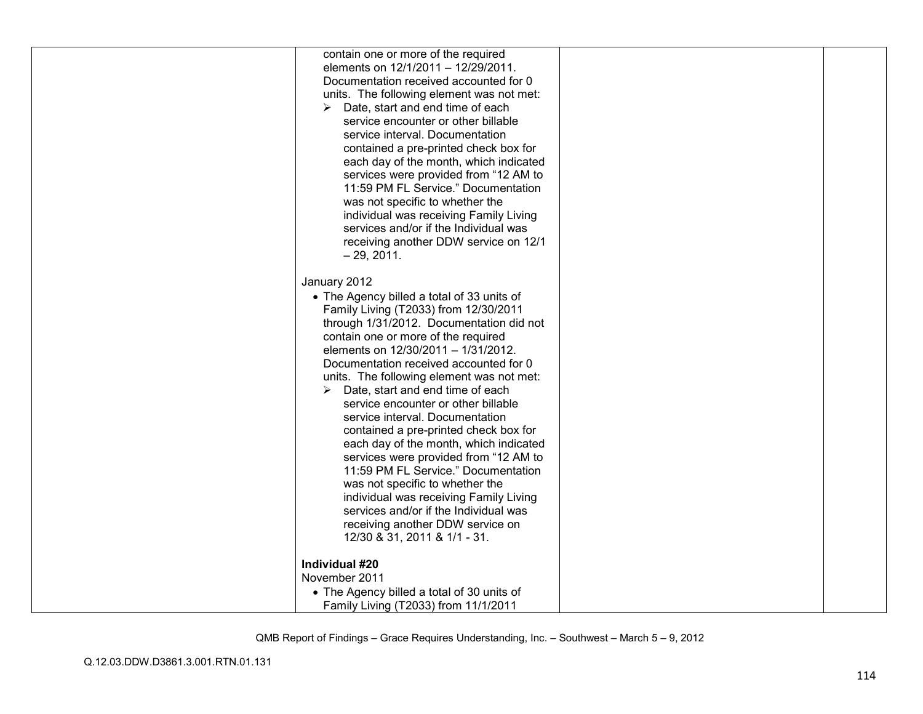| contain one or more of the required               |  |
|---------------------------------------------------|--|
| elements on 12/1/2011 - 12/29/2011.               |  |
| Documentation received accounted for 0            |  |
| units. The following element was not met:         |  |
| $\triangleright$ Date, start and end time of each |  |
| service encounter or other billable               |  |
| service interval. Documentation                   |  |
| contained a pre-printed check box for             |  |
| each day of the month, which indicated            |  |
| services were provided from "12 AM to             |  |
| 11:59 PM FL Service." Documentation               |  |
| was not specific to whether the                   |  |
| individual was receiving Family Living            |  |
| services and/or if the Individual was             |  |
| receiving another DDW service on 12/1             |  |
| $-29, 2011.$                                      |  |
|                                                   |  |
| January 2012                                      |  |
| • The Agency billed a total of 33 units of        |  |
| Family Living (T2033) from 12/30/2011             |  |
| through 1/31/2012. Documentation did not          |  |
| contain one or more of the required               |  |
| elements on 12/30/2011 - 1/31/2012.               |  |
|                                                   |  |
| Documentation received accounted for 0            |  |
| units. The following element was not met:         |  |
| Date, start and end time of each<br>➤             |  |
| service encounter or other billable               |  |
| service interval. Documentation                   |  |
| contained a pre-printed check box for             |  |
| each day of the month, which indicated            |  |
| services were provided from "12 AM to             |  |
| 11:59 PM FL Service." Documentation               |  |
| was not specific to whether the                   |  |
| individual was receiving Family Living            |  |
| services and/or if the Individual was             |  |
| receiving another DDW service on                  |  |
| 12/30 & 31, 2011 & 1/1 - 31.                      |  |
|                                                   |  |
| Individual #20                                    |  |
| November 2011                                     |  |
| • The Agency billed a total of 30 units of        |  |
| Family Living (T2033) from 11/1/2011              |  |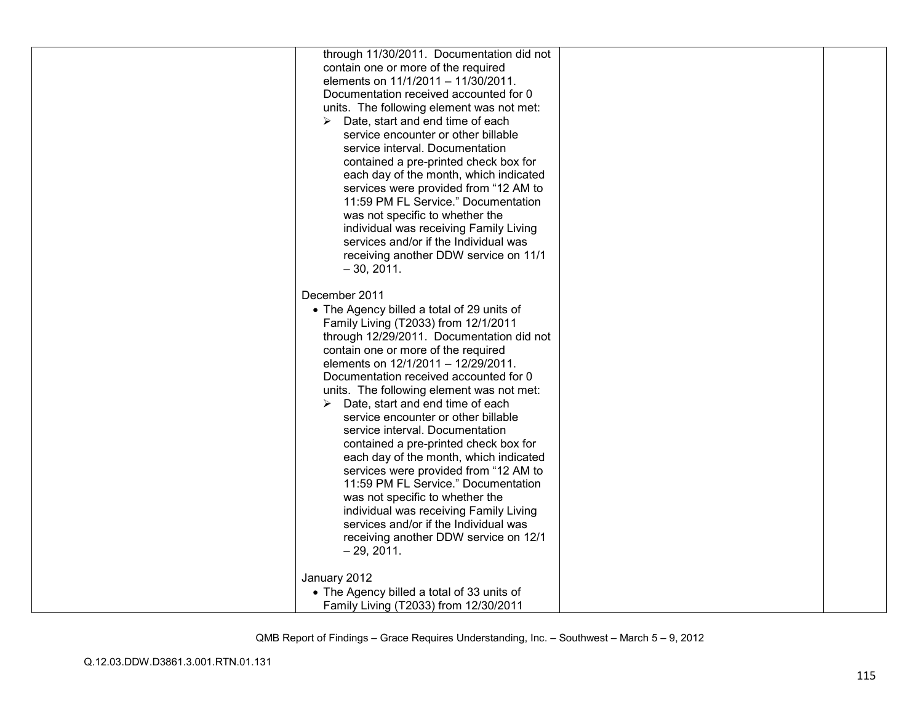| through 11/30/2011. Documentation did not         |  |
|---------------------------------------------------|--|
| contain one or more of the required               |  |
| elements on 11/1/2011 - 11/30/2011.               |  |
| Documentation received accounted for 0            |  |
| units. The following element was not met:         |  |
| Date, start and end time of each                  |  |
| service encounter or other billable               |  |
|                                                   |  |
| service interval. Documentation                   |  |
| contained a pre-printed check box for             |  |
| each day of the month, which indicated            |  |
| services were provided from "12 AM to             |  |
| 11:59 PM FL Service." Documentation               |  |
| was not specific to whether the                   |  |
| individual was receiving Family Living            |  |
| services and/or if the Individual was             |  |
| receiving another DDW service on 11/1             |  |
| $-30, 2011.$                                      |  |
|                                                   |  |
| December 2011                                     |  |
| • The Agency billed a total of 29 units of        |  |
| Family Living (T2033) from 12/1/2011              |  |
| through 12/29/2011. Documentation did not         |  |
| contain one or more of the required               |  |
| elements on 12/1/2011 - 12/29/2011.               |  |
| Documentation received accounted for 0            |  |
| units. The following element was not met:         |  |
| $\triangleright$ Date, start and end time of each |  |
| service encounter or other billable               |  |
| service interval. Documentation                   |  |
| contained a pre-printed check box for             |  |
| each day of the month, which indicated            |  |
| services were provided from "12 AM to             |  |
| 11:59 PM FL Service." Documentation               |  |
| was not specific to whether the                   |  |
| individual was receiving Family Living            |  |
| services and/or if the Individual was             |  |
|                                                   |  |
| receiving another DDW service on 12/1             |  |
| $-29, 2011.$                                      |  |
|                                                   |  |
| January 2012                                      |  |
| • The Agency billed a total of 33 units of        |  |
| Family Living (T2033) from 12/30/2011             |  |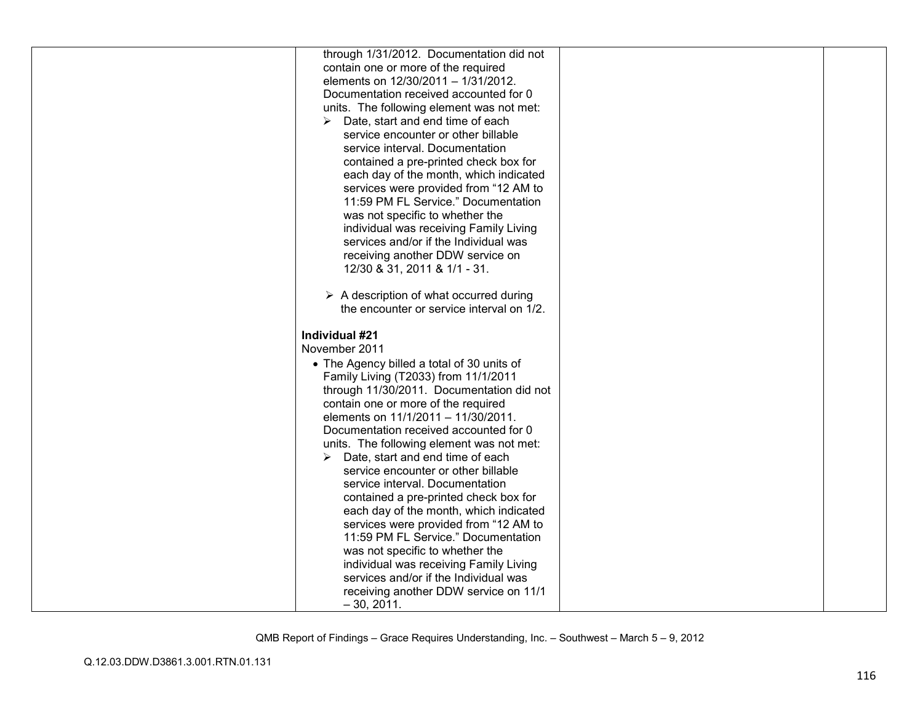| through 1/31/2012. Documentation did not               |  |
|--------------------------------------------------------|--|
| contain one or more of the required                    |  |
| elements on 12/30/2011 - 1/31/2012.                    |  |
| Documentation received accounted for 0                 |  |
| units. The following element was not met:              |  |
| $\triangleright$ Date, start and end time of each      |  |
| service encounter or other billable                    |  |
|                                                        |  |
| service interval. Documentation                        |  |
| contained a pre-printed check box for                  |  |
| each day of the month, which indicated                 |  |
| services were provided from "12 AM to                  |  |
| 11:59 PM FL Service." Documentation                    |  |
| was not specific to whether the                        |  |
| individual was receiving Family Living                 |  |
| services and/or if the Individual was                  |  |
| receiving another DDW service on                       |  |
| 12/30 & 31, 2011 & 1/1 - 31.                           |  |
|                                                        |  |
| $\triangleright$ A description of what occurred during |  |
| the encounter or service interval on 1/2.              |  |
|                                                        |  |
|                                                        |  |
| Individual #21                                         |  |
| November 2011                                          |  |
|                                                        |  |
| • The Agency billed a total of 30 units of             |  |
| Family Living (T2033) from 11/1/2011                   |  |
| through 11/30/2011. Documentation did not              |  |
| contain one or more of the required                    |  |
| elements on 11/1/2011 - 11/30/2011.                    |  |
| Documentation received accounted for 0                 |  |
| units. The following element was not met:              |  |
| $\triangleright$ Date, start and end time of each      |  |
| service encounter or other billable                    |  |
| service interval. Documentation                        |  |
| contained a pre-printed check box for                  |  |
| each day of the month, which indicated                 |  |
| services were provided from "12 AM to                  |  |
| 11:59 PM FL Service." Documentation                    |  |
| was not specific to whether the                        |  |
| individual was receiving Family Living                 |  |
| services and/or if the Individual was                  |  |
| receiving another DDW service on 11/1<br>$-30, 2011.$  |  |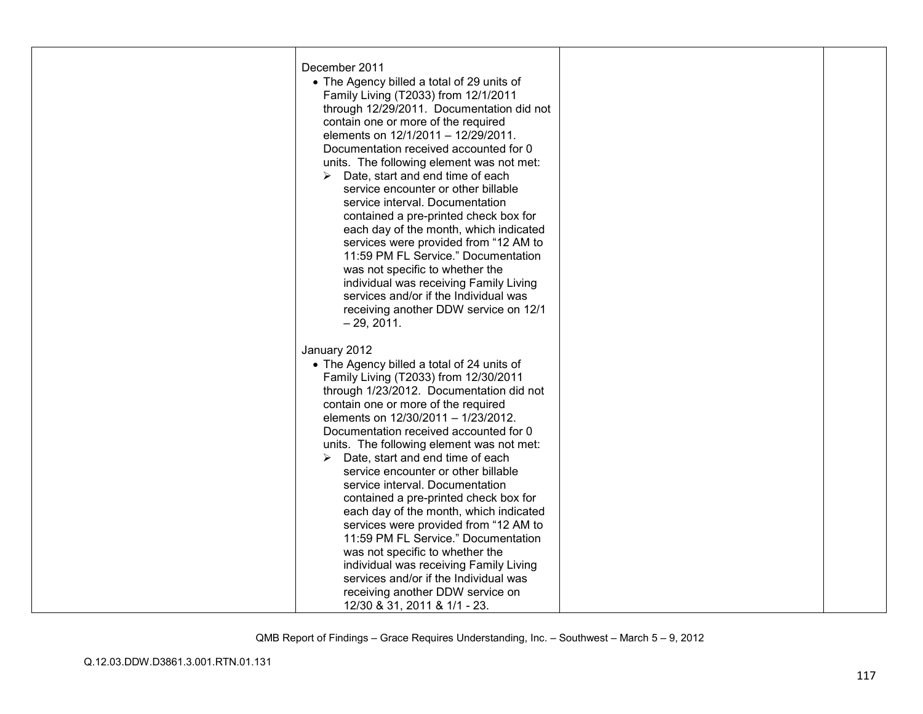| December 2011<br>• The Agency billed a total of 29 units of<br>Family Living (T2033) from 12/1/2011<br>through 12/29/2011. Documentation did not<br>contain one or more of the required<br>elements on 12/1/2011 - 12/29/2011.<br>Documentation received accounted for 0<br>units. The following element was not met:<br>Date, start and end time of each<br>➤<br>service encounter or other billable<br>service interval. Documentation<br>contained a pre-printed check box for<br>each day of the month, which indicated<br>services were provided from "12 AM to<br>11:59 PM FL Service." Documentation<br>was not specific to whether the<br>individual was receiving Family Living<br>services and/or if the Individual was<br>receiving another DDW service on 12/1<br>$-29, 2011.$ |  |
|--------------------------------------------------------------------------------------------------------------------------------------------------------------------------------------------------------------------------------------------------------------------------------------------------------------------------------------------------------------------------------------------------------------------------------------------------------------------------------------------------------------------------------------------------------------------------------------------------------------------------------------------------------------------------------------------------------------------------------------------------------------------------------------------|--|
| January 2012<br>• The Agency billed a total of 24 units of<br>Family Living (T2033) from 12/30/2011<br>through 1/23/2012. Documentation did not<br>contain one or more of the required<br>elements on 12/30/2011 - 1/23/2012.<br>Documentation received accounted for 0<br>units. The following element was not met:<br>$\triangleright$ Date, start and end time of each<br>service encounter or other billable<br>service interval. Documentation<br>contained a pre-printed check box for<br>each day of the month, which indicated                                                                                                                                                                                                                                                     |  |
| services were provided from "12 AM to<br>11:59 PM FL Service." Documentation<br>was not specific to whether the<br>individual was receiving Family Living<br>services and/or if the Individual was<br>receiving another DDW service on<br>12/30 & 31, 2011 & 1/1 - 23.                                                                                                                                                                                                                                                                                                                                                                                                                                                                                                                     |  |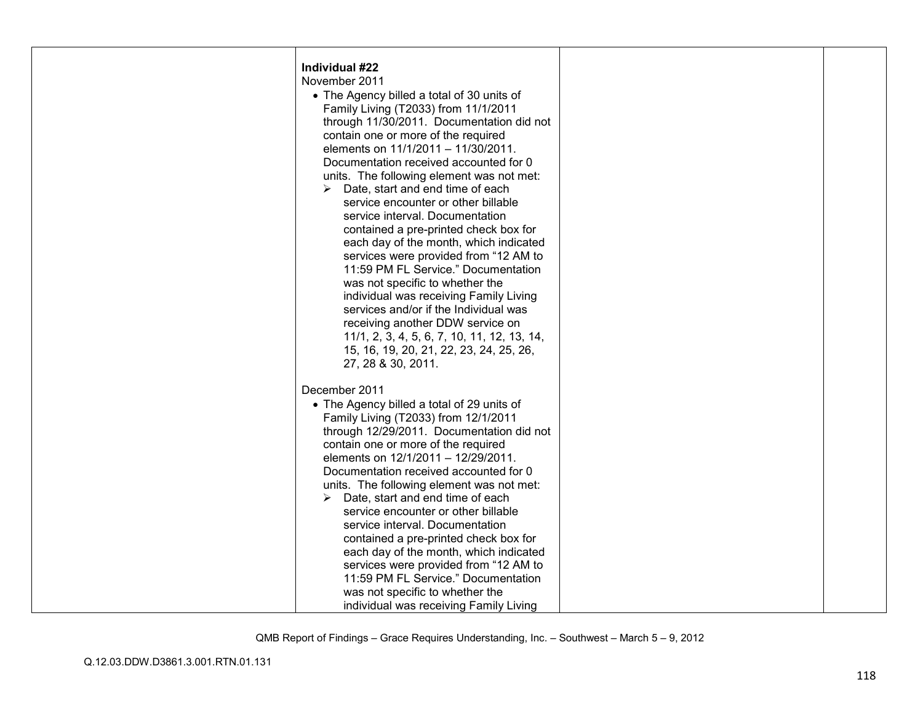| Individual #22<br>November 2011<br>• The Agency billed a total of 30 units of<br>Family Living (T2033) from 11/1/2011<br>through 11/30/2011. Documentation did not<br>contain one or more of the required<br>elements on 11/1/2011 - 11/30/2011.<br>Documentation received accounted for 0<br>units. The following element was not met:<br>Date, start and end time of each<br>➤<br>service encounter or other billable<br>service interval. Documentation<br>contained a pre-printed check box for<br>each day of the month, which indicated<br>services were provided from "12 AM to<br>11:59 PM FL Service." Documentation<br>was not specific to whether the<br>individual was receiving Family Living<br>services and/or if the Individual was<br>receiving another DDW service on |  |
|-----------------------------------------------------------------------------------------------------------------------------------------------------------------------------------------------------------------------------------------------------------------------------------------------------------------------------------------------------------------------------------------------------------------------------------------------------------------------------------------------------------------------------------------------------------------------------------------------------------------------------------------------------------------------------------------------------------------------------------------------------------------------------------------|--|
| 11/1, 2, 3, 4, 5, 6, 7, 10, 11, 12, 13, 14,<br>15, 16, 19, 20, 21, 22, 23, 24, 25, 26,                                                                                                                                                                                                                                                                                                                                                                                                                                                                                                                                                                                                                                                                                                  |  |
| 27, 28 & 30, 2011.<br>December 2011<br>• The Agency billed a total of 29 units of<br>Family Living (T2033) from 12/1/2011<br>through 12/29/2011. Documentation did not<br>contain one or more of the required<br>elements on 12/1/2011 - 12/29/2011.<br>Documentation received accounted for 0<br>units. The following element was not met:<br>Date, start and end time of each<br>➤<br>service encounter or other billable<br>service interval. Documentation<br>contained a pre-printed check box for<br>each day of the month, which indicated<br>services were provided from "12 AM to<br>11:59 PM FL Service." Documentation<br>was not specific to whether the<br>individual was receiving Family Living                                                                          |  |